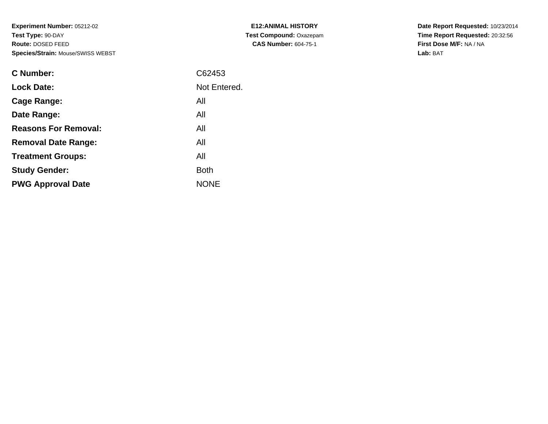**Experiment Number:** 05212-02**Test Type:** 90-DAY **Route:** DOSED FEED**Species/Strain:** Mouse/SWISS WEBST

| <b>C Number:</b>            | C62453       |
|-----------------------------|--------------|
| <b>Lock Date:</b>           | Not Entered. |
| <b>Cage Range:</b>          | All          |
| Date Range:                 | All          |
| <b>Reasons For Removal:</b> | All          |
| <b>Removal Date Range:</b>  | All          |
| <b>Treatment Groups:</b>    | All          |
| <b>Study Gender:</b>        | <b>Both</b>  |
| <b>PWG Approval Date</b>    | <b>NONE</b>  |

**E12:ANIMAL HISTORY Test Compound:** Oxazepam**CAS Number:** 604-75-1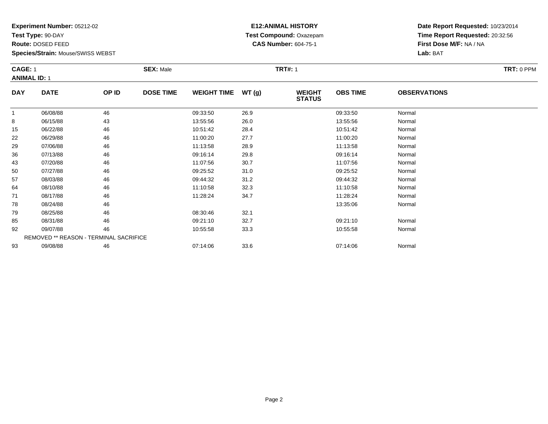**Test Type:** 90-DAY

**Route:** DOSED FEED

93

**Species/Strain:** Mouse/SWISS WEBST

# **E12:ANIMAL HISTORY Test Compound:** Oxazepam**CAS Number:** 604-75-1

**Date Report Requested:** 10/23/2014**Time Report Requested:** 20:32:56**First Dose M/F:** NA / NA**Lab:** BAT

| <b>CAGE: 1</b>      |                                        |       | <b>SEX: Male</b> | <b>TRT#: 1</b>     |      |                                |                 |                     |  |  |  |  |
|---------------------|----------------------------------------|-------|------------------|--------------------|------|--------------------------------|-----------------|---------------------|--|--|--|--|
| <b>ANIMAL ID: 1</b> |                                        |       |                  |                    |      |                                |                 |                     |  |  |  |  |
| <b>DAY</b>          | <b>DATE</b>                            | OP ID | <b>DOSE TIME</b> | WEIGHT TIME WT (g) |      | <b>WEIGHT</b><br><b>STATUS</b> | <b>OBS TIME</b> | <b>OBSERVATIONS</b> |  |  |  |  |
| $\mathbf 1$         | 06/08/88                               | 46    |                  | 09:33:50           | 26.9 |                                | 09:33:50        | Normal              |  |  |  |  |
| 8                   | 06/15/88                               | 43    |                  | 13:55:56           | 26.0 |                                | 13:55:56        | Normal              |  |  |  |  |
| 15                  | 06/22/88                               | 46    |                  | 10:51:42           | 28.4 |                                | 10:51:42        | Normal              |  |  |  |  |
| 22                  | 06/29/88                               | 46    |                  | 11:00:20           | 27.7 |                                | 11:00:20        | Normal              |  |  |  |  |
| 29                  | 07/06/88                               | 46    |                  | 11:13:58           | 28.9 |                                | 11:13:58        | Normal              |  |  |  |  |
| 36                  | 07/13/88                               | 46    |                  | 09:16:14           | 29.8 |                                | 09:16:14        | Normal              |  |  |  |  |
| 43                  | 07/20/88                               | 46    |                  | 11:07:56           | 30.7 |                                | 11:07:56        | Normal              |  |  |  |  |
| 50                  | 07/27/88                               | 46    |                  | 09:25:52           | 31.0 |                                | 09:25:52        | Normal              |  |  |  |  |
| 57                  | 08/03/88                               | 46    |                  | 09:44:32           | 31.2 |                                | 09:44:32        | Normal              |  |  |  |  |
| 64                  | 08/10/88                               | 46    |                  | 11:10:58           | 32.3 |                                | 11:10:58        | Normal              |  |  |  |  |
| 71                  | 08/17/88                               | 46    |                  | 11:28:24           | 34.7 |                                | 11:28:24        | Normal              |  |  |  |  |
| 78                  | 08/24/88                               | 46    |                  |                    |      |                                | 13:35:06        | Normal              |  |  |  |  |
| 79                  | 08/25/88                               | 46    |                  | 08:30:46           | 32.1 |                                |                 |                     |  |  |  |  |
| 85                  | 08/31/88                               | 46    |                  | 09:21:10           | 32.7 |                                | 09:21:10        | Normal              |  |  |  |  |
| 92                  | 09/07/88                               | 46    |                  | 10:55:58           | 33.3 |                                | 10:55:58        | Normal              |  |  |  |  |
|                     | REMOVED ** REASON - TERMINAL SACRIFICE |       |                  |                    |      |                                |                 |                     |  |  |  |  |

3 09/08/88 46 46 07:14:06 33.6 07:04:06 07:14:06 Normal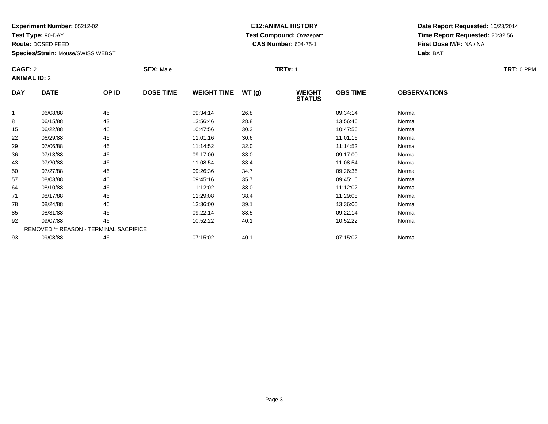**Test Type:** 90-DAY

**Route:** DOSED FEED

**Species/Strain:** Mouse/SWISS WEBST

# **E12:ANIMAL HISTORY Test Compound:** Oxazepam**CAS Number:** 604-75-1

**Date Report Requested:** 10/23/2014**Time Report Requested:** 20:32:56**First Dose M/F:** NA / NA**Lab:** BAT

|              | CAGE: 2                                       |       | <b>SEX: Male</b> |                    |       | <b>TRT#: 1</b>                 |                 |                     | TRT: 0 PPM |  |
|--------------|-----------------------------------------------|-------|------------------|--------------------|-------|--------------------------------|-----------------|---------------------|------------|--|
|              | <b>ANIMAL ID: 2</b>                           |       |                  |                    |       |                                |                 |                     |            |  |
| <b>DAY</b>   | <b>DATE</b>                                   | OP ID | <b>DOSE TIME</b> | <b>WEIGHT TIME</b> | WT(g) | <b>WEIGHT</b><br><b>STATUS</b> | <b>OBS TIME</b> | <b>OBSERVATIONS</b> |            |  |
| $\mathbf{1}$ | 06/08/88                                      | 46    |                  | 09:34:14           | 26.8  |                                | 09:34:14        | Normal              |            |  |
| 8            | 06/15/88                                      | 43    |                  | 13:56:46           | 28.8  |                                | 13:56:46        | Normal              |            |  |
| 15           | 06/22/88                                      | 46    |                  | 10:47:56           | 30.3  |                                | 10:47:56        | Normal              |            |  |
| 22           | 06/29/88                                      | 46    |                  | 11:01:16           | 30.6  |                                | 11:01:16        | Normal              |            |  |
| 29           | 07/06/88                                      | 46    |                  | 11:14:52           | 32.0  |                                | 11:14:52        | Normal              |            |  |
| 36           | 07/13/88                                      | 46    |                  | 09:17:00           | 33.0  |                                | 09:17:00        | Normal              |            |  |
| 43           | 07/20/88                                      | 46    |                  | 11:08:54           | 33.4  |                                | 11:08:54        | Normal              |            |  |
| 50           | 07/27/88                                      | 46    |                  | 09:26:36           | 34.7  |                                | 09:26:36        | Normal              |            |  |
| 57           | 08/03/88                                      | 46    |                  | 09:45:16           | 35.7  |                                | 09:45:16        | Normal              |            |  |
| 64           | 08/10/88                                      | 46    |                  | 11:12:02           | 38.0  |                                | 11:12:02        | Normal              |            |  |
| 71           | 08/17/88                                      | 46    |                  | 11:29:08           | 38.4  |                                | 11:29:08        | Normal              |            |  |
| 78           | 08/24/88                                      | 46    |                  | 13:36:00           | 39.1  |                                | 13:36:00        | Normal              |            |  |
| 85           | 08/31/88                                      | 46    |                  | 09:22:14           | 38.5  |                                | 09:22:14        | Normal              |            |  |
| 92           | 09/07/88                                      | 46    |                  | 10:52:22           | 40.1  |                                | 10:52:22        | Normal              |            |  |
|              | <b>REMOVED ** REASON - TERMINAL SACRIFICE</b> |       |                  |                    |       |                                |                 |                     |            |  |
| 93           | 09/08/88                                      | 46    |                  | 07:15:02           | 40.1  |                                | 07:15:02        | Normal              |            |  |

3 09/08/88 46 46 07:15:02 40.1 07:15:02 07:15:02 07:15:02 Normal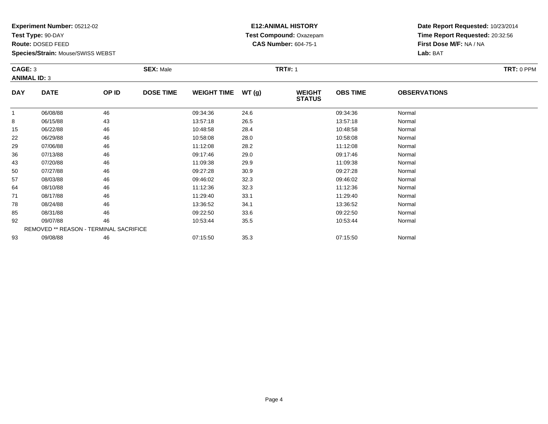**Test Type:** 90-DAY

**Route:** DOSED FEED

93

**Species/Strain:** Mouse/SWISS WEBST

# **E12:ANIMAL HISTORY Test Compound:** Oxazepam**CAS Number:** 604-75-1

**Date Report Requested:** 10/23/2014**Time Report Requested:** 20:32:56**First Dose M/F:** NA / NA**Lab:** BAT

| CAGE: 3<br><b>ANIMAL ID: 3</b> |                                        | <b>SEX: Male</b> | TRT: 0 PPM       |                    |       |                                |                 |                     |  |
|--------------------------------|----------------------------------------|------------------|------------------|--------------------|-------|--------------------------------|-----------------|---------------------|--|
| <b>DAY</b>                     | <b>DATE</b>                            | OP ID            | <b>DOSE TIME</b> | <b>WEIGHT TIME</b> | WT(g) | <b>WEIGHT</b><br><b>STATUS</b> | <b>OBS TIME</b> | <b>OBSERVATIONS</b> |  |
| 1                              | 06/08/88                               | 46               |                  | 09:34:36           | 24.6  |                                | 09:34:36        | Normal              |  |
| 8                              | 06/15/88                               | 43               |                  | 13:57:18           | 26.5  |                                | 13:57:18        | Normal              |  |
| 15                             | 06/22/88                               | 46               |                  | 10:48:58           | 28.4  |                                | 10:48:58        | Normal              |  |
| 22                             | 06/29/88                               | 46               |                  | 10:58:08           | 28.0  |                                | 10:58:08        | Normal              |  |
| 29                             | 07/06/88                               | 46               |                  | 11:12:08           | 28.2  |                                | 11:12:08        | Normal              |  |
| 36                             | 07/13/88                               | 46               |                  | 09:17:46           | 29.0  |                                | 09:17:46        | Normal              |  |
| 43                             | 07/20/88                               | 46               |                  | 11:09:38           | 29.9  |                                | 11:09:38        | Normal              |  |
| 50                             | 07/27/88                               | 46               |                  | 09:27:28           | 30.9  |                                | 09:27:28        | Normal              |  |
| 57                             | 08/03/88                               | 46               |                  | 09:46:02           | 32.3  |                                | 09:46:02        | Normal              |  |
| 64                             | 08/10/88                               | 46               |                  | 11:12:36           | 32.3  |                                | 11:12:36        | Normal              |  |
| 71                             | 08/17/88                               | 46               |                  | 11:29:40           | 33.1  |                                | 11:29:40        | Normal              |  |
| 78                             | 08/24/88                               | 46               |                  | 13:36:52           | 34.1  |                                | 13:36:52        | Normal              |  |
| 85                             | 08/31/88                               | 46               |                  | 09:22:50           | 33.6  |                                | 09:22:50        | Normal              |  |
| 92                             | 09/07/88                               | 46               |                  | 10:53:44           | 35.5  |                                | 10:53:44        | Normal              |  |
|                                | REMOVED ** REASON - TERMINAL SACRIFICE |                  |                  |                    |       |                                |                 |                     |  |

3 09/08/88 46 46 07:15:50 35.3 07:15:50 07:15:50 07:15:50 Normal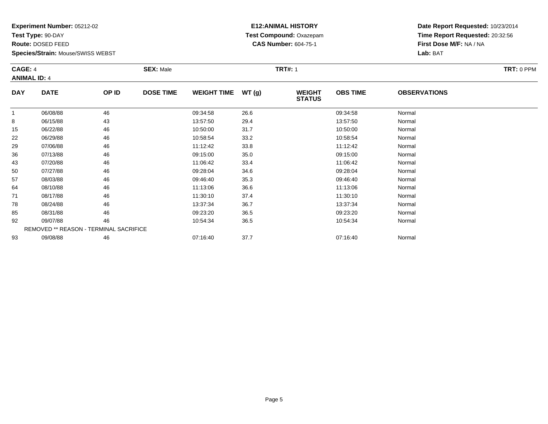**Test Type:** 90-DAY

**Route:** DOSED FEED

93

**Species/Strain:** Mouse/SWISS WEBST

### **E12:ANIMAL HISTORY Test Compound:** Oxazepam**CAS Number:** 604-75-1

**Date Report Requested:** 10/23/2014**Time Report Requested:** 20:32:56**First Dose M/F:** NA / NA**Lab:** BAT

| CAGE: 4<br><b>ANIMAL ID: 4</b> |                                               | <b>SEX: Male</b> | TRT: 0 PPM       |                    |       |                                |                 |                     |  |
|--------------------------------|-----------------------------------------------|------------------|------------------|--------------------|-------|--------------------------------|-----------------|---------------------|--|
| <b>DAY</b>                     | <b>DATE</b>                                   | OP ID            | <b>DOSE TIME</b> | <b>WEIGHT TIME</b> | WT(g) | <b>WEIGHT</b><br><b>STATUS</b> | <b>OBS TIME</b> | <b>OBSERVATIONS</b> |  |
|                                | 06/08/88                                      | 46               |                  | 09:34:58           | 26.6  |                                | 09:34:58        | Normal              |  |
| 8                              | 06/15/88                                      | 43               |                  | 13:57:50           | 29.4  |                                | 13:57:50        | Normal              |  |
| 15                             | 06/22/88                                      | 46               |                  | 10:50:00           | 31.7  |                                | 10:50:00        | Normal              |  |
| 22                             | 06/29/88                                      | 46               |                  | 10:58:54           | 33.2  |                                | 10:58:54        | Normal              |  |
| 29                             | 07/06/88                                      | 46               |                  | 11:12:42           | 33.8  |                                | 11:12:42        | Normal              |  |
| 36                             | 07/13/88                                      | 46               |                  | 09:15:00           | 35.0  |                                | 09:15:00        | Normal              |  |
| 43                             | 07/20/88                                      | 46               |                  | 11:06:42           | 33.4  |                                | 11:06:42        | Normal              |  |
| 50                             | 07/27/88                                      | 46               |                  | 09:28:04           | 34.6  |                                | 09:28:04        | Normal              |  |
| 57                             | 08/03/88                                      | 46               |                  | 09:46:40           | 35.3  |                                | 09:46:40        | Normal              |  |
| 64                             | 08/10/88                                      | 46               |                  | 11:13:06           | 36.6  |                                | 11:13:06        | Normal              |  |
| 71                             | 08/17/88                                      | 46               |                  | 11:30:10           | 37.4  |                                | 11:30:10        | Normal              |  |
| 78                             | 08/24/88                                      | 46               |                  | 13:37:34           | 36.7  |                                | 13:37:34        | Normal              |  |
| 85                             | 08/31/88                                      | 46               |                  | 09:23:20           | 36.5  |                                | 09:23:20        | Normal              |  |
| 92                             | 09/07/88                                      | 46               |                  | 10:54:34           | 36.5  |                                | 10:54:34        | Normal              |  |
|                                | <b>REMOVED ** REASON - TERMINAL SACRIFICE</b> |                  |                  |                    |       |                                |                 |                     |  |

3 09/08/88 46 46 07:16:40 37.7 16:40 07:16:40 07:16:40 Normal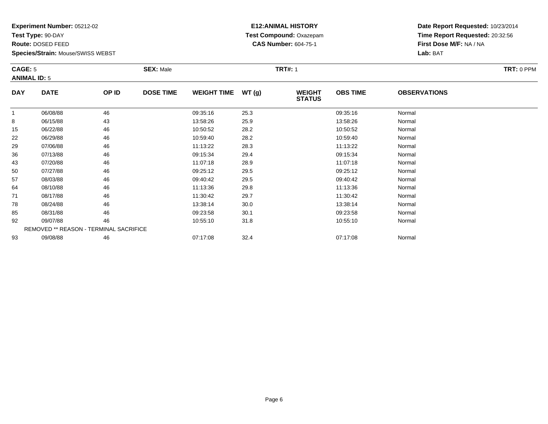**Test Type:** 90-DAY

**Route:** DOSED FEED

93

**Species/Strain:** Mouse/SWISS WEBST

REMOVED \*\* REASON - TERMINAL SACRIFICE

### **E12:ANIMAL HISTORY Test Compound:** Oxazepam**CAS Number:** 604-75-1

**Date Report Requested:** 10/23/2014**Time Report Requested:** 20:32:56**First Dose M/F:** NA / NA**Lab:** BAT

| <b>CAGE: 5</b> | <b>ANIMAL ID: 5</b> |       | <b>SEX: Male</b> |                    |       | <b>TRT#: 1</b>                 | TRT: 0 PPM      |                     |  |
|----------------|---------------------|-------|------------------|--------------------|-------|--------------------------------|-----------------|---------------------|--|
| <b>DAY</b>     | <b>DATE</b>         | OP ID | <b>DOSE TIME</b> | <b>WEIGHT TIME</b> | WT(g) | <b>WEIGHT</b><br><b>STATUS</b> | <b>OBS TIME</b> | <b>OBSERVATIONS</b> |  |
|                | 06/08/88            | 46    |                  | 09:35:16           | 25.3  |                                | 09:35:16        | Normal              |  |
| 8              | 06/15/88            | 43    |                  | 13:58:26           | 25.9  |                                | 13:58:26        | Normal              |  |
| 15             | 06/22/88            | 46    |                  | 10:50:52           | 28.2  |                                | 10:50:52        | Normal              |  |
| 22             | 06/29/88            | 46    |                  | 10:59:40           | 28.2  |                                | 10:59:40        | Normal              |  |
| 29             | 07/06/88            | 46    |                  | 11:13:22           | 28.3  |                                | 11:13:22        | Normal              |  |
| 36             | 07/13/88            | 46    |                  | 09:15:34           | 29.4  |                                | 09:15:34        | Normal              |  |
| 43             | 07/20/88            | 46    |                  | 11:07:18           | 28.9  |                                | 11:07:18        | Normal              |  |
| 50             | 07/27/88            | 46    |                  | 09:25:12           | 29.5  |                                | 09:25:12        | Normal              |  |
| 57             | 08/03/88            | 46    |                  | 09:40:42           | 29.5  |                                | 09:40:42        | Normal              |  |
| 64             | 08/10/88            | 46    |                  | 11:13:36           | 29.8  |                                | 11:13:36        | Normal              |  |
| 71             | 08/17/88            | 46    |                  | 11:30:42           | 29.7  |                                | 11:30:42        | Normal              |  |
| 78             | 08/24/88            | 46    |                  | 13:38:14           | 30.0  |                                | 13:38:14        | Normal              |  |
| 85             | 08/31/88            | 46    |                  | 09:23:58           | 30.1  |                                | 09:23:58        | Normal              |  |
| 92             | 09/07/88            | 46    |                  | 10:55:10           | 31.8  |                                | 10:55:10        | Normal              |  |

3 09/08/88 46 46 07:17:08 32.4 07:47:08 07:17:08 Normal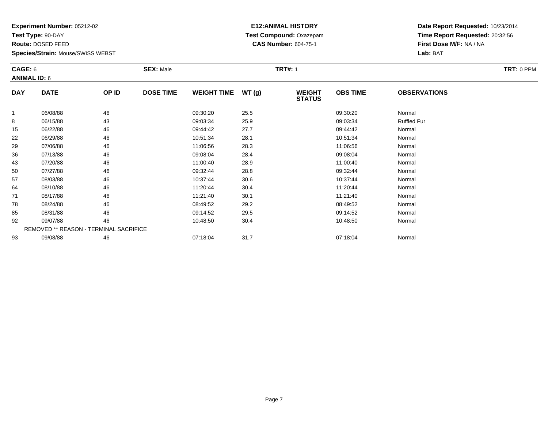**Test Type:** 90-DAY

**Route:** DOSED FEED

**Species/Strain:** Mouse/SWISS WEBST

# **E12:ANIMAL HISTORY Test Compound:** Oxazepam**CAS Number:** 604-75-1

**Date Report Requested:** 10/23/2014**Time Report Requested:** 20:32:56**First Dose M/F:** NA / NA**Lab:** BAT

|            | CAGE: 6<br><b>ANIMAL ID: 6</b>                |       | <b>TRT#: 1</b><br><b>SEX: Male</b> |                    |       |                                |                 |                     | TRT: 0 PPM |
|------------|-----------------------------------------------|-------|------------------------------------|--------------------|-------|--------------------------------|-----------------|---------------------|------------|
| <b>DAY</b> | <b>DATE</b>                                   | OP ID | <b>DOSE TIME</b>                   | <b>WEIGHT TIME</b> | WT(g) | <b>WEIGHT</b><br><b>STATUS</b> | <b>OBS TIME</b> | <b>OBSERVATIONS</b> |            |
|            | 06/08/88                                      | 46    |                                    | 09:30:20           | 25.5  |                                | 09:30:20        | Normal              |            |
| 8          | 06/15/88                                      | 43    |                                    | 09:03:34           | 25.9  |                                | 09:03:34        | <b>Ruffled Fur</b>  |            |
| 15         | 06/22/88                                      | 46    |                                    | 09:44:42           | 27.7  |                                | 09:44:42        | Normal              |            |
| 22         | 06/29/88                                      | 46    |                                    | 10:51:34           | 28.1  |                                | 10:51:34        | Normal              |            |
| 29         | 07/06/88                                      | 46    |                                    | 11:06:56           | 28.3  |                                | 11:06:56        | Normal              |            |
| 36         | 07/13/88                                      | 46    |                                    | 09:08:04           | 28.4  |                                | 09:08:04        | Normal              |            |
| 43         | 07/20/88                                      | 46    |                                    | 11:00:40           | 28.9  |                                | 11:00:40        | Normal              |            |
| 50         | 07/27/88                                      | 46    |                                    | 09:32:44           | 28.8  |                                | 09:32:44        | Normal              |            |
| 57         | 08/03/88                                      | 46    |                                    | 10:37:44           | 30.6  |                                | 10:37:44        | Normal              |            |
| 64         | 08/10/88                                      | 46    |                                    | 11:20:44           | 30.4  |                                | 11:20:44        | Normal              |            |
| 71         | 08/17/88                                      | 46    |                                    | 11:21:40           | 30.1  |                                | 11:21:40        | Normal              |            |
| 78         | 08/24/88                                      | 46    |                                    | 08:49:52           | 29.2  |                                | 08:49:52        | Normal              |            |
| 85         | 08/31/88                                      | 46    |                                    | 09:14:52           | 29.5  |                                | 09:14:52        | Normal              |            |
| 92         | 09/07/88                                      | 46    |                                    | 10:48:50           | 30.4  |                                | 10:48:50        | Normal              |            |
|            | <b>REMOVED ** REASON - TERMINAL SACRIFICE</b> |       |                                    |                    |       |                                |                 |                     |            |
| 93         | 09/08/88                                      | 46    |                                    | 07:18:04           | 31.7  |                                | 07:18:04        | Normal              |            |

3 09/08/88 46 46 07:18:04 31.7 30 07:18:04 DOI:18:04 Normal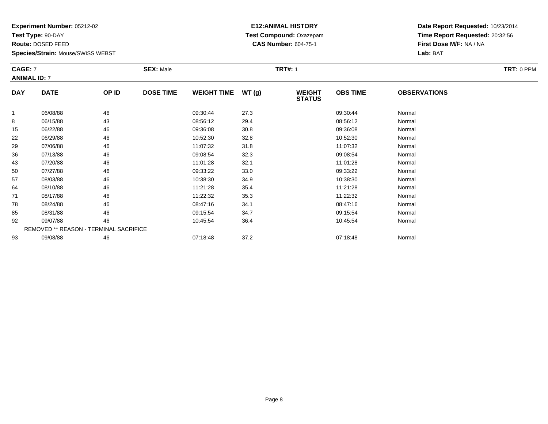**Test Type:** 90-DAY

**Route:** DOSED FEED

92

93

**Species/Strain:** Mouse/SWISS WEBST

REMOVED \*\* REASON - TERMINAL SACRIFICE

### **E12:ANIMAL HISTORY Test Compound:** Oxazepam**CAS Number:** 604-75-1

**Date Report Requested:** 10/23/2014**Time Report Requested:** 20:32:56**First Dose M/F:** NA / NA**Lab:** BAT

| <b>CAGE: 7</b><br><b>ANIMAL ID: 7</b> |             | <b>SEX: Male</b> | TRT: 0 PPM       |                    |       |                                |                 |                     |  |
|---------------------------------------|-------------|------------------|------------------|--------------------|-------|--------------------------------|-----------------|---------------------|--|
| <b>DAY</b>                            | <b>DATE</b> | OP ID            | <b>DOSE TIME</b> | <b>WEIGHT TIME</b> | WT(g) | <b>WEIGHT</b><br><b>STATUS</b> | <b>OBS TIME</b> | <b>OBSERVATIONS</b> |  |
|                                       | 06/08/88    | 46               |                  | 09:30:44           | 27.3  |                                | 09:30:44        | Normal              |  |
| 8                                     | 06/15/88    | 43               |                  | 08:56:12           | 29.4  |                                | 08:56:12        | Normal              |  |
| 15                                    | 06/22/88    | 46               |                  | 09:36:08           | 30.8  |                                | 09:36:08        | Normal              |  |
| 22                                    | 06/29/88    | 46               |                  | 10:52:30           | 32.8  |                                | 10:52:30        | Normal              |  |
| 29                                    | 07/06/88    | 46               |                  | 11:07:32           | 31.8  |                                | 11:07:32        | Normal              |  |
| 36                                    | 07/13/88    | 46               |                  | 09:08:54           | 32.3  |                                | 09:08:54        | Normal              |  |
| 43                                    | 07/20/88    | 46               |                  | 11:01:28           | 32.1  |                                | 11:01:28        | Normal              |  |
| 50                                    | 07/27/88    | 46               |                  | 09:33:22           | 33.0  |                                | 09:33:22        | Normal              |  |
| 57                                    | 08/03/88    | 46               |                  | 10:38:30           | 34.9  |                                | 10:38:30        | Normal              |  |
| 64                                    | 08/10/88    | 46               |                  | 11:21:28           | 35.4  |                                | 11:21:28        | Normal              |  |
| 71                                    | 08/17/88    | 46               |                  | 11:22:32           | 35.3  |                                | 11:22:32        | Normal              |  |
| 78                                    | 08/24/88    | 46               |                  | 08:47:16           | 34.1  |                                | 08:47:16        | Normal              |  |
| 85                                    | 08/31/88    | 46               |                  | 09:15:54           | 34.7  |                                | 09:15:54        | Normal              |  |

2 09/07/88 46 46 10:45:54 36.4 10:45:54 10:45:54 10:45:54 10:45:54

3 09/08/88 46 46 07:18:48 37.2 5 07:18:48 07:18:48 Normal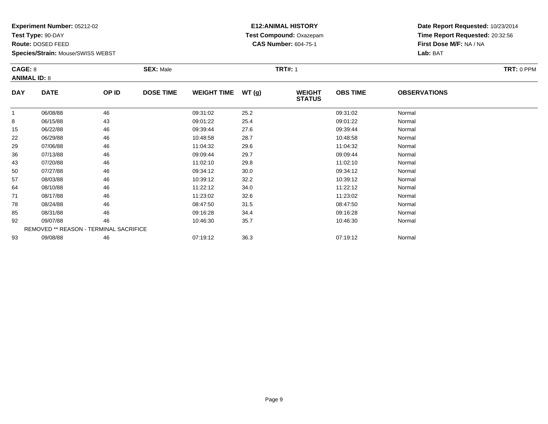**Test Type:** 90-DAY

**Route:** DOSED FEED

**Species/Strain:** Mouse/SWISS WEBST

# **E12:ANIMAL HISTORY Test Compound:** Oxazepam**CAS Number:** 604-75-1

**Date Report Requested:** 10/23/2014**Time Report Requested:** 20:32:56**First Dose M/F:** NA / NA**Lab:** BAT

|            | CAGE: 8<br><b>ANIMAL ID: 8</b>                |       | <b>TRT#: 1</b><br><b>SEX: Male</b> |                    |       |                                |                 |                     | TRT: 0 PPM |
|------------|-----------------------------------------------|-------|------------------------------------|--------------------|-------|--------------------------------|-----------------|---------------------|------------|
| <b>DAY</b> | <b>DATE</b>                                   | OP ID | <b>DOSE TIME</b>                   | <b>WEIGHT TIME</b> | WT(g) | <b>WEIGHT</b><br><b>STATUS</b> | <b>OBS TIME</b> | <b>OBSERVATIONS</b> |            |
|            | 06/08/88                                      | 46    |                                    | 09:31:02           | 25.2  |                                | 09:31:02        | Normal              |            |
| 8          | 06/15/88                                      | 43    |                                    | 09:01:22           | 25.4  |                                | 09:01:22        | Normal              |            |
| 15         | 06/22/88                                      | 46    |                                    | 09:39:44           | 27.6  |                                | 09:39:44        | Normal              |            |
| 22         | 06/29/88                                      | 46    |                                    | 10:48:58           | 28.7  |                                | 10:48:58        | Normal              |            |
| 29         | 07/06/88                                      | 46    |                                    | 11:04:32           | 29.6  |                                | 11:04:32        | Normal              |            |
| 36         | 07/13/88                                      | 46    |                                    | 09:09:44           | 29.7  |                                | 09:09:44        | Normal              |            |
| 43         | 07/20/88                                      | 46    |                                    | 11:02:10           | 29.8  |                                | 11:02:10        | Normal              |            |
| 50         | 07/27/88                                      | 46    |                                    | 09:34:12           | 30.0  |                                | 09:34:12        | Normal              |            |
| 57         | 08/03/88                                      | 46    |                                    | 10:39:12           | 32.2  |                                | 10:39:12        | Normal              |            |
| 64         | 08/10/88                                      | 46    |                                    | 11:22:12           | 34.0  |                                | 11:22:12        | Normal              |            |
| 71         | 08/17/88                                      | 46    |                                    | 11:23:02           | 32.6  |                                | 11:23:02        | Normal              |            |
| 78         | 08/24/88                                      | 46    |                                    | 08:47:50           | 31.5  |                                | 08:47:50        | Normal              |            |
| 85         | 08/31/88                                      | 46    |                                    | 09:16:28           | 34.4  |                                | 09:16:28        | Normal              |            |
| 92         | 09/07/88                                      | 46    |                                    | 10:46:30           | 35.7  |                                | 10:46:30        | Normal              |            |
|            | <b>REMOVED ** REASON - TERMINAL SACRIFICE</b> |       |                                    |                    |       |                                |                 |                     |            |
| 93         | 09/08/88                                      | 46    |                                    | 07:19:12           | 36.3  |                                | 07:19:12        | Normal              |            |

3 09/08/88 46 46 07:19:12 36.3 07:19 07:19 07:19 07:19 07:19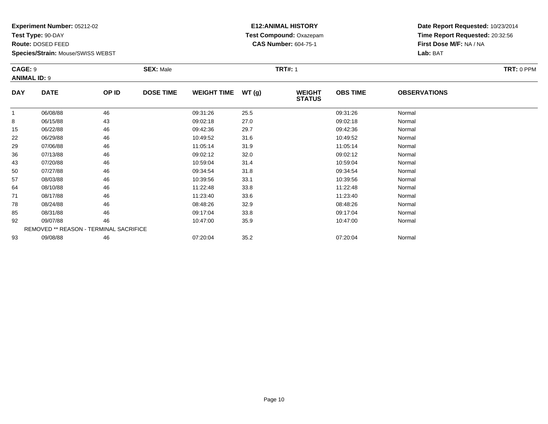**Test Type:** 90-DAY

**Route:** DOSED FEED

**Species/Strain:** Mouse/SWISS WEBST

# **E12:ANIMAL HISTORY Test Compound:** Oxazepam**CAS Number:** 604-75-1

| <b>CAGE: 9</b><br><b>ANIMAL ID: 9</b> |                                        | <b>SEX: Male</b> |                  |                    | <b>TRT#: 1</b> |                                |                 |                     |  |  |
|---------------------------------------|----------------------------------------|------------------|------------------|--------------------|----------------|--------------------------------|-----------------|---------------------|--|--|
| <b>DAY</b>                            | <b>DATE</b>                            | OP ID            | <b>DOSE TIME</b> | <b>WEIGHT TIME</b> | WT(g)          | <b>WEIGHT</b><br><b>STATUS</b> | <b>OBS TIME</b> | <b>OBSERVATIONS</b> |  |  |
| 1                                     | 06/08/88                               | 46               |                  | 09:31:26           | 25.5           |                                | 09:31:26        | Normal              |  |  |
| 8                                     | 06/15/88                               | 43               |                  | 09:02:18           | 27.0           |                                | 09:02:18        | Normal              |  |  |
| 15                                    | 06/22/88                               | 46               |                  | 09:42:36           | 29.7           |                                | 09:42:36        | Normal              |  |  |
| 22                                    | 06/29/88                               | 46               |                  | 10:49:52           | 31.6           |                                | 10:49:52        | Normal              |  |  |
| 29                                    | 07/06/88                               | 46               |                  | 11:05:14           | 31.9           |                                | 11:05:14        | Normal              |  |  |
| 36                                    | 07/13/88                               | 46               |                  | 09:02:12           | 32.0           |                                | 09:02:12        | Normal              |  |  |
| 43                                    | 07/20/88                               | 46               |                  | 10:59:04           | 31.4           |                                | 10:59:04        | Normal              |  |  |
| 50                                    | 07/27/88                               | 46               |                  | 09:34:54           | 31.8           |                                | 09:34:54        | Normal              |  |  |
| 57                                    | 08/03/88                               | 46               |                  | 10:39:56           | 33.1           |                                | 10:39:56        | Normal              |  |  |
| 64                                    | 08/10/88                               | 46               |                  | 11:22:48           | 33.8           |                                | 11:22:48        | Normal              |  |  |
| 71                                    | 08/17/88                               | 46               |                  | 11:23:40           | 33.6           |                                | 11:23:40        | Normal              |  |  |
| 78                                    | 08/24/88                               | 46               |                  | 08:48:26           | 32.9           |                                | 08:48:26        | Normal              |  |  |
| 85                                    | 08/31/88                               | 46               |                  | 09:17:04           | 33.8           |                                | 09:17:04        | Normal              |  |  |
| 92                                    | 09/07/88                               | 46               |                  | 10:47:00           | 35.9           |                                | 10:47:00        | Normal              |  |  |
|                                       | REMOVED ** REASON - TERMINAL SACRIFICE |                  |                  |                    |                |                                |                 |                     |  |  |
| 93                                    | 09/08/88                               | 46               |                  | 07:20:04           | 35.2           |                                | 07:20:04        | Normal              |  |  |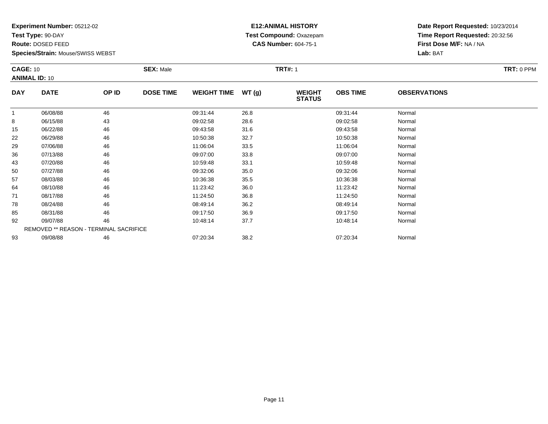**Test Type:** 90-DAY

**Route:** DOSED FEED

**Species/Strain:** Mouse/SWISS WEBST

# **E12:ANIMAL HISTORY Test Compound:** Oxazepam**CAS Number:** 604-75-1

| <b>CAGE: 10</b> |                                        | <b>SEX: Male</b> |                  |                    | <b>TRT#: 1</b> |                                | TRT: 0 PPM      |                     |  |
|-----------------|----------------------------------------|------------------|------------------|--------------------|----------------|--------------------------------|-----------------|---------------------|--|
|                 | <b>ANIMAL ID: 10</b>                   |                  |                  |                    |                |                                |                 |                     |  |
| <b>DAY</b>      | <b>DATE</b>                            | OP ID            | <b>DOSE TIME</b> | <b>WEIGHT TIME</b> | WT(g)          | <b>WEIGHT</b><br><b>STATUS</b> | <b>OBS TIME</b> | <b>OBSERVATIONS</b> |  |
|                 | 06/08/88                               | 46               |                  | 09:31:44           | 26.8           |                                | 09:31:44        | Normal              |  |
| 8               | 06/15/88                               | 43               |                  | 09:02:58           | 28.6           |                                | 09:02:58        | Normal              |  |
| 15              | 06/22/88                               | 46               |                  | 09:43:58           | 31.6           |                                | 09:43:58        | Normal              |  |
| 22              | 06/29/88                               | 46               |                  | 10:50:38           | 32.7           |                                | 10:50:38        | Normal              |  |
| 29              | 07/06/88                               | 46               |                  | 11:06:04           | 33.5           |                                | 11:06:04        | Normal              |  |
| 36              | 07/13/88                               | 46               |                  | 09:07:00           | 33.8           |                                | 09:07:00        | Normal              |  |
| 43              | 07/20/88                               | 46               |                  | 10:59:48           | 33.1           |                                | 10:59:48        | Normal              |  |
| 50              | 07/27/88                               | 46               |                  | 09:32:06           | 35.0           |                                | 09:32:06        | Normal              |  |
| 57              | 08/03/88                               | 46               |                  | 10:36:38           | 35.5           |                                | 10:36:38        | Normal              |  |
| 64              | 08/10/88                               | 46               |                  | 11:23:42           | 36.0           |                                | 11:23:42        | Normal              |  |
| 71              | 08/17/88                               | 46               |                  | 11:24:50           | 36.8           |                                | 11:24:50        | Normal              |  |
| 78              | 08/24/88                               | 46               |                  | 08:49:14           | 36.2           |                                | 08:49:14        | Normal              |  |
| 85              | 08/31/88                               | 46               |                  | 09:17:50           | 36.9           |                                | 09:17:50        | Normal              |  |
| 92              | 09/07/88                               | 46               |                  | 10:48:14           | 37.7           |                                | 10:48:14        | Normal              |  |
|                 | REMOVED ** REASON - TERMINAL SACRIFICE |                  |                  |                    |                |                                |                 |                     |  |
| 93              | 09/08/88                               | 46               |                  | 07:20:34           | 38.2           |                                | 07:20:34        | Normal              |  |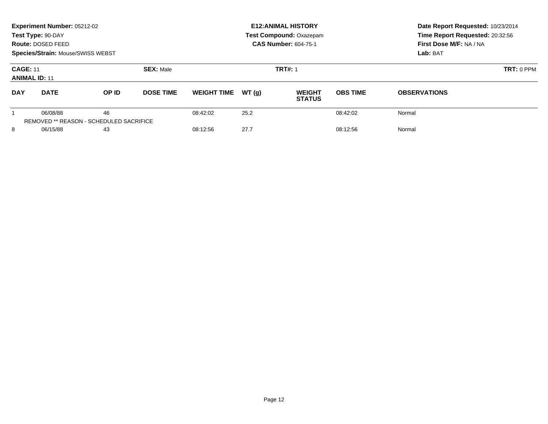| Experiment Number: 05212-02<br>Test Type: 90-DAY<br>Route: DOSED FEED<br><b>Species/Strain: Mouse/SWISS WEBST</b> |                                                     |       |  |                              |                | <b>E12: ANIMAL HISTORY</b><br><b>Test Compound: Oxazepam</b><br><b>CAS Number: 604-75-1</b> | Date Report Requested: 10/23/2014<br>Time Report Requested: 20:32:56<br>First Dose M/F: NA / NA<br>Lab: BAT |                                |                 |                     |  |
|-------------------------------------------------------------------------------------------------------------------|-----------------------------------------------------|-------|--|------------------------------|----------------|---------------------------------------------------------------------------------------------|-------------------------------------------------------------------------------------------------------------|--------------------------------|-----------------|---------------------|--|
| <b>SEX: Male</b><br><b>CAGE: 11</b><br><b>ANIMAL ID: 11</b>                                                       |                                                     |       |  |                              | <b>TRT#: 1</b> | $TRT: 0$ PPM                                                                                |                                                                                                             |                                |                 |                     |  |
| <b>DAY</b><br><b>DATE</b>                                                                                         |                                                     | OP ID |  | <b>DOSE TIME</b>             |                | <b>WEIGHT TIME</b>                                                                          | WT(q)                                                                                                       | <b>WEIGHT</b><br><b>STATUS</b> | <b>OBS TIME</b> | <b>OBSERVATIONS</b> |  |
|                                                                                                                   | 06/08/88<br>REMOVED ** REASON - SCHEDULED SACRIFICE | 46    |  | 08:42:02                     | 25.2           |                                                                                             | 08:42:02                                                                                                    | Normal                         |                 |                     |  |
| 8                                                                                                                 | 06/15/88<br>43                                      |       |  | 27.7<br>08:12:56<br>08:12:56 |                |                                                                                             | Normal                                                                                                      |                                |                 |                     |  |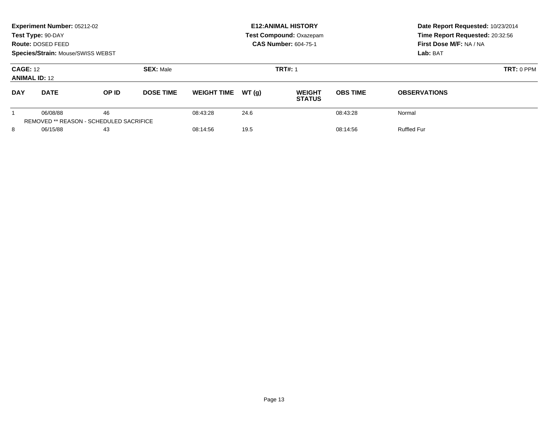|                                         | Experiment Number: 05212-02<br>Test Type: 90-DAY<br>Route: DOSED FEED<br><b>Species/Strain: Mouse/SWISS WEBST</b> |       |                  |                    |       | <b>E12: ANIMAL HISTORY</b><br><b>Test Compound: Oxazepam</b><br><b>CAS Number: 604-75-1</b> | Date Report Requested: 10/23/2014<br>Time Report Requested: 20:32:56<br>First Dose M/F: NA / NA<br>Lab: BAT |                     |
|-----------------------------------------|-------------------------------------------------------------------------------------------------------------------|-------|------------------|--------------------|-------|---------------------------------------------------------------------------------------------|-------------------------------------------------------------------------------------------------------------|---------------------|
| <b>CAGE: 12</b><br><b>ANIMAL ID: 12</b> |                                                                                                                   |       | <b>SEX: Male</b> |                    |       | <b>TRT#: 1</b>                                                                              |                                                                                                             | $TRT: 0$ PPM        |
| <b>DAY</b>                              | <b>DATE</b>                                                                                                       | OP ID | <b>DOSE TIME</b> | <b>WEIGHT TIME</b> | WT(q) | <b>WEIGHT</b><br><b>STATUS</b>                                                              | <b>OBS TIME</b>                                                                                             | <b>OBSERVATIONS</b> |
|                                         | 06/08/88<br>REMOVED ** REASON - SCHEDULED SACRIFICE                                                               | 46    |                  | 08:43:28           | 24.6  |                                                                                             | 08:43:28                                                                                                    | Normal              |
| 8<br>06/15/88                           |                                                                                                                   | 43    |                  | 08:14:56           | 19.5  |                                                                                             | 08:14:56                                                                                                    | <b>Ruffled Fur</b>  |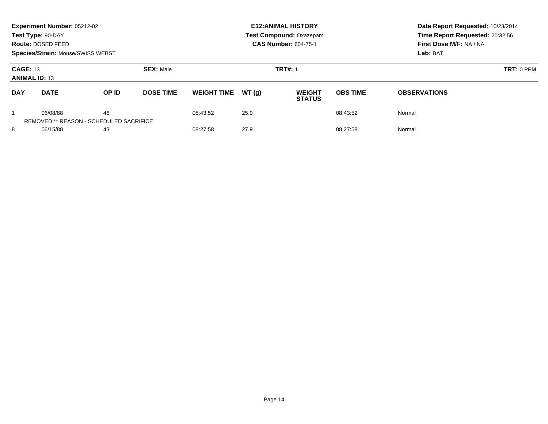|                                         | Experiment Number: 05212-02<br>Test Type: 90-DAY<br>Route: DOSED FEED<br>Species/Strain: Mouse/SWISS WEBST |                                               |                                    |                    |       | <b>E12: ANIMAL HISTORY</b><br><b>Test Compound: Oxazepam</b><br><b>CAS Number: 604-75-1</b> | Date Report Requested: 10/23/2014<br>Time Report Requested: 20:32:56<br>First Dose M/F: NA / NA<br>Lab: BAT |                     |
|-----------------------------------------|------------------------------------------------------------------------------------------------------------|-----------------------------------------------|------------------------------------|--------------------|-------|---------------------------------------------------------------------------------------------|-------------------------------------------------------------------------------------------------------------|---------------------|
| <b>CAGE: 13</b><br><b>ANIMAL ID: 13</b> |                                                                                                            |                                               | <b>SEX: Male</b><br><b>TRT#: 1</b> |                    |       |                                                                                             |                                                                                                             | <b>TRT: 0 PPM</b>   |
| <b>DAY</b>                              | <b>DATE</b>                                                                                                | OP ID                                         | <b>DOSE TIME</b>                   | <b>WEIGHT TIME</b> | WT(q) | <b>WEIGHT</b><br><b>STATUS</b>                                                              | <b>OBS TIME</b>                                                                                             | <b>OBSERVATIONS</b> |
|                                         | 06/08/88                                                                                                   | 46<br>REMOVED ** REASON - SCHEDULED SACRIFICE |                                    | 08:43:52           | 25.9  |                                                                                             | 08:43:52                                                                                                    | Normal              |
| 8<br>06/15/88                           |                                                                                                            | 43                                            |                                    | 08:27:58           | 27.9  |                                                                                             | 08:27:58                                                                                                    | Normal              |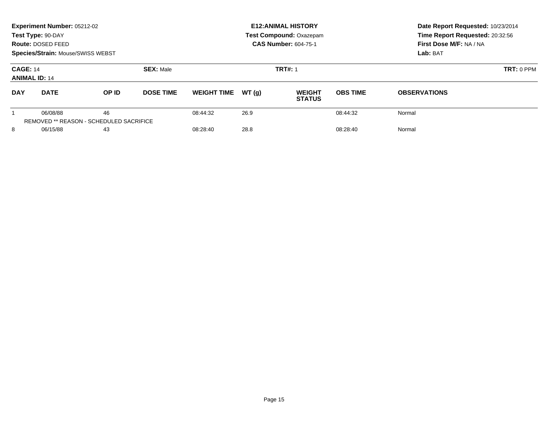|                                         | Experiment Number: 05212-02<br>Test Type: 90-DAY<br>Route: DOSED FEED<br>Species/Strain: Mouse/SWISS WEBST |       |                                    |                    |       | <b>E12: ANIMAL HISTORY</b><br><b>Test Compound: Oxazepam</b><br><b>CAS Number: 604-75-1</b> | Date Report Requested: 10/23/2014<br>Time Report Requested: 20:32:56<br>First Dose M/F: NA / NA<br>Lab: BAT |                     |
|-----------------------------------------|------------------------------------------------------------------------------------------------------------|-------|------------------------------------|--------------------|-------|---------------------------------------------------------------------------------------------|-------------------------------------------------------------------------------------------------------------|---------------------|
| <b>CAGE: 14</b><br><b>ANIMAL ID: 14</b> |                                                                                                            |       | <b>SEX: Male</b><br><b>TRT#: 1</b> |                    |       |                                                                                             |                                                                                                             | <b>TRT: 0 PPM</b>   |
| <b>DAY</b>                              | <b>DATE</b>                                                                                                | OP ID | <b>DOSE TIME</b>                   | <b>WEIGHT TIME</b> | WT(q) | <b>WEIGHT</b><br><b>STATUS</b>                                                              | <b>OBS TIME</b>                                                                                             | <b>OBSERVATIONS</b> |
|                                         | 06/08/88<br>REMOVED ** REASON - SCHEDULED SACRIFICE                                                        | 46    |                                    | 08:44:32           | 26.9  |                                                                                             | 08:44:32                                                                                                    | Normal              |
| 8                                       | 06/15/88<br>43                                                                                             |       | 08:28:40                           | 28.8<br>08:28:40   |       |                                                                                             | Normal                                                                                                      |                     |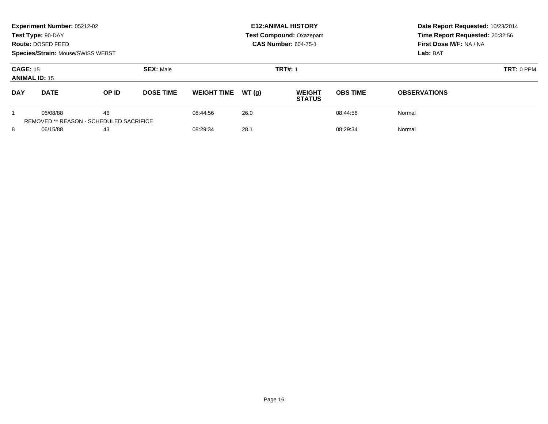|                                         | Experiment Number: 05212-02<br>Test Type: 90-DAY<br>Route: DOSED FEED<br><b>Species/Strain: Mouse/SWISS WEBST</b> |       |                  |                    |       | <b>E12: ANIMAL HISTORY</b><br><b>Test Compound: Oxazepam</b><br><b>CAS Number: 604-75-1</b> | Date Report Requested: 10/23/2014<br>Time Report Requested: 20:32:56<br>First Dose M/F: NA / NA<br>Lab: BAT |                     |
|-----------------------------------------|-------------------------------------------------------------------------------------------------------------------|-------|------------------|--------------------|-------|---------------------------------------------------------------------------------------------|-------------------------------------------------------------------------------------------------------------|---------------------|
| <b>CAGE: 15</b><br><b>ANIMAL ID: 15</b> |                                                                                                                   |       | <b>SEX: Male</b> |                    |       | <b>TRT#: 1</b>                                                                              | $TRT: 0$ PPM                                                                                                |                     |
| <b>DAY</b>                              | <b>DATE</b>                                                                                                       | OP ID | <b>DOSE TIME</b> | <b>WEIGHT TIME</b> | WT(q) | <b>WEIGHT</b><br><b>STATUS</b>                                                              | <b>OBS TIME</b>                                                                                             | <b>OBSERVATIONS</b> |
|                                         | 06/08/88<br>REMOVED ** REASON - SCHEDULED SACRIFICE                                                               | 46    |                  | 08:44:56           | 26.0  |                                                                                             | 08:44:56                                                                                                    | Normal              |
| 8<br>06/15/88                           |                                                                                                                   | 43    |                  | 08:29:34           | 28.1  |                                                                                             | 08:29:34                                                                                                    | Normal              |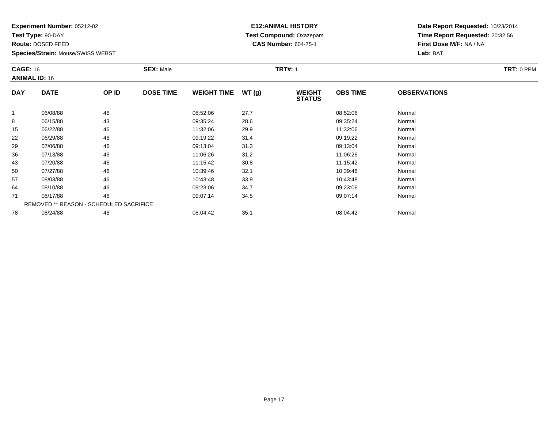**Test Type:** 90-DAY

**Route:** DOSED FEED

**Species/Strain:** Mouse/SWISS WEBST

# **E12:ANIMAL HISTORY Test Compound:** Oxazepam**CAS Number:** 604-75-1

| <b>CAGE: 16</b><br><b>ANIMAL ID: 16</b> |                                                | <b>SEX: Male</b> |                  |                    | <b>TRT#: 1</b> | TRT: 0 PPM                     |                 |                     |  |
|-----------------------------------------|------------------------------------------------|------------------|------------------|--------------------|----------------|--------------------------------|-----------------|---------------------|--|
| <b>DAY</b>                              | <b>DATE</b>                                    | OP ID            | <b>DOSE TIME</b> | <b>WEIGHT TIME</b> | WT(g)          | <b>WEIGHT</b><br><b>STATUS</b> | <b>OBS TIME</b> | <b>OBSERVATIONS</b> |  |
|                                         | 06/08/88                                       | 46               |                  | 08:52:06           | 27.7           |                                | 08:52:06        | Normal              |  |
| 8                                       | 06/15/88                                       | 43               |                  | 09:35:24           | 28.6           |                                | 09:35:24        | Normal              |  |
| 15                                      | 06/22/88                                       | 46               |                  | 11:32:06           | 29.9           |                                | 11:32:06        | Normal              |  |
| 22                                      | 06/29/88                                       | 46               |                  | 09:19:22           | 31.4           |                                | 09:19:22        | Normal              |  |
| 29                                      | 07/06/88                                       | 46               |                  | 09:13:04           | 31.3           |                                | 09:13:04        | Normal              |  |
| 36                                      | 07/13/88                                       | 46               |                  | 11:06:26           | 31.2           |                                | 11:06:26        | Normal              |  |
| 43                                      | 07/20/88                                       | 46               |                  | 11:15:42           | 30.8           |                                | 11:15:42        | Normal              |  |
| 50                                      | 07/27/88                                       | 46               |                  | 10:39:46           | 32.1           |                                | 10:39:46        | Normal              |  |
| 57                                      | 08/03/88                                       | 46               |                  | 10:43:48           | 33.9           |                                | 10:43:48        | Normal              |  |
| 64                                      | 08/10/88                                       | 46               |                  | 09:23:06           | 34.7           |                                | 09:23:06        | Normal              |  |
| 71                                      | 08/17/88                                       | 46               |                  | 09:07:14           | 34.5           |                                | 09:07:14        | Normal              |  |
|                                         | <b>REMOVED ** REASON - SCHEDULED SACRIFICE</b> |                  |                  |                    |                |                                |                 |                     |  |
| 78                                      | 08/24/88                                       | 46               |                  | 08:04:42           | 35.1           |                                | 08:04:42        | Normal              |  |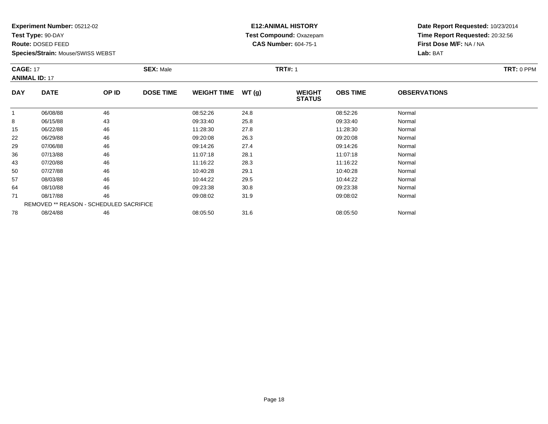**Test Type:** 90-DAY

**Route:** DOSED FEED

57

64

71

78

**Species/Strain:** Mouse/SWISS WEBST

REMOVED \*\* REASON - SCHEDULED SACRIFICE

### **E12:ANIMAL HISTORY Test Compound:** Oxazepam**CAS Number:** 604-75-1

**Date Report Requested:** 10/23/2014**Time Report Requested:** 20:32:56**First Dose M/F:** NA / NA**Lab:** BAT

| <b>CAGE: 17</b><br><b>ANIMAL ID: 17</b> |             |       | <b>SEX: Male</b> |                    |       | <b>TRT#: 1</b>                 |                 |                     |  |  |
|-----------------------------------------|-------------|-------|------------------|--------------------|-------|--------------------------------|-----------------|---------------------|--|--|
| <b>DAY</b>                              | <b>DATE</b> | OP ID | <b>DOSE TIME</b> | <b>WEIGHT TIME</b> | WT(g) | <b>WEIGHT</b><br><b>STATUS</b> | <b>OBS TIME</b> | <b>OBSERVATIONS</b> |  |  |
| 1                                       | 06/08/88    | 46    |                  | 08:52:26           | 24.8  |                                | 08:52:26        | Normal              |  |  |
| 8                                       | 06/15/88    | 43    |                  | 09:33:40           | 25.8  |                                | 09:33:40        | Normal              |  |  |
| 15                                      | 06/22/88    | 46    |                  | 11:28:30           | 27.8  |                                | 11:28:30        | Normal              |  |  |
| 22                                      | 06/29/88    | 46    |                  | 09:20:08           | 26.3  |                                | 09:20:08        | Normal              |  |  |
| 29                                      | 07/06/88    | 46    |                  | 09:14:26           | 27.4  |                                | 09:14:26        | Normal              |  |  |
| 36                                      | 07/13/88    | 46    |                  | 11:07:18           | 28.1  |                                | 11:07:18        | Normal              |  |  |
| 43                                      | 07/20/88    | 46    |                  | 11:16:22           | 28.3  |                                | 11:16:22        | Normal              |  |  |
| 50                                      | 07/27/88    | 46    |                  | 10:40:28           | 29.1  |                                | 10:40:28        | Normal              |  |  |

7 08/03/88 46 46 10:44:22 29.5 10:44:22 10:44:22 Normal

4 08/10/88 46 46 09:23:38 30.8 30.8 09:23:38 09:23:38 Normal

1 08/17/88 46 46 09:08:02 31.9 09:08:02 309:08:02 09:08:02 Normal

8 08/24/88 46 46 08:05:50 31.6 08:05:50 08:05:50 08:05:50 Normal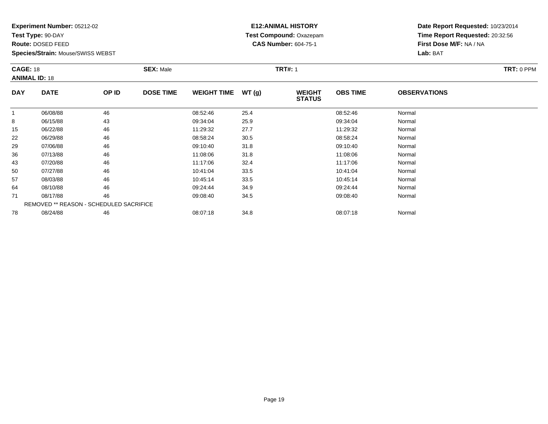**Test Type:** 90-DAY

**Route:** DOSED FEED

78

**Species/Strain:** Mouse/SWISS WEBST

# **E12:ANIMAL HISTORY Test Compound:** Oxazepam**CAS Number:** 604-75-1

**Date Report Requested:** 10/23/2014**Time Report Requested:** 20:32:56**First Dose M/F:** NA / NA**Lab:** BAT

| <b>CAGE: 18</b><br><b>ANIMAL ID: 18</b> |                                                |       | <b>SEX: Male</b> |                    |       | <b>TRT#: 1</b>                 |                 | TRT: 0 PPM          |  |
|-----------------------------------------|------------------------------------------------|-------|------------------|--------------------|-------|--------------------------------|-----------------|---------------------|--|
| <b>DAY</b>                              | <b>DATE</b>                                    | OP ID | <b>DOSE TIME</b> | <b>WEIGHT TIME</b> | WT(g) | <b>WEIGHT</b><br><b>STATUS</b> | <b>OBS TIME</b> | <b>OBSERVATIONS</b> |  |
|                                         | 06/08/88                                       | 46    |                  | 08:52:46           | 25.4  |                                | 08:52:46        | Normal              |  |
| 8                                       | 06/15/88                                       | 43    |                  | 09:34:04           | 25.9  |                                | 09:34:04        | Normal              |  |
| 15                                      | 06/22/88                                       | 46    |                  | 11:29:32           | 27.7  |                                | 11:29:32        | Normal              |  |
| 22                                      | 06/29/88                                       | 46    |                  | 08:58:24           | 30.5  |                                | 08:58:24        | Normal              |  |
| 29                                      | 07/06/88                                       | 46    |                  | 09:10:40           | 31.8  |                                | 09:10:40        | Normal              |  |
| 36                                      | 07/13/88                                       | 46    |                  | 11:08:06           | 31.8  |                                | 11:08:06        | Normal              |  |
| 43                                      | 07/20/88                                       | 46    |                  | 11:17:06           | 32.4  |                                | 11:17:06        | Normal              |  |
| 50                                      | 07/27/88                                       | 46    |                  | 10:41:04           | 33.5  |                                | 10:41:04        | Normal              |  |
| 57                                      | 08/03/88                                       | 46    |                  | 10:45:14           | 33.5  |                                | 10:45:14        | Normal              |  |
| 64                                      | 08/10/88                                       | 46    |                  | 09:24:44           | 34.9  |                                | 09:24:44        | Normal              |  |
| 71                                      | 08/17/88                                       | 46    |                  | 09:08:40           | 34.5  |                                | 09:08:40        | Normal              |  |
|                                         | <b>REMOVED ** REASON - SCHEDULED SACRIFICE</b> |       |                  |                    |       |                                |                 |                     |  |

08/24/88 <sup>46</sup> 08:07:18 34.8 08:07:18 Normal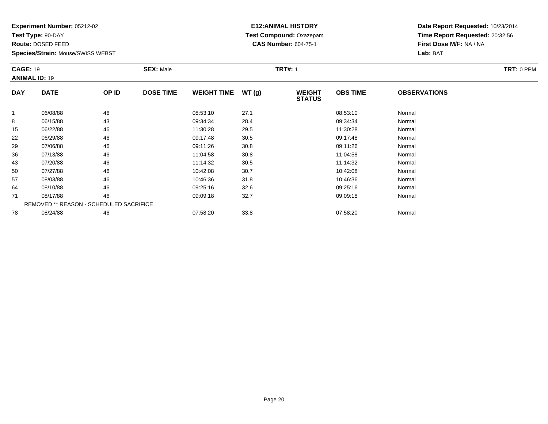**Test Type:** 90-DAY

**Route:** DOSED FEED

**Species/Strain:** Mouse/SWISS WEBST

### **E12:ANIMAL HISTORY Test Compound:** Oxazepam**CAS Number:** 604-75-1

|            | <b>CAGE: 19</b><br><b>ANIMAL ID: 19</b> |       | <b>SEX: Male</b> |                    |       | <b>TRT#: 1</b>                 | TRT: 0 PPM      |                     |  |
|------------|-----------------------------------------|-------|------------------|--------------------|-------|--------------------------------|-----------------|---------------------|--|
| <b>DAY</b> | <b>DATE</b>                             | OP ID | <b>DOSE TIME</b> | <b>WEIGHT TIME</b> | WT(g) | <b>WEIGHT</b><br><b>STATUS</b> | <b>OBS TIME</b> | <b>OBSERVATIONS</b> |  |
|            | 06/08/88                                | 46    |                  | 08:53:10           | 27.1  |                                | 08:53:10        | Normal              |  |
| 8          | 06/15/88                                | 43    |                  | 09:34:34           | 28.4  |                                | 09:34:34        | Normal              |  |
| 15         | 06/22/88                                | 46    |                  | 11:30:28           | 29.5  |                                | 11:30:28        | Normal              |  |
| 22         | 06/29/88                                | 46    |                  | 09:17:48           | 30.5  |                                | 09:17:48        | Normal              |  |
| 29         | 07/06/88                                | 46    |                  | 09:11:26           | 30.8  |                                | 09:11:26        | Normal              |  |
| 36         | 07/13/88                                | 46    |                  | 11:04:58           | 30.8  |                                | 11:04:58        | Normal              |  |
| 43         | 07/20/88                                | 46    |                  | 11:14:32           | 30.5  |                                | 11:14:32        | Normal              |  |
| 50         | 07/27/88                                | 46    |                  | 10:42:08           | 30.7  |                                | 10:42:08        | Normal              |  |
| 57         | 08/03/88                                | 46    |                  | 10:46:36           | 31.8  |                                | 10:46:36        | Normal              |  |
| 64         | 08/10/88                                | 46    |                  | 09:25:16           | 32.6  |                                | 09:25:16        | Normal              |  |
| 71         | 08/17/88                                | 46    |                  | 09:09:18           | 32.7  |                                | 09:09:18        | Normal              |  |
|            | REMOVED ** REASON - SCHEDULED SACRIFICE |       |                  |                    |       |                                |                 |                     |  |
| 78         | 08/24/88                                | 46    |                  | 07:58:20           | 33.8  |                                | 07:58:20        | Normal              |  |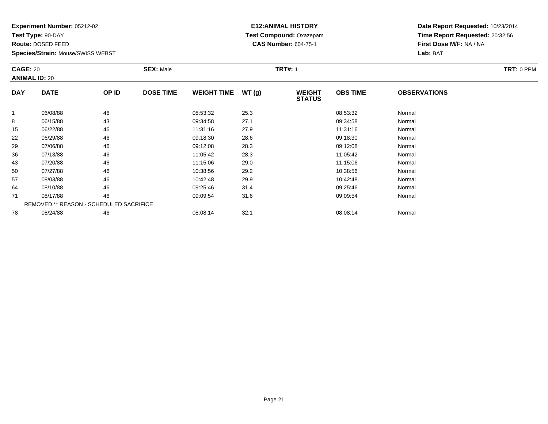**Test Type:** 90-DAY

**Route:** DOSED FEED

78

**Species/Strain:** Mouse/SWISS WEBST

# **E12:ANIMAL HISTORY Test Compound:** Oxazepam**CAS Number:** 604-75-1

**Date Report Requested:** 10/23/2014**Time Report Requested:** 20:32:56**First Dose M/F:** NA / NA**Lab:** BAT

| <b>CAGE: 20</b><br><b>ANIMAL ID: 20</b> |                                                |       | <b>SEX: Male</b> |                    |       | <b>TRT#: 1</b>                 | TRT: 0 PPM      |                     |  |
|-----------------------------------------|------------------------------------------------|-------|------------------|--------------------|-------|--------------------------------|-----------------|---------------------|--|
| <b>DAY</b>                              | <b>DATE</b>                                    | OP ID | <b>DOSE TIME</b> | <b>WEIGHT TIME</b> | WT(g) | <b>WEIGHT</b><br><b>STATUS</b> | <b>OBS TIME</b> | <b>OBSERVATIONS</b> |  |
|                                         | 06/08/88                                       | 46    |                  | 08:53:32           | 25.3  |                                | 08:53:32        | Normal              |  |
| 8                                       | 06/15/88                                       | 43    |                  | 09:34:58           | 27.1  |                                | 09:34:58        | Normal              |  |
| 15                                      | 06/22/88                                       | 46    |                  | 11:31:16           | 27.9  |                                | 11:31:16        | Normal              |  |
| 22                                      | 06/29/88                                       | 46    |                  | 09:18:30           | 28.6  |                                | 09:18:30        | Normal              |  |
| 29                                      | 07/06/88                                       | 46    |                  | 09:12:08           | 28.3  |                                | 09:12:08        | Normal              |  |
| 36                                      | 07/13/88                                       | 46    |                  | 11:05:42           | 28.3  |                                | 11:05:42        | Normal              |  |
| 43                                      | 07/20/88                                       | 46    |                  | 11:15:06           | 29.0  |                                | 11:15:06        | Normal              |  |
| 50                                      | 07/27/88                                       | 46    |                  | 10:38:56           | 29.2  |                                | 10:38:56        | Normal              |  |
| 57                                      | 08/03/88                                       | 46    |                  | 10:42:48           | 29.9  |                                | 10:42:48        | Normal              |  |
| 64                                      | 08/10/88                                       | 46    |                  | 09:25:46           | 31.4  |                                | 09:25:46        | Normal              |  |
| 71                                      | 08/17/88                                       | 46    |                  | 09:09:54           | 31.6  |                                | 09:09:54        | Normal              |  |
|                                         | <b>REMOVED ** REASON - SCHEDULED SACRIFICE</b> |       |                  |                    |       |                                |                 |                     |  |

8 08/24/88 46 08:08:14 32.1 08:08:14 Normal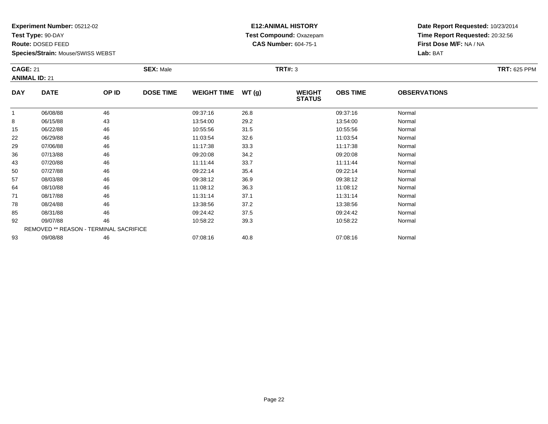**Test Type:** 90-DAY

**Route:** DOSED FEED

93

**Species/Strain:** Mouse/SWISS WEBST

# **E12:ANIMAL HISTORY Test Compound:** Oxazepam**CAS Number:** 604-75-1

**Date Report Requested:** 10/23/2014**Time Report Requested:** 20:32:56**First Dose M/F:** NA / NA**Lab:** BAT

|            | <b>CAGE: 21</b><br><b>ANIMAL ID: 21</b> |       | <b>SEX: Male</b> |                    |       | <b>TRT#: 3</b>                 |                 | <b>TRT: 625 PPM</b> |  |
|------------|-----------------------------------------|-------|------------------|--------------------|-------|--------------------------------|-----------------|---------------------|--|
| <b>DAY</b> | <b>DATE</b>                             | OP ID | <b>DOSE TIME</b> | <b>WEIGHT TIME</b> | WT(g) | <b>WEIGHT</b><br><b>STATUS</b> | <b>OBS TIME</b> | <b>OBSERVATIONS</b> |  |
| 1          | 06/08/88                                | 46    |                  | 09:37:16           | 26.8  |                                | 09:37:16        | Normal              |  |
| 8          | 06/15/88                                | 43    |                  | 13:54:00           | 29.2  |                                | 13:54:00        | Normal              |  |
| 15         | 06/22/88                                | 46    |                  | 10:55:56           | 31.5  |                                | 10:55:56        | Normal              |  |
| 22         | 06/29/88                                | 46    |                  | 11:03:54           | 32.6  |                                | 11:03:54        | Normal              |  |
| 29         | 07/06/88                                | 46    |                  | 11:17:38           | 33.3  |                                | 11:17:38        | Normal              |  |
| 36         | 07/13/88                                | 46    |                  | 09:20:08           | 34.2  |                                | 09:20:08        | Normal              |  |
| 43         | 07/20/88                                | 46    |                  | 11:11:44           | 33.7  |                                | 11:11:44        | Normal              |  |
| 50         | 07/27/88                                | 46    |                  | 09:22:14           | 35.4  |                                | 09:22:14        | Normal              |  |
| 57         | 08/03/88                                | 46    |                  | 09:38:12           | 36.9  |                                | 09:38:12        | Normal              |  |
| 64         | 08/10/88                                | 46    |                  | 11:08:12           | 36.3  |                                | 11:08:12        | Normal              |  |
| 71         | 08/17/88                                | 46    |                  | 11:31:14           | 37.1  |                                | 11:31:14        | Normal              |  |
| 78         | 08/24/88                                | 46    |                  | 13:38:56           | 37.2  |                                | 13:38:56        | Normal              |  |
| 85         | 08/31/88                                | 46    |                  | 09:24:42           | 37.5  |                                | 09:24:42        | Normal              |  |
| 92         | 09/07/88                                | 46    |                  | 10:58:22           | 39.3  |                                | 10:58:22        | Normal              |  |
|            | REMOVED ** REASON - TERMINAL SACRIFICE  |       |                  |                    |       |                                |                 |                     |  |

09/08/88 <sup>46</sup> 07:08:16 40.8 07:08:16 Normal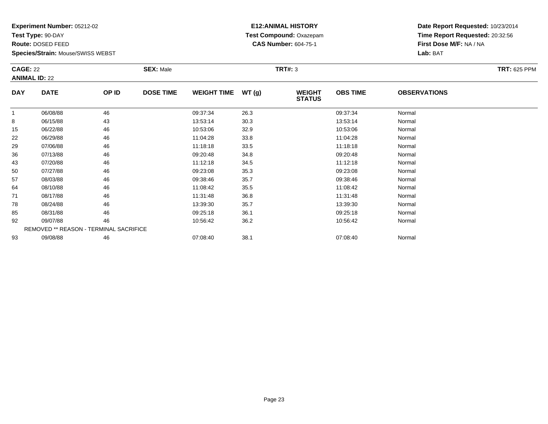**Test Type:** 90-DAY

**Route:** DOSED FEED

93

**Species/Strain:** Mouse/SWISS WEBST

# **E12:ANIMAL HISTORY Test Compound:** Oxazepam**CAS Number:** 604-75-1

**Date Report Requested:** 10/23/2014**Time Report Requested:** 20:32:56**First Dose M/F:** NA / NA**Lab:** BAT

| <b>CAGE: 22</b><br><b>ANIMAL ID: 22</b> |                                               | <b>SEX: Male</b> |                  |                    | <b>TRT#: 3</b> |                                | <b>TRT: 625 PPM</b> |                     |  |
|-----------------------------------------|-----------------------------------------------|------------------|------------------|--------------------|----------------|--------------------------------|---------------------|---------------------|--|
| <b>DAY</b>                              | <b>DATE</b>                                   | OP ID            | <b>DOSE TIME</b> | <b>WEIGHT TIME</b> | WT(g)          | <b>WEIGHT</b><br><b>STATUS</b> | <b>OBS TIME</b>     | <b>OBSERVATIONS</b> |  |
| 1                                       | 06/08/88                                      | 46               |                  | 09:37:34           | 26.3           |                                | 09:37:34            | Normal              |  |
| 8                                       | 06/15/88                                      | 43               |                  | 13:53:14           | 30.3           |                                | 13:53:14            | Normal              |  |
| 15                                      | 06/22/88                                      | 46               |                  | 10:53:06           | 32.9           |                                | 10:53:06            | Normal              |  |
| 22                                      | 06/29/88                                      | 46               |                  | 11:04:28           | 33.8           |                                | 11:04:28            | Normal              |  |
| 29                                      | 07/06/88                                      | 46               |                  | 11:18:18           | 33.5           |                                | 11:18:18            | Normal              |  |
| 36                                      | 07/13/88                                      | 46               |                  | 09:20:48           | 34.8           |                                | 09:20:48            | Normal              |  |
| 43                                      | 07/20/88                                      | 46               |                  | 11:12:18           | 34.5           |                                | 11:12:18            | Normal              |  |
| 50                                      | 07/27/88                                      | 46               |                  | 09:23:08           | 35.3           |                                | 09:23:08            | Normal              |  |
| 57                                      | 08/03/88                                      | 46               |                  | 09:38:46           | 35.7           |                                | 09:38:46            | Normal              |  |
| 64                                      | 08/10/88                                      | 46               |                  | 11:08:42           | 35.5           |                                | 11:08:42            | Normal              |  |
| 71                                      | 08/17/88                                      | 46               |                  | 11:31:48           | 36.8           |                                | 11:31:48            | Normal              |  |
| 78                                      | 08/24/88                                      | 46               |                  | 13:39:30           | 35.7           |                                | 13:39:30            | Normal              |  |
| 85                                      | 08/31/88                                      | 46               |                  | 09:25:18           | 36.1           |                                | 09:25:18            | Normal              |  |
| 92                                      | 09/07/88                                      | 46               |                  | 10:56:42           | 36.2           |                                | 10:56:42            | Normal              |  |
|                                         | <b>REMOVED ** REASON - TERMINAL SACRIFICE</b> |                  |                  |                    |                |                                |                     |                     |  |

3 09/08/88 46 46 07:08:40 38.1 3 07:08:40 39.1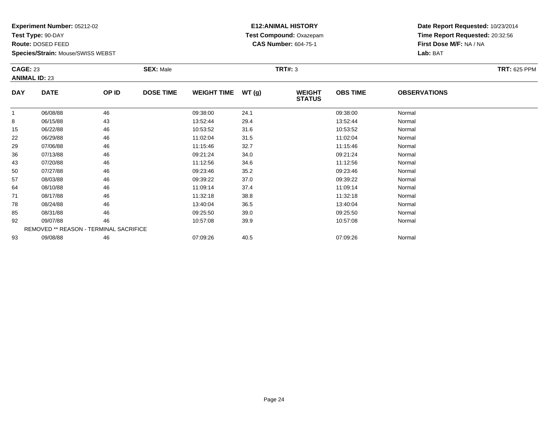**Test Type:** 90-DAY

**Route:** DOSED FEED

78

85

92

93

**Species/Strain:** Mouse/SWISS WEBST

REMOVED \*\* REASON - TERMINAL SACRIFICE

### **E12:ANIMAL HISTORY Test Compound:** Oxazepam**CAS Number:** 604-75-1

**Date Report Requested:** 10/23/2014**Time Report Requested:** 20:32:56**First Dose M/F:** NA / NA**Lab:** BAT

| <b>CAGE: 23</b><br><b>ANIMAL ID: 23</b> |             | <b>SEX: Male</b> |                  |                    | TRT#: 3 |                                | <b>TRT: 625 PPM</b> |                     |  |
|-----------------------------------------|-------------|------------------|------------------|--------------------|---------|--------------------------------|---------------------|---------------------|--|
| <b>DAY</b>                              | <b>DATE</b> | OP ID            | <b>DOSE TIME</b> | <b>WEIGHT TIME</b> | WT(g)   | <b>WEIGHT</b><br><b>STATUS</b> | <b>OBS TIME</b>     | <b>OBSERVATIONS</b> |  |
| 1                                       | 06/08/88    | 46               |                  | 09:38:00           | 24.1    |                                | 09:38:00            | Normal              |  |
| 8                                       | 06/15/88    | 43               |                  | 13:52:44           | 29.4    |                                | 13:52:44            | Normal              |  |
| 15                                      | 06/22/88    | 46               |                  | 10:53:52           | 31.6    |                                | 10:53:52            | Normal              |  |
| 22                                      | 06/29/88    | 46               |                  | 11:02:04           | 31.5    |                                | 11:02:04            | Normal              |  |
| 29                                      | 07/06/88    | 46               |                  | 11:15:46           | 32.7    |                                | 11:15:46            | Normal              |  |
| 36                                      | 07/13/88    | 46               |                  | 09:21:24           | 34.0    |                                | 09:21:24            | Normal              |  |
| 43                                      | 07/20/88    | 46               |                  | 11:12:56           | 34.6    |                                | 11:12:56            | Normal              |  |
| 50                                      | 07/27/88    | 46               |                  | 09:23:46           | 35.2    |                                | 09:23:46            | Normal              |  |
| 57                                      | 08/03/88    | 46               |                  | 09:39:22           | 37.0    |                                | 09:39:22            | Normal              |  |
| 64                                      | 08/10/88    | 46               |                  | 11:09:14           | 37.4    |                                | 11:09:14            | Normal              |  |
| 71                                      | 08/17/88    | 46               |                  | 11:32:18           | 38.8    |                                | 11:32:18            | Normal              |  |

8 08/24/88 46 13:40:04 36.5 13:40:04 36.5 13:40:04 Normal

08/31/88 <sup>46</sup> 09:25:50 39.0 09:25:50 Normal

2 09/07/88 46 46 10:57:08 39.9 10:48 10:57:08 10:57:08 Normal

3 09/08/88 46 46 07:09:26 40.5 001:09 07:09 07:09 126 40.5 07:09:26 Normal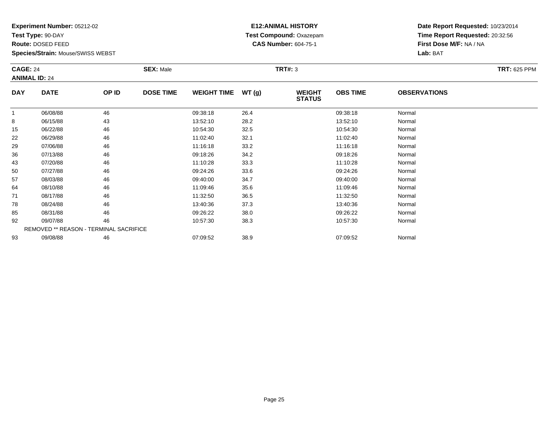**Test Type:** 90-DAY

**Route:** DOSED FEED

78

85

92

93

**Species/Strain:** Mouse/SWISS WEBST

REMOVED \*\* REASON - TERMINAL SACRIFICE

### **E12:ANIMAL HISTORY Test Compound:** Oxazepam**CAS Number:** 604-75-1

**Date Report Requested:** 10/23/2014**Time Report Requested:** 20:32:56**First Dose M/F:** NA / NA**Lab:** BAT

| <b>CAGE: 24</b><br><b>ANIMAL ID: 24</b> |             | <b>SEX: Male</b> |                  |                    | TRT#: 3 | <b>TRT: 625 PPM</b>            |                 |                     |  |
|-----------------------------------------|-------------|------------------|------------------|--------------------|---------|--------------------------------|-----------------|---------------------|--|
| <b>DAY</b>                              | <b>DATE</b> | OP ID            | <b>DOSE TIME</b> | <b>WEIGHT TIME</b> | WT(g)   | <b>WEIGHT</b><br><b>STATUS</b> | <b>OBS TIME</b> | <b>OBSERVATIONS</b> |  |
| 1                                       | 06/08/88    | 46               |                  | 09:38:18           | 26.4    |                                | 09:38:18        | Normal              |  |
| 8                                       | 06/15/88    | 43               |                  | 13:52:10           | 28.2    |                                | 13:52:10        | Normal              |  |
| 15                                      | 06/22/88    | 46               |                  | 10:54:30           | 32.5    |                                | 10:54:30        | Normal              |  |
| 22                                      | 06/29/88    | 46               |                  | 11:02:40           | 32.1    |                                | 11:02:40        | Normal              |  |
| 29                                      | 07/06/88    | 46               |                  | 11:16:18           | 33.2    |                                | 11:16:18        | Normal              |  |
| 36                                      | 07/13/88    | 46               |                  | 09:18:26           | 34.2    |                                | 09:18:26        | Normal              |  |
| 43                                      | 07/20/88    | 46               |                  | 11:10:28           | 33.3    |                                | 11:10:28        | Normal              |  |
| 50                                      | 07/27/88    | 46               |                  | 09:24:26           | 33.6    |                                | 09:24:26        | Normal              |  |
| 57                                      | 08/03/88    | 46               |                  | 09:40:00           | 34.7    |                                | 09:40:00        | Normal              |  |
| 64                                      | 08/10/88    | 46               |                  | 11:09:46           | 35.6    |                                | 11:09:46        | Normal              |  |
| 71                                      | 08/17/88    | 46               |                  | 11:32:50           | 36.5    |                                | 11:32:50        | Normal              |  |

8 08/24/88 46 13:40:36 37.3 13:40:36 13:40:36 13:40:36 13:40:36 13:40:36 13:40:36

08/31/88 <sup>46</sup> 09:26:22 38.0 09:26:22 Normal

2 09/07/88 46 46 10:57:30 38.3 10:57:30 10:57:30 Normal

3 09/08/88 46 46 07:09:52 38.9 38.9 07:09:52 07:09:52 Normal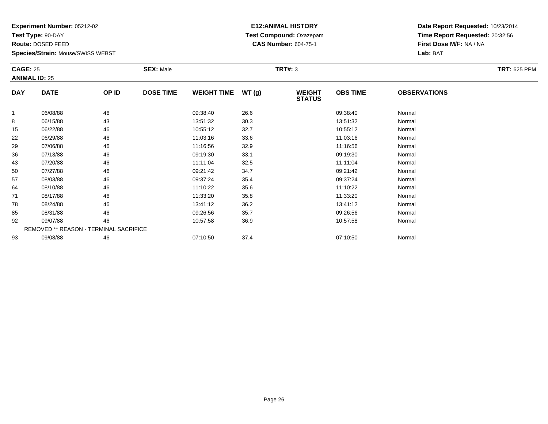**Test Type:** 90-DAY

**Route:** DOSED FEED

93

**Species/Strain:** Mouse/SWISS WEBST

# **E12:ANIMAL HISTORY Test Compound:** Oxazepam**CAS Number:** 604-75-1

**Date Report Requested:** 10/23/2014**Time Report Requested:** 20:32:56**First Dose M/F:** NA / NA**Lab:** BAT

| <b>CAGE: 25</b><br><b>ANIMAL ID: 25</b> |                                        | <b>SEX: Male</b> |                  |                    | <b>TRT#: 3</b> |                                |                 | <b>TRT: 625 PPM</b> |  |
|-----------------------------------------|----------------------------------------|------------------|------------------|--------------------|----------------|--------------------------------|-----------------|---------------------|--|
| <b>DAY</b>                              | <b>DATE</b>                            | OP ID            | <b>DOSE TIME</b> | <b>WEIGHT TIME</b> | WT(g)          | <b>WEIGHT</b><br><b>STATUS</b> | <b>OBS TIME</b> | <b>OBSERVATIONS</b> |  |
|                                         | 06/08/88                               | 46               |                  | 09:38:40           | 26.6           |                                | 09:38:40        | Normal              |  |
| 8                                       | 06/15/88                               | 43               |                  | 13:51:32           | 30.3           |                                | 13:51:32        | Normal              |  |
| 15                                      | 06/22/88                               | 46               |                  | 10:55:12           | 32.7           |                                | 10:55:12        | Normal              |  |
| 22                                      | 06/29/88                               | 46               |                  | 11:03:16           | 33.6           |                                | 11:03:16        | Normal              |  |
| 29                                      | 07/06/88                               | 46               |                  | 11:16:56           | 32.9           |                                | 11:16:56        | Normal              |  |
| 36                                      | 07/13/88                               | 46               |                  | 09:19:30           | 33.1           |                                | 09:19:30        | Normal              |  |
| 43                                      | 07/20/88                               | 46               |                  | 11:11:04           | 32.5           |                                | 11:11:04        | Normal              |  |
| 50                                      | 07/27/88                               | 46               |                  | 09:21:42           | 34.7           |                                | 09:21:42        | Normal              |  |
| 57                                      | 08/03/88                               | 46               |                  | 09:37:24           | 35.4           |                                | 09:37:24        | Normal              |  |
| 64                                      | 08/10/88                               | 46               |                  | 11:10:22           | 35.6           |                                | 11:10:22        | Normal              |  |
| 71                                      | 08/17/88                               | 46               |                  | 11:33:20           | 35.8           |                                | 11:33:20        | Normal              |  |
| 78                                      | 08/24/88                               | 46               |                  | 13:41:12           | 36.2           |                                | 13:41:12        | Normal              |  |
| 85                                      | 08/31/88                               | 46               |                  | 09:26:56           | 35.7           |                                | 09:26:56        | Normal              |  |
| 92                                      | 09/07/88                               | 46               |                  | 10:57:58           | 36.9           |                                | 10:57:58        | Normal              |  |
|                                         | REMOVED ** REASON - TERMINAL SACRIFICE |                  |                  |                    |                |                                |                 |                     |  |

3 09/08/88 46 46 07:10:50 37.4 07:10:50 07:10:50 07:10:50 07:10:50 Normal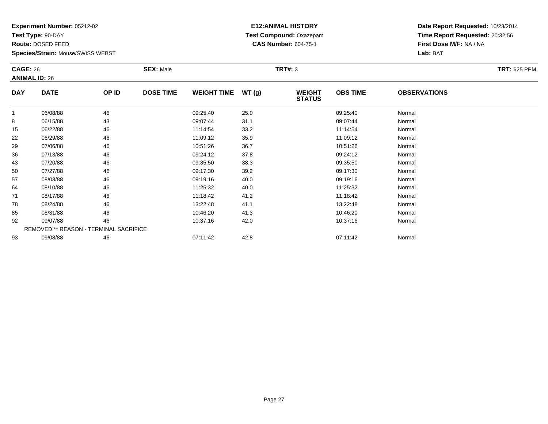**Test Type:** 90-DAY

**Route:** DOSED FEED

**Species/Strain:** Mouse/SWISS WEBST

### **E12:ANIMAL HISTORY Test Compound:** Oxazepam**CAS Number:** 604-75-1

| <b>CAGE: 26</b><br><b>ANIMAL ID: 26</b> |                                        | <b>SEX: Male</b> |                  |                    | <b>TRT#: 3</b> |                                | <b>TRT: 625 PPM</b> |                     |  |
|-----------------------------------------|----------------------------------------|------------------|------------------|--------------------|----------------|--------------------------------|---------------------|---------------------|--|
| <b>DAY</b>                              | <b>DATE</b>                            | OP ID            | <b>DOSE TIME</b> | <b>WEIGHT TIME</b> | WT(g)          | <b>WEIGHT</b><br><b>STATUS</b> | <b>OBS TIME</b>     | <b>OBSERVATIONS</b> |  |
|                                         | 06/08/88                               | 46               |                  | 09:25:40           | 25.9           |                                | 09:25:40            | Normal              |  |
| 8                                       | 06/15/88                               | 43               |                  | 09:07:44           | 31.1           |                                | 09:07:44            | Normal              |  |
| 15                                      | 06/22/88                               | 46               |                  | 11:14:54           | 33.2           |                                | 11:14:54            | Normal              |  |
| 22                                      | 06/29/88                               | 46               |                  | 11:09:12           | 35.9           |                                | 11:09:12            | Normal              |  |
| 29                                      | 07/06/88                               | 46               |                  | 10:51:26           | 36.7           |                                | 10:51:26            | Normal              |  |
| 36                                      | 07/13/88                               | 46               |                  | 09:24:12           | 37.8           |                                | 09:24:12            | Normal              |  |
| 43                                      | 07/20/88                               | 46               |                  | 09:35:50           | 38.3           |                                | 09:35:50            | Normal              |  |
| 50                                      | 07/27/88                               | 46               |                  | 09:17:30           | 39.2           |                                | 09:17:30            | Normal              |  |
| 57                                      | 08/03/88                               | 46               |                  | 09:19:16           | 40.0           |                                | 09:19:16            | Normal              |  |
| 64                                      | 08/10/88                               | 46               |                  | 11:25:32           | 40.0           |                                | 11:25:32            | Normal              |  |
| 71                                      | 08/17/88                               | 46               |                  | 11:18:42           | 41.2           |                                | 11:18:42            | Normal              |  |
| 78                                      | 08/24/88                               | 46               |                  | 13:22:48           | 41.1           |                                | 13:22:48            | Normal              |  |
| 85                                      | 08/31/88                               | 46               |                  | 10:46:20           | 41.3           |                                | 10:46:20            | Normal              |  |
| 92                                      | 09/07/88                               | 46               |                  | 10:37:16           | 42.0           |                                | 10:37:16            | Normal              |  |
|                                         | REMOVED ** REASON - TERMINAL SACRIFICE |                  |                  |                    |                |                                |                     |                     |  |
| 93                                      | 09/08/88                               | 46               |                  | 07:11:42           | 42.8           |                                | 07:11:42            | Normal              |  |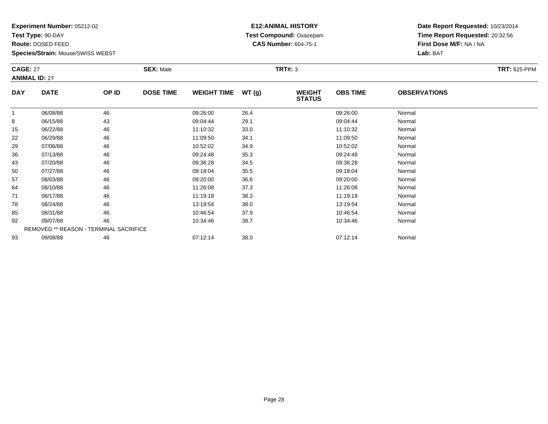**Test Type:** 90-DAY

**Route:** DOSED FEED

93

**Species/Strain:** Mouse/SWISS WEBST

# **E12:ANIMAL HISTORY Test Compound:** Oxazepam**CAS Number:** 604-75-1

**Date Report Requested:** 10/23/2014**Time Report Requested:** 20:32:56**First Dose M/F:** NA / NA**Lab:** BAT

| <b>CAGE: 27</b><br><b>ANIMAL ID: 27</b> |                                        | <b>SEX: Male</b> |                  |                    | <b>TRT#: 3</b> | <b>TRT: 625 PPM</b>            |                 |                     |  |
|-----------------------------------------|----------------------------------------|------------------|------------------|--------------------|----------------|--------------------------------|-----------------|---------------------|--|
| <b>DAY</b>                              | <b>DATE</b>                            | OP ID            | <b>DOSE TIME</b> | <b>WEIGHT TIME</b> | WT(g)          | <b>WEIGHT</b><br><b>STATUS</b> | <b>OBS TIME</b> | <b>OBSERVATIONS</b> |  |
| 1                                       | 06/08/88                               | 46               |                  | 09:26:00           | 26.4           |                                | 09:26:00        | Normal              |  |
| 8                                       | 06/15/88                               | 43               |                  | 09:04:44           | 29.1           |                                | 09:04:44        | Normal              |  |
| 15                                      | 06/22/88                               | 46               |                  | 11:10:32           | 33.0           |                                | 11:10:32        | Normal              |  |
| 22                                      | 06/29/88                               | 46               |                  | 11:09:50           | 34.1           |                                | 11:09:50        | Normal              |  |
| 29                                      | 07/06/88                               | 46               |                  | 10:52:02           | 34.9           |                                | 10:52:02        | Normal              |  |
| 36                                      | 07/13/88                               | 46               |                  | 09:24:48           | 35.3           |                                | 09:24:48        | Normal              |  |
| 43                                      | 07/20/88                               | 46               |                  | 09:36:28           | 34.5           |                                | 09:36:28        | Normal              |  |
| 50                                      | 07/27/88                               | 46               |                  | 09:18:04           | 35.5           |                                | 09:18:04        | Normal              |  |
| 57                                      | 08/03/88                               | 46               |                  | 09:20:00           | 36.6           |                                | 09:20:00        | Normal              |  |
| 64                                      | 08/10/88                               | 46               |                  | 11:26:08           | 37.3           |                                | 11:26:08        | Normal              |  |
| 71                                      | 08/17/88                               | 46               |                  | 11:19:18           | 38.2           |                                | 11:19:18        | Normal              |  |
| 78                                      | 08/24/88                               | 46               |                  | 13:19:54           | 38.0           |                                | 13:19:54        | Normal              |  |
| 85                                      | 08/31/88                               | 46               |                  | 10:46:54           | 37.9           |                                | 10:46:54        | Normal              |  |
| 92                                      | 09/07/88                               | 46               |                  | 10:34:46           | 38.7           |                                | 10:34:46        | Normal              |  |
|                                         | REMOVED ** REASON - TERMINAL SACRIFICE |                  |                  |                    |                |                                |                 |                     |  |

09/08/88 <sup>46</sup> 07:12:14 38.0 07:12:14 Normal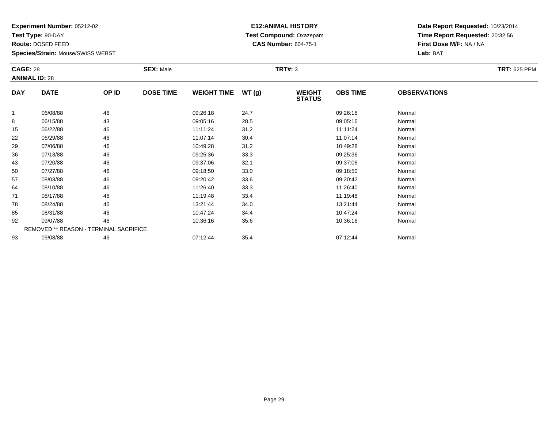**Test Type:** 90-DAY

**Route:** DOSED FEED

**Species/Strain:** Mouse/SWISS WEBST

# **E12:ANIMAL HISTORY Test Compound:** Oxazepam**CAS Number:** 604-75-1

| <b>CAGE: 28</b><br><b>ANIMAL ID: 28</b> |                                        | <b>SEX: Male</b> |                  |                    | <b>TRT#: 3</b> |                                | <b>TRT: 625 PPM</b> |                     |  |
|-----------------------------------------|----------------------------------------|------------------|------------------|--------------------|----------------|--------------------------------|---------------------|---------------------|--|
| <b>DAY</b>                              | <b>DATE</b>                            | OP ID            | <b>DOSE TIME</b> | <b>WEIGHT TIME</b> | WT(g)          | <b>WEIGHT</b><br><b>STATUS</b> | <b>OBS TIME</b>     | <b>OBSERVATIONS</b> |  |
|                                         | 06/08/88                               | 46               |                  | 09:26:18           | 24.7           |                                | 09:26:18            | Normal              |  |
| 8                                       | 06/15/88                               | 43               |                  | 09:05:16           | 28.5           |                                | 09:05:16            | Normal              |  |
| 15                                      | 06/22/88                               | 46               |                  | 11:11:24           | 31.2           |                                | 11:11:24            | Normal              |  |
| 22                                      | 06/29/88                               | 46               |                  | 11:07:14           | 30.4           |                                | 11:07:14            | Normal              |  |
| 29                                      | 07/06/88                               | 46               |                  | 10:49:28           | 31.2           |                                | 10:49:28            | Normal              |  |
| 36                                      | 07/13/88                               | 46               |                  | 09:25:36           | 33.3           |                                | 09:25:36            | Normal              |  |
| 43                                      | 07/20/88                               | 46               |                  | 09:37:06           | 32.1           |                                | 09:37:06            | Normal              |  |
| 50                                      | 07/27/88                               | 46               |                  | 09:18:50           | 33.0           |                                | 09:18:50            | Normal              |  |
| 57                                      | 08/03/88                               | 46               |                  | 09:20:42           | 33.6           |                                | 09:20:42            | Normal              |  |
| 64                                      | 08/10/88                               | 46               |                  | 11:26:40           | 33.3           |                                | 11:26:40            | Normal              |  |
| 71                                      | 08/17/88                               | 46               |                  | 11:19:48           | 33.4           |                                | 11:19:48            | Normal              |  |
| 78                                      | 08/24/88                               | 46               |                  | 13:21:44           | 34.0           |                                | 13:21:44            | Normal              |  |
| 85                                      | 08/31/88                               | 46               |                  | 10:47:24           | 34.4           |                                | 10:47:24            | Normal              |  |
| 92                                      | 09/07/88                               | 46               |                  | 10:36:16           | 35.6           |                                | 10:36:16            | Normal              |  |
|                                         | REMOVED ** REASON - TERMINAL SACRIFICE |                  |                  |                    |                |                                |                     |                     |  |
| 93                                      | 09/08/88                               | 46               |                  | 07:12:44           | 35.4           |                                | 07:12:44            | Normal              |  |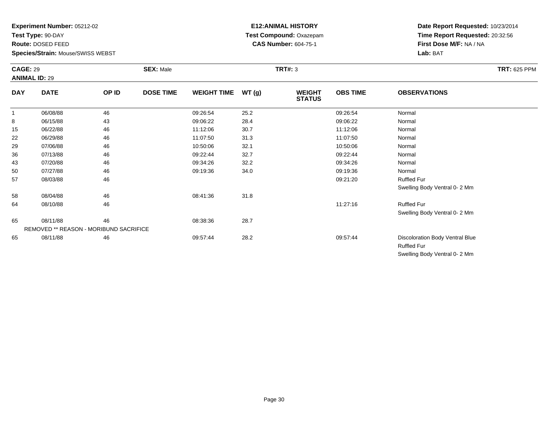**Test Type:** 90-DAY

**Route:** DOSED FEED

**Species/Strain:** Mouse/SWISS WEBST

# **E12:ANIMAL HISTORY Test Compound:** Oxazepam**CAS Number:** 604-75-1

**Date Report Requested:** 10/23/2014 **Time Report Requested:** 20:32:56**First Dose M/F:** NA / NA**Lab:** BAT

Swelling Body Ventral 0- 2 Mm

| <b>CAGE: 29</b><br><b>ANIMAL ID: 29</b> |                                        | <b>SEX: Male</b> |                  |                    | <b>TRT#: 3</b> |                                |                 |                                                       |  |  |
|-----------------------------------------|----------------------------------------|------------------|------------------|--------------------|----------------|--------------------------------|-----------------|-------------------------------------------------------|--|--|
| <b>DAY</b>                              | <b>DATE</b>                            | OP ID            | <b>DOSE TIME</b> | <b>WEIGHT TIME</b> | WT (g)         | <b>WEIGHT</b><br><b>STATUS</b> | <b>OBS TIME</b> | <b>OBSERVATIONS</b>                                   |  |  |
| $\mathbf{1}$                            | 06/08/88                               | 46               |                  | 09:26:54           | 25.2           |                                | 09:26:54        | Normal                                                |  |  |
| 8                                       | 06/15/88                               | 43               |                  | 09:06:22           | 28.4           |                                | 09:06:22        | Normal                                                |  |  |
| 15                                      | 06/22/88                               | 46               |                  | 11:12:06           | 30.7           |                                | 11:12:06        | Normal                                                |  |  |
| 22                                      | 06/29/88                               | 46               |                  | 11:07:50           | 31.3           |                                | 11:07:50        | Normal                                                |  |  |
| 29                                      | 07/06/88                               | 46               |                  | 10:50:06           | 32.1           |                                | 10:50:06        | Normal                                                |  |  |
| 36                                      | 07/13/88                               | 46               |                  | 09:22:44           | 32.7           |                                | 09:22:44        | Normal                                                |  |  |
| 43                                      | 07/20/88                               | 46               |                  | 09:34:26           | 32.2           |                                | 09:34:26        | Normal                                                |  |  |
| 50                                      | 07/27/88                               | 46               |                  | 09:19:36           | 34.0           |                                | 09:19:36        | Normal                                                |  |  |
| 57                                      | 08/03/88                               | 46               |                  |                    |                |                                | 09:21:20        | <b>Ruffled Fur</b>                                    |  |  |
|                                         |                                        |                  |                  |                    |                |                                |                 | Swelling Body Ventral 0-2 Mm                          |  |  |
| 58                                      | 08/04/88                               | 46               |                  | 08:41:36           | 31.8           |                                |                 |                                                       |  |  |
| 64                                      | 08/10/88                               | 46               |                  |                    |                |                                | 11:27:16        | <b>Ruffled Fur</b>                                    |  |  |
|                                         |                                        |                  |                  |                    |                |                                |                 | Swelling Body Ventral 0-2 Mm                          |  |  |
| 65                                      | 08/11/88                               | 46               |                  | 08:38:36           | 28.7           |                                |                 |                                                       |  |  |
|                                         | REMOVED ** REASON - MORIBUND SACRIFICE |                  |                  |                    |                |                                |                 |                                                       |  |  |
| 65                                      | 08/11/88                               | 46               |                  | 09:57:44           | 28.2           |                                | 09:57:44        | Discoloration Body Ventral Blue<br><b>Ruffled Fur</b> |  |  |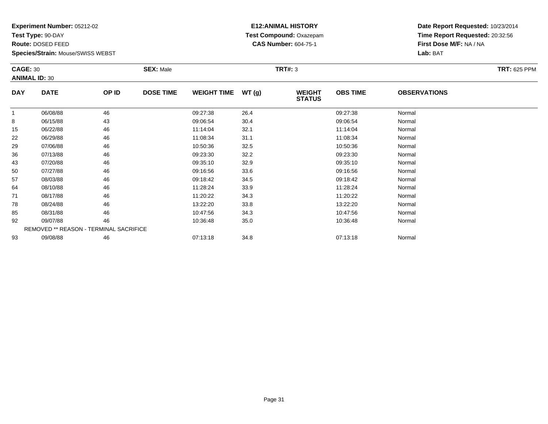**Test Type:** 90-DAY

**Route:** DOSED FEED

**Species/Strain:** Mouse/SWISS WEBST

# **E12:ANIMAL HISTORY Test Compound:** Oxazepam**CAS Number:** 604-75-1

|              | <b>CAGE: 30</b><br><b>ANIMAL ID: 30</b> |                                        | <b>SEX: Male</b> |                    |       | <b>TRT#: 3</b>                 | <b>TRT: 625 PPM</b> |                     |  |
|--------------|-----------------------------------------|----------------------------------------|------------------|--------------------|-------|--------------------------------|---------------------|---------------------|--|
| <b>DAY</b>   | <b>DATE</b>                             | OP ID                                  | <b>DOSE TIME</b> | <b>WEIGHT TIME</b> | WT(g) | <b>WEIGHT</b><br><b>STATUS</b> | <b>OBS TIME</b>     | <b>OBSERVATIONS</b> |  |
| $\mathbf{1}$ | 06/08/88                                | 46                                     |                  | 09:27:38           | 26.4  |                                | 09:27:38            | Normal              |  |
| 8            | 06/15/88                                | 43                                     |                  | 09:06:54           | 30.4  |                                | 09:06:54            | Normal              |  |
| 15           | 06/22/88                                | 46                                     |                  | 11:14:04           | 32.1  |                                | 11:14:04            | Normal              |  |
| 22           | 06/29/88                                | 46                                     |                  | 11:08:34           | 31.1  |                                | 11:08:34            | Normal              |  |
| 29           | 07/06/88                                | 46                                     |                  | 10:50:36           | 32.5  |                                | 10:50:36            | Normal              |  |
| 36           | 07/13/88                                | 46                                     |                  | 09:23:30           | 32.2  |                                | 09:23:30            | Normal              |  |
| 43           | 07/20/88                                | 46                                     |                  | 09:35:10           | 32.9  |                                | 09:35:10            | Normal              |  |
| 50           | 07/27/88                                | 46                                     |                  | 09:16:56           | 33.6  |                                | 09:16:56            | Normal              |  |
| 57           | 08/03/88                                | 46                                     |                  | 09:18:42           | 34.5  |                                | 09:18:42            | Normal              |  |
| 64           | 08/10/88                                | 46                                     |                  | 11:28:24           | 33.9  |                                | 11:28:24            | Normal              |  |
| 71           | 08/17/88                                | 46                                     |                  | 11:20:22           | 34.3  |                                | 11:20:22            | Normal              |  |
| 78           | 08/24/88                                | 46                                     |                  | 13:22:20           | 33.8  |                                | 13:22:20            | Normal              |  |
| 85           | 08/31/88                                | 46                                     |                  | 10:47:56           | 34.3  |                                | 10:47:56            | Normal              |  |
| 92           | 09/07/88                                | 46                                     |                  | 10:36:48           | 35.0  |                                | 10:36:48            | Normal              |  |
|              |                                         | REMOVED ** REASON - TERMINAL SACRIFICE |                  |                    |       |                                |                     |                     |  |
| 93           | 09/08/88                                | 46                                     |                  | 07:13:18           | 34.8  |                                | 07:13:18            | Normal              |  |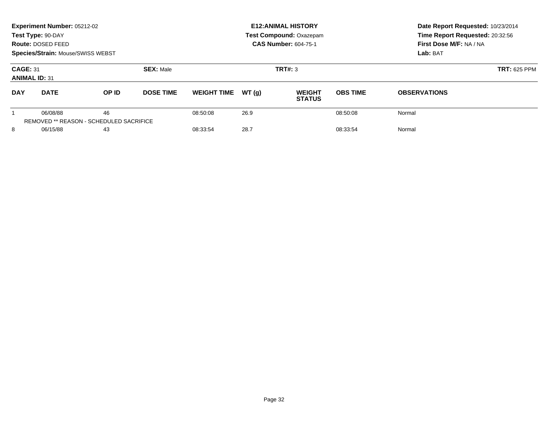| Experiment Number: 05212-02<br>Test Type: 90-DAY<br>Route: DOSED FEED<br><b>Species/Strain: Mouse/SWISS WEBST</b> |             |                                               |                  |                    |       | <b>E12: ANIMAL HISTORY</b><br><b>Test Compound: Oxazepam</b><br><b>CAS Number: 604-75-1</b> | Date Report Requested: 10/23/2014<br>Time Report Requested: 20:32:56<br>First Dose M/F: NA / NA<br>Lab: BAT |                     |
|-------------------------------------------------------------------------------------------------------------------|-------------|-----------------------------------------------|------------------|--------------------|-------|---------------------------------------------------------------------------------------------|-------------------------------------------------------------------------------------------------------------|---------------------|
| <b>SEX: Male</b><br><b>CAGE: 31</b><br><b>ANIMAL ID: 31</b>                                                       |             |                                               |                  |                    |       | TRT#: 3                                                                                     | <b>TRT: 625 PPM</b>                                                                                         |                     |
| <b>DAY</b>                                                                                                        | <b>DATE</b> | OP ID                                         | <b>DOSE TIME</b> | <b>WEIGHT TIME</b> | WT(q) | <b>WEIGHT</b><br><b>STATUS</b>                                                              | <b>OBS TIME</b>                                                                                             | <b>OBSERVATIONS</b> |
|                                                                                                                   | 06/08/88    | 46<br>REMOVED ** REASON - SCHEDULED SACRIFICE |                  | 08:50:08           | 26.9  |                                                                                             | 08:50:08                                                                                                    | Normal              |
| 8<br>06/15/88<br>43                                                                                               |             |                                               | 08:33:54         | 28.7               |       | 08:33:54                                                                                    | Normal                                                                                                      |                     |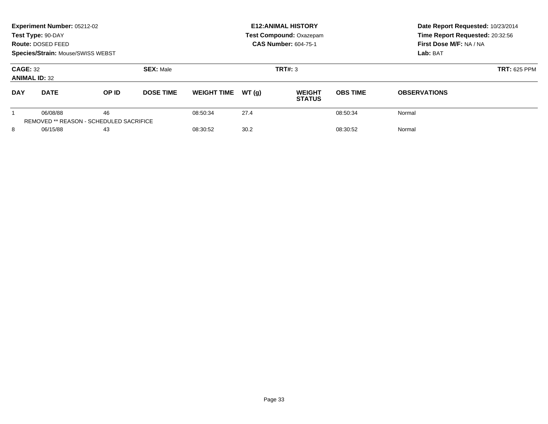| Experiment Number: 05212-02<br>Test Type: 90-DAY<br>Route: DOSED FEED<br><b>Species/Strain: Mouse/SWISS WEBST</b> |             |                                               |                  |                    |       | <b>E12: ANIMAL HISTORY</b><br><b>Test Compound: Oxazepam</b><br><b>CAS Number: 604-75-1</b> | Date Report Requested: 10/23/2014<br>Time Report Requested: 20:32:56<br>First Dose M/F: NA / NA<br>Lab: BAT |                     |
|-------------------------------------------------------------------------------------------------------------------|-------------|-----------------------------------------------|------------------|--------------------|-------|---------------------------------------------------------------------------------------------|-------------------------------------------------------------------------------------------------------------|---------------------|
| <b>SEX: Male</b><br><b>CAGE: 32</b><br><b>ANIMAL ID: 32</b>                                                       |             |                                               |                  |                    |       | TRT#: 3                                                                                     | <b>TRT: 625 PPM</b>                                                                                         |                     |
| <b>DAY</b>                                                                                                        | <b>DATE</b> | OP ID                                         | <b>DOSE TIME</b> | <b>WEIGHT TIME</b> | WT(q) | <b>WEIGHT</b><br><b>STATUS</b>                                                              | <b>OBS TIME</b>                                                                                             | <b>OBSERVATIONS</b> |
|                                                                                                                   | 06/08/88    | 46<br>REMOVED ** REASON - SCHEDULED SACRIFICE |                  | 08:50:34           | 27.4  |                                                                                             | 08:50:34                                                                                                    | Normal              |
| 8<br>06/15/88<br>43                                                                                               |             |                                               | 08:30:52         | 30.2               |       | 08:30:52                                                                                    | Normal                                                                                                      |                     |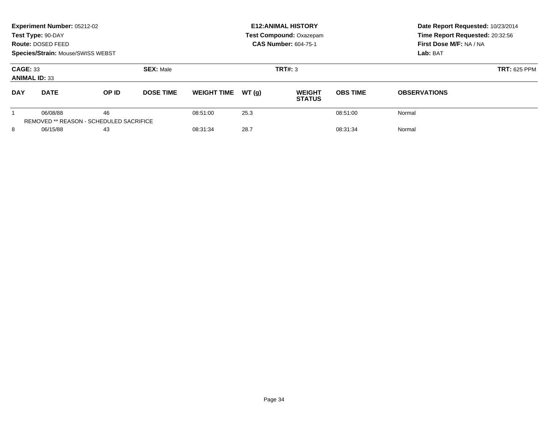| Experiment Number: 05212-02<br>Test Type: 90-DAY<br>Route: DOSED FEED<br><b>Species/Strain: Mouse/SWISS WEBST</b> |             |       |                  |                    |         | <b>E12: ANIMAL HISTORY</b><br><b>Test Compound: Oxazepam</b><br><b>CAS Number: 604-75-1</b> | Date Report Requested: 10/23/2014<br>Time Report Requested: 20:32:56<br>First Dose M/F: NA / NA<br>Lab: BAT |                     |
|-------------------------------------------------------------------------------------------------------------------|-------------|-------|------------------|--------------------|---------|---------------------------------------------------------------------------------------------|-------------------------------------------------------------------------------------------------------------|---------------------|
| <b>SEX: Male</b><br><b>CAGE: 33</b><br><b>ANIMAL ID: 33</b>                                                       |             |       |                  |                    | TRT#: 3 | <b>TRT: 625 PPM</b>                                                                         |                                                                                                             |                     |
| <b>DAY</b>                                                                                                        | <b>DATE</b> | OP ID | <b>DOSE TIME</b> | <b>WEIGHT TIME</b> | WT(q)   | <b>WEIGHT</b><br><b>STATUS</b>                                                              | <b>OBS TIME</b>                                                                                             | <b>OBSERVATIONS</b> |
| 46<br>06/08/88<br>REMOVED ** REASON - SCHEDULED SACRIFICE                                                         |             |       | 08:51:00         | 25.3               |         | 08:51:00                                                                                    | Normal                                                                                                      |                     |
| 8<br>06/15/88<br>43                                                                                               |             |       | 08:31:34         | 28.7               |         | 08:31:34                                                                                    | Normal                                                                                                      |                     |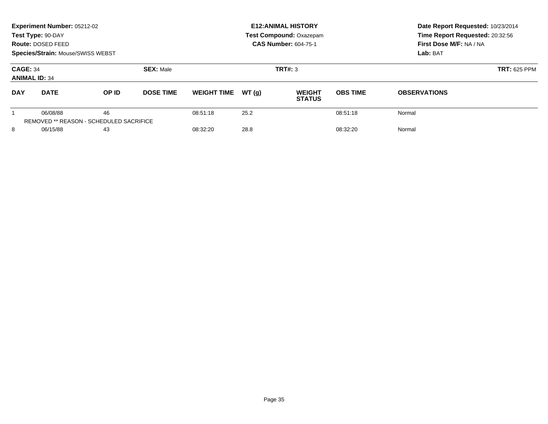| Experiment Number: 05212-02<br>Test Type: 90-DAY<br>Route: DOSED FEED<br><b>Species/Strain: Mouse/SWISS WEBST</b> |                                                     |       |                  |                    |         | <b>E12: ANIMAL HISTORY</b><br><b>Test Compound: Oxazepam</b><br><b>CAS Number: 604-75-1</b> | Date Report Requested: 10/23/2014<br>Time Report Requested: 20:32:56<br>First Dose M/F: NA / NA<br>Lab: BAT |                     |
|-------------------------------------------------------------------------------------------------------------------|-----------------------------------------------------|-------|------------------|--------------------|---------|---------------------------------------------------------------------------------------------|-------------------------------------------------------------------------------------------------------------|---------------------|
| <b>SEX: Male</b><br><b>CAGE: 34</b><br><b>ANIMAL ID: 34</b>                                                       |                                                     |       |                  |                    | TRT#: 3 | <b>TRT: 625 PPM</b>                                                                         |                                                                                                             |                     |
| <b>DAY</b>                                                                                                        | <b>DATE</b>                                         | OP ID | <b>DOSE TIME</b> | <b>WEIGHT TIME</b> | WT(q)   | <b>WEIGHT</b><br><b>STATUS</b>                                                              | <b>OBS TIME</b>                                                                                             | <b>OBSERVATIONS</b> |
|                                                                                                                   | 06/08/88<br>REMOVED ** REASON - SCHEDULED SACRIFICE | 46    |                  | 08:51:18           | 25.2    |                                                                                             | 08:51:18                                                                                                    | Normal              |
| 8<br>06/15/88<br>43                                                                                               |                                                     |       | 08:32:20         | 28.8               |         | 08:32:20                                                                                    | Normal                                                                                                      |                     |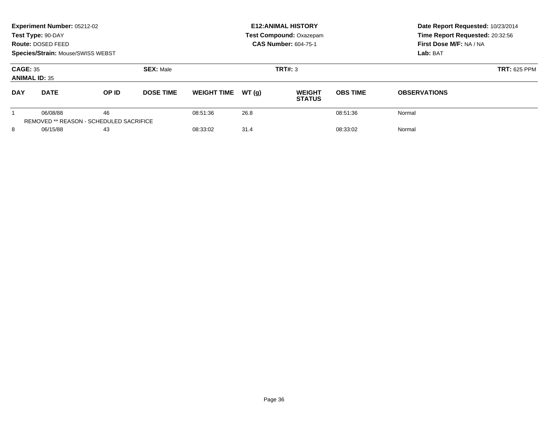| Experiment Number: 05212-02<br>Test Type: 90-DAY<br>Route: DOSED FEED<br><b>Species/Strain: Mouse/SWISS WEBST</b> |                                                     |              |                  |                    |         | <b>E12: ANIMAL HISTORY</b><br><b>Test Compound: Oxazepam</b><br><b>CAS Number: 604-75-1</b> | Date Report Requested: 10/23/2014<br>Time Report Requested: 20:32:56<br>First Dose M/F: NA / NA<br>Lab: BAT |                     |
|-------------------------------------------------------------------------------------------------------------------|-----------------------------------------------------|--------------|------------------|--------------------|---------|---------------------------------------------------------------------------------------------|-------------------------------------------------------------------------------------------------------------|---------------------|
| <b>SEX: Male</b><br><b>CAGE: 35</b><br><b>ANIMAL ID: 35</b>                                                       |                                                     |              |                  |                    | TRT#: 3 | <b>TRT: 625 PPM</b>                                                                         |                                                                                                             |                     |
| <b>DAY</b>                                                                                                        | <b>DATE</b>                                         | <b>OP ID</b> | <b>DOSE TIME</b> | <b>WEIGHT TIME</b> | WT(q)   | <b>WEIGHT</b><br><b>STATUS</b>                                                              | <b>OBS TIME</b>                                                                                             | <b>OBSERVATIONS</b> |
|                                                                                                                   | 06/08/88<br>REMOVED ** REASON - SCHEDULED SACRIFICE | 46           |                  | 08:51:36           | 26.8    |                                                                                             | 08:51:36                                                                                                    | Normal              |
| 8<br>06/15/88<br>43                                                                                               |                                                     |              | 08:33:02         | 31.4               |         | 08:33:02                                                                                    | Normal                                                                                                      |                     |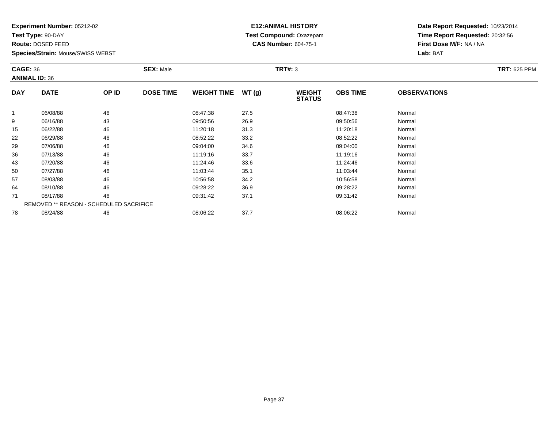**Test Type:** 90-DAY

**Route:** DOSED FEED

**Species/Strain:** Mouse/SWISS WEBST

# **E12:ANIMAL HISTORY Test Compound:** Oxazepam**CAS Number:** 604-75-1

| <b>CAGE: 36</b> | <b>ANIMAL ID: 36</b>                    |       | <b>SEX: Male</b> |                    |       | <b>TRT#: 3</b>                 |                 |                     | <b>TRT: 625 PPM</b> |
|-----------------|-----------------------------------------|-------|------------------|--------------------|-------|--------------------------------|-----------------|---------------------|---------------------|
| <b>DAY</b>      | <b>DATE</b>                             | OP ID | <b>DOSE TIME</b> | <b>WEIGHT TIME</b> | WT(g) | <b>WEIGHT</b><br><b>STATUS</b> | <b>OBS TIME</b> | <b>OBSERVATIONS</b> |                     |
|                 | 06/08/88                                | 46    |                  | 08:47:38           | 27.5  |                                | 08:47:38        | Normal              |                     |
| 9               | 06/16/88                                | 43    |                  | 09:50:56           | 26.9  |                                | 09:50:56        | Normal              |                     |
| 15              | 06/22/88                                | 46    |                  | 11:20:18           | 31.3  |                                | 11:20:18        | Normal              |                     |
| 22              | 06/29/88                                | 46    |                  | 08:52:22           | 33.2  |                                | 08:52:22        | Normal              |                     |
| 29              | 07/06/88                                | 46    |                  | 09:04:00           | 34.6  |                                | 09:04:00        | Normal              |                     |
| 36              | 07/13/88                                | 46    |                  | 11:19:16           | 33.7  |                                | 11:19:16        | Normal              |                     |
| 43              | 07/20/88                                | 46    |                  | 11:24:46           | 33.6  |                                | 11:24:46        | Normal              |                     |
| 50              | 07/27/88                                | 46    |                  | 11:03:44           | 35.1  |                                | 11:03:44        | Normal              |                     |
| 57              | 08/03/88                                | 46    |                  | 10:56:58           | 34.2  |                                | 10:56:58        | Normal              |                     |
| 64              | 08/10/88                                | 46    |                  | 09:28:22           | 36.9  |                                | 09:28:22        | Normal              |                     |
| 71              | 08/17/88                                | 46    |                  | 09:31:42           | 37.1  |                                | 09:31:42        | Normal              |                     |
|                 | REMOVED ** REASON - SCHEDULED SACRIFICE |       |                  |                    |       |                                |                 |                     |                     |
| 78              | 08/24/88                                | 46    |                  | 08:06:22           | 37.7  |                                | 08:06:22        | Normal              |                     |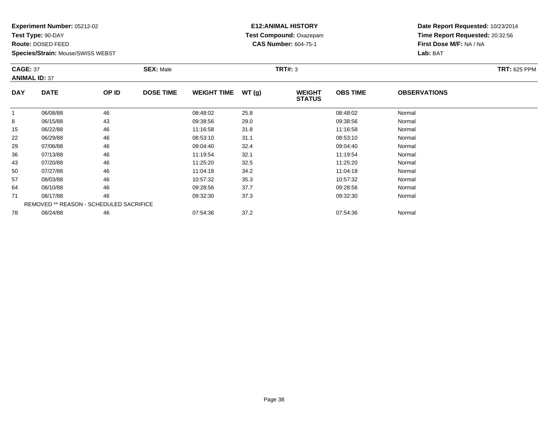**Test Type:** 90-DAY

**Route:** DOSED FEED

**Species/Strain:** Mouse/SWISS WEBST

# **E12:ANIMAL HISTORY Test Compound:** Oxazepam**CAS Number:** 604-75-1

**Date Report Requested:** 10/23/2014**Time Report Requested:** 20:32:56**First Dose M/F:** NA / NA**Lab:** BAT

| <b>CAGE: 37</b> | <b>ANIMAL ID: 37</b>                           |       | <b>SEX: Male</b> |                    |       | <b>TRT#: 3</b>                 |                 |                     | <b>TRT: 625 PPM</b> |
|-----------------|------------------------------------------------|-------|------------------|--------------------|-------|--------------------------------|-----------------|---------------------|---------------------|
| <b>DAY</b>      | <b>DATE</b>                                    | OP ID | <b>DOSE TIME</b> | <b>WEIGHT TIME</b> | WT(g) | <b>WEIGHT</b><br><b>STATUS</b> | <b>OBS TIME</b> | <b>OBSERVATIONS</b> |                     |
|                 | 06/08/88                                       | 46    |                  | 08:48:02           | 25.8  |                                | 08:48:02        | Normal              |                     |
| 8               | 06/15/88                                       | 43    |                  | 09:38:56           | 29.0  |                                | 09:38:56        | Normal              |                     |
| 15              | 06/22/88                                       | 46    |                  | 11:16:58           | 31.8  |                                | 11:16:58        | Normal              |                     |
| 22              | 06/29/88                                       | 46    |                  | 08:53:10           | 31.1  |                                | 08:53:10        | Normal              |                     |
| 29              | 07/06/88                                       | 46    |                  | 09:04:40           | 32.4  |                                | 09:04:40        | Normal              |                     |
| 36              | 07/13/88                                       | 46    |                  | 11:19:54           | 32.1  |                                | 11:19:54        | Normal              |                     |
| 43              | 07/20/88                                       | 46    |                  | 11:25:20           | 32.5  |                                | 11:25:20        | Normal              |                     |
| 50              | 07/27/88                                       | 46    |                  | 11:04:18           | 34.2  |                                | 11:04:18        | Normal              |                     |
| 57              | 08/03/88                                       | 46    |                  | 10:57:32           | 35.3  |                                | 10:57:32        | Normal              |                     |
| 64              | 08/10/88                                       | 46    |                  | 09:28:56           | 37.7  |                                | 09:28:56        | Normal              |                     |
| 71              | 08/17/88                                       | 46    |                  | 09:32:30           | 37.3  |                                | 09:32:30        | Normal              |                     |
|                 | <b>REMOVED ** REASON - SCHEDULED SACRIFICE</b> |       |                  |                    |       |                                |                 |                     |                     |
| 78              | 08/24/88                                       | 46    |                  | 07:54:36           | 37.2  |                                | 07:54:36        | Normal              |                     |

8 08/24/88 46 46 07:54:36 37.2 54.2 07:54:36 07:54:36 Normal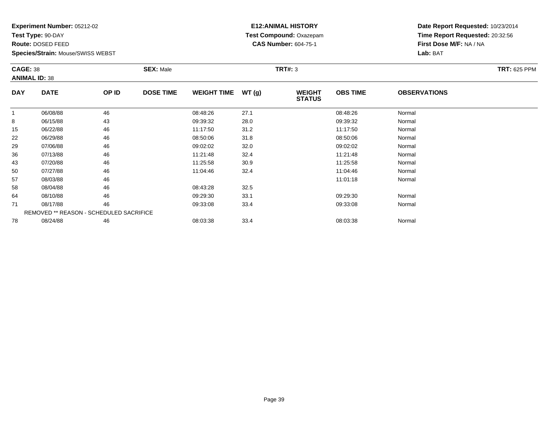**Test Type:** 90-DAY

**Route:** DOSED FEED

**Species/Strain:** Mouse/SWISS WEBST

#### **E12:ANIMAL HISTORY Test Compound:** Oxazepam**CAS Number:** 604-75-1

**Date Report Requested:** 10/23/2014**Time Report Requested:** 20:32:56**First Dose M/F:** NA / NA**Lab:** BAT

| <b>CAGE: 38</b> | <b>ANIMAL ID: 38</b>                           |       | <b>SEX: Male</b> |                    |       | <b>TRT#: 3</b>                 |                 |                     | <b>TRT: 625 PPM</b> |
|-----------------|------------------------------------------------|-------|------------------|--------------------|-------|--------------------------------|-----------------|---------------------|---------------------|
| <b>DAY</b>      | <b>DATE</b>                                    | OP ID | <b>DOSE TIME</b> | <b>WEIGHT TIME</b> | WT(g) | <b>WEIGHT</b><br><b>STATUS</b> | <b>OBS TIME</b> | <b>OBSERVATIONS</b> |                     |
|                 | 06/08/88                                       | 46    |                  | 08:48:26           | 27.1  |                                | 08:48:26        | Normal              |                     |
| 8               | 06/15/88                                       | 43    |                  | 09:39:32           | 28.0  |                                | 09:39:32        | Normal              |                     |
| 15              | 06/22/88                                       | 46    |                  | 11:17:50           | 31.2  |                                | 11:17:50        | Normal              |                     |
| 22              | 06/29/88                                       | 46    |                  | 08:50:06           | 31.8  |                                | 08:50:06        | Normal              |                     |
| 29              | 07/06/88                                       | 46    |                  | 09:02:02           | 32.0  |                                | 09:02:02        | Normal              |                     |
| 36              | 07/13/88                                       | 46    |                  | 11:21:48           | 32.4  |                                | 11:21:48        | Normal              |                     |
| 43              | 07/20/88                                       | 46    |                  | 11:25:58           | 30.9  |                                | 11:25:58        | Normal              |                     |
| 50              | 07/27/88                                       | 46    |                  | 11:04:46           | 32.4  |                                | 11:04:46        | Normal              |                     |
| 57              | 08/03/88                                       | 46    |                  |                    |       |                                | 11:01:18        | Normal              |                     |
| 58              | 08/04/88                                       | 46    |                  | 08:43:28           | 32.5  |                                |                 |                     |                     |
| 64              | 08/10/88                                       | 46    |                  | 09:29:30           | 33.1  |                                | 09:29:30        | Normal              |                     |
| 71              | 08/17/88                                       | 46    |                  | 09:33:08           | 33.4  |                                | 09:33:08        | Normal              |                     |
|                 | <b>REMOVED ** REASON - SCHEDULED SACRIFICE</b> |       |                  |                    |       |                                |                 |                     |                     |
| 78              | 08/24/88                                       | 46    |                  | 08:03:38           | 33.4  |                                | 08:03:38        | Normal              |                     |

08/24/88 <sup>46</sup> 08:03:38 33.4 08:03:38 Normal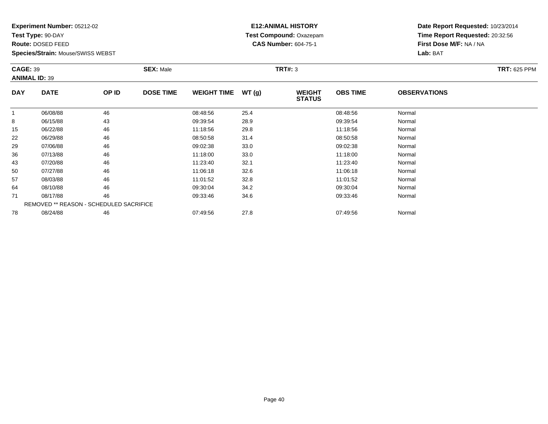**Test Type:** 90-DAY

**Route:** DOSED FEED

**Species/Strain:** Mouse/SWISS WEBST

# **E12:ANIMAL HISTORY Test Compound:** Oxazepam**CAS Number:** 604-75-1

| <b>CAGE: 39</b> | <b>ANIMAL ID: 39</b>                    |       | <b>SEX: Male</b> |                    |       | <b>TRT#: 3</b>                 |                 |                     | <b>TRT: 625 PPM</b> |
|-----------------|-----------------------------------------|-------|------------------|--------------------|-------|--------------------------------|-----------------|---------------------|---------------------|
| <b>DAY</b>      | <b>DATE</b>                             | OP ID | <b>DOSE TIME</b> | <b>WEIGHT TIME</b> | WT(g) | <b>WEIGHT</b><br><b>STATUS</b> | <b>OBS TIME</b> | <b>OBSERVATIONS</b> |                     |
|                 | 06/08/88                                | 46    |                  | 08:48:56           | 25.4  |                                | 08:48:56        | Normal              |                     |
| 8               | 06/15/88                                | 43    |                  | 09:39:54           | 28.9  |                                | 09:39:54        | Normal              |                     |
| 15              | 06/22/88                                | 46    |                  | 11:18:56           | 29.8  |                                | 11:18:56        | Normal              |                     |
| 22              | 06/29/88                                | 46    |                  | 08:50:58           | 31.4  |                                | 08:50:58        | Normal              |                     |
| 29              | 07/06/88                                | 46    |                  | 09:02:38           | 33.0  |                                | 09:02:38        | Normal              |                     |
| 36              | 07/13/88                                | 46    |                  | 11:18:00           | 33.0  |                                | 11:18:00        | Normal              |                     |
| 43              | 07/20/88                                | 46    |                  | 11:23:40           | 32.1  |                                | 11:23:40        | Normal              |                     |
| 50              | 07/27/88                                | 46    |                  | 11:06:18           | 32.6  |                                | 11:06:18        | Normal              |                     |
| 57              | 08/03/88                                | 46    |                  | 11:01:52           | 32.8  |                                | 11:01:52        | Normal              |                     |
| 64              | 08/10/88                                | 46    |                  | 09:30:04           | 34.2  |                                | 09:30:04        | Normal              |                     |
| 71              | 08/17/88                                | 46    |                  | 09:33:46           | 34.6  |                                | 09:33:46        | Normal              |                     |
|                 | REMOVED ** REASON - SCHEDULED SACRIFICE |       |                  |                    |       |                                |                 |                     |                     |
| 78              | 08/24/88                                | 46    |                  | 07:49:56           | 27.8  |                                | 07:49:56        | Normal              |                     |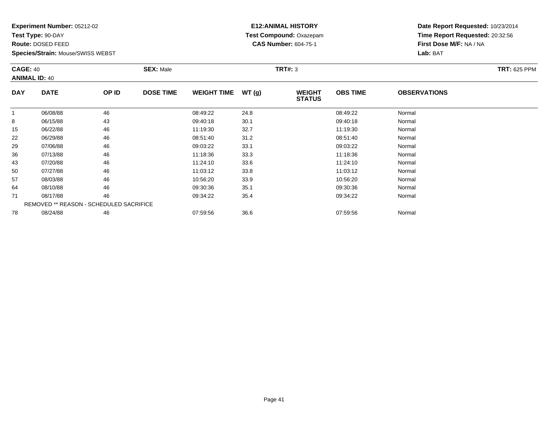**Test Type:** 90-DAY

**Route:** DOSED FEED

**Species/Strain:** Mouse/SWISS WEBST

# **E12:ANIMAL HISTORY Test Compound:** Oxazepam**CAS Number:** 604-75-1

| <b>CAGE: 40</b> | <b>ANIMAL ID: 40</b>                    |       | <b>SEX: Male</b> |                    |       | <b>TRT#: 3</b>                 |                 |                     | <b>TRT: 625 PPM</b> |
|-----------------|-----------------------------------------|-------|------------------|--------------------|-------|--------------------------------|-----------------|---------------------|---------------------|
| <b>DAY</b>      | <b>DATE</b>                             | OP ID | <b>DOSE TIME</b> | <b>WEIGHT TIME</b> | WT(g) | <b>WEIGHT</b><br><b>STATUS</b> | <b>OBS TIME</b> | <b>OBSERVATIONS</b> |                     |
|                 | 06/08/88                                | 46    |                  | 08:49:22           | 24.8  |                                | 08:49:22        | Normal              |                     |
| 8               | 06/15/88                                | 43    |                  | 09:40:18           | 30.1  |                                | 09:40:18        | Normal              |                     |
| 15              | 06/22/88                                | 46    |                  | 11:19:30           | 32.7  |                                | 11:19:30        | Normal              |                     |
| 22              | 06/29/88                                | 46    |                  | 08:51:40           | 31.2  |                                | 08:51:40        | Normal              |                     |
| 29              | 07/06/88                                | 46    |                  | 09:03:22           | 33.1  |                                | 09:03:22        | Normal              |                     |
| 36              | 07/13/88                                | 46    |                  | 11:18:36           | 33.3  |                                | 11:18:36        | Normal              |                     |
| 43              | 07/20/88                                | 46    |                  | 11:24:10           | 33.6  |                                | 11:24:10        | Normal              |                     |
| 50              | 07/27/88                                | 46    |                  | 11:03:12           | 33.8  |                                | 11:03:12        | Normal              |                     |
| 57              | 08/03/88                                | 46    |                  | 10:56:20           | 33.9  |                                | 10:56:20        | Normal              |                     |
| 64              | 08/10/88                                | 46    |                  | 09:30:36           | 35.1  |                                | 09:30:36        | Normal              |                     |
| 71              | 08/17/88                                | 46    |                  | 09:34:22           | 35.4  |                                | 09:34:22        | Normal              |                     |
|                 | REMOVED ** REASON - SCHEDULED SACRIFICE |       |                  |                    |       |                                |                 |                     |                     |
| 78              | 08/24/88                                | 46    |                  | 07:59:56           | 36.6  |                                | 07:59:56        | Normal              |                     |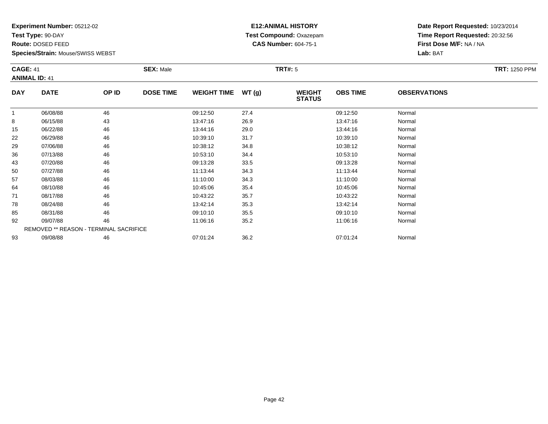**Test Type:** 90-DAY

**Route:** DOSED FEED

93

**Species/Strain:** Mouse/SWISS WEBST

# **E12:ANIMAL HISTORY Test Compound:** Oxazepam**CAS Number:** 604-75-1

**Date Report Requested:** 10/23/2014**Time Report Requested:** 20:32:56**First Dose M/F:** NA / NA**Lab:** BAT

| <b>CAGE: 41</b> | <b>ANIMAL ID: 41</b>                          |       | <b>SEX: Male</b> |                    |       | <b>TRT#: 5</b>                 |                 |                     | <b>TRT: 1250 PPM</b> |
|-----------------|-----------------------------------------------|-------|------------------|--------------------|-------|--------------------------------|-----------------|---------------------|----------------------|
| <b>DAY</b>      | <b>DATE</b>                                   | OP ID | <b>DOSE TIME</b> | <b>WEIGHT TIME</b> | WT(g) | <b>WEIGHT</b><br><b>STATUS</b> | <b>OBS TIME</b> | <b>OBSERVATIONS</b> |                      |
| 1               | 06/08/88                                      | 46    |                  | 09:12:50           | 27.4  |                                | 09:12:50        | Normal              |                      |
| 8               | 06/15/88                                      | 43    |                  | 13:47:16           | 26.9  |                                | 13:47:16        | Normal              |                      |
| 15              | 06/22/88                                      | 46    |                  | 13:44:16           | 29.0  |                                | 13:44:16        | Normal              |                      |
| 22              | 06/29/88                                      | 46    |                  | 10:39:10           | 31.7  |                                | 10:39:10        | Normal              |                      |
| 29              | 07/06/88                                      | 46    |                  | 10:38:12           | 34.8  |                                | 10:38:12        | Normal              |                      |
| 36              | 07/13/88                                      | 46    |                  | 10:53:10           | 34.4  |                                | 10:53:10        | Normal              |                      |
| 43              | 07/20/88                                      | 46    |                  | 09:13:28           | 33.5  |                                | 09:13:28        | Normal              |                      |
| 50              | 07/27/88                                      | 46    |                  | 11:13:44           | 34.3  |                                | 11:13:44        | Normal              |                      |
| 57              | 08/03/88                                      | 46    |                  | 11:10:00           | 34.3  |                                | 11:10:00        | Normal              |                      |
| 64              | 08/10/88                                      | 46    |                  | 10:45:06           | 35.4  |                                | 10:45:06        | Normal              |                      |
| 71              | 08/17/88                                      | 46    |                  | 10:43:22           | 35.7  |                                | 10:43:22        | Normal              |                      |
| 78              | 08/24/88                                      | 46    |                  | 13:42:14           | 35.3  |                                | 13:42:14        | Normal              |                      |
| 85              | 08/31/88                                      | 46    |                  | 09:10:10           | 35.5  |                                | 09:10:10        | Normal              |                      |
| 92              | 09/07/88                                      | 46    |                  | 11:06:16           | 35.2  |                                | 11:06:16        | Normal              |                      |
|                 | <b>REMOVED ** REASON - TERMINAL SACRIFICE</b> |       |                  |                    |       |                                |                 |                     |                      |

09/08/88 <sup>46</sup> 07:01:24 36.2 07:01:24 Normal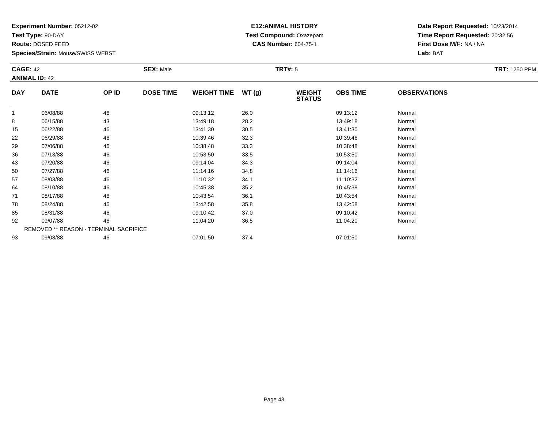**Test Type:** 90-DAY

**Route:** DOSED FEED

93

**Species/Strain:** Mouse/SWISS WEBST

# **E12:ANIMAL HISTORY Test Compound:** Oxazepam**CAS Number:** 604-75-1

**Date Report Requested:** 10/23/2014**Time Report Requested:** 20:32:56**First Dose M/F:** NA / NA**Lab:** BAT

| <b>CAGE: 42</b> | <b>ANIMAL ID: 42</b>                   |       | <b>SEX: Male</b> |                    |       | <b>TRT#: 5</b>                 |                 |                     | <b>TRT: 1250 PPM</b> |
|-----------------|----------------------------------------|-------|------------------|--------------------|-------|--------------------------------|-----------------|---------------------|----------------------|
| <b>DAY</b>      | <b>DATE</b>                            | OP ID | <b>DOSE TIME</b> | <b>WEIGHT TIME</b> | WT(g) | <b>WEIGHT</b><br><b>STATUS</b> | <b>OBS TIME</b> | <b>OBSERVATIONS</b> |                      |
| $\mathbf{1}$    | 06/08/88                               | 46    |                  | 09:13:12           | 26.0  |                                | 09:13:12        | Normal              |                      |
| 8               | 06/15/88                               | 43    |                  | 13:49:18           | 28.2  |                                | 13:49:18        | Normal              |                      |
| 15              | 06/22/88                               | 46    |                  | 13:41:30           | 30.5  |                                | 13:41:30        | Normal              |                      |
| 22              | 06/29/88                               | 46    |                  | 10:39:46           | 32.3  |                                | 10:39:46        | Normal              |                      |
| 29              | 07/06/88                               | 46    |                  | 10:38:48           | 33.3  |                                | 10:38:48        | Normal              |                      |
| 36              | 07/13/88                               | 46    |                  | 10:53:50           | 33.5  |                                | 10:53:50        | Normal              |                      |
| 43              | 07/20/88                               | 46    |                  | 09:14:04           | 34.3  |                                | 09:14:04        | Normal              |                      |
| 50              | 07/27/88                               | 46    |                  | 11:14:16           | 34.8  |                                | 11:14:16        | Normal              |                      |
| 57              | 08/03/88                               | 46    |                  | 11:10:32           | 34.1  |                                | 11:10:32        | Normal              |                      |
| 64              | 08/10/88                               | 46    |                  | 10:45:38           | 35.2  |                                | 10:45:38        | Normal              |                      |
| 71              | 08/17/88                               | 46    |                  | 10:43:54           | 36.1  |                                | 10:43:54        | Normal              |                      |
| 78              | 08/24/88                               | 46    |                  | 13:42:58           | 35.8  |                                | 13:42:58        | Normal              |                      |
| 85              | 08/31/88                               | 46    |                  | 09:10:42           | 37.0  |                                | 09:10:42        | Normal              |                      |
| 92              | 09/07/88                               | 46    |                  | 11:04:20           | 36.5  |                                | 11:04:20        | Normal              |                      |
|                 | REMOVED ** REASON - TERMINAL SACRIFICE |       |                  |                    |       |                                |                 |                     |                      |

3 09/08/88 46 46 07:01:50 37.4 07:01:50 07:01:50 07:01:50 07:01:50 07:01:50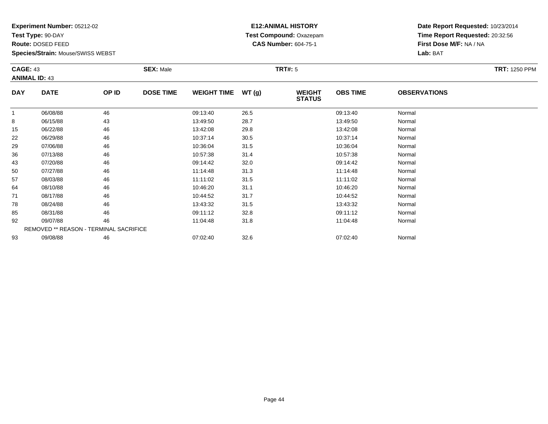**Test Type:** 90-DAY

**Route:** DOSED FEED

**Species/Strain:** Mouse/SWISS WEBST

# **E12:ANIMAL HISTORY Test Compound:** Oxazepam**CAS Number:** 604-75-1

**Date Report Requested:** 10/23/2014**Time Report Requested:** 20:32:56**First Dose M/F:** NA / NA**Lab:** BAT

| <b>CAGE: 43</b> | <b>ANIMAL ID: 43</b>                          |       | <b>SEX: Male</b> |                    |       | <b>TRT#: 5</b>                 |                 |                     | <b>TRT: 1250 PPM</b> |
|-----------------|-----------------------------------------------|-------|------------------|--------------------|-------|--------------------------------|-----------------|---------------------|----------------------|
| <b>DAY</b>      | <b>DATE</b>                                   | OP ID | <b>DOSE TIME</b> | <b>WEIGHT TIME</b> | WT(g) | <b>WEIGHT</b><br><b>STATUS</b> | <b>OBS TIME</b> | <b>OBSERVATIONS</b> |                      |
| 1               | 06/08/88                                      | 46    |                  | 09:13:40           | 26.5  |                                | 09:13:40        | Normal              |                      |
| 8               | 06/15/88                                      | 43    |                  | 13:49:50           | 28.7  |                                | 13:49:50        | Normal              |                      |
| 15              | 06/22/88                                      | 46    |                  | 13:42:08           | 29.8  |                                | 13:42:08        | Normal              |                      |
| 22              | 06/29/88                                      | 46    |                  | 10:37:14           | 30.5  |                                | 10:37:14        | Normal              |                      |
| 29              | 07/06/88                                      | 46    |                  | 10:36:04           | 31.5  |                                | 10:36:04        | Normal              |                      |
| 36              | 07/13/88                                      | 46    |                  | 10:57:38           | 31.4  |                                | 10:57:38        | Normal              |                      |
| 43              | 07/20/88                                      | 46    |                  | 09:14:42           | 32.0  |                                | 09:14:42        | Normal              |                      |
| 50              | 07/27/88                                      | 46    |                  | 11:14:48           | 31.3  |                                | 11:14:48        | Normal              |                      |
| 57              | 08/03/88                                      | 46    |                  | 11:11:02           | 31.5  |                                | 11:11:02        | Normal              |                      |
| 64              | 08/10/88                                      | 46    |                  | 10:46:20           | 31.1  |                                | 10:46:20        | Normal              |                      |
| 71              | 08/17/88                                      | 46    |                  | 10:44:52           | 31.7  |                                | 10:44:52        | Normal              |                      |
| 78              | 08/24/88                                      | 46    |                  | 13:43:32           | 31.5  |                                | 13:43:32        | Normal              |                      |
| 85              | 08/31/88                                      | 46    |                  | 09:11:12           | 32.8  |                                | 09:11:12        | Normal              |                      |
| 92              | 09/07/88                                      | 46    |                  | 11:04:48           | 31.8  |                                | 11:04:48        | Normal              |                      |
|                 | <b>REMOVED ** REASON - TERMINAL SACRIFICE</b> |       |                  |                    |       |                                |                 |                     |                      |
| 93              | 09/08/88                                      | 46    |                  | 07:02:40           | 32.6  |                                | 07:02:40        | Normal              |                      |

3 09/08/88 46 46 07:02:40 32.6 5 07:02:40 3 07:02:40 Normal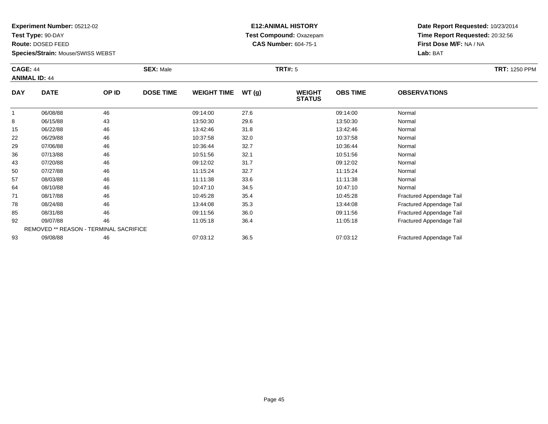**Test Type:** 90-DAY

**Route:** DOSED FEED

71

78

85

92

93

**Species/Strain:** Mouse/SWISS WEBST

REMOVED \*\* REASON - TERMINAL SACRIFICE

#### **E12:ANIMAL HISTORY Test Compound:** Oxazepam**CAS Number:** 604-75-1

**Date Report Requested:** 10/23/2014**Time Report Requested:** 20:32:56**First Dose M/F:** NA / NA**Lab:** BAT

Fractured Appendage Tail

|            | <b>CAGE: 44</b><br><b>ANIMAL ID: 44</b> |       | <b>SEX: Male</b> |                    |       | TRT#: 5                        | <b>TRT: 1250 PPM</b> |                     |  |
|------------|-----------------------------------------|-------|------------------|--------------------|-------|--------------------------------|----------------------|---------------------|--|
| <b>DAY</b> | <b>DATE</b>                             | OP ID | <b>DOSE TIME</b> | <b>WEIGHT TIME</b> | WT(g) | <b>WEIGHT</b><br><b>STATUS</b> | <b>OBS TIME</b>      | <b>OBSERVATIONS</b> |  |
|            | 06/08/88                                | 46    |                  | 09:14:00           | 27.6  |                                | 09:14:00             | Normal              |  |
| 8          | 06/15/88                                | 43    |                  | 13:50:30           | 29.6  |                                | 13:50:30             | Normal              |  |
| 15         | 06/22/88                                | 46    |                  | 13:42:46           | 31.8  |                                | 13:42:46             | Normal              |  |
| 22         | 06/29/88                                | 46    |                  | 10:37:58           | 32.0  |                                | 10:37:58             | Normal              |  |
| 29         | 07/06/88                                | 46    |                  | 10:36:44           | 32.7  |                                | 10:36:44             | Normal              |  |
| 36         | 07/13/88                                | 46    |                  | 10:51:56           | 32.1  |                                | 10:51:56             | Normal              |  |
| 43         | 07/20/88                                | 46    |                  | 09:12:02           | 31.7  |                                | 09:12:02             | Normal              |  |
| 50         | 07/27/88                                | 46    |                  | 11:15:24           | 32.7  |                                | 11:15:24             | Normal              |  |
| 57         | 08/03/88                                | 46    |                  | 11:11:38           | 33.6  |                                | 11:11:38             | Normal              |  |
| 64         | 08/10/88                                | 46    |                  | 10:47:10           | 34.5  |                                | 10:47:10             | Normal              |  |

1 08/17/88 46 46 10:45:28 35.4 10:45:28 55.4 10:45:28 Fractured Appendage Tail

08/24/88 <sup>46</sup> 13:44:08 35.3 13:44:08 Fractured Appendage Tail

08/31/88 100 46 11:56 09:11:56 36.0 09:11:56 09:11:56 5 09:11:56 Fractured Appendage Tail<br>11:05:18 09/07/88 11:05:18 09/07/88 56.4 11:05:18 11:05:18 Fractured Appendage Tail

09/08/88 <sup>46</sup> 07:03:12 36.5 07:03:12 Fractured Appendage Tail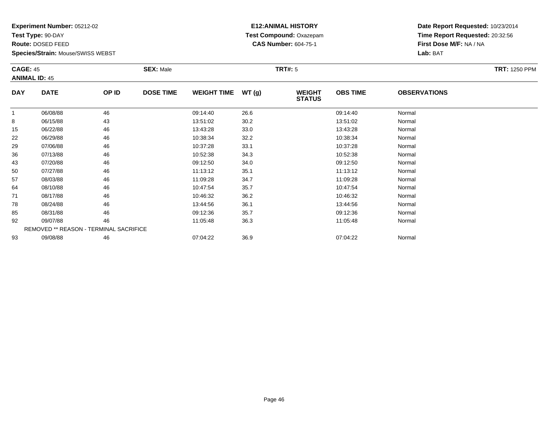**Test Type:** 90-DAY

**Route:** DOSED FEED

93

**Species/Strain:** Mouse/SWISS WEBST

# **E12:ANIMAL HISTORY Test Compound:** Oxazepam**CAS Number:** 604-75-1

**Date Report Requested:** 10/23/2014**Time Report Requested:** 20:32:56**First Dose M/F:** NA / NA**Lab:** BAT

| <b>CAGE: 45</b> | <b>ANIMAL ID: 45</b>                   |       | <b>SEX: Male</b> |                    |       | <b>TRT#: 5</b>                 |                 |                     | <b>TRT: 1250 PPM</b> |
|-----------------|----------------------------------------|-------|------------------|--------------------|-------|--------------------------------|-----------------|---------------------|----------------------|
| <b>DAY</b>      | <b>DATE</b>                            | OP ID | <b>DOSE TIME</b> | <b>WEIGHT TIME</b> | WT(g) | <b>WEIGHT</b><br><b>STATUS</b> | <b>OBS TIME</b> | <b>OBSERVATIONS</b> |                      |
|                 | 06/08/88                               | 46    |                  | 09:14:40           | 26.6  |                                | 09:14:40        | Normal              |                      |
| 8               | 06/15/88                               | 43    |                  | 13:51:02           | 30.2  |                                | 13:51:02        | Normal              |                      |
| 15              | 06/22/88                               | 46    |                  | 13:43:28           | 33.0  |                                | 13:43:28        | Normal              |                      |
| 22              | 06/29/88                               | 46    |                  | 10:38:34           | 32.2  |                                | 10:38:34        | Normal              |                      |
| 29              | 07/06/88                               | 46    |                  | 10:37:28           | 33.1  |                                | 10:37:28        | Normal              |                      |
| 36              | 07/13/88                               | 46    |                  | 10:52:38           | 34.3  |                                | 10:52:38        | Normal              |                      |
| 43              | 07/20/88                               | 46    |                  | 09:12:50           | 34.0  |                                | 09:12:50        | Normal              |                      |
| 50              | 07/27/88                               | 46    |                  | 11:13:12           | 35.1  |                                | 11:13:12        | Normal              |                      |
| 57              | 08/03/88                               | 46    |                  | 11:09:28           | 34.7  |                                | 11:09:28        | Normal              |                      |
| 64              | 08/10/88                               | 46    |                  | 10:47:54           | 35.7  |                                | 10:47:54        | Normal              |                      |
| 71              | 08/17/88                               | 46    |                  | 10:46:32           | 36.2  |                                | 10:46:32        | Normal              |                      |
| 78              | 08/24/88                               | 46    |                  | 13:44:56           | 36.1  |                                | 13:44:56        | Normal              |                      |
| 85              | 08/31/88                               | 46    |                  | 09:12:36           | 35.7  |                                | 09:12:36        | Normal              |                      |
| 92              | 09/07/88                               | 46    |                  | 11:05:48           | 36.3  |                                | 11:05:48        | Normal              |                      |
|                 | REMOVED ** REASON - TERMINAL SACRIFICE |       |                  |                    |       |                                |                 |                     |                      |

3 09/08/88 46 46 07:04:22 36.9 07:04:22 07:04:22 07:04:22 Normal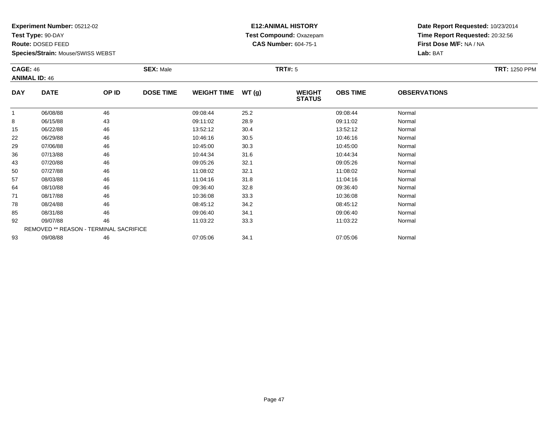**Test Type:** 90-DAY

**Route:** DOSED FEED

**Species/Strain:** Mouse/SWISS WEBST

# **E12:ANIMAL HISTORY Test Compound:** Oxazepam**CAS Number:** 604-75-1

| <b>CAGE: 46</b> | <b>ANIMAL ID: 46</b>                   |       | <b>SEX: Male</b> |                    |       | <b>TRT#: 5</b>                 |                 |                     | <b>TRT: 1250 PPM</b> |
|-----------------|----------------------------------------|-------|------------------|--------------------|-------|--------------------------------|-----------------|---------------------|----------------------|
| <b>DAY</b>      | <b>DATE</b>                            | OP ID | <b>DOSE TIME</b> | <b>WEIGHT TIME</b> | WT(g) | <b>WEIGHT</b><br><b>STATUS</b> | <b>OBS TIME</b> | <b>OBSERVATIONS</b> |                      |
| 1               | 06/08/88                               | 46    |                  | 09:08:44           | 25.2  |                                | 09:08:44        | Normal              |                      |
| 8               | 06/15/88                               | 43    |                  | 09:11:02           | 28.9  |                                | 09:11:02        | Normal              |                      |
| 15              | 06/22/88                               | 46    |                  | 13:52:12           | 30.4  |                                | 13:52:12        | Normal              |                      |
| 22              | 06/29/88                               | 46    |                  | 10:46:16           | 30.5  |                                | 10:46:16        | Normal              |                      |
| 29              | 07/06/88                               | 46    |                  | 10:45:00           | 30.3  |                                | 10:45:00        | Normal              |                      |
| 36              | 07/13/88                               | 46    |                  | 10:44:34           | 31.6  |                                | 10:44:34        | Normal              |                      |
| 43              | 07/20/88                               | 46    |                  | 09:05:26           | 32.1  |                                | 09:05:26        | Normal              |                      |
| 50              | 07/27/88                               | 46    |                  | 11:08:02           | 32.1  |                                | 11:08:02        | Normal              |                      |
| 57              | 08/03/88                               | 46    |                  | 11:04:16           | 31.8  |                                | 11:04:16        | Normal              |                      |
| 64              | 08/10/88                               | 46    |                  | 09:36:40           | 32.8  |                                | 09:36:40        | Normal              |                      |
| 71              | 08/17/88                               | 46    |                  | 10:36:08           | 33.3  |                                | 10:36:08        | Normal              |                      |
| 78              | 08/24/88                               | 46    |                  | 08:45:12           | 34.2  |                                | 08:45:12        | Normal              |                      |
| 85              | 08/31/88                               | 46    |                  | 09:06:40           | 34.1  |                                | 09:06:40        | Normal              |                      |
| 92              | 09/07/88                               | 46    |                  | 11:03:22           | 33.3  |                                | 11:03:22        | Normal              |                      |
|                 | REMOVED ** REASON - TERMINAL SACRIFICE |       |                  |                    |       |                                |                 |                     |                      |
| 93              | 09/08/88                               | 46    |                  | 07:05:06           | 34.1  |                                | 07:05:06        | Normal              |                      |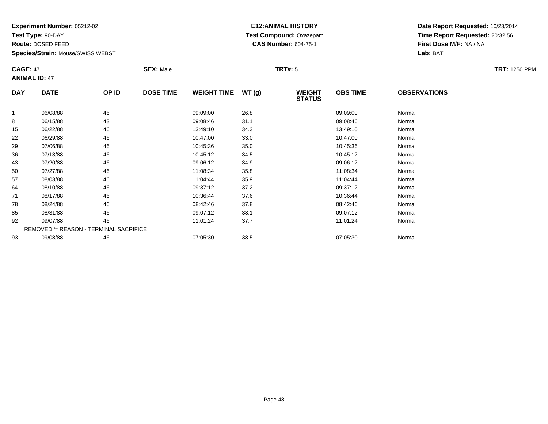**Test Type:** 90-DAY

**Route:** DOSED FEED

93

**Species/Strain:** Mouse/SWISS WEBST

# **E12:ANIMAL HISTORY Test Compound:** Oxazepam**CAS Number:** 604-75-1

**Date Report Requested:** 10/23/2014**Time Report Requested:** 20:32:56**First Dose M/F:** NA / NA**Lab:** BAT

| <b>CAGE: 47</b> | <b>ANIMAL ID: 47</b>                   |       | <b>SEX: Male</b> |                    |       | <b>TRT#: 5</b>                 |                 |                     | <b>TRT: 1250 PPM</b> |
|-----------------|----------------------------------------|-------|------------------|--------------------|-------|--------------------------------|-----------------|---------------------|----------------------|
| <b>DAY</b>      | <b>DATE</b>                            | OP ID | <b>DOSE TIME</b> | <b>WEIGHT TIME</b> | WT(g) | <b>WEIGHT</b><br><b>STATUS</b> | <b>OBS TIME</b> | <b>OBSERVATIONS</b> |                      |
| 1               | 06/08/88                               | 46    |                  | 09:09:00           | 26.8  |                                | 09:09:00        | Normal              |                      |
| 8               | 06/15/88                               | 43    |                  | 09:08:46           | 31.1  |                                | 09:08:46        | Normal              |                      |
| 15              | 06/22/88                               | 46    |                  | 13:49:10           | 34.3  |                                | 13:49:10        | Normal              |                      |
| 22              | 06/29/88                               | 46    |                  | 10:47:00           | 33.0  |                                | 10:47:00        | Normal              |                      |
| 29              | 07/06/88                               | 46    |                  | 10:45:36           | 35.0  |                                | 10:45:36        | Normal              |                      |
| 36              | 07/13/88                               | 46    |                  | 10:45:12           | 34.5  |                                | 10:45:12        | Normal              |                      |
| 43              | 07/20/88                               | 46    |                  | 09:06:12           | 34.9  |                                | 09:06:12        | Normal              |                      |
| 50              | 07/27/88                               | 46    |                  | 11:08:34           | 35.8  |                                | 11:08:34        | Normal              |                      |
| 57              | 08/03/88                               | 46    |                  | 11:04:44           | 35.9  |                                | 11:04:44        | Normal              |                      |
| 64              | 08/10/88                               | 46    |                  | 09:37:12           | 37.2  |                                | 09:37:12        | Normal              |                      |
| 71              | 08/17/88                               | 46    |                  | 10:36:44           | 37.6  |                                | 10:36:44        | Normal              |                      |
| 78              | 08/24/88                               | 46    |                  | 08:42:46           | 37.8  |                                | 08:42:46        | Normal              |                      |
| 85              | 08/31/88                               | 46    |                  | 09:07:12           | 38.1  |                                | 09:07:12        | Normal              |                      |
| 92              | 09/07/88                               | 46    |                  | 11:01:24           | 37.7  |                                | 11:01:24        | Normal              |                      |
|                 | REMOVED ** REASON - TERMINAL SACRIFICE |       |                  |                    |       |                                |                 |                     |                      |

3 09/08/88 46 46 07:05:30 38.5 07:05:30 07:05:30 07:05:30 07:05:30 07:05:30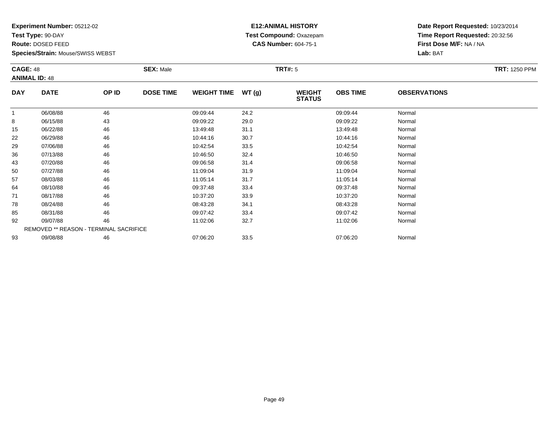**Test Type:** 90-DAY

**Route:** DOSED FEED

**Species/Strain:** Mouse/SWISS WEBST

#### **E12:ANIMAL HISTORY Test Compound:** Oxazepam**CAS Number:** 604-75-1

| <b>CAGE: 48</b><br><b>ANIMAL ID: 48</b> |                                        | <b>SEX: Male</b> |                  |                    | <b>TRT#: 5</b> |                                | <b>TRT: 1250 PPM</b> |                     |  |
|-----------------------------------------|----------------------------------------|------------------|------------------|--------------------|----------------|--------------------------------|----------------------|---------------------|--|
| <b>DAY</b>                              | <b>DATE</b>                            | OP ID            | <b>DOSE TIME</b> | <b>WEIGHT TIME</b> | WT(g)          | <b>WEIGHT</b><br><b>STATUS</b> | <b>OBS TIME</b>      | <b>OBSERVATIONS</b> |  |
|                                         | 06/08/88                               | 46               |                  | 09:09:44           | 24.2           |                                | 09:09:44             | Normal              |  |
| 8                                       | 06/15/88                               | 43               |                  | 09:09:22           | 29.0           |                                | 09:09:22             | Normal              |  |
| 15                                      | 06/22/88                               | 46               |                  | 13:49:48           | 31.1           |                                | 13:49:48             | Normal              |  |
| 22                                      | 06/29/88                               | 46               |                  | 10:44:16           | 30.7           |                                | 10:44:16             | Normal              |  |
| 29                                      | 07/06/88                               | 46               |                  | 10:42:54           | 33.5           |                                | 10:42:54             | Normal              |  |
| 36                                      | 07/13/88                               | 46               |                  | 10:46:50           | 32.4           |                                | 10:46:50             | Normal              |  |
| 43                                      | 07/20/88                               | 46               |                  | 09:06:58           | 31.4           |                                | 09:06:58             | Normal              |  |
| 50                                      | 07/27/88                               | 46               |                  | 11:09:04           | 31.9           |                                | 11:09:04             | Normal              |  |
| 57                                      | 08/03/88                               | 46               |                  | 11:05:14           | 31.7           |                                | 11:05:14             | Normal              |  |
| 64                                      | 08/10/88                               | 46               |                  | 09:37:48           | 33.4           |                                | 09:37:48             | Normal              |  |
| 71                                      | 08/17/88                               | 46               |                  | 10:37:20           | 33.9           |                                | 10:37:20             | Normal              |  |
| 78                                      | 08/24/88                               | 46               |                  | 08:43:28           | 34.1           |                                | 08:43:28             | Normal              |  |
| 85                                      | 08/31/88                               | 46               |                  | 09:07:42           | 33.4           |                                | 09:07:42             | Normal              |  |
| 92                                      | 09/07/88                               | 46               |                  | 11:02:06           | 32.7           |                                | 11:02:06             | Normal              |  |
|                                         | REMOVED ** REASON - TERMINAL SACRIFICE |                  |                  |                    |                |                                |                      |                     |  |
| 93                                      | 09/08/88                               | 46               |                  | 07:06:20           | 33.5           |                                | 07:06:20             | Normal              |  |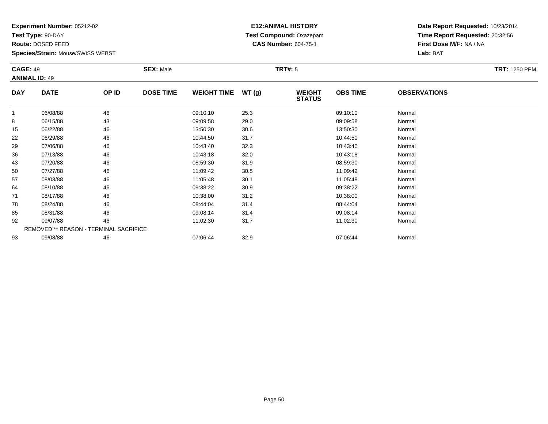**Test Type:** 90-DAY

**Route:** DOSED FEED

**Species/Strain:** Mouse/SWISS WEBST

# **E12:ANIMAL HISTORY Test Compound:** Oxazepam**CAS Number:** 604-75-1

| <b>CAGE: 49</b><br><b>ANIMAL ID: 49</b> |                                        | <b>SEX: Male</b> | <b>TRT#: 5</b>   |                    |       |                                |                 |                     |  |
|-----------------------------------------|----------------------------------------|------------------|------------------|--------------------|-------|--------------------------------|-----------------|---------------------|--|
| <b>DAY</b>                              | <b>DATE</b>                            | OP ID            | <b>DOSE TIME</b> | <b>WEIGHT TIME</b> | WT(g) | <b>WEIGHT</b><br><b>STATUS</b> | <b>OBS TIME</b> | <b>OBSERVATIONS</b> |  |
| 1                                       | 06/08/88                               | 46               |                  | 09:10:10           | 25.3  |                                | 09:10:10        | Normal              |  |
| 8                                       | 06/15/88                               | 43               |                  | 09:09:58           | 29.0  |                                | 09:09:58        | Normal              |  |
| 15                                      | 06/22/88                               | 46               |                  | 13:50:30           | 30.6  |                                | 13:50:30        | Normal              |  |
| 22                                      | 06/29/88                               | 46               |                  | 10:44:50           | 31.7  |                                | 10:44:50        | Normal              |  |
| 29                                      | 07/06/88                               | 46               |                  | 10:43:40           | 32.3  |                                | 10:43:40        | Normal              |  |
| 36                                      | 07/13/88                               | 46               |                  | 10:43:18           | 32.0  |                                | 10:43:18        | Normal              |  |
| 43                                      | 07/20/88                               | 46               |                  | 08:59:30           | 31.9  |                                | 08:59:30        | Normal              |  |
| 50                                      | 07/27/88                               | 46               |                  | 11:09:42           | 30.5  |                                | 11:09:42        | Normal              |  |
| 57                                      | 08/03/88                               | 46               |                  | 11:05:48           | 30.1  |                                | 11:05:48        | Normal              |  |
| 64                                      | 08/10/88                               | 46               |                  | 09:38:22           | 30.9  |                                | 09:38:22        | Normal              |  |
| 71                                      | 08/17/88                               | 46               |                  | 10:38:00           | 31.2  |                                | 10:38:00        | Normal              |  |
| 78                                      | 08/24/88                               | 46               |                  | 08:44:04           | 31.4  |                                | 08:44:04        | Normal              |  |
| 85                                      | 08/31/88                               | 46               |                  | 09:08:14           | 31.4  |                                | 09:08:14        | Normal              |  |
| 92                                      | 09/07/88                               | 46               |                  | 11:02:30           | 31.7  |                                | 11:02:30        | Normal              |  |
|                                         | REMOVED ** REASON - TERMINAL SACRIFICE |                  |                  |                    |       |                                |                 |                     |  |
| 93                                      | 09/08/88                               | 46               |                  | 07:06:44           | 32.9  |                                | 07:06:44        | Normal              |  |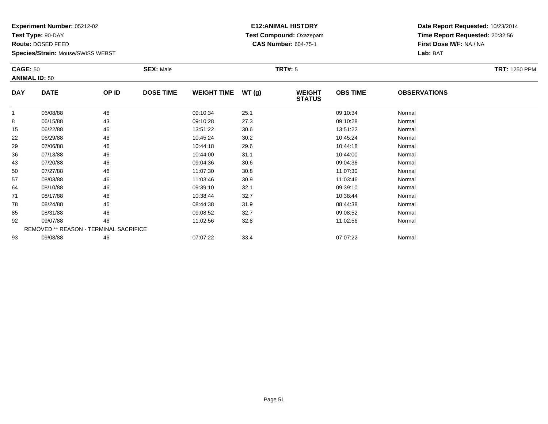**Test Type:** 90-DAY

**Route:** DOSED FEED

**Species/Strain:** Mouse/SWISS WEBST

# **E12:ANIMAL HISTORY Test Compound:** Oxazepam**CAS Number:** 604-75-1

**Date Report Requested:** 10/23/2014**Time Report Requested:** 20:32:56**First Dose M/F:** NA / NA**Lab:** BAT

| <b>CAGE: 50</b><br><b>ANIMAL ID: 50</b> |                                        |       | <b>SEX: Male</b><br><b>TRT#: 5</b> |                    |       |                                |                 |                     |  |
|-----------------------------------------|----------------------------------------|-------|------------------------------------|--------------------|-------|--------------------------------|-----------------|---------------------|--|
| <b>DAY</b>                              | <b>DATE</b>                            | OP ID | <b>DOSE TIME</b>                   | <b>WEIGHT TIME</b> | WT(g) | <b>WEIGHT</b><br><b>STATUS</b> | <b>OBS TIME</b> | <b>OBSERVATIONS</b> |  |
|                                         | 06/08/88                               | 46    |                                    | 09:10:34           | 25.1  |                                | 09:10:34        | Normal              |  |
| 8                                       | 06/15/88                               | 43    |                                    | 09:10:28           | 27.3  |                                | 09:10:28        | Normal              |  |
| 15                                      | 06/22/88                               | 46    |                                    | 13:51:22           | 30.6  |                                | 13:51:22        | Normal              |  |
| 22                                      | 06/29/88                               | 46    |                                    | 10:45:24           | 30.2  |                                | 10:45:24        | Normal              |  |
| 29                                      | 07/06/88                               | 46    |                                    | 10:44:18           | 29.6  |                                | 10:44:18        | Normal              |  |
| 36                                      | 07/13/88                               | 46    |                                    | 10:44:00           | 31.1  |                                | 10:44:00        | Normal              |  |
| 43                                      | 07/20/88                               | 46    |                                    | 09:04:36           | 30.6  |                                | 09:04:36        | Normal              |  |
| 50                                      | 07/27/88                               | 46    |                                    | 11:07:30           | 30.8  |                                | 11:07:30        | Normal              |  |
| 57                                      | 08/03/88                               | 46    |                                    | 11:03:46           | 30.9  |                                | 11:03:46        | Normal              |  |
| 64                                      | 08/10/88                               | 46    |                                    | 09:39:10           | 32.1  |                                | 09:39:10        | Normal              |  |
| 71                                      | 08/17/88                               | 46    |                                    | 10:38:44           | 32.7  |                                | 10:38:44        | Normal              |  |
| 78                                      | 08/24/88                               | 46    |                                    | 08:44:38           | 31.9  |                                | 08:44:38        | Normal              |  |
| 85                                      | 08/31/88                               | 46    |                                    | 09:08:52           | 32.7  |                                | 09:08:52        | Normal              |  |
| 92                                      | 09/07/88                               | 46    |                                    | 11:02:56           | 32.8  |                                | 11:02:56        | Normal              |  |
|                                         | REMOVED ** REASON - TERMINAL SACRIFICE |       |                                    |                    |       |                                |                 |                     |  |
| 93                                      | 09/08/88                               | 46    |                                    | 07:07:22           | 33.4  |                                | 07:07:22        | Normal              |  |

3 09/08/88 46 46 07:07:22 33.4 07:07:22 07:07:22 Normal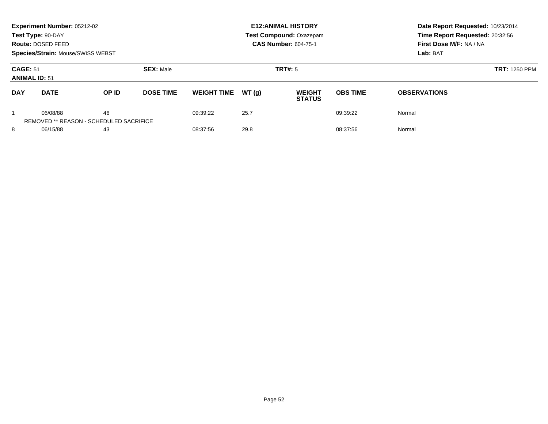|                                         | Experiment Number: 05212-02<br>Test Type: 90-DAY<br>Route: DOSED FEED<br><b>Species/Strain: Mouse/SWISS WEBST</b> |       |                  |                    |       | <b>E12: ANIMAL HISTORY</b><br><b>Test Compound: Oxazepam</b><br><b>CAS Number: 604-75-1</b> | Date Report Requested: 10/23/2014<br>Time Report Requested: 20:32:56<br>First Dose M/F: NA / NA<br>Lab: BAT |                      |
|-----------------------------------------|-------------------------------------------------------------------------------------------------------------------|-------|------------------|--------------------|-------|---------------------------------------------------------------------------------------------|-------------------------------------------------------------------------------------------------------------|----------------------|
| <b>CAGE: 51</b><br><b>ANIMAL ID: 51</b> |                                                                                                                   |       | <b>SEX: Male</b> |                    |       | <b>TRT#: 5</b>                                                                              |                                                                                                             | <b>TRT: 1250 PPM</b> |
| <b>DAY</b>                              | <b>DATE</b>                                                                                                       | OP ID | <b>DOSE TIME</b> | <b>WEIGHT TIME</b> | WT(q) | <b>WEIGHT</b><br><b>STATUS</b>                                                              | <b>OBS TIME</b>                                                                                             | <b>OBSERVATIONS</b>  |
|                                         | 06/08/88<br><b>REMOVED ** REASON - SCHEDULED SACRIFICE</b>                                                        | 46    |                  | 09:39:22           | 25.7  |                                                                                             | 09:39:22                                                                                                    | Normal               |
| 8<br>06/15/88                           |                                                                                                                   | 43    |                  | 08:37:56           | 29.8  |                                                                                             | 08:37:56                                                                                                    | Normal               |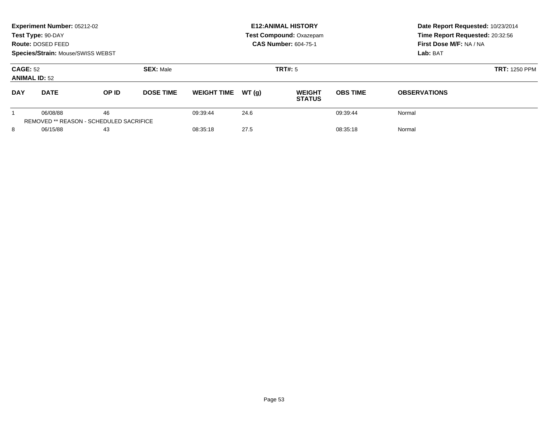|                                         | Experiment Number: 05212-02<br>Test Type: 90-DAY<br>Route: DOSED FEED<br>Species/Strain: Mouse/SWISS WEBST |                                               |                             |                    |       | <b>E12: ANIMAL HISTORY</b><br>Test Compound: Oxazepam<br><b>CAS Number: 604-75-1</b> | Date Report Requested: 10/23/2014<br>Time Report Requested: 20:32:56<br>First Dose M/F: NA / NA<br>Lab: BAT |                      |
|-----------------------------------------|------------------------------------------------------------------------------------------------------------|-----------------------------------------------|-----------------------------|--------------------|-------|--------------------------------------------------------------------------------------|-------------------------------------------------------------------------------------------------------------|----------------------|
| <b>CAGE: 52</b><br><b>ANIMAL ID: 52</b> |                                                                                                            |                                               | <b>SEX: Male</b><br>TRT#: 5 |                    |       |                                                                                      |                                                                                                             | <b>TRT: 1250 PPM</b> |
| <b>DAY</b>                              | <b>DATE</b>                                                                                                | OP ID                                         | <b>DOSE TIME</b>            | <b>WEIGHT TIME</b> | WT(q) | <b>WEIGHT</b><br><b>STATUS</b>                                                       | <b>OBS TIME</b>                                                                                             | <b>OBSERVATIONS</b>  |
|                                         | 06/08/88                                                                                                   | 46<br>REMOVED ** REASON - SCHEDULED SACRIFICE |                             | 09:39:44           | 24.6  |                                                                                      | 09:39:44                                                                                                    | Normal               |
| 8<br>06/15/88                           |                                                                                                            | 43                                            |                             | 08:35:18           | 27.5  |                                                                                      | 08:35:18                                                                                                    | Normal               |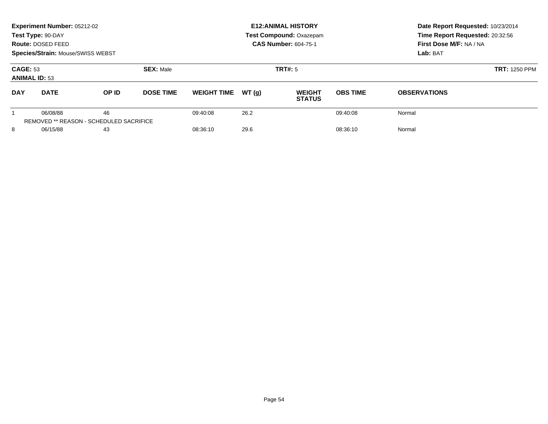|                                         | Experiment Number: 05212-02<br>Test Type: 90-DAY<br>Route: DOSED FEED<br>Species/Strain: Mouse/SWISS WEBST |                                                      |                  |                    |       | <b>E12: ANIMAL HISTORY</b><br><b>Test Compound: Oxazepam</b><br><b>CAS Number: 604-75-1</b> | Date Report Requested: 10/23/2014<br>Time Report Requested: 20:32:56<br>First Dose M/F: NA / NA<br>Lab: BAT |                     |
|-----------------------------------------|------------------------------------------------------------------------------------------------------------|------------------------------------------------------|------------------|--------------------|-------|---------------------------------------------------------------------------------------------|-------------------------------------------------------------------------------------------------------------|---------------------|
| <b>CAGE: 53</b><br><b>ANIMAL ID: 53</b> |                                                                                                            |                                                      | <b>SEX: Male</b> |                    |       | TRT#: 5                                                                                     | <b>TRT: 1250 PPM</b>                                                                                        |                     |
| <b>DAY</b>                              | <b>DATE</b>                                                                                                | OP ID                                                | <b>DOSE TIME</b> | <b>WEIGHT TIME</b> | WT(q) | <b>WEIGHT</b><br><b>STATUS</b>                                                              | <b>OBS TIME</b>                                                                                             | <b>OBSERVATIONS</b> |
|                                         | 06/08/88                                                                                                   | 46<br><b>REMOVED ** REASON - SCHEDULED SACRIFICE</b> |                  | 09:40:08           | 26.2  |                                                                                             | 09:40:08                                                                                                    | Normal              |
| 8<br>06/15/88                           |                                                                                                            | 43                                                   |                  | 08:36:10           | 29.6  |                                                                                             | 08:36:10                                                                                                    | Normal              |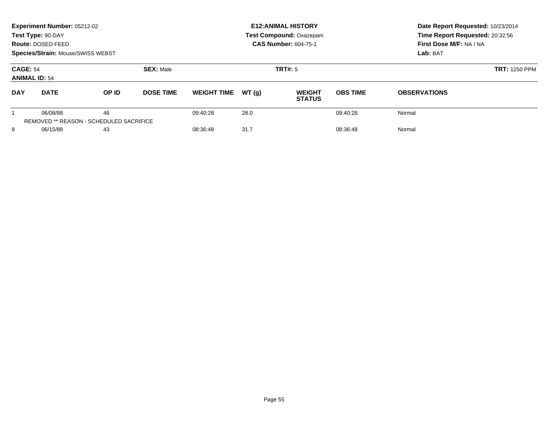|                                         | Experiment Number: 05212-02<br>Test Type: 90-DAY<br>Route: DOSED FEED<br>Species/Strain: Mouse/SWISS WEBST |                                                      |                             |                    |       | <b>E12: ANIMAL HISTORY</b><br><b>Test Compound: Oxazepam</b><br><b>CAS Number: 604-75-1</b> | Date Report Requested: 10/23/2014<br>Time Report Requested: 20:32:56<br>First Dose M/F: NA / NA<br>Lab: BAT |                     |  |
|-----------------------------------------|------------------------------------------------------------------------------------------------------------|------------------------------------------------------|-----------------------------|--------------------|-------|---------------------------------------------------------------------------------------------|-------------------------------------------------------------------------------------------------------------|---------------------|--|
| <b>CAGE: 54</b><br><b>ANIMAL ID: 54</b> |                                                                                                            |                                                      | <b>SEX: Male</b><br>TRT#: 5 |                    |       |                                                                                             | <b>TRT: 1250 PPM</b>                                                                                        |                     |  |
| <b>DAY</b>                              | <b>DATE</b>                                                                                                | OP ID                                                | <b>DOSE TIME</b>            | <b>WEIGHT TIME</b> | WT(q) | <b>WEIGHT</b><br><b>STATUS</b>                                                              | <b>OBS TIME</b>                                                                                             | <b>OBSERVATIONS</b> |  |
|                                         | 06/08/88                                                                                                   | 46<br><b>REMOVED ** REASON - SCHEDULED SACRIFICE</b> |                             | 09:40:28           | 28.0  |                                                                                             | 09:40:28                                                                                                    | Normal              |  |
| 8<br>06/15/88                           |                                                                                                            | 43                                                   |                             | 08:36:48           | 31.7  |                                                                                             | 08:36:48                                                                                                    | Normal              |  |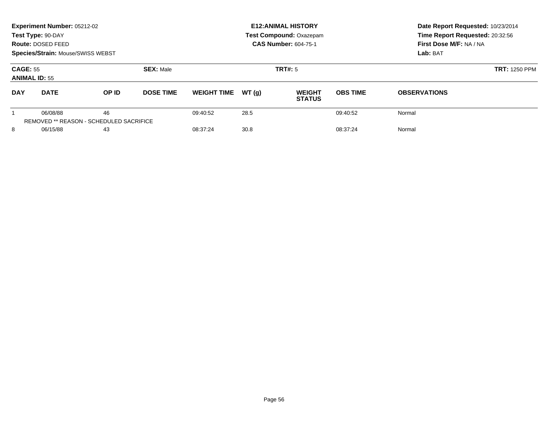|                                         | Experiment Number: 05212-02<br>Test Type: 90-DAY<br>Route: DOSED FEED<br><b>Species/Strain: Mouse/SWISS WEBST</b> |       |                  | <b>E12: ANIMAL HISTORY</b><br><b>Test Compound: Oxazepam</b><br><b>CAS Number: 604-75-1</b> |       |                                |                 | Date Report Requested: 10/23/2014<br>Time Report Requested: 20:32:56<br>First Dose M/F: NA / NA<br>Lab: BAT |
|-----------------------------------------|-------------------------------------------------------------------------------------------------------------------|-------|------------------|---------------------------------------------------------------------------------------------|-------|--------------------------------|-----------------|-------------------------------------------------------------------------------------------------------------|
| <b>CAGE: 55</b><br><b>ANIMAL ID: 55</b> |                                                                                                                   |       | <b>SEX: Male</b> | <b>TRT#: 5</b>                                                                              |       |                                |                 | <b>TRT: 1250 PPM</b>                                                                                        |
| <b>DAY</b>                              | <b>DATE</b>                                                                                                       | OP ID | <b>DOSE TIME</b> | <b>WEIGHT TIME</b>                                                                          | WT(q) | <b>WEIGHT</b><br><b>STATUS</b> | <b>OBS TIME</b> | <b>OBSERVATIONS</b>                                                                                         |
|                                         | 06/08/88<br><b>REMOVED ** REASON - SCHEDULED SACRIFICE</b>                                                        | 46    |                  | 09:40:52                                                                                    | 28.5  |                                | 09:40:52        | Normal                                                                                                      |
| 8<br>06/15/88                           |                                                                                                                   | 43    |                  | 08:37:24                                                                                    | 30.8  |                                | 08:37:24        | Normal                                                                                                      |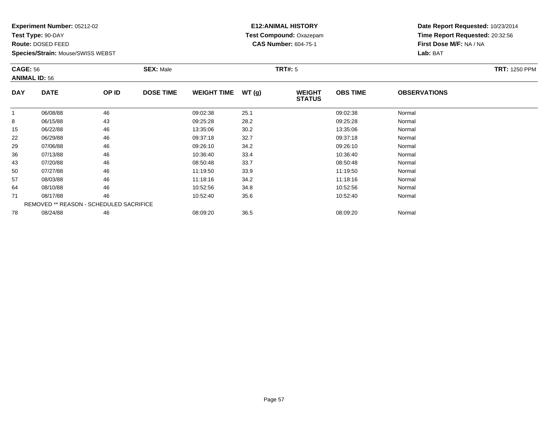**Test Type:** 90-DAY

**Route:** DOSED FEED

**Species/Strain:** Mouse/SWISS WEBST

# **E12:ANIMAL HISTORY Test Compound:** Oxazepam**CAS Number:** 604-75-1

| <b>CAGE: 56</b><br><b>ANIMAL ID: 56</b> |                                         | <b>SEX: Male</b> |                  |                    | <b>TRT#: 5</b> | <b>TRT: 1250 PPM</b>           |                 |                     |  |
|-----------------------------------------|-----------------------------------------|------------------|------------------|--------------------|----------------|--------------------------------|-----------------|---------------------|--|
| <b>DAY</b>                              | <b>DATE</b>                             | OP ID            | <b>DOSE TIME</b> | <b>WEIGHT TIME</b> | WT(g)          | <b>WEIGHT</b><br><b>STATUS</b> | <b>OBS TIME</b> | <b>OBSERVATIONS</b> |  |
|                                         | 06/08/88                                | 46               |                  | 09:02:38           | 25.1           |                                | 09:02:38        | Normal              |  |
| 8                                       | 06/15/88                                | 43               |                  | 09:25:28           | 28.2           |                                | 09:25:28        | Normal              |  |
| 15                                      | 06/22/88                                | 46               |                  | 13:35:06           | 30.2           |                                | 13:35:06        | Normal              |  |
| 22                                      | 06/29/88                                | 46               |                  | 09:37:18           | 32.7           |                                | 09:37:18        | Normal              |  |
| 29                                      | 07/06/88                                | 46               |                  | 09:26:10           | 34.2           |                                | 09:26:10        | Normal              |  |
| 36                                      | 07/13/88                                | 46               |                  | 10:36:40           | 33.4           |                                | 10:36:40        | Normal              |  |
| 43                                      | 07/20/88                                | 46               |                  | 08:50:48           | 33.7           |                                | 08:50:48        | Normal              |  |
| 50                                      | 07/27/88                                | 46               |                  | 11:19:50           | 33.9           |                                | 11:19:50        | Normal              |  |
| 57                                      | 08/03/88                                | 46               |                  | 11:18:16           | 34.2           |                                | 11:18:16        | Normal              |  |
| 64                                      | 08/10/88                                | 46               |                  | 10:52:56           | 34.8           |                                | 10:52:56        | Normal              |  |
| 71                                      | 08/17/88                                | 46               |                  | 10:52:40           | 35.6           |                                | 10:52:40        | Normal              |  |
|                                         | REMOVED ** REASON - SCHEDULED SACRIFICE |                  |                  |                    |                |                                |                 |                     |  |
| 78                                      | 08/24/88                                | 46               |                  | 08:09:20           | 36.5           |                                | 08:09:20        | Normal              |  |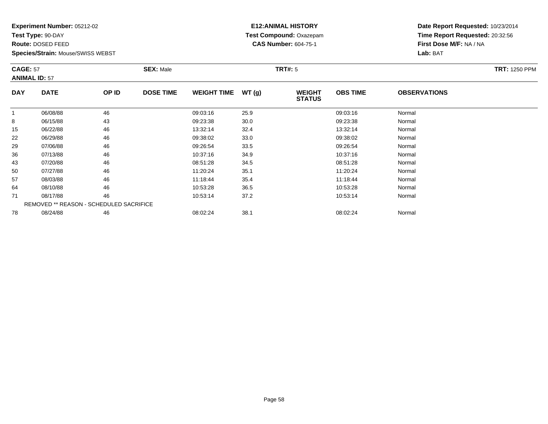**Test Type:** 90-DAY

**Route:** DOSED FEED

78

**Species/Strain:** Mouse/SWISS WEBST

# **E12:ANIMAL HISTORY Test Compound:** Oxazepam**CAS Number:** 604-75-1

**Date Report Requested:** 10/23/2014**Time Report Requested:** 20:32:56**First Dose M/F:** NA / NA**Lab:** BAT

| <b>CAGE: 57</b><br><b>ANIMAL ID: 57</b> |                                         | <b>SEX: Male</b> |                  |                    | <b>TRT#: 5</b> | <b>TRT: 1250 PPM</b>           |                 |                     |  |
|-----------------------------------------|-----------------------------------------|------------------|------------------|--------------------|----------------|--------------------------------|-----------------|---------------------|--|
| <b>DAY</b>                              | <b>DATE</b>                             | OP ID            | <b>DOSE TIME</b> | <b>WEIGHT TIME</b> | WT(g)          | <b>WEIGHT</b><br><b>STATUS</b> | <b>OBS TIME</b> | <b>OBSERVATIONS</b> |  |
|                                         | 06/08/88                                | 46               |                  | 09:03:16           | 25.9           |                                | 09:03:16        | Normal              |  |
| 8                                       | 06/15/88                                | 43               |                  | 09:23:38           | 30.0           |                                | 09:23:38        | Normal              |  |
| 15                                      | 06/22/88                                | 46               |                  | 13:32:14           | 32.4           |                                | 13:32:14        | Normal              |  |
| 22                                      | 06/29/88                                | 46               |                  | 09:38:02           | 33.0           |                                | 09:38:02        | Normal              |  |
| 29                                      | 07/06/88                                | 46               |                  | 09:26:54           | 33.5           |                                | 09:26:54        | Normal              |  |
| 36                                      | 07/13/88                                | 46               |                  | 10:37:16           | 34.9           |                                | 10:37:16        | Normal              |  |
| 43                                      | 07/20/88                                | 46               |                  | 08:51:28           | 34.5           |                                | 08:51:28        | Normal              |  |
| 50                                      | 07/27/88                                | 46               |                  | 11:20:24           | 35.1           |                                | 11:20:24        | Normal              |  |
| 57                                      | 08/03/88                                | 46               |                  | 11:18:44           | 35.4           |                                | 11:18:44        | Normal              |  |
| 64                                      | 08/10/88                                | 46               |                  | 10:53:28           | 36.5           |                                | 10:53:28        | Normal              |  |
| 71                                      | 08/17/88                                | 46               |                  | 10:53:14           | 37.2           |                                | 10:53:14        | Normal              |  |
|                                         | REMOVED ** REASON - SCHEDULED SACRIFICE |                  |                  |                    |                |                                |                 |                     |  |

8 08/24/88 46 08/2 09:02:24 38.1 08:02:24 08:02:24 Normal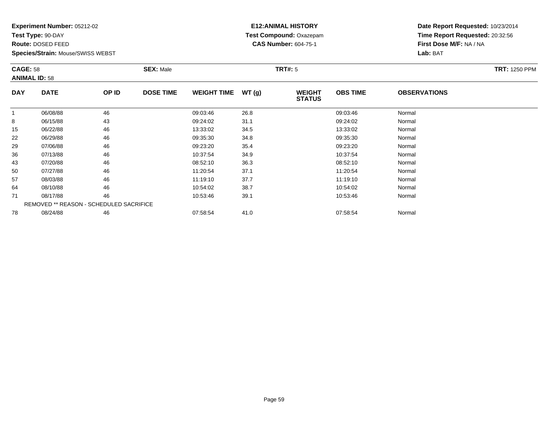**Test Type:** 90-DAY

**Route:** DOSED FEED

**Species/Strain:** Mouse/SWISS WEBST

# **E12:ANIMAL HISTORY Test Compound:** Oxazepam**CAS Number:** 604-75-1

| <b>CAGE: 58</b><br><b>ANIMAL ID: 58</b> |                                         | <b>SEX: Male</b> |                  |                    | <b>TRT#: 5</b> |                                | <b>TRT: 1250 PPM</b> |                     |  |
|-----------------------------------------|-----------------------------------------|------------------|------------------|--------------------|----------------|--------------------------------|----------------------|---------------------|--|
| <b>DAY</b>                              | <b>DATE</b>                             | OP ID            | <b>DOSE TIME</b> | <b>WEIGHT TIME</b> | WT(g)          | <b>WEIGHT</b><br><b>STATUS</b> | <b>OBS TIME</b>      | <b>OBSERVATIONS</b> |  |
| $\mathbf{1}$                            | 06/08/88                                | 46               |                  | 09:03:46           | 26.8           |                                | 09:03:46             | Normal              |  |
| 8                                       | 06/15/88                                | 43               |                  | 09:24:02           | 31.1           |                                | 09:24:02             | Normal              |  |
| 15                                      | 06/22/88                                | 46               |                  | 13:33:02           | 34.5           |                                | 13:33:02             | Normal              |  |
| 22                                      | 06/29/88                                | 46               |                  | 09:35:30           | 34.8           |                                | 09:35:30             | Normal              |  |
| 29                                      | 07/06/88                                | 46               |                  | 09:23:20           | 35.4           |                                | 09:23:20             | Normal              |  |
| 36                                      | 07/13/88                                | 46               |                  | 10:37:54           | 34.9           |                                | 10:37:54             | Normal              |  |
| 43                                      | 07/20/88                                | 46               |                  | 08:52:10           | 36.3           |                                | 08:52:10             | Normal              |  |
| 50                                      | 07/27/88                                | 46               |                  | 11:20:54           | 37.1           |                                | 11:20:54             | Normal              |  |
| 57                                      | 08/03/88                                | 46               |                  | 11:19:10           | 37.7           |                                | 11:19:10             | Normal              |  |
| 64                                      | 08/10/88                                | 46               |                  | 10:54:02           | 38.7           |                                | 10:54:02             | Normal              |  |
| 71                                      | 08/17/88                                | 46               |                  | 10:53:46           | 39.1           |                                | 10:53:46             | Normal              |  |
|                                         | REMOVED ** REASON - SCHEDULED SACRIFICE |                  |                  |                    |                |                                |                      |                     |  |
| 78                                      | 08/24/88                                | 46               |                  | 07:58:54           | 41.0           |                                | 07:58:54             | Normal              |  |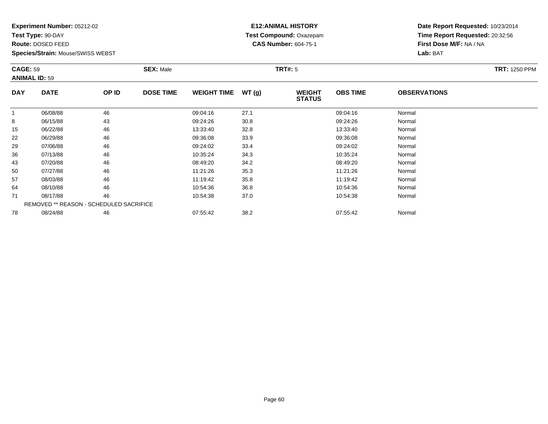**Test Type:** 90-DAY

**Route:** DOSED FEED

**Species/Strain:** Mouse/SWISS WEBST

# **E12:ANIMAL HISTORY Test Compound:** Oxazepam**CAS Number:** 604-75-1

| <b>CAGE: 59</b><br><b>ANIMAL ID: 59</b> |                                         | <b>SEX: Male</b> |                  |                    | <b>TRT#: 5</b> | <b>TRT: 1250 PPM</b>           |                 |                     |  |
|-----------------------------------------|-----------------------------------------|------------------|------------------|--------------------|----------------|--------------------------------|-----------------|---------------------|--|
| <b>DAY</b>                              | <b>DATE</b>                             | OP ID            | <b>DOSE TIME</b> | <b>WEIGHT TIME</b> | WT(g)          | <b>WEIGHT</b><br><b>STATUS</b> | <b>OBS TIME</b> | <b>OBSERVATIONS</b> |  |
|                                         | 06/08/88                                | 46               |                  | 09:04:16           | 27.1           |                                | 09:04:16        | Normal              |  |
| 8                                       | 06/15/88                                | 43               |                  | 09:24:26           | 30.8           |                                | 09:24:26        | Normal              |  |
| 15                                      | 06/22/88                                | 46               |                  | 13:33:40           | 32.8           |                                | 13:33:40        | Normal              |  |
| 22                                      | 06/29/88                                | 46               |                  | 09:36:08           | 33.9           |                                | 09:36:08        | Normal              |  |
| 29                                      | 07/06/88                                | 46               |                  | 09:24:02           | 33.4           |                                | 09:24:02        | Normal              |  |
| 36                                      | 07/13/88                                | 46               |                  | 10:35:24           | 34.3           |                                | 10:35:24        | Normal              |  |
| 43                                      | 07/20/88                                | 46               |                  | 08:49:20           | 34.2           |                                | 08:49:20        | Normal              |  |
| 50                                      | 07/27/88                                | 46               |                  | 11:21:26           | 35.3           |                                | 11:21:26        | Normal              |  |
| 57                                      | 08/03/88                                | 46               |                  | 11:19:42           | 35.8           |                                | 11:19:42        | Normal              |  |
| 64                                      | 08/10/88                                | 46               |                  | 10:54:36           | 36.8           |                                | 10:54:36        | Normal              |  |
| 71                                      | 08/17/88                                | 46               |                  | 10:54:38           | 37.0           |                                | 10:54:38        | Normal              |  |
|                                         | REMOVED ** REASON - SCHEDULED SACRIFICE |                  |                  |                    |                |                                |                 |                     |  |
| 78                                      | 08/24/88                                | 46               |                  | 07:55:42           | 38.2           |                                | 07:55:42        | Normal              |  |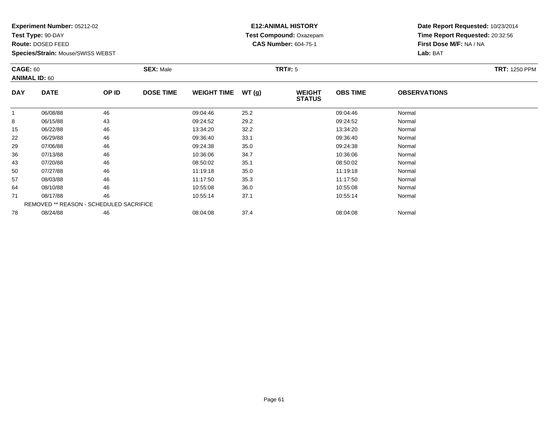**Test Type:** 90-DAY

**Route:** DOSED FEED

**Species/Strain:** Mouse/SWISS WEBST

# **E12:ANIMAL HISTORY Test Compound:** Oxazepam**CAS Number:** 604-75-1

| <b>CAGE: 60</b> | <b>ANIMAL ID: 60</b>                           |       | <b>SEX: Male</b> |                    |       | <b>TRT#: 5</b>                 |                 |                     | <b>TRT: 1250 PPM</b> |
|-----------------|------------------------------------------------|-------|------------------|--------------------|-------|--------------------------------|-----------------|---------------------|----------------------|
| <b>DAY</b>      | <b>DATE</b>                                    | OP ID | <b>DOSE TIME</b> | <b>WEIGHT TIME</b> | WT(g) | <b>WEIGHT</b><br><b>STATUS</b> | <b>OBS TIME</b> | <b>OBSERVATIONS</b> |                      |
|                 | 06/08/88                                       | 46    |                  | 09:04:46           | 25.2  |                                | 09:04:46        | Normal              |                      |
| 8               | 06/15/88                                       | 43    |                  | 09:24:52           | 29.2  |                                | 09:24:52        | Normal              |                      |
| 15              | 06/22/88                                       | 46    |                  | 13:34:20           | 32.2  |                                | 13:34:20        | Normal              |                      |
| 22              | 06/29/88                                       | 46    |                  | 09:36:40           | 33.1  |                                | 09:36:40        | Normal              |                      |
| 29              | 07/06/88                                       | 46    |                  | 09:24:38           | 35.0  |                                | 09:24:38        | Normal              |                      |
| 36              | 07/13/88                                       | 46    |                  | 10:36:06           | 34.7  |                                | 10:36:06        | Normal              |                      |
| 43              | 07/20/88                                       | 46    |                  | 08:50:02           | 35.1  |                                | 08:50:02        | Normal              |                      |
| 50              | 07/27/88                                       | 46    |                  | 11:19:18           | 35.0  |                                | 11:19:18        | Normal              |                      |
| 57              | 08/03/88                                       | 46    |                  | 11:17:50           | 35.3  |                                | 11:17:50        | Normal              |                      |
| 64              | 08/10/88                                       | 46    |                  | 10:55:08           | 36.0  |                                | 10:55:08        | Normal              |                      |
| 71              | 08/17/88                                       | 46    |                  | 10:55:14           | 37.1  |                                | 10:55:14        | Normal              |                      |
|                 | <b>REMOVED ** REASON - SCHEDULED SACRIFICE</b> |       |                  |                    |       |                                |                 |                     |                      |
| 78              | 08/24/88                                       | 46    |                  | 08:04:08           | 37.4  |                                | 08:04:08        | Normal              |                      |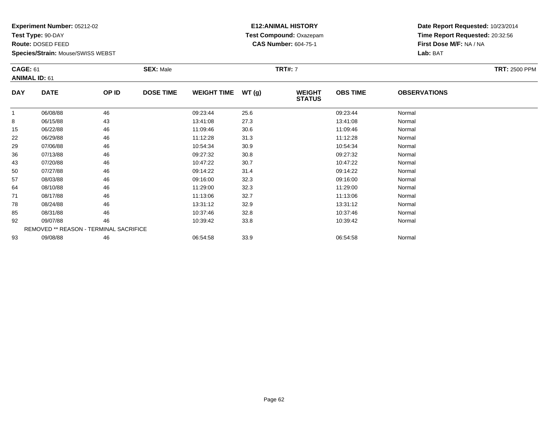**Test Type:** 90-DAY

**Route:** DOSED FEED

93

**Species/Strain:** Mouse/SWISS WEBST

#### **E12:ANIMAL HISTORY Test Compound:** Oxazepam**CAS Number:** 604-75-1

**Date Report Requested:** 10/23/2014**Time Report Requested:** 20:32:56**First Dose M/F:** NA / NA**Lab:** BAT

| <b>CAGE: 61</b> | <b>ANIMAL ID: 61</b>                   |       | <b>SEX: Male</b> |                    |       | <b>TRT#: 7</b>                 |                 |                     | <b>TRT: 2500 PPM</b> |
|-----------------|----------------------------------------|-------|------------------|--------------------|-------|--------------------------------|-----------------|---------------------|----------------------|
| <b>DAY</b>      | <b>DATE</b>                            | OP ID | <b>DOSE TIME</b> | <b>WEIGHT TIME</b> | WT(g) | <b>WEIGHT</b><br><b>STATUS</b> | <b>OBS TIME</b> | <b>OBSERVATIONS</b> |                      |
|                 | 06/08/88                               | 46    |                  | 09:23:44           | 25.6  |                                | 09:23:44        | Normal              |                      |
| 8               | 06/15/88                               | 43    |                  | 13:41:08           | 27.3  |                                | 13:41:08        | Normal              |                      |
| 15              | 06/22/88                               | 46    |                  | 11:09:46           | 30.6  |                                | 11:09:46        | Normal              |                      |
| 22              | 06/29/88                               | 46    |                  | 11:12:28           | 31.3  |                                | 11:12:28        | Normal              |                      |
| 29              | 07/06/88                               | 46    |                  | 10:54:34           | 30.9  |                                | 10:54:34        | Normal              |                      |
| 36              | 07/13/88                               | 46    |                  | 09:27:32           | 30.8  |                                | 09:27:32        | Normal              |                      |
| 43              | 07/20/88                               | 46    |                  | 10:47:22           | 30.7  |                                | 10:47:22        | Normal              |                      |
| 50              | 07/27/88                               | 46    |                  | 09:14:22           | 31.4  |                                | 09:14:22        | Normal              |                      |
| 57              | 08/03/88                               | 46    |                  | 09:16:00           | 32.3  |                                | 09:16:00        | Normal              |                      |
| 64              | 08/10/88                               | 46    |                  | 11:29:00           | 32.3  |                                | 11:29:00        | Normal              |                      |
| 71              | 08/17/88                               | 46    |                  | 11:13:06           | 32.7  |                                | 11:13:06        | Normal              |                      |
| 78              | 08/24/88                               | 46    |                  | 13:31:12           | 32.9  |                                | 13:31:12        | Normal              |                      |
| 85              | 08/31/88                               | 46    |                  | 10:37:46           | 32.8  |                                | 10:37:46        | Normal              |                      |
| 92              | 09/07/88                               | 46    |                  | 10:39:42           | 33.8  |                                | 10:39:42        | Normal              |                      |
|                 | REMOVED ** REASON - TERMINAL SACRIFICE |       |                  |                    |       |                                |                 |                     |                      |

3 09/08/88 46 46 06:54:58 33.9 33.9 06:54:58 06:54:58 Normal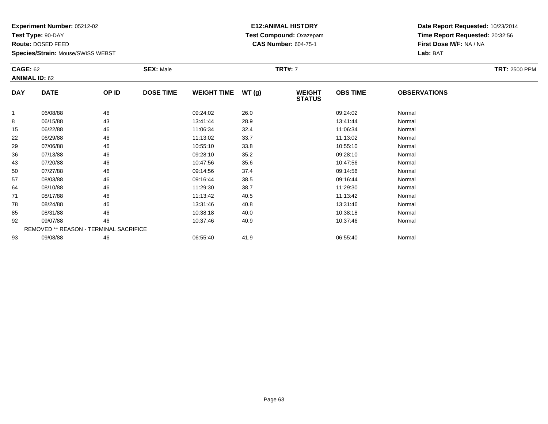**Test Type:** 90-DAY

**Route:** DOSED FEED

85

92

93

**Species/Strain:** Mouse/SWISS WEBST

REMOVED \*\* REASON - TERMINAL SACRIFICE

# **E12:ANIMAL HISTORY Test Compound:** Oxazepam**CAS Number:** 604-75-1

**Date Report Requested:** 10/23/2014**Time Report Requested:** 20:32:56**First Dose M/F:** NA / NA**Lab:** BAT

| <b>CAGE: 62</b> | <b>ANIMAL ID: 62</b> |       | <b>SEX: Male</b> |                    |       | <b>TRT#: 7</b>                 |                 | <b>TRT: 2500 PPM</b> |  |
|-----------------|----------------------|-------|------------------|--------------------|-------|--------------------------------|-----------------|----------------------|--|
| <b>DAY</b>      | <b>DATE</b>          | OP ID | <b>DOSE TIME</b> | <b>WEIGHT TIME</b> | WT(g) | <b>WEIGHT</b><br><b>STATUS</b> | <b>OBS TIME</b> | <b>OBSERVATIONS</b>  |  |
|                 | 06/08/88             | 46    |                  | 09:24:02           | 26.0  |                                | 09:24:02        | Normal               |  |
| 8               | 06/15/88             | 43    |                  | 13:41:44           | 28.9  |                                | 13:41:44        | Normal               |  |
| 15              | 06/22/88             | 46    |                  | 11:06:34           | 32.4  |                                | 11:06:34        | Normal               |  |
| 22              | 06/29/88             | 46    |                  | 11:13:02           | 33.7  |                                | 11:13:02        | Normal               |  |
| 29              | 07/06/88             | 46    |                  | 10:55:10           | 33.8  |                                | 10:55:10        | Normal               |  |
| 36              | 07/13/88             | 46    |                  | 09:28:10           | 35.2  |                                | 09:28:10        | Normal               |  |
| 43              | 07/20/88             | 46    |                  | 10:47:56           | 35.6  |                                | 10:47:56        | Normal               |  |
| 50              | 07/27/88             | 46    |                  | 09:14:56           | 37.4  |                                | 09:14:56        | Normal               |  |
| 57              | 08/03/88             | 46    |                  | 09:16:44           | 38.5  |                                | 09:16:44        | Normal               |  |
| 64              | 08/10/88             | 46    |                  | 11:29:30           | 38.7  |                                | 11:29:30        | Normal               |  |
| 71              | 08/17/88             | 46    |                  | 11:13:42           | 40.5  |                                | 11:13:42        | Normal               |  |
| 78              | 08/24/88             | 46    |                  | 13:31:46           | 40.8  |                                | 13:31:46        | Normal               |  |

8 08/24/88 46 13:31:46 13:31:46 40.8 13:46 13:31:46 Normal

5 08/31/88 46 46 10:38:18 40.0 10:08:18 10:08:18 10:08 10:08 10:38:18 Normal

2 09/07/88 46 46 10:37:46 40.9 10:37:46 40.9 10:37:46 Normal

3 09/08/88 46 46 06:55:40 41.9 41.9 06:55:40 06:55:40 Aormal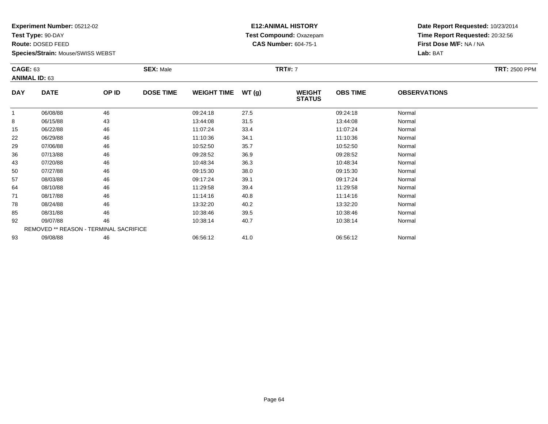**Test Type:** 90-DAY

**Route:** DOSED FEED

93

**Species/Strain:** Mouse/SWISS WEBST

# **E12:ANIMAL HISTORY Test Compound:** Oxazepam**CAS Number:** 604-75-1

**Date Report Requested:** 10/23/2014**Time Report Requested:** 20:32:56**First Dose M/F:** NA / NA**Lab:** BAT

| <b>CAGE: 63</b> | <b>ANIMAL ID: 63</b>                          |       | <b>SEX: Male</b> |                    |       | <b>TRT#: 7</b>                 |                 |                     | <b>TRT: 2500 PPM</b> |
|-----------------|-----------------------------------------------|-------|------------------|--------------------|-------|--------------------------------|-----------------|---------------------|----------------------|
| <b>DAY</b>      | <b>DATE</b>                                   | OP ID | <b>DOSE TIME</b> | <b>WEIGHT TIME</b> | WT(g) | <b>WEIGHT</b><br><b>STATUS</b> | <b>OBS TIME</b> | <b>OBSERVATIONS</b> |                      |
|                 | 06/08/88                                      | 46    |                  | 09:24:18           | 27.5  |                                | 09:24:18        | Normal              |                      |
| 8               | 06/15/88                                      | 43    |                  | 13:44:08           | 31.5  |                                | 13:44:08        | Normal              |                      |
| 15              | 06/22/88                                      | 46    |                  | 11:07:24           | 33.4  |                                | 11:07:24        | Normal              |                      |
| 22              | 06/29/88                                      | 46    |                  | 11:10:36           | 34.1  |                                | 11:10:36        | Normal              |                      |
| 29              | 07/06/88                                      | 46    |                  | 10:52:50           | 35.7  |                                | 10:52:50        | Normal              |                      |
| 36              | 07/13/88                                      | 46    |                  | 09:28:52           | 36.9  |                                | 09:28:52        | Normal              |                      |
| 43              | 07/20/88                                      | 46    |                  | 10:48:34           | 36.3  |                                | 10:48:34        | Normal              |                      |
| 50              | 07/27/88                                      | 46    |                  | 09:15:30           | 38.0  |                                | 09:15:30        | Normal              |                      |
| 57              | 08/03/88                                      | 46    |                  | 09:17:24           | 39.1  |                                | 09:17:24        | Normal              |                      |
| 64              | 08/10/88                                      | 46    |                  | 11:29:58           | 39.4  |                                | 11:29:58        | Normal              |                      |
| 71              | 08/17/88                                      | 46    |                  | 11:14:16           | 40.8  |                                | 11:14:16        | Normal              |                      |
| 78              | 08/24/88                                      | 46    |                  | 13:32:20           | 40.2  |                                | 13:32:20        | Normal              |                      |
| 85              | 08/31/88                                      | 46    |                  | 10:38:46           | 39.5  |                                | 10:38:46        | Normal              |                      |
| 92              | 09/07/88                                      | 46    |                  | 10:38:14           | 40.7  |                                | 10:38:14        | Normal              |                      |
|                 | <b>REMOVED ** REASON - TERMINAL SACRIFICE</b> |       |                  |                    |       |                                |                 |                     |                      |

3 09/08/88 46 46 06:56:12 41.0 06:56:12 06:56:12 06:56:12 Normal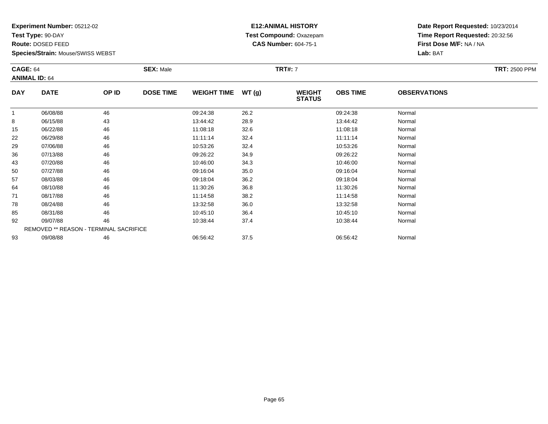**Test Type:** 90-DAY

**Route:** DOSED FEED

92

93

**Species/Strain:** Mouse/SWISS WEBST

REMOVED \*\* REASON - TERMINAL SACRIFICE

# **E12:ANIMAL HISTORY Test Compound:** Oxazepam**CAS Number:** 604-75-1

**Date Report Requested:** 10/23/2014**Time Report Requested:** 20:32:56**First Dose M/F:** NA / NA**Lab:** BAT

|            | <b>CAGE: 64</b><br><b>ANIMAL ID: 64</b> |       | <b>SEX: Male</b> |                    |       | <b>TRT#: 7</b>                 | <b>TRT: 2500 PPM</b> |                     |  |
|------------|-----------------------------------------|-------|------------------|--------------------|-------|--------------------------------|----------------------|---------------------|--|
| <b>DAY</b> | <b>DATE</b>                             | OP ID | <b>DOSE TIME</b> | <b>WEIGHT TIME</b> | WT(g) | <b>WEIGHT</b><br><b>STATUS</b> | <b>OBS TIME</b>      | <b>OBSERVATIONS</b> |  |
|            | 06/08/88                                | 46    |                  | 09:24:38           | 26.2  |                                | 09:24:38             | Normal              |  |
| 8          | 06/15/88                                | 43    |                  | 13:44:42           | 28.9  |                                | 13:44:42             | Normal              |  |
| 15         | 06/22/88                                | 46    |                  | 11:08:18           | 32.6  |                                | 11:08:18             | Normal              |  |
| 22         | 06/29/88                                | 46    |                  | 11:11:14           | 32.4  |                                | 11:11:14             | Normal              |  |
| 29         | 07/06/88                                | 46    |                  | 10:53:26           | 32.4  |                                | 10:53:26             | Normal              |  |
| 36         | 07/13/88                                | 46    |                  | 09:26:22           | 34.9  |                                | 09:26:22             | Normal              |  |
| 43         | 07/20/88                                | 46    |                  | 10:46:00           | 34.3  |                                | 10:46:00             | Normal              |  |
| 50         | 07/27/88                                | 46    |                  | 09:16:04           | 35.0  |                                | 09:16:04             | Normal              |  |
| 57         | 08/03/88                                | 46    |                  | 09:18:04           | 36.2  |                                | 09:18:04             | Normal              |  |
| 64         | 08/10/88                                | 46    |                  | 11:30:26           | 36.8  |                                | 11:30:26             | Normal              |  |
| 71         | 08/17/88                                | 46    |                  | 11:14:58           | 38.2  |                                | 11:14:58             | Normal              |  |
| 78         | 08/24/88                                | 46    |                  | 13:32:58           | 36.0  |                                | 13:32:58             | Normal              |  |
| 85         | 08/31/88                                | 46    |                  | 10:45:10           | 36.4  |                                | 10:45:10             | Normal              |  |

5 08/31/88 46 46 10:45:10 36.4 10:45:10 36.4 10:45:10 10:45:10

2 09/07/88 46 46 10:38:44 37.4 37.4 10:38:44 10:38:44 Normal

3 09/08/88 46 46 06:56:42 37.5 3 06:56:42 06:56:42 Normal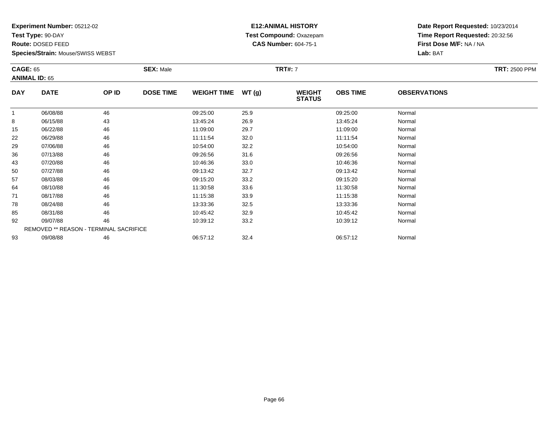**Test Type:** 90-DAY

**Route:** DOSED FEED

92

93

**Species/Strain:** Mouse/SWISS WEBST

REMOVED \*\* REASON - TERMINAL SACRIFICE

# **E12:ANIMAL HISTORY Test Compound:** Oxazepam**CAS Number:** 604-75-1

**Date Report Requested:** 10/23/2014**Time Report Requested:** 20:32:56**First Dose M/F:** NA / NA**Lab:** BAT

| <b>CAGE: 65</b><br><b>ANIMAL ID: 65</b> |             |       | <b>SEX: Male</b> |                    |       | <b>TRT#: 7</b>                 |                 |                     | <b>TRT: 2500 PPM</b> |
|-----------------------------------------|-------------|-------|------------------|--------------------|-------|--------------------------------|-----------------|---------------------|----------------------|
| <b>DAY</b>                              | <b>DATE</b> | OP ID | <b>DOSE TIME</b> | <b>WEIGHT TIME</b> | WT(g) | <b>WEIGHT</b><br><b>STATUS</b> | <b>OBS TIME</b> | <b>OBSERVATIONS</b> |                      |
|                                         | 06/08/88    | 46    |                  | 09:25:00           | 25.9  |                                | 09:25:00        | Normal              |                      |
| 8                                       | 06/15/88    | 43    |                  | 13:45:24           | 26.9  |                                | 13:45:24        | Normal              |                      |
| 15                                      | 06/22/88    | 46    |                  | 11:09:00           | 29.7  |                                | 11:09:00        | Normal              |                      |
| 22                                      | 06/29/88    | 46    |                  | 11:11:54           | 32.0  |                                | 11:11:54        | Normal              |                      |
| 29                                      | 07/06/88    | 46    |                  | 10:54:00           | 32.2  |                                | 10:54:00        | Normal              |                      |
| 36                                      | 07/13/88    | 46    |                  | 09:26:56           | 31.6  |                                | 09:26:56        | Normal              |                      |
| 43                                      | 07/20/88    | 46    |                  | 10:46:36           | 33.0  |                                | 10:46:36        | Normal              |                      |
| 50                                      | 07/27/88    | 46    |                  | 09:13:42           | 32.7  |                                | 09:13:42        | Normal              |                      |
| 57                                      | 08/03/88    | 46    |                  | 09:15:20           | 33.2  |                                | 09:15:20        | Normal              |                      |
| 64                                      | 08/10/88    | 46    |                  | 11:30:58           | 33.6  |                                | 11:30:58        | Normal              |                      |
| 71                                      | 08/17/88    | 46    |                  | 11:15:38           | 33.9  |                                | 11:15:38        | Normal              |                      |
| 78                                      | 08/24/88    | 46    |                  | 13:33:36           | 32.5  |                                | 13:33:36        | Normal              |                      |
| 85                                      | 08/31/88    | 46    |                  | 10:45:42           | 32.9  |                                | 10:45:42        | Normal              |                      |

2 09/07/88 46 46 10:39:12 33.2 10:39 10:39 10:39 10:39 10:39 10:39 10:39 10:39 10:39 10:39 10:48

3 09/08/88 46 46 06:57:12 32.4 5 06:57:12 06:57:12 Normal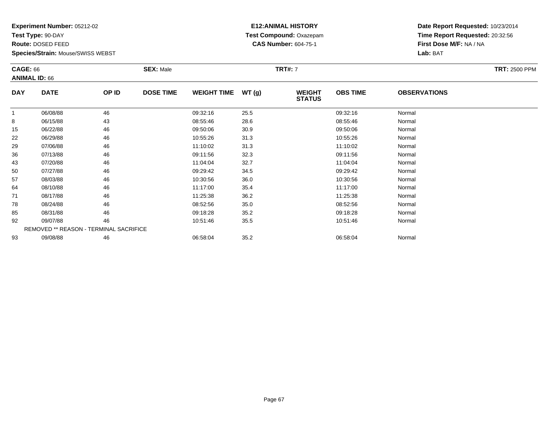**Test Type:** 90-DAY

**Route:** DOSED FEED

93

**Species/Strain:** Mouse/SWISS WEBST

#### **E12:ANIMAL HISTORY Test Compound:** Oxazepam**CAS Number:** 604-75-1

**Date Report Requested:** 10/23/2014**Time Report Requested:** 20:32:56**First Dose M/F:** NA / NA**Lab:** BAT

| <b>CAGE: 66</b> | <b>ANIMAL ID: 66</b>                          |       | <b>SEX: Male</b> |                    |       | <b>TRT#: 7</b>                 |                 |                     | <b>TRT: 2500 PPM</b> |
|-----------------|-----------------------------------------------|-------|------------------|--------------------|-------|--------------------------------|-----------------|---------------------|----------------------|
| <b>DAY</b>      | <b>DATE</b>                                   | OP ID | <b>DOSE TIME</b> | <b>WEIGHT TIME</b> | WT(g) | <b>WEIGHT</b><br><b>STATUS</b> | <b>OBS TIME</b> | <b>OBSERVATIONS</b> |                      |
| $\mathbf{1}$    | 06/08/88                                      | 46    |                  | 09:32:16           | 25.5  |                                | 09:32:16        | Normal              |                      |
| 8               | 06/15/88                                      | 43    |                  | 08:55:46           | 28.6  |                                | 08:55:46        | Normal              |                      |
| 15              | 06/22/88                                      | 46    |                  | 09:50:06           | 30.9  |                                | 09:50:06        | Normal              |                      |
| 22              | 06/29/88                                      | 46    |                  | 10:55:26           | 31.3  |                                | 10:55:26        | Normal              |                      |
| 29              | 07/06/88                                      | 46    |                  | 11:10:02           | 31.3  |                                | 11:10:02        | Normal              |                      |
| 36              | 07/13/88                                      | 46    |                  | 09:11:56           | 32.3  |                                | 09:11:56        | Normal              |                      |
| 43              | 07/20/88                                      | 46    |                  | 11:04:04           | 32.7  |                                | 11:04:04        | Normal              |                      |
| 50              | 07/27/88                                      | 46    |                  | 09:29:42           | 34.5  |                                | 09:29:42        | Normal              |                      |
| 57              | 08/03/88                                      | 46    |                  | 10:30:56           | 36.0  |                                | 10:30:56        | Normal              |                      |
| 64              | 08/10/88                                      | 46    |                  | 11:17:00           | 35.4  |                                | 11:17:00        | Normal              |                      |
| 71              | 08/17/88                                      | 46    |                  | 11:25:38           | 36.2  |                                | 11:25:38        | Normal              |                      |
| 78              | 08/24/88                                      | 46    |                  | 08:52:56           | 35.0  |                                | 08:52:56        | Normal              |                      |
| 85              | 08/31/88                                      | 46    |                  | 09:18:28           | 35.2  |                                | 09:18:28        | Normal              |                      |
| 92              | 09/07/88                                      | 46    |                  | 10:51:46           | 35.5  |                                | 10:51:46        | Normal              |                      |
|                 | <b>REMOVED ** REASON - TERMINAL SACRIFICE</b> |       |                  |                    |       |                                |                 |                     |                      |

3 09/08/88 46 46 06:58:04 35.2 3 06:58:04 06:58:04 Normal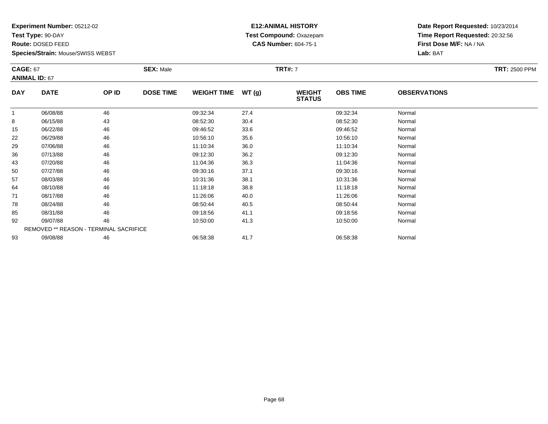**Test Type:** 90-DAY

**Route:** DOSED FEED

92

93

**Species/Strain:** Mouse/SWISS WEBST

REMOVED \*\* REASON - TERMINAL SACRIFICE

#### **E12:ANIMAL HISTORY Test Compound:** Oxazepam**CAS Number:** 604-75-1

**Date Report Requested:** 10/23/2014**Time Report Requested:** 20:32:56**First Dose M/F:** NA / NA**Lab:** BAT

| <b>CAGE: 67</b><br><b>ANIMAL ID: 67</b> |             |       | <b>SEX: Male</b> |                    |       | <b>TRT#: 7</b>                 |                 |                     | <b>TRT: 2500 PPM</b> |
|-----------------------------------------|-------------|-------|------------------|--------------------|-------|--------------------------------|-----------------|---------------------|----------------------|
| <b>DAY</b>                              | <b>DATE</b> | OP ID | <b>DOSE TIME</b> | <b>WEIGHT TIME</b> | WT(g) | <b>WEIGHT</b><br><b>STATUS</b> | <b>OBS TIME</b> | <b>OBSERVATIONS</b> |                      |
|                                         | 06/08/88    | 46    |                  | 09:32:34           | 27.4  |                                | 09:32:34        | Normal              |                      |
| 8                                       | 06/15/88    | 43    |                  | 08:52:30           | 30.4  |                                | 08:52:30        | Normal              |                      |
| 15                                      | 06/22/88    | 46    |                  | 09:46:52           | 33.6  |                                | 09:46:52        | Normal              |                      |
| 22                                      | 06/29/88    | 46    |                  | 10:56:10           | 35.6  |                                | 10:56:10        | Normal              |                      |
| 29                                      | 07/06/88    | 46    |                  | 11:10:34           | 36.0  |                                | 11:10:34        | Normal              |                      |
| 36                                      | 07/13/88    | 46    |                  | 09:12:30           | 36.2  |                                | 09:12:30        | Normal              |                      |
| 43                                      | 07/20/88    | 46    |                  | 11:04:36           | 36.3  |                                | 11:04:36        | Normal              |                      |
| 50                                      | 07/27/88    | 46    |                  | 09:30:16           | 37.1  |                                | 09:30:16        | Normal              |                      |
| 57                                      | 08/03/88    | 46    |                  | 10:31:36           | 38.1  |                                | 10:31:36        | Normal              |                      |
| 64                                      | 08/10/88    | 46    |                  | 11:18:18           | 38.8  |                                | 11:18:18        | Normal              |                      |
| 71                                      | 08/17/88    | 46    |                  | 11:26:06           | 40.0  |                                | 11:26:06        | Normal              |                      |
| 78                                      | 08/24/88    | 46    |                  | 08:50:44           | 40.5  |                                | 08:50:44        | Normal              |                      |
| 85                                      | 08/31/88    | 46    |                  | 09:18:56           | 41.1  |                                | 09:18:56        | Normal              |                      |

2 09/07/88 46 46 10:50:00 41.3 10.50 10:50:00 10:50:00 10:50:00 10:50:00 10:50:00

3 09/08/88 46 46 06:58:38 41.7 1 06:58:38 09/08/88 Normal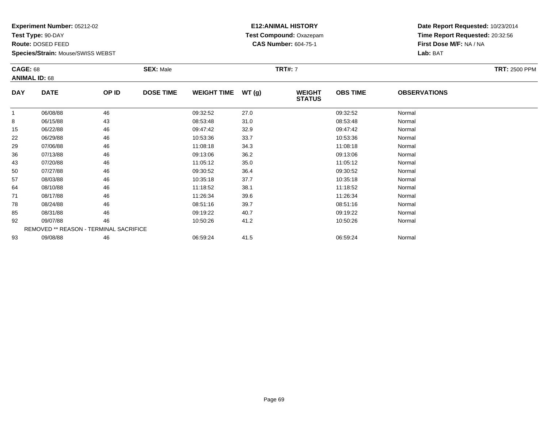**Test Type:** 90-DAY

**Route:** DOSED FEED

93

**Species/Strain:** Mouse/SWISS WEBST

# **E12:ANIMAL HISTORY Test Compound:** Oxazepam**CAS Number:** 604-75-1

**Date Report Requested:** 10/23/2014**Time Report Requested:** 20:32:56**First Dose M/F:** NA / NA**Lab:** BAT

| <b>CAGE: 68</b> | <b>ANIMAL ID: 68</b>                          |       | <b>SEX: Male</b> |                    |       | <b>TRT#: 7</b>                 |                 |                     | <b>TRT: 2500 PPM</b> |
|-----------------|-----------------------------------------------|-------|------------------|--------------------|-------|--------------------------------|-----------------|---------------------|----------------------|
| <b>DAY</b>      | <b>DATE</b>                                   | OP ID | <b>DOSE TIME</b> | <b>WEIGHT TIME</b> | WT(g) | <b>WEIGHT</b><br><b>STATUS</b> | <b>OBS TIME</b> | <b>OBSERVATIONS</b> |                      |
|                 | 06/08/88                                      | 46    |                  | 09:32:52           | 27.0  |                                | 09:32:52        | Normal              |                      |
| 8               | 06/15/88                                      | 43    |                  | 08:53:48           | 31.0  |                                | 08:53:48        | Normal              |                      |
| 15              | 06/22/88                                      | 46    |                  | 09:47:42           | 32.9  |                                | 09:47:42        | Normal              |                      |
| 22              | 06/29/88                                      | 46    |                  | 10:53:36           | 33.7  |                                | 10:53:36        | Normal              |                      |
| 29              | 07/06/88                                      | 46    |                  | 11:08:18           | 34.3  |                                | 11:08:18        | Normal              |                      |
| 36              | 07/13/88                                      | 46    |                  | 09:13:06           | 36.2  |                                | 09:13:06        | Normal              |                      |
| 43              | 07/20/88                                      | 46    |                  | 11:05:12           | 35.0  |                                | 11:05:12        | Normal              |                      |
| 50              | 07/27/88                                      | 46    |                  | 09:30:52           | 36.4  |                                | 09:30:52        | Normal              |                      |
| 57              | 08/03/88                                      | 46    |                  | 10:35:18           | 37.7  |                                | 10:35:18        | Normal              |                      |
| 64              | 08/10/88                                      | 46    |                  | 11:18:52           | 38.1  |                                | 11:18:52        | Normal              |                      |
| 71              | 08/17/88                                      | 46    |                  | 11:26:34           | 39.6  |                                | 11:26:34        | Normal              |                      |
| 78              | 08/24/88                                      | 46    |                  | 08:51:16           | 39.7  |                                | 08:51:16        | Normal              |                      |
| 85              | 08/31/88                                      | 46    |                  | 09:19:22           | 40.7  |                                | 09:19:22        | Normal              |                      |
| 92              | 09/07/88                                      | 46    |                  | 10:50:26           | 41.2  |                                | 10:50:26        | Normal              |                      |
|                 | <b>REMOVED ** REASON - TERMINAL SACRIFICE</b> |       |                  |                    |       |                                |                 |                     |                      |

3 09/08/88 46 46 06:59:24 41.5 06:59:24 06:59 06:59:24 Normal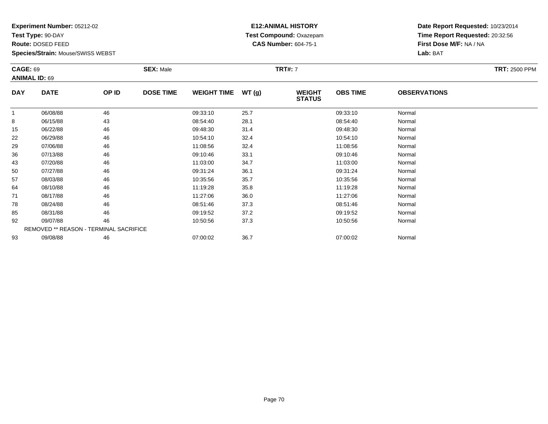**Test Type:** 90-DAY

**Route:** DOSED FEED

**Species/Strain:** Mouse/SWISS WEBST

# **E12:ANIMAL HISTORY Test Compound:** Oxazepam**CAS Number:** 604-75-1

| <b>CAGE: 69</b><br><b>ANIMAL ID: 69</b> |                                               |       | <b>SEX: Male</b> |                    |       | <b>TRT#: 7</b>                 |                 |                     | <b>TRT: 2500 PPM</b> |
|-----------------------------------------|-----------------------------------------------|-------|------------------|--------------------|-------|--------------------------------|-----------------|---------------------|----------------------|
| <b>DAY</b>                              | <b>DATE</b>                                   | OP ID | <b>DOSE TIME</b> | <b>WEIGHT TIME</b> | WT(g) | <b>WEIGHT</b><br><b>STATUS</b> | <b>OBS TIME</b> | <b>OBSERVATIONS</b> |                      |
|                                         | 06/08/88                                      | 46    |                  | 09:33:10           | 25.7  |                                | 09:33:10        | Normal              |                      |
| 8                                       | 06/15/88                                      | 43    |                  | 08:54:40           | 28.1  |                                | 08:54:40        | Normal              |                      |
| 15                                      | 06/22/88                                      | 46    |                  | 09:48:30           | 31.4  |                                | 09:48:30        | Normal              |                      |
| 22                                      | 06/29/88                                      | 46    |                  | 10:54:10           | 32.4  |                                | 10:54:10        | Normal              |                      |
| 29                                      | 07/06/88                                      | 46    |                  | 11:08:56           | 32.4  |                                | 11:08:56        | Normal              |                      |
| 36                                      | 07/13/88                                      | 46    |                  | 09:10:46           | 33.1  |                                | 09:10:46        | Normal              |                      |
| 43                                      | 07/20/88                                      | 46    |                  | 11:03:00           | 34.7  |                                | 11:03:00        | Normal              |                      |
| 50                                      | 07/27/88                                      | 46    |                  | 09:31:24           | 36.1  |                                | 09:31:24        | Normal              |                      |
| 57                                      | 08/03/88                                      | 46    |                  | 10:35:56           | 35.7  |                                | 10:35:56        | Normal              |                      |
| 64                                      | 08/10/88                                      | 46    |                  | 11:19:28           | 35.8  |                                | 11:19:28        | Normal              |                      |
| 71                                      | 08/17/88                                      | 46    |                  | 11:27:06           | 36.0  |                                | 11:27:06        | Normal              |                      |
| 78                                      | 08/24/88                                      | 46    |                  | 08:51:46           | 37.3  |                                | 08:51:46        | Normal              |                      |
| 85                                      | 08/31/88                                      | 46    |                  | 09:19:52           | 37.2  |                                | 09:19:52        | Normal              |                      |
| 92                                      | 09/07/88                                      | 46    |                  | 10:50:56           | 37.3  |                                | 10:50:56        | Normal              |                      |
|                                         | <b>REMOVED ** REASON - TERMINAL SACRIFICE</b> |       |                  |                    |       |                                |                 |                     |                      |
| 93                                      | 09/08/88                                      | 46    |                  | 07:00:02           | 36.7  |                                | 07:00:02        | Normal              |                      |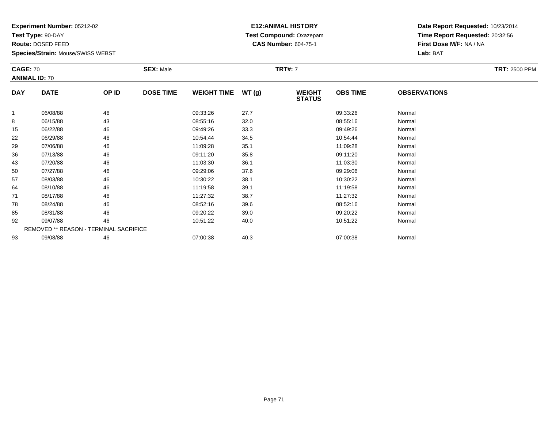**Test Type:** 90-DAY

**Route:** DOSED FEED

92

93

**Species/Strain:** Mouse/SWISS WEBST

REMOVED \*\* REASON - TERMINAL SACRIFICE

#### **E12:ANIMAL HISTORY Test Compound:** Oxazepam**CAS Number:** 604-75-1

**Date Report Requested:** 10/23/2014**Time Report Requested:** 20:32:56**First Dose M/F:** NA / NA**Lab:** BAT

| <b>CAGE: 70</b><br><b>ANIMAL ID: 70</b> |             |       | <b>SEX: Male</b> |                    |       | <b>TRT#: 7</b>                 |                 |                     | <b>TRT: 2500 PPM</b> |
|-----------------------------------------|-------------|-------|------------------|--------------------|-------|--------------------------------|-----------------|---------------------|----------------------|
| <b>DAY</b>                              | <b>DATE</b> | OP ID | <b>DOSE TIME</b> | <b>WEIGHT TIME</b> | WT(g) | <b>WEIGHT</b><br><b>STATUS</b> | <b>OBS TIME</b> | <b>OBSERVATIONS</b> |                      |
|                                         | 06/08/88    | 46    |                  | 09:33:26           | 27.7  |                                | 09:33:26        | Normal              |                      |
| 8                                       | 06/15/88    | 43    |                  | 08:55:16           | 32.0  |                                | 08:55:16        | Normal              |                      |
| 15                                      | 06/22/88    | 46    |                  | 09:49:26           | 33.3  |                                | 09:49:26        | Normal              |                      |
| 22                                      | 06/29/88    | 46    |                  | 10:54:44           | 34.5  |                                | 10:54:44        | Normal              |                      |
| 29                                      | 07/06/88    | 46    |                  | 11:09:28           | 35.1  |                                | 11:09:28        | Normal              |                      |
| 36                                      | 07/13/88    | 46    |                  | 09:11:20           | 35.8  |                                | 09:11:20        | Normal              |                      |
| 43                                      | 07/20/88    | 46    |                  | 11:03:30           | 36.1  |                                | 11:03:30        | Normal              |                      |
| 50                                      | 07/27/88    | 46    |                  | 09:29:06           | 37.6  |                                | 09:29:06        | Normal              |                      |
| 57                                      | 08/03/88    | 46    |                  | 10:30:22           | 38.1  |                                | 10:30:22        | Normal              |                      |
| 64                                      | 08/10/88    | 46    |                  | 11:19:58           | 39.1  |                                | 11:19:58        | Normal              |                      |
| 71                                      | 08/17/88    | 46    |                  | 11:27:32           | 38.7  |                                | 11:27:32        | Normal              |                      |
| 78                                      | 08/24/88    | 46    |                  | 08:52:16           | 39.6  |                                | 08:52:16        | Normal              |                      |
| 85                                      | 08/31/88    | 46    |                  | 09:20:22           | 39.0  |                                | 09:20:22        | Normal              |                      |

2 09/07/88 46 46 10:51:22 40.0 10:51:22 10:51:22 10:51:22 Normal

3 09/08/88 46 46 07:00:38 40.3 001 07:00:38 107:00:38 07:00:38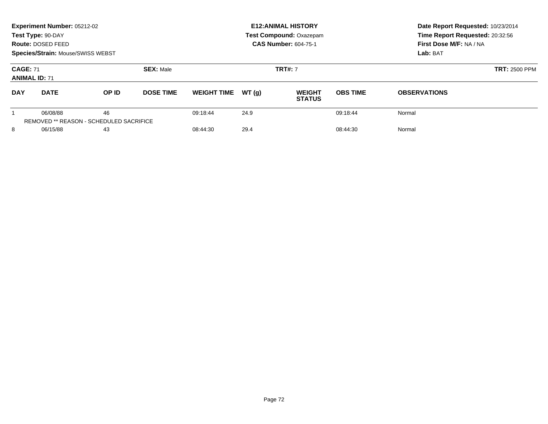|                                                                  | Experiment Number: 05212-02<br>Test Type: 90-DAY<br>Route: DOSED FEED<br><b>Species/Strain: Mouse/SWISS WEBST</b> |          |                  |                              |          | <b>E12: ANIMAL HISTORY</b><br><b>Test Compound: Oxazepam</b><br><b>CAS Number: 604-75-1</b> | Date Report Requested: 10/23/2014<br>Time Report Requested: 20:32:56<br>First Dose M/F: NA / NA<br>Lab: BAT |                     |
|------------------------------------------------------------------|-------------------------------------------------------------------------------------------------------------------|----------|------------------|------------------------------|----------|---------------------------------------------------------------------------------------------|-------------------------------------------------------------------------------------------------------------|---------------------|
| <b>CAGE: 71</b><br><b>ANIMAL ID: 71</b>                          |                                                                                                                   |          | <b>SEX: Male</b> |                              |          | <b>TRT#: 7</b>                                                                              | <b>TRT: 2500 PPM</b>                                                                                        |                     |
| <b>DAY</b>                                                       | <b>DATE</b>                                                                                                       | OP ID    | <b>DOSE TIME</b> | <b>WEIGHT TIME</b>           | WT(q)    | <b>WEIGHT</b><br><b>STATUS</b>                                                              | <b>OBS TIME</b>                                                                                             | <b>OBSERVATIONS</b> |
| 46<br>06/08/88<br><b>REMOVED ** REASON - SCHEDULED SACRIFICE</b> |                                                                                                                   | 09:18:44 | 24.9             |                              | 09:18:44 | Normal                                                                                      |                                                                                                             |                     |
| 8                                                                | 06/15/88<br>43                                                                                                    |          |                  | 29.4<br>08:44:30<br>08:44:30 |          |                                                                                             | Normal                                                                                                      |                     |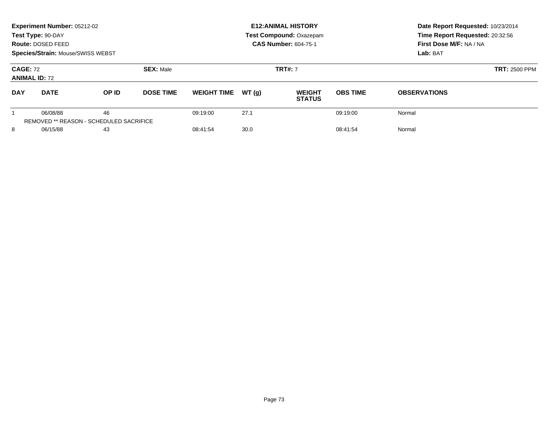|                                         | Experiment Number: 05212-02<br>Test Type: 90-DAY<br>Route: DOSED FEED<br><b>Species/Strain: Mouse/SWISS WEBST</b> |       |                  |                    |       | <b>E12: ANIMAL HISTORY</b><br><b>Test Compound: Oxazepam</b><br><b>CAS Number: 604-75-1</b> | Date Report Requested: 10/23/2014<br>Time Report Requested: 20:32:56<br>First Dose M/F: NA / NA<br>Lab: BAT |                      |
|-----------------------------------------|-------------------------------------------------------------------------------------------------------------------|-------|------------------|--------------------|-------|---------------------------------------------------------------------------------------------|-------------------------------------------------------------------------------------------------------------|----------------------|
| <b>CAGE: 72</b><br><b>ANIMAL ID: 72</b> |                                                                                                                   |       | <b>SEX: Male</b> | <b>TRT#: 7</b>     |       |                                                                                             |                                                                                                             | <b>TRT: 2500 PPM</b> |
| <b>DAY</b>                              | <b>DATE</b>                                                                                                       | OP ID | <b>DOSE TIME</b> | <b>WEIGHT TIME</b> | WT(q) | <b>WEIGHT</b><br><b>STATUS</b>                                                              | <b>OBS TIME</b>                                                                                             | <b>OBSERVATIONS</b>  |
|                                         | 06/08/88<br><b>REMOVED ** REASON - SCHEDULED SACRIFICE</b>                                                        | 46    |                  | 09:19:00           | 27.1  |                                                                                             | 09:19:00                                                                                                    | Normal               |
| 8                                       | 06/15/88                                                                                                          | 43    |                  | 08:41:54           | 30.0  |                                                                                             | 08:41:54                                                                                                    | Normal               |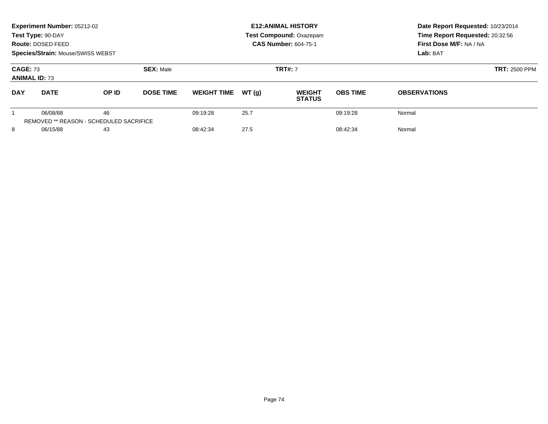|                                         | Experiment Number: 05212-02<br>Test Type: 90-DAY<br>Route: DOSED FEED<br><b>Species/Strain: Mouse/SWISS WEBST</b> |       |                  |                    |       | <b>E12: ANIMAL HISTORY</b><br><b>Test Compound: Oxazepam</b><br><b>CAS Number: 604-75-1</b> | Date Report Requested: 10/23/2014<br>Time Report Requested: 20:32:56<br>First Dose M/F: NA / NA<br>Lab: BAT |                      |
|-----------------------------------------|-------------------------------------------------------------------------------------------------------------------|-------|------------------|--------------------|-------|---------------------------------------------------------------------------------------------|-------------------------------------------------------------------------------------------------------------|----------------------|
| <b>CAGE: 73</b><br><b>ANIMAL ID: 73</b> |                                                                                                                   |       | <b>SEX: Male</b> | <b>TRT#: 7</b>     |       |                                                                                             |                                                                                                             | <b>TRT: 2500 PPM</b> |
| <b>DAY</b>                              | <b>DATE</b>                                                                                                       | OP ID | <b>DOSE TIME</b> | <b>WEIGHT TIME</b> | WT(q) | <b>WEIGHT</b><br><b>STATUS</b>                                                              | <b>OBS TIME</b>                                                                                             | <b>OBSERVATIONS</b>  |
|                                         | 06/08/88<br><b>REMOVED ** REASON - SCHEDULED SACRIFICE</b>                                                        | 46    |                  | 09:19:28           | 25.7  |                                                                                             | 09:19:28                                                                                                    | Normal               |
| 8                                       | 06/15/88                                                                                                          | 43    |                  | 08:42:34           | 27.5  |                                                                                             | 08:42:34                                                                                                    | Normal               |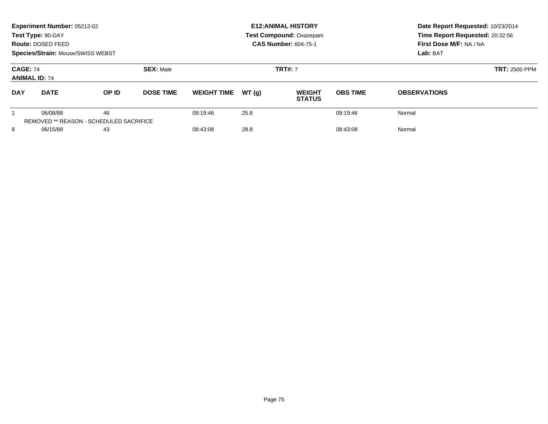|                                         | Experiment Number: 05212-02<br>Test Type: 90-DAY<br>Route: DOSED FEED<br><b>Species/Strain: Mouse/SWISS WEBST</b> |       |                  |                    |       | <b>E12: ANIMAL HISTORY</b><br><b>Test Compound: Oxazepam</b><br><b>CAS Number: 604-75-1</b> | Date Report Requested: 10/23/2014<br>Time Report Requested: 20:32:56<br>First Dose M/F: NA / NA<br>Lab: BAT |                      |
|-----------------------------------------|-------------------------------------------------------------------------------------------------------------------|-------|------------------|--------------------|-------|---------------------------------------------------------------------------------------------|-------------------------------------------------------------------------------------------------------------|----------------------|
| <b>CAGE: 74</b><br><b>ANIMAL ID: 74</b> |                                                                                                                   |       | <b>SEX: Male</b> | <b>TRT#: 7</b>     |       |                                                                                             |                                                                                                             | <b>TRT: 2500 PPM</b> |
| <b>DAY</b>                              | <b>DATE</b>                                                                                                       | OP ID | <b>DOSE TIME</b> | <b>WEIGHT TIME</b> | WT(q) | <b>WEIGHT</b><br><b>STATUS</b>                                                              | <b>OBS TIME</b>                                                                                             | <b>OBSERVATIONS</b>  |
|                                         | 06/08/88<br><b>REMOVED ** REASON - SCHEDULED SACRIFICE</b>                                                        | 46    |                  | 09:19:46           | 25.8  |                                                                                             | 09:19:46                                                                                                    | Normal               |
| 8                                       | 06/15/88                                                                                                          | 43    |                  | 08:43:08           | 28.8  |                                                                                             | 08:43:08                                                                                                    | Normal               |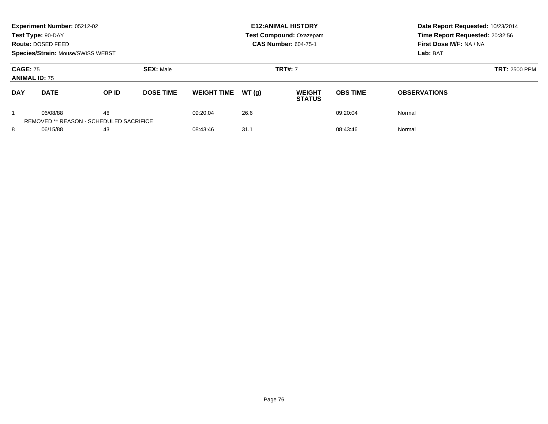|                                         | Experiment Number: 05212-02<br>Test Type: 90-DAY<br>Route: DOSED FEED<br>Species/Strain: Mouse/SWISS WEBST |                                                      |                  |                    |       | <b>E12: ANIMAL HISTORY</b><br>Test Compound: Oxazepam<br><b>CAS Number: 604-75-1</b> | Date Report Requested: 10/23/2014<br>Time Report Requested: 20:32:56<br>First Dose M/F: NA / NA<br>Lab: BAT |                      |
|-----------------------------------------|------------------------------------------------------------------------------------------------------------|------------------------------------------------------|------------------|--------------------|-------|--------------------------------------------------------------------------------------|-------------------------------------------------------------------------------------------------------------|----------------------|
| <b>CAGE: 75</b><br><b>ANIMAL ID: 75</b> |                                                                                                            |                                                      | <b>SEX: Male</b> |                    |       | <b>TRT#: 7</b>                                                                       |                                                                                                             | <b>TRT: 2500 PPM</b> |
| <b>DAY</b>                              | <b>DATE</b>                                                                                                | OP ID                                                | <b>DOSE TIME</b> | <b>WEIGHT TIME</b> | WT(q) | <b>WEIGHT</b><br><b>STATUS</b>                                                       | <b>OBS TIME</b>                                                                                             | <b>OBSERVATIONS</b>  |
|                                         | 06/08/88                                                                                                   | 46<br><b>REMOVED ** REASON - SCHEDULED SACRIFICE</b> |                  | 09:20:04           | 26.6  |                                                                                      | 09:20:04                                                                                                    | Normal               |
| 8<br>06/15/88                           |                                                                                                            | 43                                                   |                  | 08:43:46           | 31.1  |                                                                                      | 08:43:46                                                                                                    | Normal               |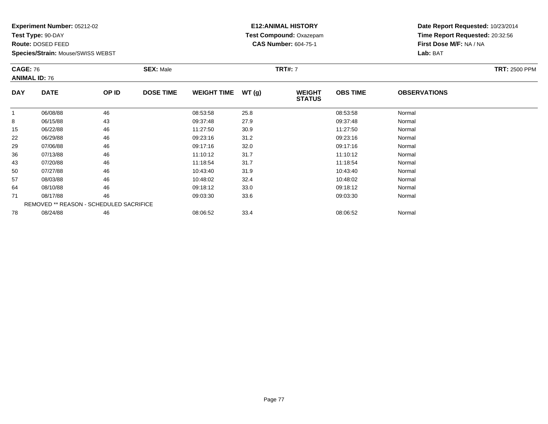**Test Type:** 90-DAY

**Route:** DOSED FEED

78

**Species/Strain:** Mouse/SWISS WEBST

#### **E12:ANIMAL HISTORY Test Compound:** Oxazepam**CAS Number:** 604-75-1

**Date Report Requested:** 10/23/2014**Time Report Requested:** 20:32:56**First Dose M/F:** NA / NA**Lab:** BAT

| <b>CAGE: 76</b><br><b>ANIMAL ID: 76</b> |                                                | <b>SEX: Male</b> |                  |                    | <b>TRT#: 7</b> |                                | <b>TRT: 2500 PPM</b> |                     |  |
|-----------------------------------------|------------------------------------------------|------------------|------------------|--------------------|----------------|--------------------------------|----------------------|---------------------|--|
| <b>DAY</b>                              | <b>DATE</b>                                    | OP ID            | <b>DOSE TIME</b> | <b>WEIGHT TIME</b> | WT(g)          | <b>WEIGHT</b><br><b>STATUS</b> | <b>OBS TIME</b>      | <b>OBSERVATIONS</b> |  |
|                                         | 06/08/88                                       | 46               |                  | 08:53:58           | 25.8           |                                | 08:53:58             | Normal              |  |
| 8                                       | 06/15/88                                       | 43               |                  | 09:37:48           | 27.9           |                                | 09:37:48             | Normal              |  |
| 15                                      | 06/22/88                                       | 46               |                  | 11:27:50           | 30.9           |                                | 11:27:50             | Normal              |  |
| 22                                      | 06/29/88                                       | 46               |                  | 09:23:16           | 31.2           |                                | 09:23:16             | Normal              |  |
| 29                                      | 07/06/88                                       | 46               |                  | 09:17:16           | 32.0           |                                | 09:17:16             | Normal              |  |
| 36                                      | 07/13/88                                       | 46               |                  | 11:10:12           | 31.7           |                                | 11:10:12             | Normal              |  |
| 43                                      | 07/20/88                                       | 46               |                  | 11:18:54           | 31.7           |                                | 11:18:54             | Normal              |  |
| 50                                      | 07/27/88                                       | 46               |                  | 10:43:40           | 31.9           |                                | 10:43:40             | Normal              |  |
| 57                                      | 08/03/88                                       | 46               |                  | 10:48:02           | 32.4           |                                | 10:48:02             | Normal              |  |
| 64                                      | 08/10/88                                       | 46               |                  | 09:18:12           | 33.0           |                                | 09:18:12             | Normal              |  |
| 71                                      | 08/17/88                                       | 46               |                  | 09:03:30           | 33.6           |                                | 09:03:30             | Normal              |  |
|                                         | <b>REMOVED ** REASON - SCHEDULED SACRIFICE</b> |                  |                  |                    |                |                                |                      |                     |  |

8 08/24/88 46 46 08:06:52 33.4 08:06:52 08:06:52 Normal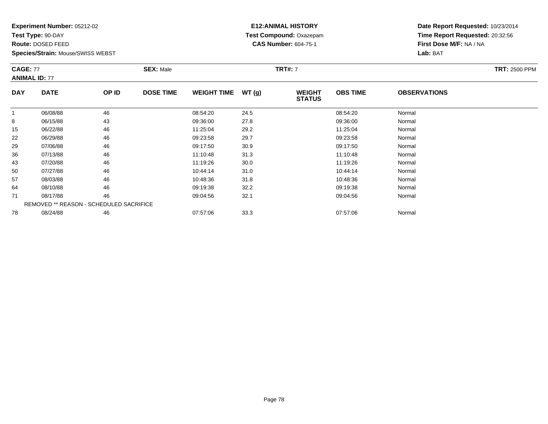**Test Type:** 90-DAY

**Route:** DOSED FEED

78

**Species/Strain:** Mouse/SWISS WEBST

#### **E12:ANIMAL HISTORY Test Compound:** Oxazepam**CAS Number:** 604-75-1

**Date Report Requested:** 10/23/2014**Time Report Requested:** 20:32:56**First Dose M/F:** NA / NA**Lab:** BAT

| <b>CAGE: 77</b><br><b>ANIMAL ID: 77</b> |                                         | <b>SEX: Male</b><br><b>TRT#: 7</b> |                  |                    |       |                                |                 | <b>TRT: 2500 PPM</b> |  |
|-----------------------------------------|-----------------------------------------|------------------------------------|------------------|--------------------|-------|--------------------------------|-----------------|----------------------|--|
| <b>DAY</b>                              | <b>DATE</b>                             | OP ID                              | <b>DOSE TIME</b> | <b>WEIGHT TIME</b> | WT(g) | <b>WEIGHT</b><br><b>STATUS</b> | <b>OBS TIME</b> | <b>OBSERVATIONS</b>  |  |
|                                         | 06/08/88                                | 46                                 |                  | 08:54:20           | 24.5  |                                | 08:54:20        | Normal               |  |
| 8                                       | 06/15/88                                | 43                                 |                  | 09:36:00           | 27.8  |                                | 09:36:00        | Normal               |  |
| 15                                      | 06/22/88                                | 46                                 |                  | 11:25:04           | 29.2  |                                | 11:25:04        | Normal               |  |
| 22                                      | 06/29/88                                | 46                                 |                  | 09:23:58           | 29.7  |                                | 09:23:58        | Normal               |  |
| 29                                      | 07/06/88                                | 46                                 |                  | 09:17:50           | 30.9  |                                | 09:17:50        | Normal               |  |
| 36                                      | 07/13/88                                | 46                                 |                  | 11:10:48           | 31.3  |                                | 11:10:48        | Normal               |  |
| 43                                      | 07/20/88                                | 46                                 |                  | 11:19:26           | 30.0  |                                | 11:19:26        | Normal               |  |
| 50                                      | 07/27/88                                | 46                                 |                  | 10:44:14           | 31.0  |                                | 10:44:14        | Normal               |  |
| 57                                      | 08/03/88                                | 46                                 |                  | 10:48:36           | 31.8  |                                | 10:48:36        | Normal               |  |
| 64                                      | 08/10/88                                | 46                                 |                  | 09:19:38           | 32.2  |                                | 09:19:38        | Normal               |  |
| 71                                      | 08/17/88                                | 46                                 |                  | 09:04:56           | 32.1  |                                | 09:04:56        | Normal               |  |
|                                         | REMOVED ** REASON - SCHEDULED SACRIFICE |                                    |                  |                    |       |                                |                 |                      |  |

8 08/24/88 46 46 07:57:06 33.3 07:57:06 07:57:06 Normal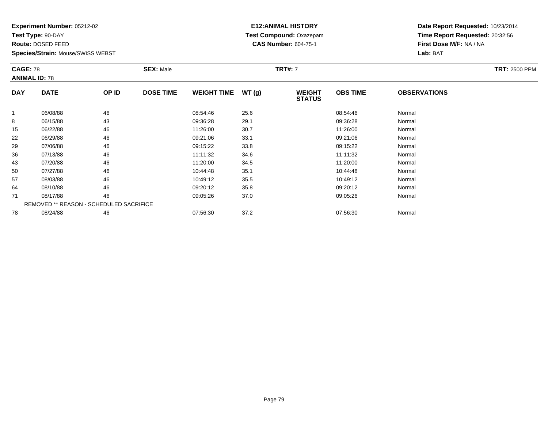**Test Type:** 90-DAY

**Route:** DOSED FEED

**Species/Strain:** Mouse/SWISS WEBST

# **E12:ANIMAL HISTORY Test Compound:** Oxazepam**CAS Number:** 604-75-1

| <b>CAGE: 78</b><br><b>ANIMAL ID: 78</b> |                                                | <b>SEX: Male</b> |                  |                    | <b>TRT#: 7</b> | <b>TRT: 2500 PPM</b>           |                 |                     |  |
|-----------------------------------------|------------------------------------------------|------------------|------------------|--------------------|----------------|--------------------------------|-----------------|---------------------|--|
| <b>DAY</b>                              | <b>DATE</b>                                    | OP ID            | <b>DOSE TIME</b> | <b>WEIGHT TIME</b> | WT(g)          | <b>WEIGHT</b><br><b>STATUS</b> | <b>OBS TIME</b> | <b>OBSERVATIONS</b> |  |
|                                         | 06/08/88                                       | 46               |                  | 08:54:46           | 25.6           |                                | 08:54:46        | Normal              |  |
| 8                                       | 06/15/88                                       | 43               |                  | 09:36:28           | 29.1           |                                | 09:36:28        | Normal              |  |
| 15                                      | 06/22/88                                       | 46               |                  | 11:26:00           | 30.7           |                                | 11:26:00        | Normal              |  |
| 22                                      | 06/29/88                                       | 46               |                  | 09:21:06           | 33.1           |                                | 09:21:06        | Normal              |  |
| 29                                      | 07/06/88                                       | 46               |                  | 09:15:22           | 33.8           |                                | 09:15:22        | Normal              |  |
| 36                                      | 07/13/88                                       | 46               |                  | 11:11:32           | 34.6           |                                | 11:11:32        | Normal              |  |
| 43                                      | 07/20/88                                       | 46               |                  | 11:20:00           | 34.5           |                                | 11:20:00        | Normal              |  |
| 50                                      | 07/27/88                                       | 46               |                  | 10:44:48           | 35.1           |                                | 10:44:48        | Normal              |  |
| 57                                      | 08/03/88                                       | 46               |                  | 10:49:12           | 35.5           |                                | 10:49:12        | Normal              |  |
| 64                                      | 08/10/88                                       | 46               |                  | 09:20:12           | 35.8           |                                | 09:20:12        | Normal              |  |
| 71                                      | 08/17/88                                       | 46               |                  | 09:05:26           | 37.0           |                                | 09:05:26        | Normal              |  |
|                                         | <b>REMOVED ** REASON - SCHEDULED SACRIFICE</b> |                  |                  |                    |                |                                |                 |                     |  |
| 78                                      | 08/24/88                                       | 46               |                  | 07:56:30           | 37.2           |                                | 07:56:30        | Normal              |  |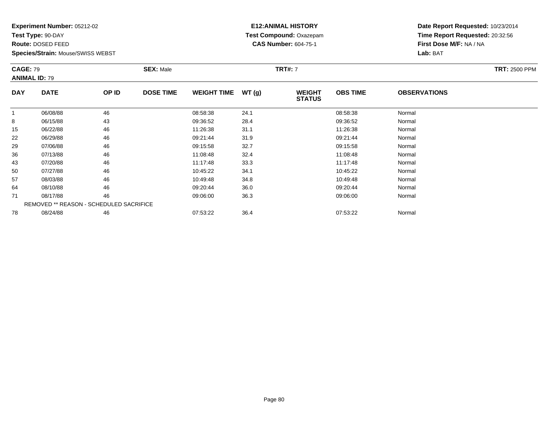**Test Type:** 90-DAY

**Route:** DOSED FEED

**Species/Strain:** Mouse/SWISS WEBST

# **E12:ANIMAL HISTORY Test Compound:** Oxazepam**CAS Number:** 604-75-1

| <b>CAGE: 79</b><br><b>ANIMAL ID: 79</b> |                                         | <b>SEX: Male</b> |                  |                    | <b>TRT#: 7</b> | <b>TRT: 2500 PPM</b>           |                 |                     |  |
|-----------------------------------------|-----------------------------------------|------------------|------------------|--------------------|----------------|--------------------------------|-----------------|---------------------|--|
| <b>DAY</b>                              | <b>DATE</b>                             | OP ID            | <b>DOSE TIME</b> | <b>WEIGHT TIME</b> | WT(g)          | <b>WEIGHT</b><br><b>STATUS</b> | <b>OBS TIME</b> | <b>OBSERVATIONS</b> |  |
|                                         | 06/08/88                                | 46               |                  | 08:58:38           | 24.1           |                                | 08:58:38        | Normal              |  |
| 8                                       | 06/15/88                                | 43               |                  | 09:36:52           | 28.4           |                                | 09:36:52        | Normal              |  |
| 15                                      | 06/22/88                                | 46               |                  | 11:26:38           | 31.1           |                                | 11:26:38        | Normal              |  |
| 22                                      | 06/29/88                                | 46               |                  | 09:21:44           | 31.9           |                                | 09:21:44        | Normal              |  |
| 29                                      | 07/06/88                                | 46               |                  | 09:15:58           | 32.7           |                                | 09:15:58        | Normal              |  |
| 36                                      | 07/13/88                                | 46               |                  | 11:08:48           | 32.4           |                                | 11:08:48        | Normal              |  |
| 43                                      | 07/20/88                                | 46               |                  | 11:17:48           | 33.3           |                                | 11:17:48        | Normal              |  |
| 50                                      | 07/27/88                                | 46               |                  | 10:45:22           | 34.1           |                                | 10:45:22        | Normal              |  |
| 57                                      | 08/03/88                                | 46               |                  | 10:49:48           | 34.8           |                                | 10:49:48        | Normal              |  |
| 64                                      | 08/10/88                                | 46               |                  | 09:20:44           | 36.0           |                                | 09:20:44        | Normal              |  |
| 71                                      | 08/17/88                                | 46               |                  | 09:06:00           | 36.3           |                                | 09:06:00        | Normal              |  |
|                                         | REMOVED ** REASON - SCHEDULED SACRIFICE |                  |                  |                    |                |                                |                 |                     |  |
| 78                                      | 08/24/88                                | 46               |                  | 07:53:22           | 36.4           |                                | 07:53:22        | Normal              |  |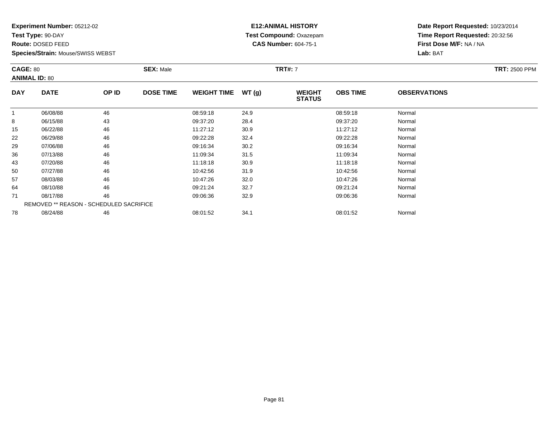**Test Type:** 90-DAY

**Route:** DOSED FEED

78

**Species/Strain:** Mouse/SWISS WEBST

#### **E12:ANIMAL HISTORY Test Compound:** Oxazepam**CAS Number:** 604-75-1

**Date Report Requested:** 10/23/2014**Time Report Requested:** 20:32:56**First Dose M/F:** NA / NA**Lab:** BAT

| <b>CAGE: 80</b><br><b>ANIMAL ID: 80</b> |                                         | <b>SEX: Male</b> |                  |                    | <b>TRT#: 7</b> | <b>TRT: 2500 PPM</b>           |                 |                     |  |
|-----------------------------------------|-----------------------------------------|------------------|------------------|--------------------|----------------|--------------------------------|-----------------|---------------------|--|
| <b>DAY</b>                              | <b>DATE</b>                             | OP ID            | <b>DOSE TIME</b> | <b>WEIGHT TIME</b> | WT(g)          | <b>WEIGHT</b><br><b>STATUS</b> | <b>OBS TIME</b> | <b>OBSERVATIONS</b> |  |
|                                         | 06/08/88                                | 46               |                  | 08:59:18           | 24.9           |                                | 08:59:18        | Normal              |  |
| 8                                       | 06/15/88                                | 43               |                  | 09:37:20           | 28.4           |                                | 09:37:20        | Normal              |  |
| 15                                      | 06/22/88                                | 46               |                  | 11:27:12           | 30.9           |                                | 11:27:12        | Normal              |  |
| 22                                      | 06/29/88                                | 46               |                  | 09:22:28           | 32.4           |                                | 09:22:28        | Normal              |  |
| 29                                      | 07/06/88                                | 46               |                  | 09:16:34           | 30.2           |                                | 09:16:34        | Normal              |  |
| 36                                      | 07/13/88                                | 46               |                  | 11:09:34           | 31.5           |                                | 11:09:34        | Normal              |  |
| 43                                      | 07/20/88                                | 46               |                  | 11:18:18           | 30.9           |                                | 11:18:18        | Normal              |  |
| 50                                      | 07/27/88                                | 46               |                  | 10:42:56           | 31.9           |                                | 10:42:56        | Normal              |  |
| 57                                      | 08/03/88                                | 46               |                  | 10:47:26           | 32.0           |                                | 10:47:26        | Normal              |  |
| 64                                      | 08/10/88                                | 46               |                  | 09:21:24           | 32.7           |                                | 09:21:24        | Normal              |  |
| 71                                      | 08/17/88                                | 46               |                  | 09:06:36           | 32.9           |                                | 09:06:36        | Normal              |  |
|                                         | REMOVED ** REASON - SCHEDULED SACRIFICE |                  |                  |                    |                |                                |                 |                     |  |

8 08/24/88 46 46 08:01:52 34.1 08:01:52 08:01:52 08:01:52 Normal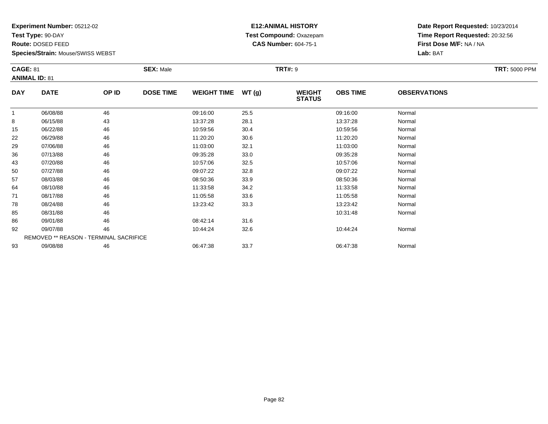**Test Type:** 90-DAY

**Route:** DOSED FEED

93

**Species/Strain:** Mouse/SWISS WEBST

#### **E12:ANIMAL HISTORY Test Compound:** Oxazepam**CAS Number:** 604-75-1

**Date Report Requested:** 10/23/2014**Time Report Requested:** 20:32:56**First Dose M/F:** NA / NA**Lab:** BAT

| <b>CAGE: 81</b><br><b>ANIMAL ID: 81</b> |                                        | <b>SEX: Male</b> |                  |                    | <b>TRT#: 9</b> | <b>TRT: 5000 PPM</b>           |                 |                     |  |
|-----------------------------------------|----------------------------------------|------------------|------------------|--------------------|----------------|--------------------------------|-----------------|---------------------|--|
| <b>DAY</b>                              | <b>DATE</b>                            | OP ID            | <b>DOSE TIME</b> | <b>WEIGHT TIME</b> | WT(g)          | <b>WEIGHT</b><br><b>STATUS</b> | <b>OBS TIME</b> | <b>OBSERVATIONS</b> |  |
| $\overline{1}$                          | 06/08/88                               | 46               |                  | 09:16:00           | 25.5           |                                | 09:16:00        | Normal              |  |
| 8                                       | 06/15/88                               | 43               |                  | 13:37:28           | 28.1           |                                | 13:37:28        | Normal              |  |
| 15                                      | 06/22/88                               | 46               |                  | 10:59:56           | 30.4           |                                | 10:59:56        | Normal              |  |
| 22                                      | 06/29/88                               | 46               |                  | 11:20:20           | 30.6           |                                | 11:20:20        | Normal              |  |
| 29                                      | 07/06/88                               | 46               |                  | 11:03:00           | 32.1           |                                | 11:03:00        | Normal              |  |
| 36                                      | 07/13/88                               | 46               |                  | 09:35:28           | 33.0           |                                | 09:35:28        | Normal              |  |
| 43                                      | 07/20/88                               | 46               |                  | 10:57:06           | 32.5           |                                | 10:57:06        | Normal              |  |
| 50                                      | 07/27/88                               | 46               |                  | 09:07:22           | 32.8           |                                | 09:07:22        | Normal              |  |
| 57                                      | 08/03/88                               | 46               |                  | 08:50:36           | 33.9           |                                | 08:50:36        | Normal              |  |
| 64                                      | 08/10/88                               | 46               |                  | 11:33:58           | 34.2           |                                | 11:33:58        | Normal              |  |
| 71                                      | 08/17/88                               | 46               |                  | 11:05:58           | 33.6           |                                | 11:05:58        | Normal              |  |
| 78                                      | 08/24/88                               | 46               |                  | 13:23:42           | 33.3           |                                | 13:23:42        | Normal              |  |
| 85                                      | 08/31/88                               | 46               |                  |                    |                |                                | 10:31:48        | Normal              |  |
| 86                                      | 09/01/88                               | 46               |                  | 08:42:14           | 31.6           |                                |                 |                     |  |
| 92                                      | 09/07/88                               | 46               |                  | 10:44:24           | 32.6           |                                | 10:44:24        | Normal              |  |
|                                         | REMOVED ** REASON - TERMINAL SACRIFICE |                  |                  |                    |                |                                |                 |                     |  |

3 09/08/88 46 46 06:47:38 33.7 38 06:47:38 06:47:38 Normal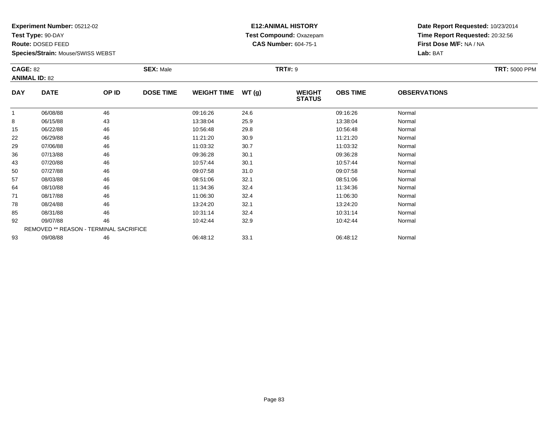**Test Type:** 90-DAY

**Route:** DOSED FEED

93

**Species/Strain:** Mouse/SWISS WEBST

# **E12:ANIMAL HISTORY Test Compound:** Oxazepam**CAS Number:** 604-75-1

**Date Report Requested:** 10/23/2014**Time Report Requested:** 20:32:56**First Dose M/F:** NA / NA**Lab:** BAT

| <b>CAGE: 82</b><br><b>ANIMAL ID: 82</b> |                                               | <b>SEX: Male</b> | <b>TRT: 5000 PPM</b> |                    |       |                                |                 |                     |  |
|-----------------------------------------|-----------------------------------------------|------------------|----------------------|--------------------|-------|--------------------------------|-----------------|---------------------|--|
| <b>DAY</b>                              | <b>DATE</b>                                   | OP ID            | <b>DOSE TIME</b>     | <b>WEIGHT TIME</b> | WT(g) | <b>WEIGHT</b><br><b>STATUS</b> | <b>OBS TIME</b> | <b>OBSERVATIONS</b> |  |
|                                         | 06/08/88                                      | 46               |                      | 09:16:26           | 24.6  |                                | 09:16:26        | Normal              |  |
| 8                                       | 06/15/88                                      | 43               |                      | 13:38:04           | 25.9  |                                | 13:38:04        | Normal              |  |
| 15                                      | 06/22/88                                      | 46               |                      | 10:56:48           | 29.8  |                                | 10:56:48        | Normal              |  |
| 22                                      | 06/29/88                                      | 46               |                      | 11:21:20           | 30.9  |                                | 11:21:20        | Normal              |  |
| 29                                      | 07/06/88                                      | 46               |                      | 11:03:32           | 30.7  |                                | 11:03:32        | Normal              |  |
| 36                                      | 07/13/88                                      | 46               |                      | 09:36:28           | 30.1  |                                | 09:36:28        | Normal              |  |
| 43                                      | 07/20/88                                      | 46               |                      | 10:57:44           | 30.1  |                                | 10:57:44        | Normal              |  |
| 50                                      | 07/27/88                                      | 46               |                      | 09:07:58           | 31.0  |                                | 09:07:58        | Normal              |  |
| 57                                      | 08/03/88                                      | 46               |                      | 08:51:06           | 32.1  |                                | 08:51:06        | Normal              |  |
| 64                                      | 08/10/88                                      | 46               |                      | 11:34:36           | 32.4  |                                | 11:34:36        | Normal              |  |
| 71                                      | 08/17/88                                      | 46               |                      | 11:06:30           | 32.4  |                                | 11:06:30        | Normal              |  |
| 78                                      | 08/24/88                                      | 46               |                      | 13:24:20           | 32.1  |                                | 13:24:20        | Normal              |  |
| 85                                      | 08/31/88                                      | 46               |                      | 10:31:14           | 32.4  |                                | 10:31:14        | Normal              |  |
| 92                                      | 09/07/88                                      | 46               |                      | 10:42:44           | 32.9  |                                | 10:42:44        | Normal              |  |
|                                         | <b>REMOVED ** REASON - TERMINAL SACRIFICE</b> |                  |                      |                    |       |                                |                 |                     |  |

3 09/08/88 46 46 06:48:12 33.1 06:48:12 06:48:12 06:48:12 06:48:12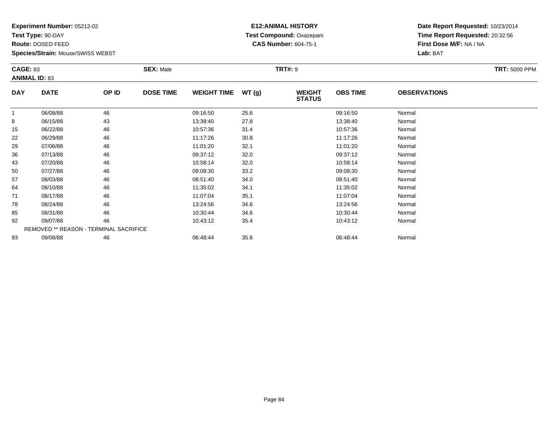**Test Type:** 90-DAY

**Route:** DOSED FEED

**Species/Strain:** Mouse/SWISS WEBST

# **E12:ANIMAL HISTORY Test Compound:** Oxazepam**CAS Number:** 604-75-1

| <b>CAGE: 83</b><br><b>ANIMAL ID: 83</b> |                                        | <b>SEX: Male</b> |                  |                    | <b>TRT#: 9</b> |                                | <b>TRT: 5000 PPM</b> |                     |  |
|-----------------------------------------|----------------------------------------|------------------|------------------|--------------------|----------------|--------------------------------|----------------------|---------------------|--|
| <b>DAY</b>                              | <b>DATE</b>                            | OP ID            | <b>DOSE TIME</b> | <b>WEIGHT TIME</b> | WT(g)          | <b>WEIGHT</b><br><b>STATUS</b> | <b>OBS TIME</b>      | <b>OBSERVATIONS</b> |  |
|                                         | 06/08/88                               | 46               |                  | 09:16:50           | 25.6           |                                | 09:16:50             | Normal              |  |
| 8                                       | 06/15/88                               | 43               |                  | 13:38:40           | 27.8           |                                | 13:38:40             | Normal              |  |
| 15                                      | 06/22/88                               | 46               |                  | 10:57:36           | 31.4           |                                | 10:57:36             | Normal              |  |
| 22                                      | 06/29/88                               | 46               |                  | 11:17:26           | 30.8           |                                | 11:17:26             | Normal              |  |
| 29                                      | 07/06/88                               | 46               |                  | 11:01:20           | 32.1           |                                | 11:01:20             | Normal              |  |
| 36                                      | 07/13/88                               | 46               |                  | 09:37:12           | 32.0           |                                | 09:37:12             | Normal              |  |
| 43                                      | 07/20/88                               | 46               |                  | 10:58:14           | 32.0           |                                | 10:58:14             | Normal              |  |
| 50                                      | 07/27/88                               | 46               |                  | 09:08:30           | 33.2           |                                | 09:08:30             | Normal              |  |
| 57                                      | 08/03/88                               | 46               |                  | 08:51:40           | 34.0           |                                | 08:51:40             | Normal              |  |
| 64                                      | 08/10/88                               | 46               |                  | 11:35:02           | 34.1           |                                | 11:35:02             | Normal              |  |
| 71                                      | 08/17/88                               | 46               |                  | 11:07:04           | 35.1           |                                | 11:07:04             | Normal              |  |
| 78                                      | 08/24/88                               | 46               |                  | 13:24:56           | 34.6           |                                | 13:24:56             | Normal              |  |
| 85                                      | 08/31/88                               | 46               |                  | 10:30:44           | 34.6           |                                | 10:30:44             | Normal              |  |
| 92                                      | 09/07/88                               | 46               |                  | 10:43:12           | 35.4           |                                | 10:43:12             | Normal              |  |
|                                         | REMOVED ** REASON - TERMINAL SACRIFICE |                  |                  |                    |                |                                |                      |                     |  |
| 93                                      | 09/08/88                               | 46               |                  | 06:48:44           | 35.6           |                                | 06:48:44             | Normal              |  |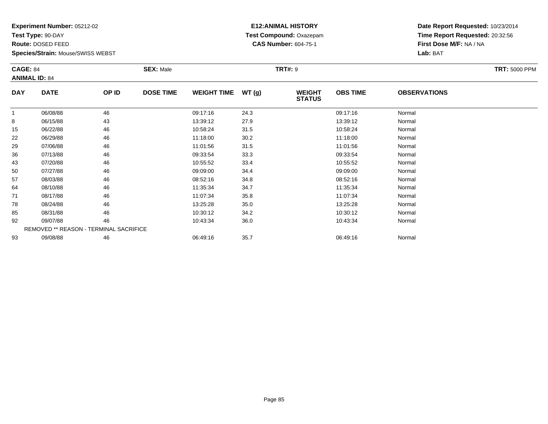**Test Type:** 90-DAY

**Route:** DOSED FEED

**Species/Strain:** Mouse/SWISS WEBST

# **E12:ANIMAL HISTORY Test Compound:** Oxazepam**CAS Number:** 604-75-1

**Date Report Requested:** 10/23/2014**Time Report Requested:** 20:32:56**First Dose M/F:** NA / NA**Lab:** BAT

| <b>CAGE: 84</b> | <b>ANIMAL ID: 84</b>                          |       | <b>SEX: Male</b> | <b>TRT: 5000 PPM</b> |       |                                |                 |                     |  |
|-----------------|-----------------------------------------------|-------|------------------|----------------------|-------|--------------------------------|-----------------|---------------------|--|
| <b>DAY</b>      | <b>DATE</b>                                   | OP ID | <b>DOSE TIME</b> | <b>WEIGHT TIME</b>   | WT(g) | <b>WEIGHT</b><br><b>STATUS</b> | <b>OBS TIME</b> | <b>OBSERVATIONS</b> |  |
|                 | 06/08/88                                      | 46    |                  | 09:17:16             | 24.3  |                                | 09:17:16        | Normal              |  |
| 8               | 06/15/88                                      | 43    |                  | 13:39:12             | 27.9  |                                | 13:39:12        | Normal              |  |
| 15              | 06/22/88                                      | 46    |                  | 10:58:24             | 31.5  |                                | 10:58:24        | Normal              |  |
| 22              | 06/29/88                                      | 46    |                  | 11:18:00             | 30.2  |                                | 11:18:00        | Normal              |  |
| 29              | 07/06/88                                      | 46    |                  | 11:01:56             | 31.5  |                                | 11:01:56        | Normal              |  |
| 36              | 07/13/88                                      | 46    |                  | 09:33:54             | 33.3  |                                | 09:33:54        | Normal              |  |
| 43              | 07/20/88                                      | 46    |                  | 10:55:52             | 33.4  |                                | 10:55:52        | Normal              |  |
| 50              | 07/27/88                                      | 46    |                  | 09:09:00             | 34.4  |                                | 09:09:00        | Normal              |  |
| 57              | 08/03/88                                      | 46    |                  | 08:52:16             | 34.8  |                                | 08:52:16        | Normal              |  |
| 64              | 08/10/88                                      | 46    |                  | 11:35:34             | 34.7  |                                | 11:35:34        | Normal              |  |
| 71              | 08/17/88                                      | 46    |                  | 11:07:34             | 35.8  |                                | 11:07:34        | Normal              |  |
| 78              | 08/24/88                                      | 46    |                  | 13:25:28             | 35.0  |                                | 13:25:28        | Normal              |  |
| 85              | 08/31/88                                      | 46    |                  | 10:30:12             | 34.2  |                                | 10:30:12        | Normal              |  |
| 92              | 09/07/88                                      | 46    |                  | 10:43:34             | 36.0  |                                | 10:43:34        | Normal              |  |
|                 | <b>REMOVED ** REASON - TERMINAL SACRIFICE</b> |       |                  |                      |       |                                |                 |                     |  |
| 93              | 09/08/88                                      | 46    |                  | 06:49:16             | 35.7  |                                | 06:49:16        | Normal              |  |

3 09/08/88 46 46 06:49:16 35.7 3 06:49:16 35.7 06:49:16 06:49:16 35.7 3 06:49:16 106:49:16 06:49:16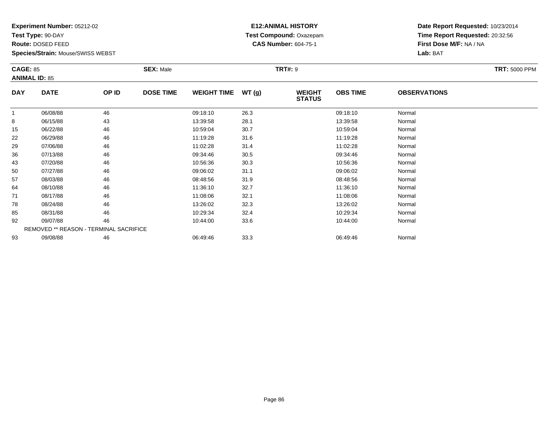**Test Type:** 90-DAY

**Route:** DOSED FEED

**Species/Strain:** Mouse/SWISS WEBST

# **E12:ANIMAL HISTORY Test Compound:** Oxazepam**CAS Number:** 604-75-1

**Date Report Requested:** 10/23/2014**Time Report Requested:** 20:32:56**First Dose M/F:** NA / NA**Lab:** BAT

| <b>CAGE: 85</b> |                                               | <b>SEX: Male</b> |                  |                    |       | <b>TRT: 5000 PPM</b>           |                 |                     |  |
|-----------------|-----------------------------------------------|------------------|------------------|--------------------|-------|--------------------------------|-----------------|---------------------|--|
|                 | <b>ANIMAL ID: 85</b>                          |                  |                  |                    |       |                                |                 |                     |  |
| <b>DAY</b>      | <b>DATE</b>                                   | OP ID            | <b>DOSE TIME</b> | <b>WEIGHT TIME</b> | WT(g) | <b>WEIGHT</b><br><b>STATUS</b> | <b>OBS TIME</b> | <b>OBSERVATIONS</b> |  |
|                 | 06/08/88                                      | 46               |                  | 09:18:10           | 26.3  |                                | 09:18:10        | Normal              |  |
| 8               | 06/15/88                                      | 43               |                  | 13:39:58           | 28.1  |                                | 13:39:58        | Normal              |  |
| 15              | 06/22/88                                      | 46               |                  | 10:59:04           | 30.7  |                                | 10:59:04        | Normal              |  |
| 22              | 06/29/88                                      | 46               |                  | 11:19:28           | 31.6  |                                | 11:19:28        | Normal              |  |
| 29              | 07/06/88                                      | 46               |                  | 11:02:28           | 31.4  |                                | 11:02:28        | Normal              |  |
| 36              | 07/13/88                                      | 46               |                  | 09:34:46           | 30.5  |                                | 09:34:46        | Normal              |  |
| 43              | 07/20/88                                      | 46               |                  | 10:56:36           | 30.3  |                                | 10:56:36        | Normal              |  |
| 50              | 07/27/88                                      | 46               |                  | 09:06:02           | 31.1  |                                | 09:06:02        | Normal              |  |
| 57              | 08/03/88                                      | 46               |                  | 08:48:56           | 31.9  |                                | 08:48:56        | Normal              |  |
| 64              | 08/10/88                                      | 46               |                  | 11:36:10           | 32.7  |                                | 11:36:10        | Normal              |  |
| 71              | 08/17/88                                      | 46               |                  | 11:08:06           | 32.1  |                                | 11:08:06        | Normal              |  |
| 78              | 08/24/88                                      | 46               |                  | 13:26:02           | 32.3  |                                | 13:26:02        | Normal              |  |
| 85              | 08/31/88                                      | 46               |                  | 10:29:34           | 32.4  |                                | 10:29:34        | Normal              |  |
| 92              | 09/07/88                                      | 46               |                  | 10:44:00           | 33.6  |                                | 10:44:00        | Normal              |  |
|                 | <b>REMOVED ** REASON - TERMINAL SACRIFICE</b> |                  |                  |                    |       |                                |                 |                     |  |
| 93              | 09/08/88                                      | 46               |                  | 06:49:46           | 33.3  |                                | 06:49:46        | Normal              |  |

3 09/08/88 46 46 06:49:46 06:49:46 33.3 06:49 06:49:46 53.3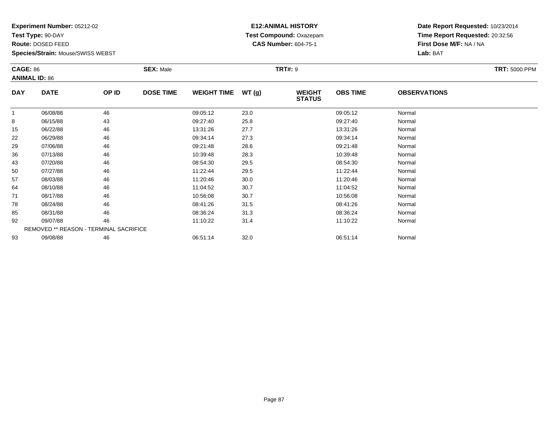**Test Type:** 90-DAY

**Route:** DOSED FEED

**Species/Strain:** Mouse/SWISS WEBST

# **E12:ANIMAL HISTORY Test Compound:** Oxazepam**CAS Number:** 604-75-1

**Date Report Requested:** 10/23/2014**Time Report Requested:** 20:32:56**First Dose M/F:** NA / NA**Lab:** BAT

| <b>CAGE: 86</b> | <b>ANIMAL ID: 86</b>                          |       | <b>SEX: Male</b> |                    | <b>TRT#: 9</b> |                                | <b>TRT: 5000 PPM</b> |                     |  |
|-----------------|-----------------------------------------------|-------|------------------|--------------------|----------------|--------------------------------|----------------------|---------------------|--|
| <b>DAY</b>      | <b>DATE</b>                                   | OP ID | <b>DOSE TIME</b> | <b>WEIGHT TIME</b> | WT(g)          | <b>WEIGHT</b><br><b>STATUS</b> | <b>OBS TIME</b>      | <b>OBSERVATIONS</b> |  |
|                 | 06/08/88                                      | 46    |                  | 09:05:12           | 23.0           |                                | 09:05:12             | Normal              |  |
| 8               | 06/15/88                                      | 43    |                  | 09:27:40           | 25.8           |                                | 09:27:40             | Normal              |  |
| 15              | 06/22/88                                      | 46    |                  | 13:31:26           | 27.7           |                                | 13:31:26             | Normal              |  |
| 22              | 06/29/88                                      | 46    |                  | 09:34:14           | 27.3           |                                | 09:34:14             | Normal              |  |
| 29              | 07/06/88                                      | 46    |                  | 09:21:48           | 28.6           |                                | 09:21:48             | Normal              |  |
| 36              | 07/13/88                                      | 46    |                  | 10:39:48           | 28.3           |                                | 10:39:48             | Normal              |  |
| 43              | 07/20/88                                      | 46    |                  | 08:54:30           | 29.5           |                                | 08:54:30             | Normal              |  |
| 50              | 07/27/88                                      | 46    |                  | 11:22:44           | 29.5           |                                | 11:22:44             | Normal              |  |
| 57              | 08/03/88                                      | 46    |                  | 11:20:46           | 30.0           |                                | 11:20:46             | Normal              |  |
| 64              | 08/10/88                                      | 46    |                  | 11:04:52           | 30.7           |                                | 11:04:52             | Normal              |  |
| 71              | 08/17/88                                      | 46    |                  | 10:56:08           | 30.7           |                                | 10:56:08             | Normal              |  |
| 78              | 08/24/88                                      | 46    |                  | 08:41:26           | 31.5           |                                | 08:41:26             | Normal              |  |
| 85              | 08/31/88                                      | 46    |                  | 08:36:24           | 31.3           |                                | 08:36:24             | Normal              |  |
| 92              | 09/07/88                                      | 46    |                  | 11:10:22           | 31.4           |                                | 11:10:22             | Normal              |  |
|                 | <b>REMOVED ** REASON - TERMINAL SACRIFICE</b> |       |                  |                    |                |                                |                      |                     |  |
| 93              | 09/08/88                                      | 46    |                  | 06:51:14           | 32.0           |                                | 06:51:14             | Normal              |  |

09/08/88 <sup>46</sup> 06:51:14 32.0 06:51:14 Normal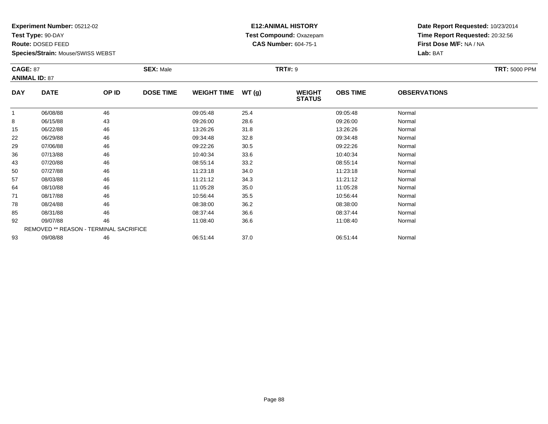**Test Type:** 90-DAY

**Route:** DOSED FEED

93

**Species/Strain:** Mouse/SWISS WEBST

# **E12:ANIMAL HISTORY Test Compound:** Oxazepam**CAS Number:** 604-75-1

**Date Report Requested:** 10/23/2014**Time Report Requested:** 20:32:56**First Dose M/F:** NA / NA**Lab:** BAT

| <b>CAGE: 87</b><br><b>ANIMAL ID: 87</b> |                                        | <b>SEX: Male</b><br><b>TRT#: 9</b> |                  |                    |       |                                |                 | <b>TRT: 5000 PPM</b> |  |
|-----------------------------------------|----------------------------------------|------------------------------------|------------------|--------------------|-------|--------------------------------|-----------------|----------------------|--|
| <b>DAY</b>                              | <b>DATE</b>                            | OP ID                              | <b>DOSE TIME</b> | <b>WEIGHT TIME</b> | WT(g) | <b>WEIGHT</b><br><b>STATUS</b> | <b>OBS TIME</b> | <b>OBSERVATIONS</b>  |  |
|                                         | 06/08/88                               | 46                                 |                  | 09:05:48           | 25.4  |                                | 09:05:48        | Normal               |  |
| 8                                       | 06/15/88                               | 43                                 |                  | 09:26:00           | 28.6  |                                | 09:26:00        | Normal               |  |
| 15                                      | 06/22/88                               | 46                                 |                  | 13:26:26           | 31.8  |                                | 13:26:26        | Normal               |  |
| 22                                      | 06/29/88                               | 46                                 |                  | 09:34:48           | 32.8  |                                | 09:34:48        | Normal               |  |
| 29                                      | 07/06/88                               | 46                                 |                  | 09:22:26           | 30.5  |                                | 09:22:26        | Normal               |  |
| 36                                      | 07/13/88                               | 46                                 |                  | 10:40:34           | 33.6  |                                | 10:40:34        | Normal               |  |
| 43                                      | 07/20/88                               | 46                                 |                  | 08:55:14           | 33.2  |                                | 08:55:14        | Normal               |  |
| 50                                      | 07/27/88                               | 46                                 |                  | 11:23:18           | 34.0  |                                | 11:23:18        | Normal               |  |
| 57                                      | 08/03/88                               | 46                                 |                  | 11:21:12           | 34.3  |                                | 11:21:12        | Normal               |  |
| 64                                      | 08/10/88                               | 46                                 |                  | 11:05:28           | 35.0  |                                | 11:05:28        | Normal               |  |
| 71                                      | 08/17/88                               | 46                                 |                  | 10:56:44           | 35.5  |                                | 10:56:44        | Normal               |  |
| 78                                      | 08/24/88                               | 46                                 |                  | 08:38:00           | 36.2  |                                | 08:38:00        | Normal               |  |
| 85                                      | 08/31/88                               | 46                                 |                  | 08:37:44           | 36.6  |                                | 08:37:44        | Normal               |  |
| 92                                      | 09/07/88                               | 46                                 |                  | 11:08:40           | 36.6  |                                | 11:08:40        | Normal               |  |
|                                         | REMOVED ** REASON - TERMINAL SACRIFICE |                                    |                  |                    |       |                                |                 |                      |  |

3 09/08/88 46 46 06:51:44 37.0 06:51:44 06:51:44 06:51:44 Normal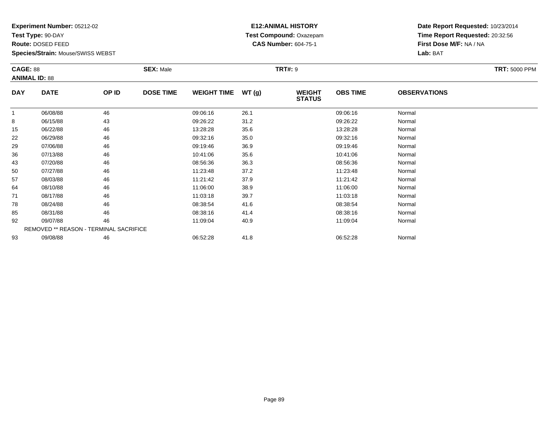**Test Type:** 90-DAY

**Route:** DOSED FEED

**Species/Strain:** Mouse/SWISS WEBST

#### **E12:ANIMAL HISTORY Test Compound:** Oxazepam**CAS Number:** 604-75-1

| <b>CAGE: 88</b><br><b>ANIMAL ID: 88</b> |                                        |       | <b>SEX: Male</b> |                    |       | <b>TRT: 5000 PPM</b>           |                 |                     |  |
|-----------------------------------------|----------------------------------------|-------|------------------|--------------------|-------|--------------------------------|-----------------|---------------------|--|
| <b>DAY</b>                              | <b>DATE</b>                            | OP ID | <b>DOSE TIME</b> | <b>WEIGHT TIME</b> | WT(g) | <b>WEIGHT</b><br><b>STATUS</b> | <b>OBS TIME</b> | <b>OBSERVATIONS</b> |  |
| $\mathbf{1}$                            | 06/08/88                               | 46    |                  | 09:06:16           | 26.1  |                                | 09:06:16        | Normal              |  |
| 8                                       | 06/15/88                               | 43    |                  | 09:26:22           | 31.2  |                                | 09:26:22        | Normal              |  |
| 15                                      | 06/22/88                               | 46    |                  | 13:28:28           | 35.6  |                                | 13:28:28        | Normal              |  |
| 22                                      | 06/29/88                               | 46    |                  | 09:32:16           | 35.0  |                                | 09:32:16        | Normal              |  |
| 29                                      | 07/06/88                               | 46    |                  | 09:19:46           | 36.9  |                                | 09:19:46        | Normal              |  |
| 36                                      | 07/13/88                               | 46    |                  | 10:41:06           | 35.6  |                                | 10:41:06        | Normal              |  |
| 43                                      | 07/20/88                               | 46    |                  | 08:56:36           | 36.3  |                                | 08:56:36        | Normal              |  |
| 50                                      | 07/27/88                               | 46    |                  | 11:23:48           | 37.2  |                                | 11:23:48        | Normal              |  |
| 57                                      | 08/03/88                               | 46    |                  | 11:21:42           | 37.9  |                                | 11:21:42        | Normal              |  |
| 64                                      | 08/10/88                               | 46    |                  | 11:06:00           | 38.9  |                                | 11:06:00        | Normal              |  |
| 71                                      | 08/17/88                               | 46    |                  | 11:03:18           | 39.7  |                                | 11:03:18        | Normal              |  |
| 78                                      | 08/24/88                               | 46    |                  | 08:38:54           | 41.6  |                                | 08:38:54        | Normal              |  |
| 85                                      | 08/31/88                               | 46    |                  | 08:38:16           | 41.4  |                                | 08:38:16        | Normal              |  |
| 92                                      | 09/07/88                               | 46    |                  | 11:09:04           | 40.9  |                                | 11:09:04        | Normal              |  |
|                                         | REMOVED ** REASON - TERMINAL SACRIFICE |       |                  |                    |       |                                |                 |                     |  |
| 93                                      | 09/08/88                               | 46    |                  | 06:52:28           | 41.8  |                                | 06:52:28        | Normal              |  |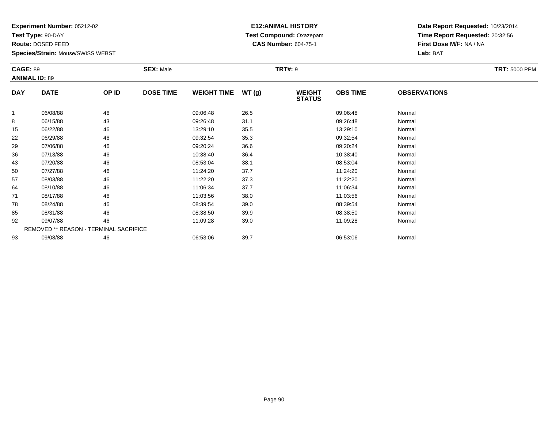**Test Type:** 90-DAY

**Route:** DOSED FEED

**Species/Strain:** Mouse/SWISS WEBST

# **E12:ANIMAL HISTORY Test Compound:** Oxazepam**CAS Number:** 604-75-1

| <b>CAGE: 89</b><br><b>ANIMAL ID: 89</b> |                                        |       | <b>SEX: Male</b> |                    |       | <b>TRT: 5000 PPM</b>           |                 |                     |  |
|-----------------------------------------|----------------------------------------|-------|------------------|--------------------|-------|--------------------------------|-----------------|---------------------|--|
| <b>DAY</b>                              | <b>DATE</b>                            | OP ID | <b>DOSE TIME</b> | <b>WEIGHT TIME</b> | WT(g) | <b>WEIGHT</b><br><b>STATUS</b> | <b>OBS TIME</b> | <b>OBSERVATIONS</b> |  |
| $\mathbf{1}$                            | 06/08/88                               | 46    |                  | 09:06:48           | 26.5  |                                | 09:06:48        | Normal              |  |
| 8                                       | 06/15/88                               | 43    |                  | 09:26:48           | 31.1  |                                | 09:26:48        | Normal              |  |
| 15                                      | 06/22/88                               | 46    |                  | 13:29:10           | 35.5  |                                | 13:29:10        | Normal              |  |
| 22                                      | 06/29/88                               | 46    |                  | 09:32:54           | 35.3  |                                | 09:32:54        | Normal              |  |
| 29                                      | 07/06/88                               | 46    |                  | 09:20:24           | 36.6  |                                | 09:20:24        | Normal              |  |
| 36                                      | 07/13/88                               | 46    |                  | 10:38:40           | 36.4  |                                | 10:38:40        | Normal              |  |
| 43                                      | 07/20/88                               | 46    |                  | 08:53:04           | 38.1  |                                | 08:53:04        | Normal              |  |
| 50                                      | 07/27/88                               | 46    |                  | 11:24:20           | 37.7  |                                | 11:24:20        | Normal              |  |
| 57                                      | 08/03/88                               | 46    |                  | 11:22:20           | 37.3  |                                | 11:22:20        | Normal              |  |
| 64                                      | 08/10/88                               | 46    |                  | 11:06:34           | 37.7  |                                | 11:06:34        | Normal              |  |
| 71                                      | 08/17/88                               | 46    |                  | 11:03:56           | 38.0  |                                | 11:03:56        | Normal              |  |
| 78                                      | 08/24/88                               | 46    |                  | 08:39:54           | 39.0  |                                | 08:39:54        | Normal              |  |
| 85                                      | 08/31/88                               | 46    |                  | 08:38:50           | 39.9  |                                | 08:38:50        | Normal              |  |
| 92                                      | 09/07/88                               | 46    |                  | 11:09:28           | 39.0  |                                | 11:09:28        | Normal              |  |
|                                         | REMOVED ** REASON - TERMINAL SACRIFICE |       |                  |                    |       |                                |                 |                     |  |
| 93                                      | 09/08/88                               | 46    |                  | 06:53:06           | 39.7  |                                | 06:53:06        | Normal              |  |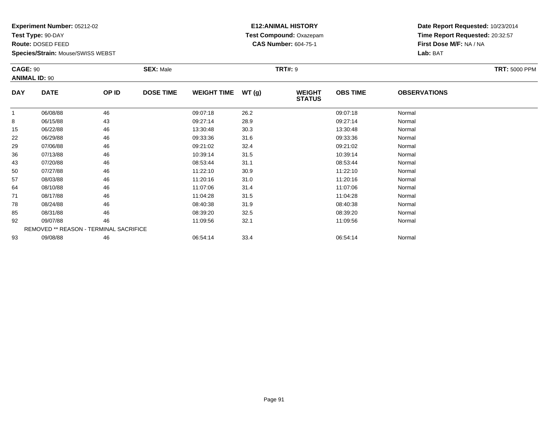**Test Type:** 90-DAY

**Route:** DOSED FEED

**Species/Strain:** Mouse/SWISS WEBST

# **E12:ANIMAL HISTORY Test Compound:** Oxazepam**CAS Number:** 604-75-1

**Date Report Requested:** 10/23/2014**Time Report Requested:** 20:32:57**First Dose M/F:** NA / NA**Lab:** BAT

| <b>CAGE: 90</b> | <b>ANIMAL ID: 90</b>                          |       | <b>TRT#: 9</b><br><b>SEX: Male</b> |                    |       |                                |                 |                     | <b>TRT: 5000 PPM</b> |
|-----------------|-----------------------------------------------|-------|------------------------------------|--------------------|-------|--------------------------------|-----------------|---------------------|----------------------|
| <b>DAY</b>      | <b>DATE</b>                                   | OP ID | <b>DOSE TIME</b>                   | <b>WEIGHT TIME</b> | WT(g) | <b>WEIGHT</b><br><b>STATUS</b> | <b>OBS TIME</b> | <b>OBSERVATIONS</b> |                      |
|                 | 06/08/88                                      | 46    |                                    | 09:07:18           | 26.2  |                                | 09:07:18        | Normal              |                      |
| 8               | 06/15/88                                      | 43    |                                    | 09:27:14           | 28.9  |                                | 09:27:14        | Normal              |                      |
| 15              | 06/22/88                                      | 46    |                                    | 13:30:48           | 30.3  |                                | 13:30:48        | Normal              |                      |
| 22              | 06/29/88                                      | 46    |                                    | 09:33:36           | 31.6  |                                | 09:33:36        | Normal              |                      |
| 29              | 07/06/88                                      | 46    |                                    | 09:21:02           | 32.4  |                                | 09:21:02        | Normal              |                      |
| 36              | 07/13/88                                      | 46    |                                    | 10:39:14           | 31.5  |                                | 10:39:14        | Normal              |                      |
| 43              | 07/20/88                                      | 46    |                                    | 08:53:44           | 31.1  |                                | 08:53:44        | Normal              |                      |
| 50              | 07/27/88                                      | 46    |                                    | 11:22:10           | 30.9  |                                | 11:22:10        | Normal              |                      |
| 57              | 08/03/88                                      | 46    |                                    | 11:20:16           | 31.0  |                                | 11:20:16        | Normal              |                      |
| 64              | 08/10/88                                      | 46    |                                    | 11:07:06           | 31.4  |                                | 11:07:06        | Normal              |                      |
| 71              | 08/17/88                                      | 46    |                                    | 11:04:28           | 31.5  |                                | 11:04:28        | Normal              |                      |
| 78              | 08/24/88                                      | 46    |                                    | 08:40:38           | 31.9  |                                | 08:40:38        | Normal              |                      |
| 85              | 08/31/88                                      | 46    |                                    | 08:39:20           | 32.5  |                                | 08:39:20        | Normal              |                      |
| 92              | 09/07/88                                      | 46    |                                    | 11:09:56           | 32.1  |                                | 11:09:56        | Normal              |                      |
|                 | <b>REMOVED ** REASON - TERMINAL SACRIFICE</b> |       |                                    |                    |       |                                |                 |                     |                      |
| 93              | 09/08/88                                      | 46    |                                    | 06:54:14           | 33.4  |                                | 06:54:14        | Normal              |                      |

09/08/88 <sup>46</sup> 06:54:14 33.4 06:54:14 Normal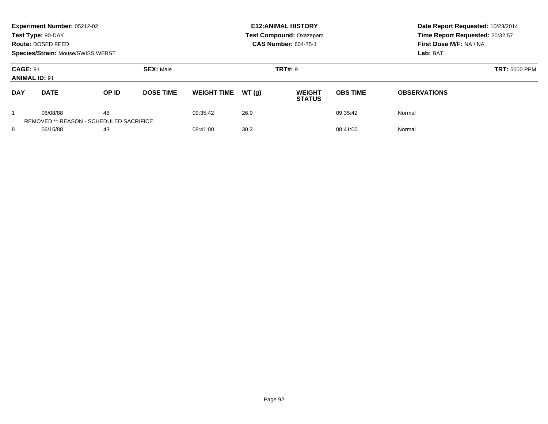| Experiment Number: 05212-02<br>Test Type: 90-DAY<br>Route: DOSED FEED<br><b>Species/Strain: Mouse/SWISS WEBST</b> |                                                            |       |                  | <b>E12: ANIMAL HISTORY</b><br><b>Test Compound: Oxazepam</b><br><b>CAS Number: 604-75-1</b> |       |                                |                      | Date Report Requested: 10/23/2014<br>Time Report Requested: 20:32:57<br>First Dose M/F: NA / NA<br>Lab: BAT |
|-------------------------------------------------------------------------------------------------------------------|------------------------------------------------------------|-------|------------------|---------------------------------------------------------------------------------------------|-------|--------------------------------|----------------------|-------------------------------------------------------------------------------------------------------------|
| <b>CAGE: 91</b><br><b>ANIMAL ID: 91</b>                                                                           |                                                            |       | <b>SEX: Male</b> |                                                                                             |       | <b>TRT#: 9</b>                 | <b>TRT: 5000 PPM</b> |                                                                                                             |
| <b>DAY</b>                                                                                                        | <b>DATE</b>                                                | OP ID | <b>DOSE TIME</b> | <b>WEIGHT TIME</b>                                                                          | WT(q) | <b>WEIGHT</b><br><b>STATUS</b> | <b>OBS TIME</b>      | <b>OBSERVATIONS</b>                                                                                         |
|                                                                                                                   | 06/08/88<br><b>REMOVED ** REASON - SCHEDULED SACRIFICE</b> | 46    |                  | 09:35:42                                                                                    | 26.9  |                                | 09:35:42             | Normal                                                                                                      |
| 8<br>06/15/88<br>43                                                                                               |                                                            |       | 08:41:00         | 30.2                                                                                        |       | 08:41:00                       | Normal               |                                                                                                             |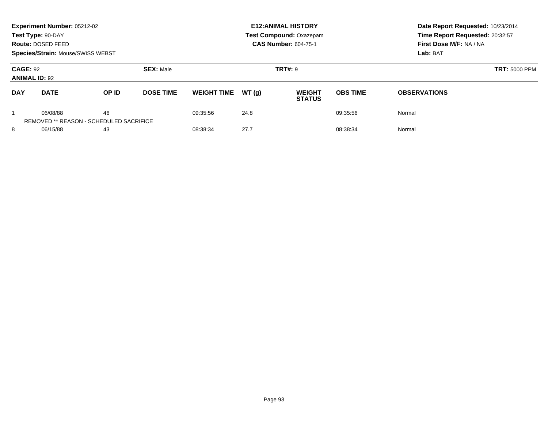| Experiment Number: 05212-02<br>Test Type: 90-DAY<br>Route: DOSED FEED<br><b>Species/Strain: Mouse/SWISS WEBST</b> |                                                     |       |                  |                    |       | <b>E12: ANIMAL HISTORY</b><br><b>Test Compound: Oxazepam</b><br><b>CAS Number: 604-75-1</b> |                 | Date Report Requested: 10/23/2014<br>Time Report Requested: 20:32:57<br>First Dose M/F: NA / NA<br>Lab: BAT |  |
|-------------------------------------------------------------------------------------------------------------------|-----------------------------------------------------|-------|------------------|--------------------|-------|---------------------------------------------------------------------------------------------|-----------------|-------------------------------------------------------------------------------------------------------------|--|
| <b>CAGE: 92</b><br><b>ANIMAL ID: 92</b>                                                                           |                                                     |       | <b>SEX: Male</b> |                    |       | <b>TRT#: 9</b>                                                                              |                 | <b>TRT: 5000 PPM</b>                                                                                        |  |
| <b>DAY</b>                                                                                                        | <b>DATE</b>                                         | OP ID | <b>DOSE TIME</b> | <b>WEIGHT TIME</b> | WT(q) | <b>WEIGHT</b><br><b>STATUS</b>                                                              | <b>OBS TIME</b> | <b>OBSERVATIONS</b>                                                                                         |  |
|                                                                                                                   | 06/08/88<br>REMOVED ** REASON - SCHEDULED SACRIFICE | 46    |                  | 09:35:56           | 24.8  |                                                                                             | 09:35:56        | Normal                                                                                                      |  |
| 8<br>06/15/88<br>43                                                                                               |                                                     |       | 08:38:34         | 27.7               |       | 08:38:34                                                                                    | Normal          |                                                                                                             |  |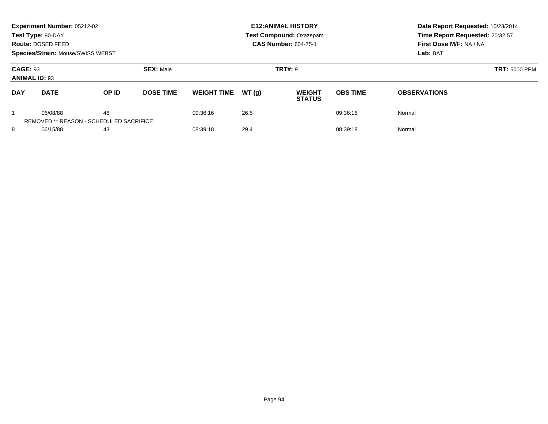| Experiment Number: 05212-02<br>Test Type: 90-DAY<br>Route: DOSED FEED<br>Species/Strain: Mouse/SWISS WEBST |             |                                               |                  |                    |       | <b>E12: ANIMAL HISTORY</b><br>Test Compound: Oxazepam<br><b>CAS Number: 604-75-1</b> | Date Report Requested: 10/23/2014<br>Time Report Requested: 20:32:57<br>First Dose M/F: NA / NA<br>Lab: BAT |                     |
|------------------------------------------------------------------------------------------------------------|-------------|-----------------------------------------------|------------------|--------------------|-------|--------------------------------------------------------------------------------------|-------------------------------------------------------------------------------------------------------------|---------------------|
| <b>CAGE: 93</b><br><b>ANIMAL ID: 93</b>                                                                    |             |                                               | <b>SEX: Male</b> |                    |       | <b>TRT#: 9</b>                                                                       | <b>TRT: 5000 PPM</b>                                                                                        |                     |
| <b>DAY</b>                                                                                                 | <b>DATE</b> | OP ID                                         | <b>DOSE TIME</b> | <b>WEIGHT TIME</b> | WT(q) | <b>WEIGHT</b><br><b>STATUS</b>                                                       | <b>OBS TIME</b>                                                                                             | <b>OBSERVATIONS</b> |
|                                                                                                            | 06/08/88    | 46<br>REMOVED ** REASON - SCHEDULED SACRIFICE |                  | 09:36:16           | 26.5  |                                                                                      | 09:36:16                                                                                                    | Normal              |
| 8<br>06/15/88<br>43                                                                                        |             |                                               | 08:39:18         | 29.4               |       | 08:39:18                                                                             | Normal                                                                                                      |                     |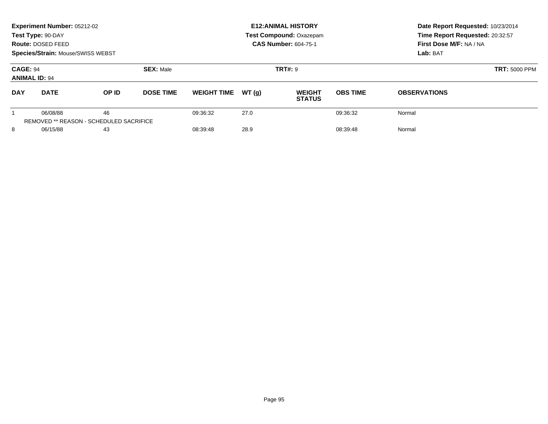| <b>Experiment Number: 05212-02</b><br>Test Type: 90-DAY<br>Route: DOSED FEED<br><b>Species/Strain: Mouse/SWISS WEBST</b> |             |                                               |                  |                    |          | <b>E12: ANIMAL HISTORY</b><br><b>Test Compound: Oxazepam</b><br><b>CAS Number: 604-75-1</b> | Date Report Requested: 10/23/2014<br>Time Report Requested: 20:32:57<br>First Dose M/F: NA / NA<br>Lab: BAT |                     |
|--------------------------------------------------------------------------------------------------------------------------|-------------|-----------------------------------------------|------------------|--------------------|----------|---------------------------------------------------------------------------------------------|-------------------------------------------------------------------------------------------------------------|---------------------|
| <b>CAGE: 94</b><br><b>ANIMAL ID: 94</b>                                                                                  |             |                                               | <b>SEX: Male</b> |                    |          | <b>TRT#: 9</b>                                                                              | <b>TRT: 5000 PPM</b>                                                                                        |                     |
| <b>DAY</b>                                                                                                               | <b>DATE</b> | OP ID                                         | <b>DOSE TIME</b> | <b>WEIGHT TIME</b> | WT(q)    | <b>WEIGHT</b><br><b>STATUS</b>                                                              | <b>OBS TIME</b>                                                                                             | <b>OBSERVATIONS</b> |
|                                                                                                                          | 06/08/88    | 46<br>REMOVED ** REASON - SCHEDULED SACRIFICE |                  | 09:36:32           | 27.0     |                                                                                             | 09:36:32                                                                                                    | Normal              |
| 8<br>06/15/88<br>43                                                                                                      |             | 08:39:48                                      | 28.9             |                    | 08:39:48 | Normal                                                                                      |                                                                                                             |                     |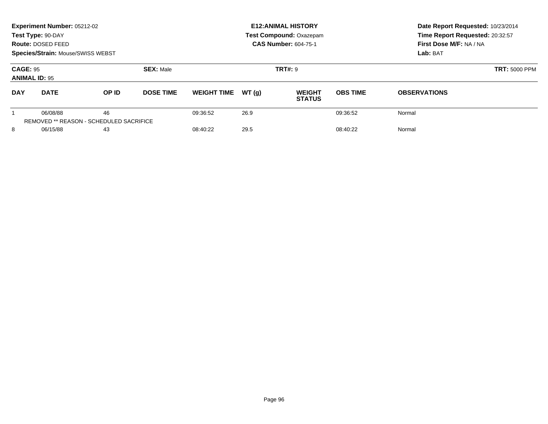| Experiment Number: 05212-02<br>Test Type: 90-DAY<br>Route: DOSED FEED<br><b>Species/Strain: Mouse/SWISS WEBST</b> |                                                     |       |                  |                              |       | <b>E12: ANIMAL HISTORY</b><br><b>Test Compound: Oxazepam</b><br><b>CAS Number: 604-75-1</b> |                 | Date Report Requested: 10/23/2014<br>Time Report Requested: 20:32:57<br>First Dose M/F: NA / NA<br>Lab: BAT<br><b>TRT: 5000 PPM</b> |  |
|-------------------------------------------------------------------------------------------------------------------|-----------------------------------------------------|-------|------------------|------------------------------|-------|---------------------------------------------------------------------------------------------|-----------------|-------------------------------------------------------------------------------------------------------------------------------------|--|
| <b>CAGE: 95</b><br><b>ANIMAL ID: 95</b>                                                                           |                                                     |       | <b>SEX: Male</b> |                              |       | <b>TRT#: 9</b>                                                                              |                 |                                                                                                                                     |  |
| <b>DAY</b>                                                                                                        | <b>DATE</b>                                         | OP ID | <b>DOSE TIME</b> | <b>WEIGHT TIME</b>           | WT(q) | <b>WEIGHT</b><br><b>STATUS</b>                                                              | <b>OBS TIME</b> | <b>OBSERVATIONS</b>                                                                                                                 |  |
|                                                                                                                   | 06/08/88<br>REMOVED ** REASON - SCHEDULED SACRIFICE | 46    |                  | 09:36:52                     | 26.9  |                                                                                             | 09:36:52        | Normal                                                                                                                              |  |
| 8                                                                                                                 | 06/15/88<br>43                                      |       |                  | 29.5<br>08:40:22<br>08:40:22 |       |                                                                                             | Normal          |                                                                                                                                     |  |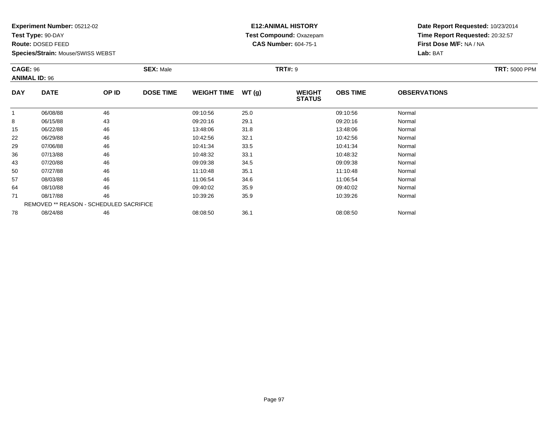**Test Type:** 90-DAY

**Route:** DOSED FEED

**Species/Strain:** Mouse/SWISS WEBST

# **E12:ANIMAL HISTORY Test Compound:** Oxazepam**CAS Number:** 604-75-1

| <b>CAGE: 96</b> | <b>ANIMAL ID: 96</b>                    |       | <b>SEX: Male</b> |                    |       | <b>TRT#: 9</b>                 |                 |                     | <b>TRT: 5000 PPM</b> |
|-----------------|-----------------------------------------|-------|------------------|--------------------|-------|--------------------------------|-----------------|---------------------|----------------------|
| <b>DAY</b>      | <b>DATE</b>                             | OP ID | <b>DOSE TIME</b> | <b>WEIGHT TIME</b> | WT(g) | <b>WEIGHT</b><br><b>STATUS</b> | <b>OBS TIME</b> | <b>OBSERVATIONS</b> |                      |
|                 | 06/08/88                                | 46    |                  | 09:10:56           | 25.0  |                                | 09:10:56        | Normal              |                      |
| 8               | 06/15/88                                | 43    |                  | 09:20:16           | 29.1  |                                | 09:20:16        | Normal              |                      |
| 15              | 06/22/88                                | 46    |                  | 13:48:06           | 31.8  |                                | 13:48:06        | Normal              |                      |
| 22              | 06/29/88                                | 46    |                  | 10:42:56           | 32.1  |                                | 10:42:56        | Normal              |                      |
| 29              | 07/06/88                                | 46    |                  | 10:41:34           | 33.5  |                                | 10:41:34        | Normal              |                      |
| 36              | 07/13/88                                | 46    |                  | 10:48:32           | 33.1  |                                | 10:48:32        | Normal              |                      |
| 43              | 07/20/88                                | 46    |                  | 09:09:38           | 34.5  |                                | 09:09:38        | Normal              |                      |
| 50              | 07/27/88                                | 46    |                  | 11:10:48           | 35.1  |                                | 11:10:48        | Normal              |                      |
| 57              | 08/03/88                                | 46    |                  | 11:06:54           | 34.6  |                                | 11:06:54        | Normal              |                      |
| 64              | 08/10/88                                | 46    |                  | 09:40:02           | 35.9  |                                | 09:40:02        | Normal              |                      |
| 71              | 08/17/88                                | 46    |                  | 10:39:26           | 35.9  |                                | 10:39:26        | Normal              |                      |
|                 | REMOVED ** REASON - SCHEDULED SACRIFICE |       |                  |                    |       |                                |                 |                     |                      |
| 78              | 08/24/88                                | 46    |                  | 08:08:50           | 36.1  |                                | 08:08:50        | Normal              |                      |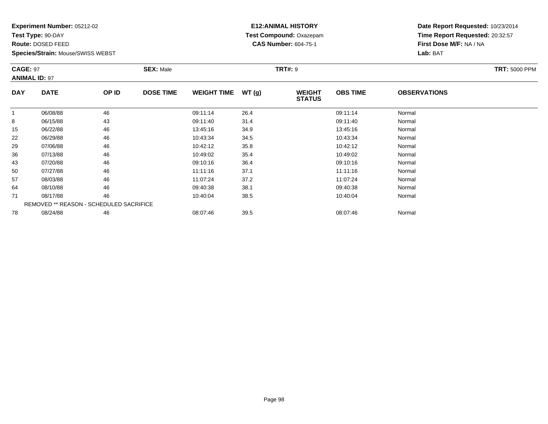**Test Type:** 90-DAY

**Route:** DOSED FEED

**Species/Strain:** Mouse/SWISS WEBST

# **E12:ANIMAL HISTORY Test Compound:** Oxazepam**CAS Number:** 604-75-1

| <b>CAGE: 97</b> | <b>ANIMAL ID: 97</b>                    |       | <b>SEX: Male</b> |                    |       | <b>TRT#: 9</b>                 |                 |                     | <b>TRT: 5000 PPM</b> |
|-----------------|-----------------------------------------|-------|------------------|--------------------|-------|--------------------------------|-----------------|---------------------|----------------------|
| <b>DAY</b>      | <b>DATE</b>                             | OP ID | <b>DOSE TIME</b> | <b>WEIGHT TIME</b> | WT(g) | <b>WEIGHT</b><br><b>STATUS</b> | <b>OBS TIME</b> | <b>OBSERVATIONS</b> |                      |
|                 | 06/08/88                                | 46    |                  | 09:11:14           | 26.4  |                                | 09:11:14        | Normal              |                      |
| 8               | 06/15/88                                | 43    |                  | 09:11:40           | 31.4  |                                | 09:11:40        | Normal              |                      |
| 15              | 06/22/88                                | 46    |                  | 13:45:16           | 34.9  |                                | 13:45:16        | Normal              |                      |
| 22              | 06/29/88                                | 46    |                  | 10:43:34           | 34.5  |                                | 10:43:34        | Normal              |                      |
| 29              | 07/06/88                                | 46    |                  | 10:42:12           | 35.8  |                                | 10:42:12        | Normal              |                      |
| 36              | 07/13/88                                | 46    |                  | 10:49:02           | 35.4  |                                | 10:49:02        | Normal              |                      |
| 43              | 07/20/88                                | 46    |                  | 09:10:16           | 36.4  |                                | 09:10:16        | Normal              |                      |
| 50              | 07/27/88                                | 46    |                  | 11:11:16           | 37.1  |                                | 11:11:16        | Normal              |                      |
| 57              | 08/03/88                                | 46    |                  | 11:07:24           | 37.2  |                                | 11:07:24        | Normal              |                      |
| 64              | 08/10/88                                | 46    |                  | 09:40:38           | 38.1  |                                | 09:40:38        | Normal              |                      |
| 71              | 08/17/88                                | 46    |                  | 10:40:04           | 38.5  |                                | 10:40:04        | Normal              |                      |
|                 | REMOVED ** REASON - SCHEDULED SACRIFICE |       |                  |                    |       |                                |                 |                     |                      |
| 78              | 08/24/88                                | 46    |                  | 08:07:46           | 39.5  |                                | 08:07:46        | Normal              |                      |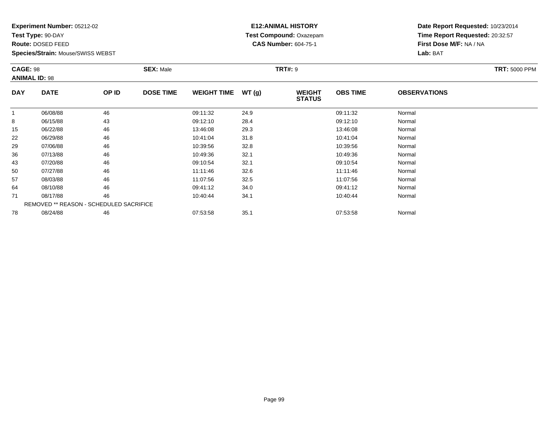**Test Type:** 90-DAY

**Route:** DOSED FEED

**Species/Strain:** Mouse/SWISS WEBST

# **E12:ANIMAL HISTORY Test Compound:** Oxazepam**CAS Number:** 604-75-1

| <b>CAGE: 98</b> | <b>ANIMAL ID: 98</b>                    |       | <b>SEX: Male</b> |                    |       | <b>TRT#: 9</b>                 |                 |                     | <b>TRT: 5000 PPM</b> |
|-----------------|-----------------------------------------|-------|------------------|--------------------|-------|--------------------------------|-----------------|---------------------|----------------------|
| <b>DAY</b>      | <b>DATE</b>                             | OP ID | <b>DOSE TIME</b> | <b>WEIGHT TIME</b> | WT(g) | <b>WEIGHT</b><br><b>STATUS</b> | <b>OBS TIME</b> | <b>OBSERVATIONS</b> |                      |
|                 | 06/08/88                                | 46    |                  | 09:11:32           | 24.9  |                                | 09:11:32        | Normal              |                      |
| 8               | 06/15/88                                | 43    |                  | 09:12:10           | 28.4  |                                | 09:12:10        | Normal              |                      |
| 15              | 06/22/88                                | 46    |                  | 13:46:08           | 29.3  |                                | 13:46:08        | Normal              |                      |
| 22              | 06/29/88                                | 46    |                  | 10:41:04           | 31.8  |                                | 10:41:04        | Normal              |                      |
| 29              | 07/06/88                                | 46    |                  | 10:39:56           | 32.8  |                                | 10:39:56        | Normal              |                      |
| 36              | 07/13/88                                | 46    |                  | 10:49:36           | 32.1  |                                | 10:49:36        | Normal              |                      |
| 43              | 07/20/88                                | 46    |                  | 09:10:54           | 32.1  |                                | 09:10:54        | Normal              |                      |
| 50              | 07/27/88                                | 46    |                  | 11:11:46           | 32.6  |                                | 11:11:46        | Normal              |                      |
| 57              | 08/03/88                                | 46    |                  | 11:07:56           | 32.5  |                                | 11:07:56        | Normal              |                      |
| 64              | 08/10/88                                | 46    |                  | 09:41:12           | 34.0  |                                | 09:41:12        | Normal              |                      |
| 71              | 08/17/88                                | 46    |                  | 10:40:44           | 34.1  |                                | 10:40:44        | Normal              |                      |
|                 | REMOVED ** REASON - SCHEDULED SACRIFICE |       |                  |                    |       |                                |                 |                     |                      |
| 78              | 08/24/88                                | 46    |                  | 07:53:58           | 35.1  |                                | 07:53:58        | Normal              |                      |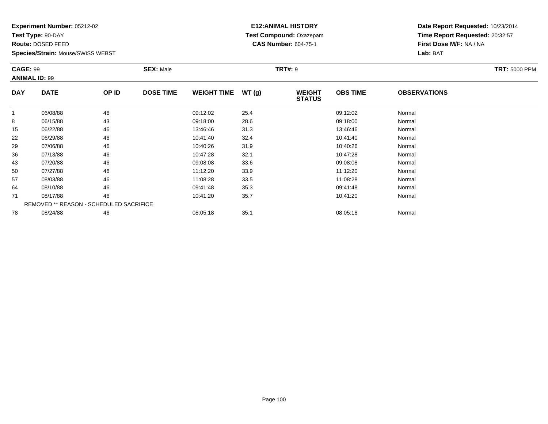**Test Type:** 90-DAY

**Route:** DOSED FEED

**Species/Strain:** Mouse/SWISS WEBST

# **E12:ANIMAL HISTORY Test Compound:** Oxazepam**CAS Number:** 604-75-1

**Date Report Requested:** 10/23/2014**Time Report Requested:** 20:32:57**First Dose M/F:** NA / NA**Lab:** BAT

| <b>CAGE: 99</b> | <b>ANIMAL ID: 99</b><br><b>DATE</b><br>OP ID |    | <b>SEX: Male</b> |                    |       | <b>TRT#: 9</b>                 |                 |                     | <b>TRT: 5000 PPM</b> |
|-----------------|----------------------------------------------|----|------------------|--------------------|-------|--------------------------------|-----------------|---------------------|----------------------|
| <b>DAY</b>      |                                              |    | <b>DOSE TIME</b> | <b>WEIGHT TIME</b> | WT(g) | <b>WEIGHT</b><br><b>STATUS</b> | <b>OBS TIME</b> | <b>OBSERVATIONS</b> |                      |
| 1               | 06/08/88                                     | 46 |                  | 09:12:02           | 25.4  |                                | 09:12:02        | Normal              |                      |
| 8               | 06/15/88                                     | 43 |                  | 09:18:00           | 28.6  |                                | 09:18:00        | Normal              |                      |
| 15              | 06/22/88                                     | 46 |                  | 13:46:46           | 31.3  |                                | 13:46:46        | Normal              |                      |
| 22              | 06/29/88                                     | 46 |                  | 10:41:40           | 32.4  |                                | 10:41:40        | Normal              |                      |
| 29              | 07/06/88                                     | 46 |                  | 10:40:26           | 31.9  |                                | 10:40:26        | Normal              |                      |
| 36              | 07/13/88                                     | 46 |                  | 10:47:28           | 32.1  |                                | 10:47:28        | Normal              |                      |
| 43              | 07/20/88                                     | 46 |                  | 09:08:08           | 33.6  |                                | 09:08:08        | Normal              |                      |
| 50              | 07/27/88                                     | 46 |                  | 11:12:20           | 33.9  |                                | 11:12:20        | Normal              |                      |
| 57              | 08/03/88                                     | 46 |                  | 11:08:28           | 33.5  |                                | 11:08:28        | Normal              |                      |
| 64              | 08/10/88                                     | 46 |                  | 09:41:48           | 35.3  |                                | 09:41:48        | Normal              |                      |
| 71              | 08/17/88                                     | 46 |                  | 10:41:20           | 35.7  |                                | 10:41:20        | Normal              |                      |
|                 | REMOVED ** REASON - SCHEDULED SACRIFICE      |    |                  |                    |       |                                |                 |                     |                      |
| 78              | 08/24/88                                     | 46 |                  | 08:05:18           | 35.1  |                                | 08:05:18        | Normal              |                      |

8 08/24/88 46 08:05:18 35.1 08:05:18 Normal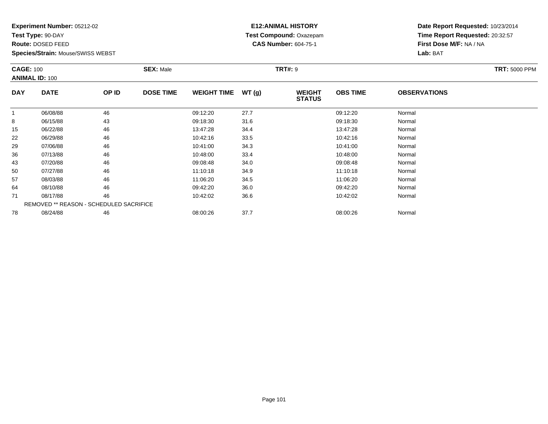**Test Type:** 90-DAY

**Route:** DOSED FEED

**Species/Strain:** Mouse/SWISS WEBST

# **E12:ANIMAL HISTORY Test Compound:** Oxazepam**CAS Number:** 604-75-1

|            | <b>CAGE: 100</b><br><b>ANIMAL ID: 100</b><br><b>DATE</b><br>OP ID |    | <b>SEX: Male</b> |                    |       | <b>TRT#: 9</b>                 |                 |                     | <b>TRT: 5000 PPM</b> |
|------------|-------------------------------------------------------------------|----|------------------|--------------------|-------|--------------------------------|-----------------|---------------------|----------------------|
| <b>DAY</b> |                                                                   |    | <b>DOSE TIME</b> | <b>WEIGHT TIME</b> | WT(g) | <b>WEIGHT</b><br><b>STATUS</b> | <b>OBS TIME</b> | <b>OBSERVATIONS</b> |                      |
|            | 06/08/88                                                          | 46 |                  | 09:12:20           | 27.7  |                                | 09:12:20        | Normal              |                      |
| 8          | 06/15/88                                                          | 43 |                  | 09:18:30           | 31.6  |                                | 09:18:30        | Normal              |                      |
| 15         | 06/22/88                                                          | 46 |                  | 13:47:28           | 34.4  |                                | 13:47:28        | Normal              |                      |
| 22         | 06/29/88                                                          | 46 |                  | 10:42:16           | 33.5  |                                | 10:42:16        | Normal              |                      |
| 29         | 07/06/88                                                          | 46 |                  | 10:41:00           | 34.3  |                                | 10:41:00        | Normal              |                      |
| 36         | 07/13/88                                                          | 46 |                  | 10:48:00           | 33.4  |                                | 10:48:00        | Normal              |                      |
| 43         | 07/20/88                                                          | 46 |                  | 09:08:48           | 34.0  |                                | 09:08:48        | Normal              |                      |
| 50         | 07/27/88                                                          | 46 |                  | 11:10:18           | 34.9  |                                | 11:10:18        | Normal              |                      |
| 57         | 08/03/88                                                          | 46 |                  | 11:06:20           | 34.5  |                                | 11:06:20        | Normal              |                      |
| 64         | 08/10/88                                                          | 46 |                  | 09:42:20           | 36.0  |                                | 09:42:20        | Normal              |                      |
| 71         | 08/17/88                                                          | 46 |                  | 10:42:02           | 36.6  |                                | 10:42:02        | Normal              |                      |
|            | <b>REMOVED ** REASON - SCHEDULED SACRIFICE</b>                    |    |                  |                    |       |                                |                 |                     |                      |
| 78         | 08/24/88                                                          | 46 |                  | 08:00:26           | 37.7  |                                | 08:00:26        | Normal              |                      |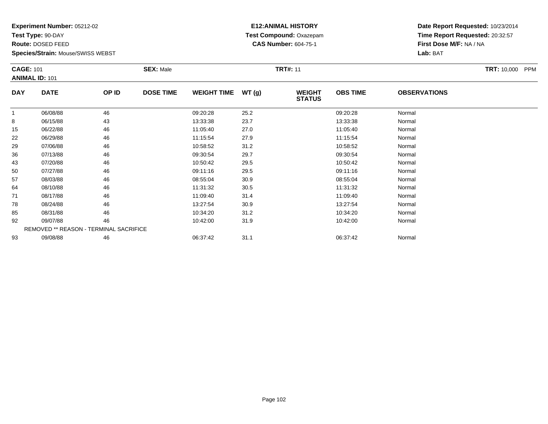**Test Type:** 90-DAY

**Route:** DOSED FEED

92

93

**Species/Strain:** Mouse/SWISS WEBST

REMOVED \*\* REASON - TERMINAL SACRIFICE

#### **E12:ANIMAL HISTORY Test Compound:** Oxazepam**CAS Number:** 604-75-1

**Date Report Requested:** 10/23/2014**Time Report Requested:** 20:32:57**First Dose M/F:** NA / NA**Lab:** BAT

| <b>CAGE: 101</b><br><b>ANIMAL ID: 101</b> |             |       | <b>SEX: Male</b> |                    |       | <b>TRT#: 11</b>                |                 |                     | <b>TRT: 10,000</b><br><b>PPM</b> |
|-------------------------------------------|-------------|-------|------------------|--------------------|-------|--------------------------------|-----------------|---------------------|----------------------------------|
| <b>DAY</b>                                | <b>DATE</b> | OP ID | <b>DOSE TIME</b> | <b>WEIGHT TIME</b> | WT(g) | <b>WEIGHT</b><br><b>STATUS</b> | <b>OBS TIME</b> | <b>OBSERVATIONS</b> |                                  |
|                                           | 06/08/88    | 46    |                  | 09:20:28           | 25.2  |                                | 09:20:28        | Normal              |                                  |
| 8                                         | 06/15/88    | 43    |                  | 13:33:38           | 23.7  |                                | 13:33:38        | Normal              |                                  |
| 15                                        | 06/22/88    | 46    |                  | 11:05:40           | 27.0  |                                | 11:05:40        | Normal              |                                  |
| 22                                        | 06/29/88    | 46    |                  | 11:15:54           | 27.9  |                                | 11:15:54        | Normal              |                                  |
| 29                                        | 07/06/88    | 46    |                  | 10:58:52           | 31.2  |                                | 10:58:52        | Normal              |                                  |
| 36                                        | 07/13/88    | 46    |                  | 09:30:54           | 29.7  |                                | 09:30:54        | Normal              |                                  |
| 43                                        | 07/20/88    | 46    |                  | 10:50:42           | 29.5  |                                | 10:50:42        | Normal              |                                  |
| 50                                        | 07/27/88    | 46    |                  | 09:11:16           | 29.5  |                                | 09:11:16        | Normal              |                                  |
| 57                                        | 08/03/88    | 46    |                  | 08:55:04           | 30.9  |                                | 08:55:04        | Normal              |                                  |
| 64                                        | 08/10/88    | 46    |                  | 11:31:32           | 30.5  |                                | 11:31:32        | Normal              |                                  |
| 71                                        | 08/17/88    | 46    |                  | 11:09:40           | 31.4  |                                | 11:09:40        | Normal              |                                  |
| 78                                        | 08/24/88    | 46    |                  | 13:27:54           | 30.9  |                                | 13:27:54        | Normal              |                                  |
| 85                                        | 08/31/88    | 46    |                  | 10:34:20           | 31.2  |                                | 10:34:20        | Normal              |                                  |

2 09/07/88 46 46 10:42:00 31.9 10:42:00 31.9 10:42:00 10:42:00 Normal

3 09/08/88 46 46 06:37:42 31.1 06:37:42 06:37:42 Normal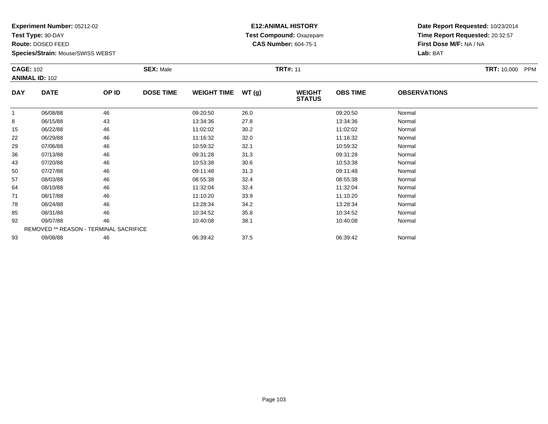**Test Type:** 90-DAY

**Route:** DOSED FEED

92

93

**Species/Strain:** Mouse/SWISS WEBST

REMOVED \*\* REASON - TERMINAL SACRIFICE

#### **E12:ANIMAL HISTORY Test Compound:** Oxazepam**CAS Number:** 604-75-1

**Date Report Requested:** 10/23/2014**Time Report Requested:** 20:32:57**First Dose M/F:** NA / NA**Lab:** BAT

| <b>CAGE: 102</b><br><b>ANIMAL ID: 102</b> |             |       | <b>SEX: Male</b> |                    |       | <b>TRT#: 11</b>                |                 |                     | <b>TRT: 10,000</b><br><b>PPM</b> |
|-------------------------------------------|-------------|-------|------------------|--------------------|-------|--------------------------------|-----------------|---------------------|----------------------------------|
| <b>DAY</b>                                | <b>DATE</b> | OP ID | <b>DOSE TIME</b> | <b>WEIGHT TIME</b> | WT(g) | <b>WEIGHT</b><br><b>STATUS</b> | <b>OBS TIME</b> | <b>OBSERVATIONS</b> |                                  |
|                                           | 06/08/88    | 46    |                  | 09:20:50           | 26.0  |                                | 09:20:50        | Normal              |                                  |
| 8                                         | 06/15/88    | 43    |                  | 13:34:36           | 27.8  |                                | 13:34:36        | Normal              |                                  |
| 15                                        | 06/22/88    | 46    |                  | 11:02:02           | 30.2  |                                | 11:02:02        | Normal              |                                  |
| 22                                        | 06/29/88    | 46    |                  | 11:16:32           | 32.0  |                                | 11:16:32        | Normal              |                                  |
| 29                                        | 07/06/88    | 46    |                  | 10:59:32           | 32.1  |                                | 10:59:32        | Normal              |                                  |
| 36                                        | 07/13/88    | 46    |                  | 09:31:28           | 31.3  |                                | 09:31:28        | Normal              |                                  |
| 43                                        | 07/20/88    | 46    |                  | 10:53:38           | 30.6  |                                | 10:53:38        | Normal              |                                  |
| 50                                        | 07/27/88    | 46    |                  | 09:11:48           | 31.3  |                                | 09:11:48        | Normal              |                                  |
| 57                                        | 08/03/88    | 46    |                  | 08:55:38           | 32.4  |                                | 08:55:38        | Normal              |                                  |
| 64                                        | 08/10/88    | 46    |                  | 11:32:04           | 32.4  |                                | 11:32:04        | Normal              |                                  |
| 71                                        | 08/17/88    | 46    |                  | 11:10:20           | 33.9  |                                | 11:10:20        | Normal              |                                  |
| 78                                        | 08/24/88    | 46    |                  | 13:28:34           | 34.2  |                                | 13:28:34        | Normal              |                                  |
| 85                                        | 08/31/88    | 46    |                  | 10:34:52           | 35.8  |                                | 10:34:52        | Normal              |                                  |

2 09/07/88 46 46 10:40:08 38.1 10:40:08 38.1 10:40:08 Normal

3 09/08/88 46 46 06:39:42 37.5 66:39:42 06:39:42 06:39:42 Normal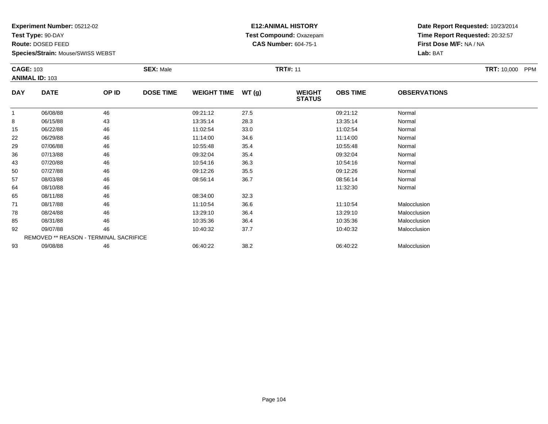**Test Type:** 90-DAY

**Route:** DOSED FEED

**Species/Strain:** Mouse/SWISS WEBST

#### **E12:ANIMAL HISTORY Test Compound:** Oxazepam**CAS Number:** 604-75-1

**Date Report Requested:** 10/23/2014**Time Report Requested:** 20:32:57**First Dose M/F:** NA / NA**Lab:** BAT

| <b>CAGE: 103</b> | <b>ANIMAL ID: 103</b>                         |       | <b>SEX: Male</b> |                    |       | <b>TRT#: 11</b>                |                 |                     | <b>TRT: 10,000</b><br><b>PPM</b> |
|------------------|-----------------------------------------------|-------|------------------|--------------------|-------|--------------------------------|-----------------|---------------------|----------------------------------|
| <b>DAY</b>       | <b>DATE</b>                                   | OP ID | <b>DOSE TIME</b> | <b>WEIGHT TIME</b> | WT(g) | <b>WEIGHT</b><br><b>STATUS</b> | <b>OBS TIME</b> | <b>OBSERVATIONS</b> |                                  |
|                  | 06/08/88                                      | 46    |                  | 09:21:12           | 27.5  |                                | 09:21:12        | Normal              |                                  |
| 8                | 06/15/88                                      | 43    |                  | 13:35:14           | 28.3  |                                | 13:35:14        | Normal              |                                  |
| 15               | 06/22/88                                      | 46    |                  | 11:02:54           | 33.0  |                                | 11:02:54        | Normal              |                                  |
| 22               | 06/29/88                                      | 46    |                  | 11:14:00           | 34.6  |                                | 11:14:00        | Normal              |                                  |
| 29               | 07/06/88                                      | 46    |                  | 10:55:48           | 35.4  |                                | 10:55:48        | Normal              |                                  |
| 36               | 07/13/88                                      | 46    |                  | 09:32:04           | 35.4  |                                | 09:32:04        | Normal              |                                  |
| 43               | 07/20/88                                      | 46    |                  | 10:54:16           | 36.3  |                                | 10:54:16        | Normal              |                                  |
| 50               | 07/27/88                                      | 46    |                  | 09:12:26           | 35.5  |                                | 09:12:26        | Normal              |                                  |
| 57               | 08/03/88                                      | 46    |                  | 08:56:14           | 36.7  |                                | 08:56:14        | Normal              |                                  |
| 64               | 08/10/88                                      | 46    |                  |                    |       |                                | 11:32:30        | Normal              |                                  |
| 65               | 08/11/88                                      | 46    |                  | 08:34:00           | 32.3  |                                |                 |                     |                                  |
| 71               | 08/17/88                                      | 46    |                  | 11:10:54           | 36.6  |                                | 11:10:54        | Malocclusion        |                                  |
| 78               | 08/24/88                                      | 46    |                  | 13:29:10           | 36.4  |                                | 13:29:10        | Malocclusion        |                                  |
| 85               | 08/31/88                                      | 46    |                  | 10:35:36           | 36.4  |                                | 10:35:36        | Malocclusion        |                                  |
| 92               | 09/07/88                                      | 46    |                  | 10:40:32           | 37.7  |                                | 10:40:32        | Malocclusion        |                                  |
|                  | <b>REMOVED ** REASON - TERMINAL SACRIFICE</b> |       |                  |                    |       |                                |                 |                     |                                  |
| 93               | 09/08/88                                      | 46    |                  | 06:40:22           | 38.2  |                                | 06:40:22        | Malocclusion        |                                  |

09/08/88 <sup>46</sup> 06:40:22 38.2 06:40:22 Malocclusion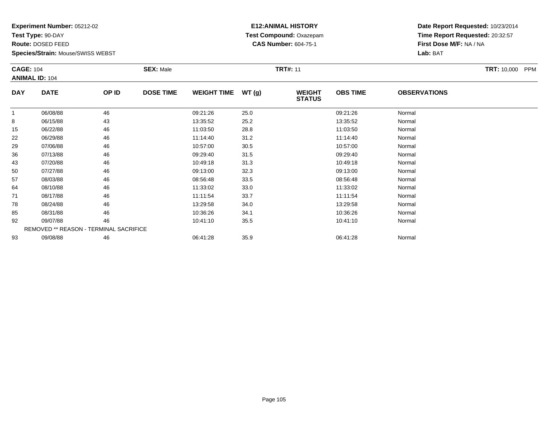**Test Type:** 90-DAY

**Species/Strain:** Mouse/SWISS WEBST

#### **E12:ANIMAL HISTORY Test Compound:** Oxazepam**CAS Number:** 604-75-1

**Date Report Requested:** 10/23/2014**Time Report Requested:** 20:32:57**First Dose M/F:** NA / NA**Lab:** BAT

| <b>CAGE: 104</b> | <b>ANIMAL ID: 104</b> |       | <b>SEX: Male</b> |                    |       | <b>TRT#: 11</b>                |                 |                     | <b>TRT: 10,000</b><br><b>PPM</b> |
|------------------|-----------------------|-------|------------------|--------------------|-------|--------------------------------|-----------------|---------------------|----------------------------------|
| <b>DAY</b>       | <b>DATE</b>           | OP ID | <b>DOSE TIME</b> | <b>WEIGHT TIME</b> | WT(g) | <b>WEIGHT</b><br><b>STATUS</b> | <b>OBS TIME</b> | <b>OBSERVATIONS</b> |                                  |
|                  | 06/08/88              | 46    |                  | 09:21:26           | 25.0  |                                | 09:21:26        | Normal              |                                  |
| 8                | 06/15/88              | 43    |                  | 13:35:52           | 25.2  |                                | 13:35:52        | Normal              |                                  |
| 15               | 06/22/88              | 46    |                  | 11:03:50           | 28.8  |                                | 11:03:50        | Normal              |                                  |
| 22               | 06/29/88              | 46    |                  | 11:14:40           | 31.2  |                                | 11:14:40        | Normal              |                                  |
| 29               | 07/06/88              | 46    |                  | 10:57:00           | 30.5  |                                | 10:57:00        | Normal              |                                  |
| 36               | 07/13/88              | 46    |                  | 09:29:40           | 31.5  |                                | 09:29:40        | Normal              |                                  |
| 43               | 07/20/88              | 46    |                  | 10:49:18           | 31.3  |                                | 10:49:18        | Normal              |                                  |
| 50               | 07/27/88              | 46    |                  | 09:13:00           | 32.3  |                                | 09:13:00        | Normal              |                                  |
| 57               | 08/03/88              | 46    |                  | 08:56:48           | 33.5  |                                | 08:56:48        | Normal              |                                  |
| 64               | 08/10/88              | 46    |                  | 11:33:02           | 33.0  |                                | 11:33:02        | Normal              |                                  |
| 71               | 08/17/88              | 46    |                  | 11:11:54           | 33.7  |                                | 11:11:54        | Normal              |                                  |
| 78               | 08/24/88              | 46    |                  | 13:29:58           | 34.0  |                                | 13:29:58        | Normal              |                                  |
| 85               | 08/31/88              | 46    |                  | 10:36:26           | 34.1  |                                | 10:36:26        | Normal              |                                  |
| 92               | 09/07/88              | 46    |                  | 10:41:10           | 35.5  |                                | 10:41:10        | Normal              |                                  |

3 09/08/88 46 46 06:41:28 35.9 35.9 06:41:28 06:41:28 Normal

REMOVED \*\* REASON - TERMINAL SACRIFICE

**Route:** DOSED FEED

93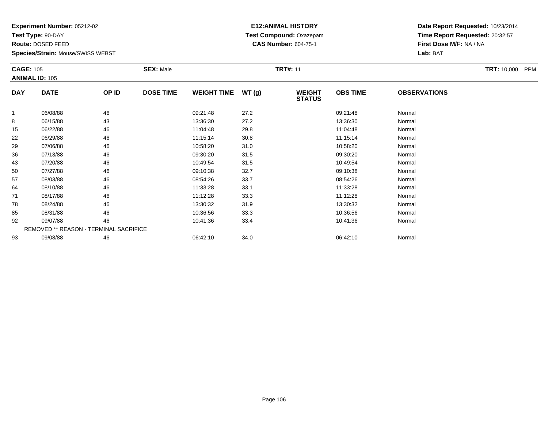**Test Type:** 90-DAY

**Route:** DOSED FEED

93

**Species/Strain:** Mouse/SWISS WEBST

# **E12:ANIMAL HISTORY Test Compound:** Oxazepam**CAS Number:** 604-75-1

**Date Report Requested:** 10/23/2014**Time Report Requested:** 20:32:57**First Dose M/F:** NA / NA**Lab:** BAT

| <b>CAGE: 105</b> | <b>ANIMAL ID: 105</b>                         |       | <b>SEX: Male</b> |                    |       | <b>TRT#: 11</b>                |                 |                     | <b>TRT: 10,000</b><br><b>PPM</b> |
|------------------|-----------------------------------------------|-------|------------------|--------------------|-------|--------------------------------|-----------------|---------------------|----------------------------------|
| <b>DAY</b>       | <b>DATE</b>                                   | OP ID | <b>DOSE TIME</b> | <b>WEIGHT TIME</b> | WT(g) | <b>WEIGHT</b><br><b>STATUS</b> | <b>OBS TIME</b> | <b>OBSERVATIONS</b> |                                  |
| $\mathbf{1}$     | 06/08/88                                      | 46    |                  | 09:21:48           | 27.2  |                                | 09:21:48        | Normal              |                                  |
| 8                | 06/15/88                                      | 43    |                  | 13:36:30           | 27.2  |                                | 13:36:30        | Normal              |                                  |
| 15               | 06/22/88                                      | 46    |                  | 11:04:48           | 29.8  |                                | 11:04:48        | Normal              |                                  |
| 22               | 06/29/88                                      | 46    |                  | 11:15:14           | 30.8  |                                | 11:15:14        | Normal              |                                  |
| 29               | 07/06/88                                      | 46    |                  | 10:58:20           | 31.0  |                                | 10:58:20        | Normal              |                                  |
| 36               | 07/13/88                                      | 46    |                  | 09:30:20           | 31.5  |                                | 09:30:20        | Normal              |                                  |
| 43               | 07/20/88                                      | 46    |                  | 10:49:54           | 31.5  |                                | 10:49:54        | Normal              |                                  |
| 50               | 07/27/88                                      | 46    |                  | 09:10:38           | 32.7  |                                | 09:10:38        | Normal              |                                  |
| 57               | 08/03/88                                      | 46    |                  | 08:54:26           | 33.7  |                                | 08:54:26        | Normal              |                                  |
| 64               | 08/10/88                                      | 46    |                  | 11:33:28           | 33.1  |                                | 11:33:28        | Normal              |                                  |
| 71               | 08/17/88                                      | 46    |                  | 11:12:28           | 33.3  |                                | 11:12:28        | Normal              |                                  |
| 78               | 08/24/88                                      | 46    |                  | 13:30:32           | 31.9  |                                | 13:30:32        | Normal              |                                  |
| 85               | 08/31/88                                      | 46    |                  | 10:36:56           | 33.3  |                                | 10:36:56        | Normal              |                                  |
| 92               | 09/07/88                                      | 46    |                  | 10:41:36           | 33.4  |                                | 10:41:36        | Normal              |                                  |
|                  | <b>REMOVED ** REASON - TERMINAL SACRIFICE</b> |       |                  |                    |       |                                |                 |                     |                                  |

3 09/08/88 46 46 06:42:10 34.0 34.0 06:42:10 06:42:10 06:42:10 06:42:10 06:42:10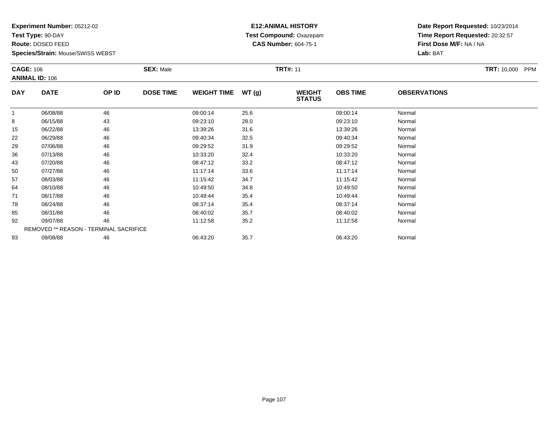**Test Type:** 90-DAY

**Route:** DOSED FEED

93

**Species/Strain:** Mouse/SWISS WEBST

# **E12:ANIMAL HISTORY Test Compound:** Oxazepam**CAS Number:** 604-75-1

**Date Report Requested:** 10/23/2014**Time Report Requested:** 20:32:57**First Dose M/F:** NA / NA**Lab:** BAT

| <b>CAGE: 106</b> | <b>ANIMAL ID: 106</b>                  |       | <b>SEX: Male</b> |                    |       | <b>TRT#: 11</b>                |                 |                     | <b>TRT: 10,000</b><br><b>PPM</b> |
|------------------|----------------------------------------|-------|------------------|--------------------|-------|--------------------------------|-----------------|---------------------|----------------------------------|
| <b>DAY</b>       | <b>DATE</b>                            | OP ID | <b>DOSE TIME</b> | <b>WEIGHT TIME</b> | WT(g) | <b>WEIGHT</b><br><b>STATUS</b> | <b>OBS TIME</b> | <b>OBSERVATIONS</b> |                                  |
|                  | 06/08/88                               | 46    |                  | 09:00:14           | 25.6  |                                | 09:00:14        | Normal              |                                  |
| 8                | 06/15/88                               | 43    |                  | 09:23:10           | 28.0  |                                | 09:23:10        | Normal              |                                  |
| 15               | 06/22/88                               | 46    |                  | 13:39:26           | 31.6  |                                | 13:39:26        | Normal              |                                  |
| 22               | 06/29/88                               | 46    |                  | 09:40:34           | 32.5  |                                | 09:40:34        | Normal              |                                  |
| 29               | 07/06/88                               | 46    |                  | 09:29:52           | 31.9  |                                | 09:29:52        | Normal              |                                  |
| 36               | 07/13/88                               | 46    |                  | 10:33:20           | 32.4  |                                | 10:33:20        | Normal              |                                  |
| 43               | 07/20/88                               | 46    |                  | 08:47:12           | 33.2  |                                | 08:47:12        | Normal              |                                  |
| 50               | 07/27/88                               | 46    |                  | 11:17:14           | 33.6  |                                | 11:17:14        | Normal              |                                  |
| 57               | 08/03/88                               | 46    |                  | 11:15:42           | 34.7  |                                | 11:15:42        | Normal              |                                  |
| 64               | 08/10/88                               | 46    |                  | 10:49:50           | 34.8  |                                | 10:49:50        | Normal              |                                  |
| 71               | 08/17/88                               | 46    |                  | 10:49:44           | 35.4  |                                | 10:49:44        | Normal              |                                  |
| 78               | 08/24/88                               | 46    |                  | 08:37:14           | 35.4  |                                | 08:37:14        | Normal              |                                  |
| 85               | 08/31/88                               | 46    |                  | 08:40:02           | 35.7  |                                | 08:40:02        | Normal              |                                  |
| 92               | 09/07/88                               | 46    |                  | 11:12:58           | 35.2  |                                | 11:12:58        | Normal              |                                  |
|                  | REMOVED ** REASON - TERMINAL SACRIFICE |       |                  |                    |       |                                |                 |                     |                                  |

3 09/08/88 46 46 06:43:20 35.7 35.7 06:43:20 06:43:20 Normal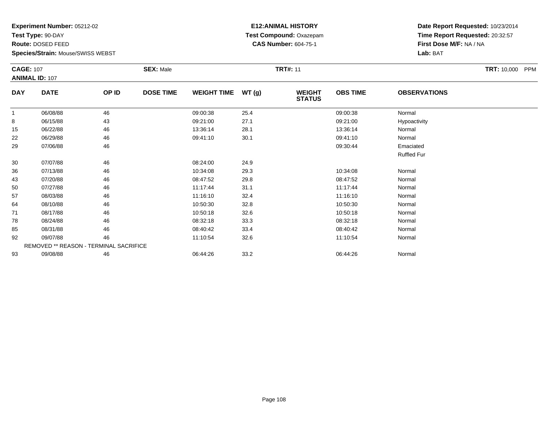**Test Type:** 90-DAY

**Route:** DOSED FEED

93

**Species/Strain:** Mouse/SWISS WEBST

#### **E12:ANIMAL HISTORY Test Compound:** Oxazepam**CAS Number:** 604-75-1

**Date Report Requested:** 10/23/2014**Time Report Requested:** 20:32:57**First Dose M/F:** NA / NA**Lab:** BAT

| <b>CAGE: 107</b> | <b>ANIMAL ID: 107</b>                         |       | <b>SEX: Male</b> |                    |       | <b>TRT#: 11</b>                |                 |                     | TRT: 10,000 PPM |
|------------------|-----------------------------------------------|-------|------------------|--------------------|-------|--------------------------------|-----------------|---------------------|-----------------|
| <b>DAY</b>       | <b>DATE</b>                                   | OP ID | <b>DOSE TIME</b> | <b>WEIGHT TIME</b> | WT(g) | <b>WEIGHT</b><br><b>STATUS</b> | <b>OBS TIME</b> | <b>OBSERVATIONS</b> |                 |
| 1                | 06/08/88                                      | 46    |                  | 09:00:38           | 25.4  |                                | 09:00:38        | Normal              |                 |
| 8                | 06/15/88                                      | 43    |                  | 09:21:00           | 27.1  |                                | 09:21:00        | Hypoactivity        |                 |
| 15               | 06/22/88                                      | 46    |                  | 13:36:14           | 28.1  |                                | 13:36:14        | Normal              |                 |
| 22               | 06/29/88                                      | 46    |                  | 09:41:10           | 30.1  |                                | 09:41:10        | Normal              |                 |
| 29               | 07/06/88                                      | 46    |                  |                    |       |                                | 09:30:44        | Emaciated           |                 |
|                  |                                               |       |                  |                    |       |                                |                 | <b>Ruffled Fur</b>  |                 |
| 30               | 07/07/88                                      | 46    |                  | 08:24:00           | 24.9  |                                |                 |                     |                 |
| 36               | 07/13/88                                      | 46    |                  | 10:34:08           | 29.3  |                                | 10:34:08        | Normal              |                 |
| 43               | 07/20/88                                      | 46    |                  | 08:47:52           | 29.8  |                                | 08:47:52        | Normal              |                 |
| 50               | 07/27/88                                      | 46    |                  | 11:17:44           | 31.1  |                                | 11:17:44        | Normal              |                 |
| 57               | 08/03/88                                      | 46    |                  | 11:16:10           | 32.4  |                                | 11:16:10        | Normal              |                 |
| 64               | 08/10/88                                      | 46    |                  | 10:50:30           | 32.8  |                                | 10:50:30        | Normal              |                 |
| 71               | 08/17/88                                      | 46    |                  | 10:50:18           | 32.6  |                                | 10:50:18        | Normal              |                 |
| 78               | 08/24/88                                      | 46    |                  | 08:32:18           | 33.3  |                                | 08:32:18        | Normal              |                 |
| 85               | 08/31/88                                      | 46    |                  | 08:40:42           | 33.4  |                                | 08:40:42        | Normal              |                 |
| 92               | 09/07/88                                      | 46    |                  | 11:10:54           | 32.6  |                                | 11:10:54        | Normal              |                 |
|                  | <b>REMOVED ** REASON - TERMINAL SACRIFICE</b> |       |                  |                    |       |                                |                 |                     |                 |

3 09/08/88 46 46 06:44:26 33.2 69/08/88 Normal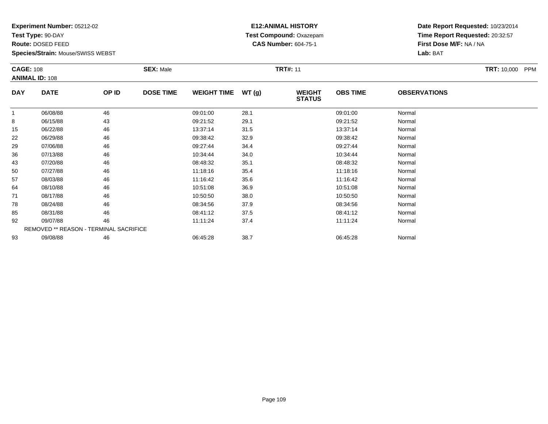**Test Type:** 90-DAY

**Route:** DOSED FEED

**Species/Strain:** Mouse/SWISS WEBST

# **E12:ANIMAL HISTORY Test Compound:** Oxazepam**CAS Number:** 604-75-1

|                | <b>CAGE: 108</b><br><b>ANIMAL ID: 108</b> |       | <b>SEX: Male</b> |                    |       | <b>TRT#: 11</b>                |                 | <b>TRT: 10,000</b><br><b>PPM</b> |  |
|----------------|-------------------------------------------|-------|------------------|--------------------|-------|--------------------------------|-----------------|----------------------------------|--|
| <b>DAY</b>     | <b>DATE</b>                               | OP ID | <b>DOSE TIME</b> | <b>WEIGHT TIME</b> | WT(g) | <b>WEIGHT</b><br><b>STATUS</b> | <b>OBS TIME</b> | <b>OBSERVATIONS</b>              |  |
| $\overline{1}$ | 06/08/88                                  | 46    |                  | 09:01:00           | 28.1  |                                | 09:01:00        | Normal                           |  |
| 8              | 06/15/88                                  | 43    |                  | 09:21:52           | 29.1  |                                | 09:21:52        | Normal                           |  |
| 15             | 06/22/88                                  | 46    |                  | 13:37:14           | 31.5  |                                | 13:37:14        | Normal                           |  |
| 22             | 06/29/88                                  | 46    |                  | 09:38:42           | 32.9  |                                | 09:38:42        | Normal                           |  |
| 29             | 07/06/88                                  | 46    |                  | 09:27:44           | 34.4  |                                | 09:27:44        | Normal                           |  |
| 36             | 07/13/88                                  | 46    |                  | 10:34:44           | 34.0  |                                | 10:34:44        | Normal                           |  |
| 43             | 07/20/88                                  | 46    |                  | 08:48:32           | 35.1  |                                | 08:48:32        | Normal                           |  |
| 50             | 07/27/88                                  | 46    |                  | 11:18:16           | 35.4  |                                | 11:18:16        | Normal                           |  |
| 57             | 08/03/88                                  | 46    |                  | 11:16:42           | 35.6  |                                | 11:16:42        | Normal                           |  |
| 64             | 08/10/88                                  | 46    |                  | 10:51:08           | 36.9  |                                | 10:51:08        | Normal                           |  |
| 71             | 08/17/88                                  | 46    |                  | 10:50:50           | 38.0  |                                | 10:50:50        | Normal                           |  |
| 78             | 08/24/88                                  | 46    |                  | 08:34:56           | 37.9  |                                | 08:34:56        | Normal                           |  |
| 85             | 08/31/88                                  | 46    |                  | 08:41:12           | 37.5  |                                | 08:41:12        | Normal                           |  |
| 92             | 09/07/88                                  | 46    |                  | 11:11:24           | 37.4  |                                | 11:11:24        | Normal                           |  |
|                | REMOVED ** REASON - TERMINAL SACRIFICE    |       |                  |                    |       |                                |                 |                                  |  |
| 93             | 09/08/88                                  | 46    |                  | 06:45:28           | 38.7  |                                | 06:45:28        | Normal                           |  |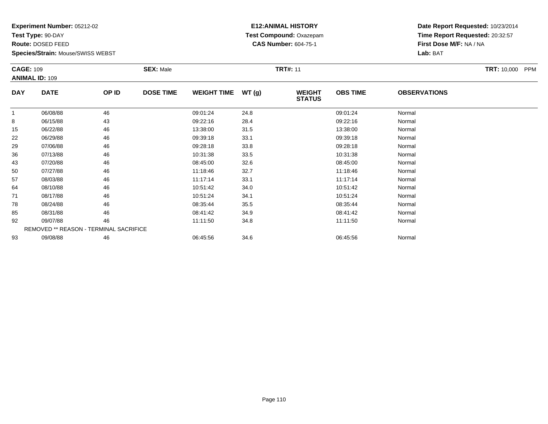**Test Type:** 90-DAY

**Route:** DOSED FEED

**Species/Strain:** Mouse/SWISS WEBST

# **E12:ANIMAL HISTORY Test Compound:** Oxazepam**CAS Number:** 604-75-1

**Date Report Requested:** 10/23/2014**Time Report Requested:** 20:32:57**First Dose M/F:** NA / NA**Lab:** BAT

|            | <b>CAGE: 109</b><br><b>ANIMAL ID: 109</b>     |       | <b>SEX: Male</b> |                    |       | <b>TRT#: 11</b>                |                 |                     | <b>TRT: 10,000</b><br><b>PPM</b> |
|------------|-----------------------------------------------|-------|------------------|--------------------|-------|--------------------------------|-----------------|---------------------|----------------------------------|
| <b>DAY</b> | <b>DATE</b>                                   | OP ID | <b>DOSE TIME</b> | <b>WEIGHT TIME</b> | WT(g) | <b>WEIGHT</b><br><b>STATUS</b> | <b>OBS TIME</b> | <b>OBSERVATIONS</b> |                                  |
|            | 06/08/88                                      | 46    |                  | 09:01:24           | 24.8  |                                | 09:01:24        | Normal              |                                  |
| 8          | 06/15/88                                      | 43    |                  | 09:22:16           | 28.4  |                                | 09:22:16        | Normal              |                                  |
| 15         | 06/22/88                                      | 46    |                  | 13:38:00           | 31.5  |                                | 13:38:00        | Normal              |                                  |
| 22         | 06/29/88                                      | 46    |                  | 09:39:18           | 33.1  |                                | 09:39:18        | Normal              |                                  |
| 29         | 07/06/88                                      | 46    |                  | 09:28:18           | 33.8  |                                | 09:28:18        | Normal              |                                  |
| 36         | 07/13/88                                      | 46    |                  | 10:31:38           | 33.5  |                                | 10:31:38        | Normal              |                                  |
| 43         | 07/20/88                                      | 46    |                  | 08:45:00           | 32.6  |                                | 08:45:00        | Normal              |                                  |
| 50         | 07/27/88                                      | 46    |                  | 11:18:46           | 32.7  |                                | 11:18:46        | Normal              |                                  |
| 57         | 08/03/88                                      | 46    |                  | 11:17:14           | 33.1  |                                | 11:17:14        | Normal              |                                  |
| 64         | 08/10/88                                      | 46    |                  | 10:51:42           | 34.0  |                                | 10:51:42        | Normal              |                                  |
| 71         | 08/17/88                                      | 46    |                  | 10:51:24           | 34.1  |                                | 10:51:24        | Normal              |                                  |
| 78         | 08/24/88                                      | 46    |                  | 08:35:44           | 35.5  |                                | 08:35:44        | Normal              |                                  |
| 85         | 08/31/88                                      | 46    |                  | 08:41:42           | 34.9  |                                | 08:41:42        | Normal              |                                  |
| 92         | 09/07/88                                      | 46    |                  | 11:11:50           | 34.8  |                                | 11:11:50        | Normal              |                                  |
|            | <b>REMOVED ** REASON - TERMINAL SACRIFICE</b> |       |                  |                    |       |                                |                 |                     |                                  |
| 93         | 09/08/88                                      | 46    |                  | 06:45:56           | 34.6  |                                | 06:45:56        | Normal              |                                  |

3 09/08/88 46 46 06:45:56 34.6 34.6 06:45:56 06:45:56 06:45:56 06:45:56 06:45:56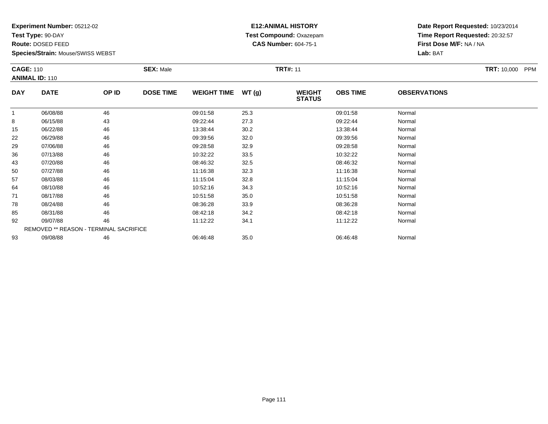**Test Type:** 90-DAY

**Route:** DOSED FEED

93

**Species/Strain:** Mouse/SWISS WEBST

REMOVED \*\* REASON - TERMINAL SACRIFICE

#### **E12:ANIMAL HISTORY Test Compound:** Oxazepam**CAS Number:** 604-75-1

**Date Report Requested:** 10/23/2014**Time Report Requested:** 20:32:57**First Dose M/F:** NA / NA**Lab:** BAT

|            | <b>CAGE: 110</b><br><b>ANIMAL ID: 110</b> |       | <b>SEX: Male</b> |                    | <b>TRT#: 11</b> |                                |                 |                     | TRT: 10,000 PPM |
|------------|-------------------------------------------|-------|------------------|--------------------|-----------------|--------------------------------|-----------------|---------------------|-----------------|
| <b>DAY</b> | <b>DATE</b>                               | OP ID | <b>DOSE TIME</b> | <b>WEIGHT TIME</b> | WT(g)           | <b>WEIGHT</b><br><b>STATUS</b> | <b>OBS TIME</b> | <b>OBSERVATIONS</b> |                 |
|            | 06/08/88                                  | 46    |                  | 09:01:58           | 25.3            |                                | 09:01:58        | Normal              |                 |
| 8          | 06/15/88                                  | 43    |                  | 09:22:44           | 27.3            |                                | 09:22:44        | Normal              |                 |
| 15         | 06/22/88                                  | 46    |                  | 13:38:44           | 30.2            |                                | 13:38:44        | Normal              |                 |
| 22         | 06/29/88                                  | 46    |                  | 09:39:56           | 32.0            |                                | 09:39:56        | Normal              |                 |
| 29         | 07/06/88                                  | 46    |                  | 09:28:58           | 32.9            |                                | 09:28:58        | Normal              |                 |
| 36         | 07/13/88                                  | 46    |                  | 10:32:22           | 33.5            |                                | 10:32:22        | Normal              |                 |
| 43         | 07/20/88                                  | 46    |                  | 08:46:32           | 32.5            |                                | 08:46:32        | Normal              |                 |
| 50         | 07/27/88                                  | 46    |                  | 11:16:38           | 32.3            |                                | 11:16:38        | Normal              |                 |
| 57         | 08/03/88                                  | 46    |                  | 11:15:04           | 32.8            |                                | 11:15:04        | Normal              |                 |
| 64         | 08/10/88                                  | 46    |                  | 10:52:16           | 34.3            |                                | 10:52:16        | Normal              |                 |
| 71         | 08/17/88                                  | 46    |                  | 10:51:58           | 35.0            |                                | 10:51:58        | Normal              |                 |
| 78         | 08/24/88                                  | 46    |                  | 08:36:28           | 33.9            |                                | 08:36:28        | Normal              |                 |
| 85         | 08/31/88                                  | 46    |                  | 08:42:18           | 34.2            |                                | 08:42:18        | Normal              |                 |
| 92         | 09/07/88                                  | 46    |                  | 11:12:22           | 34.1            |                                | 11:12:22        | Normal              |                 |

3 09/08/88 46 46 06:46:48 35.0 3 06:46:48 06:46:48 20 06:46:48 06:46:48 35.0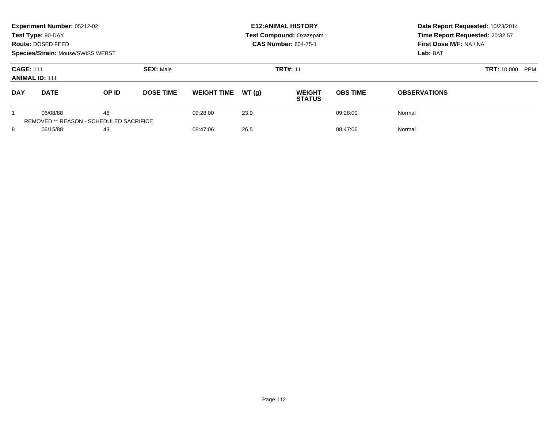|                                           | Experiment Number: 05212-02<br>Test Type: 90-DAY<br>Route: DOSED FEED<br>Species/Strain: Mouse/SWISS WEBST |                                                      |                  |                    |       | <b>E12: ANIMAL HISTORY</b><br><b>Test Compound: Oxazepam</b><br><b>CAS Number: 604-75-1</b> | Date Report Requested: 10/23/2014<br>Time Report Requested: 20:32:57<br>First Dose M/F: NA / NA<br>Lab: BAT |                           |
|-------------------------------------------|------------------------------------------------------------------------------------------------------------|------------------------------------------------------|------------------|--------------------|-------|---------------------------------------------------------------------------------------------|-------------------------------------------------------------------------------------------------------------|---------------------------|
| <b>CAGE: 111</b><br><b>ANIMAL ID: 111</b> |                                                                                                            |                                                      | <b>SEX: Male</b> | <b>TRT#: 11</b>    |       |                                                                                             |                                                                                                             | <b>TRT: 10,000</b><br>PPM |
| <b>DAY</b>                                | <b>DATE</b>                                                                                                | <b>OP ID</b>                                         | <b>DOSE TIME</b> | <b>WEIGHT TIME</b> | WT(q) | <b>WEIGHT</b><br><b>STATUS</b>                                                              | <b>OBS TIME</b>                                                                                             | <b>OBSERVATIONS</b>       |
|                                           | 06/08/88                                                                                                   | 46<br><b>REMOVED ** REASON - SCHEDULED SACRIFICE</b> |                  | 09:28:00           | 23.9  |                                                                                             | 09:28:00                                                                                                    | Normal                    |
| 8                                         | 06/15/88                                                                                                   | 43                                                   |                  | 08:47:06           | 26.5  |                                                                                             | 08:47:06                                                                                                    | Normal                    |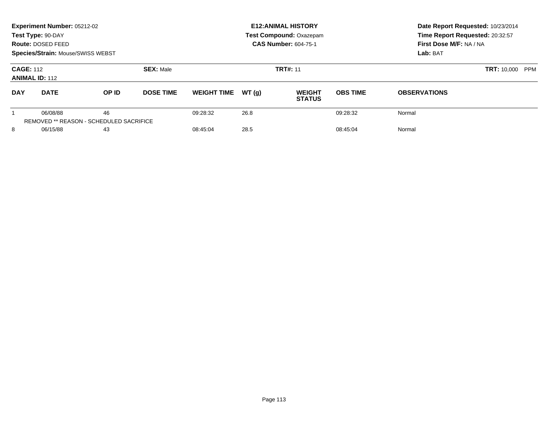|                                           | Experiment Number: 05212-02<br>Test Type: 90-DAY<br>Route: DOSED FEED<br>Species/Strain: Mouse/SWISS WEBST |                                                      |                  |                    |       | <b>E12: ANIMAL HISTORY</b><br>Test Compound: Oxazepam<br><b>CAS Number: 604-75-1</b> | Date Report Requested: 10/23/2014<br>Time Report Requested: 20:32:57<br>First Dose M/F: NA / NA<br>Lab: BAT |                                  |
|-------------------------------------------|------------------------------------------------------------------------------------------------------------|------------------------------------------------------|------------------|--------------------|-------|--------------------------------------------------------------------------------------|-------------------------------------------------------------------------------------------------------------|----------------------------------|
| <b>CAGE: 112</b><br><b>ANIMAL ID: 112</b> |                                                                                                            |                                                      | <b>SEX: Male</b> |                    |       | <b>TRT#: 11</b>                                                                      |                                                                                                             | <b>TRT: 10,000</b><br><b>PPM</b> |
| <b>DAY</b>                                | <b>DATE</b>                                                                                                | <b>OP ID</b>                                         | <b>DOSE TIME</b> | <b>WEIGHT TIME</b> | WT(q) | <b>WEIGHT</b><br><b>STATUS</b>                                                       | <b>OBS TIME</b>                                                                                             | <b>OBSERVATIONS</b>              |
|                                           | 06/08/88                                                                                                   | 46<br><b>REMOVED ** REASON - SCHEDULED SACRIFICE</b> |                  | 09:28:32           | 26.8  |                                                                                      | 09:28:32                                                                                                    | Normal                           |
| 8                                         | 06/15/88                                                                                                   | 43                                                   |                  | 08:45:04           | 28.5  |                                                                                      | 08:45:04                                                                                                    | Normal                           |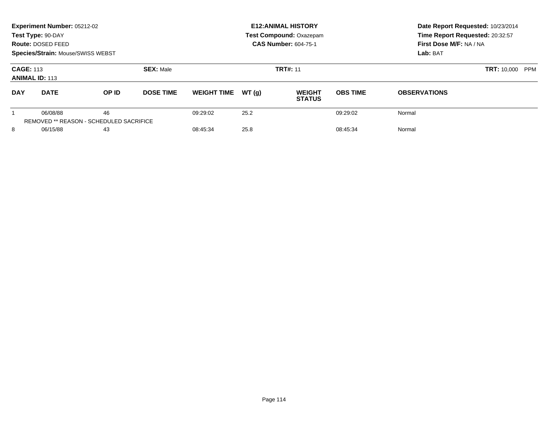|                                           | Experiment Number: 05212-02<br>Test Type: 90-DAY<br>Route: DOSED FEED<br>Species/Strain: Mouse/SWISS WEBST |                                                      |                  |                    |       | <b>E12: ANIMAL HISTORY</b><br><b>Test Compound: Oxazepam</b><br><b>CAS Number: 604-75-1</b> | Date Report Requested: 10/23/2014<br>Time Report Requested: 20:32:57<br>First Dose M/F: NA / NA<br>Lab: BAT |                     |  |
|-------------------------------------------|------------------------------------------------------------------------------------------------------------|------------------------------------------------------|------------------|--------------------|-------|---------------------------------------------------------------------------------------------|-------------------------------------------------------------------------------------------------------------|---------------------|--|
| <b>CAGE: 113</b><br><b>ANIMAL ID: 113</b> |                                                                                                            |                                                      | <b>SEX: Male</b> |                    |       | <b>TRT#: 11</b>                                                                             | <b>TRT: 10,000</b>                                                                                          | PPM                 |  |
| <b>DAY</b>                                | <b>DATE</b>                                                                                                | <b>OP ID</b>                                         | <b>DOSE TIME</b> | <b>WEIGHT TIME</b> | WT(q) | <b>WEIGHT</b><br><b>STATUS</b>                                                              | <b>OBS TIME</b>                                                                                             | <b>OBSERVATIONS</b> |  |
|                                           | 06/08/88                                                                                                   | 46<br><b>REMOVED ** REASON - SCHEDULED SACRIFICE</b> |                  | 09:29:02           | 25.2  |                                                                                             | 09:29:02                                                                                                    | Normal              |  |
| 8                                         | 06/15/88                                                                                                   | 43                                                   |                  | 08:45:34           | 25.8  |                                                                                             | 08:45:34                                                                                                    | Normal              |  |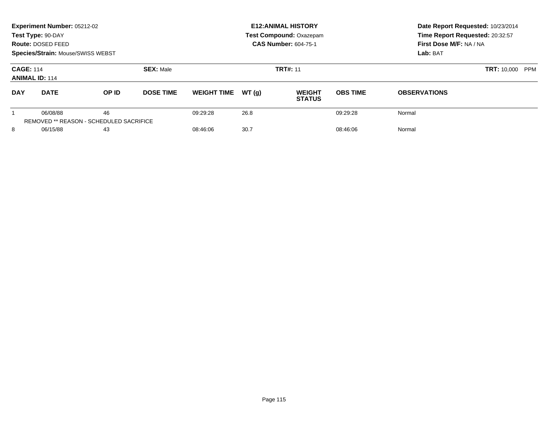|                                           | Experiment Number: 05212-02<br>Test Type: 90-DAY<br>Route: DOSED FEED<br><b>Species/Strain: Mouse/SWISS WEBST</b> |                                               |                  |                    |                 | <b>E12: ANIMAL HISTORY</b><br><b>Test Compound: Oxazepam</b><br><b>CAS Number: 604-75-1</b> | Date Report Requested: 10/23/2014<br>Time Report Requested: 20:32:57<br>First Dose M/F: NA / NA<br>Lab: BAT |                     |  |
|-------------------------------------------|-------------------------------------------------------------------------------------------------------------------|-----------------------------------------------|------------------|--------------------|-----------------|---------------------------------------------------------------------------------------------|-------------------------------------------------------------------------------------------------------------|---------------------|--|
| <b>CAGE: 114</b><br><b>ANIMAL ID: 114</b> |                                                                                                                   | <b>SEX: Male</b>                              |                  |                    | <b>TRT#: 11</b> | <b>TRT: 10,000</b>                                                                          | <b>PPM</b>                                                                                                  |                     |  |
| <b>DAY</b>                                | <b>DATE</b>                                                                                                       | OP ID                                         | <b>DOSE TIME</b> | <b>WEIGHT TIME</b> | WT(q)           | <b>WEIGHT</b><br><b>STATUS</b>                                                              | <b>OBS TIME</b>                                                                                             | <b>OBSERVATIONS</b> |  |
|                                           | 06/08/88                                                                                                          | 46<br>REMOVED ** REASON - SCHEDULED SACRIFICE |                  | 09:29:28           | 26.8            |                                                                                             | 09:29:28                                                                                                    | Normal              |  |
| 8                                         | 06/15/88                                                                                                          | 43                                            |                  | 08:46:06           | 30.7            |                                                                                             | 08:46:06                                                                                                    | Normal              |  |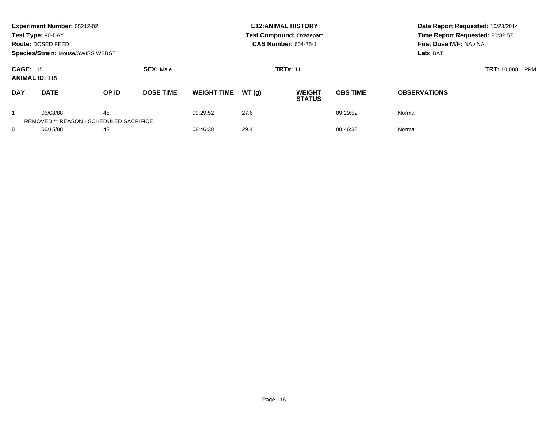|                                           | Experiment Number: 05212-02<br>Test Type: 90-DAY<br>Route: DOSED FEED<br><b>Species/Strain: Mouse/SWISS WEBST</b> |                                               |                  |                    |       | <b>E12: ANIMAL HISTORY</b><br>Test Compound: Oxazepam<br><b>CAS Number: 604-75-1</b> | Date Report Requested: 10/23/2014<br>Time Report Requested: 20:32:57<br>First Dose M/F: NA / NA<br>Lab: BAT |                     |
|-------------------------------------------|-------------------------------------------------------------------------------------------------------------------|-----------------------------------------------|------------------|--------------------|-------|--------------------------------------------------------------------------------------|-------------------------------------------------------------------------------------------------------------|---------------------|
| <b>CAGE: 115</b><br><b>ANIMAL ID: 115</b> |                                                                                                                   |                                               | <b>SEX: Male</b> |                    |       | <b>TRT#: 11</b>                                                                      | <b>TRT: 10,000</b><br><b>PPM</b>                                                                            |                     |
| <b>DAY</b>                                | <b>DATE</b>                                                                                                       | OP ID                                         | <b>DOSE TIME</b> | <b>WEIGHT TIME</b> | WT(q) | <b>WEIGHT</b><br><b>STATUS</b>                                                       | <b>OBS TIME</b>                                                                                             | <b>OBSERVATIONS</b> |
|                                           | 06/08/88                                                                                                          | 46<br>REMOVED ** REASON - SCHEDULED SACRIFICE |                  | 09:29:52           | 27.6  |                                                                                      | 09:29:52                                                                                                    | Normal              |
| 8                                         | 06/15/88                                                                                                          | 43                                            |                  | 08:46:38           | 29.4  |                                                                                      | 08:46:38                                                                                                    | Normal              |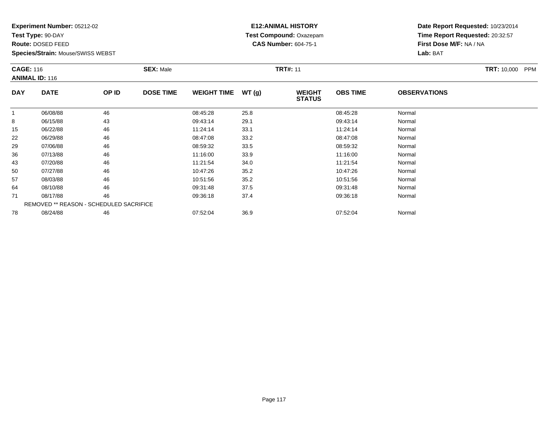**Test Type:** 90-DAY

**Route:** DOSED FEED

**Species/Strain:** Mouse/SWISS WEBST

# **E12:ANIMAL HISTORY Test Compound:** Oxazepam**CAS Number:** 604-75-1

|            | <b>CAGE: 116</b><br><b>ANIMAL ID: 116</b> |       | <b>SEX: Male</b> |                    |       | <b>TRT#: 11</b>                |                 | <b>TRT: 10,000</b><br><b>PPM</b> |  |
|------------|-------------------------------------------|-------|------------------|--------------------|-------|--------------------------------|-----------------|----------------------------------|--|
| <b>DAY</b> | <b>DATE</b>                               | OP ID | <b>DOSE TIME</b> | <b>WEIGHT TIME</b> | WT(g) | <b>WEIGHT</b><br><b>STATUS</b> | <b>OBS TIME</b> | <b>OBSERVATIONS</b>              |  |
|            | 06/08/88                                  | 46    |                  | 08:45:28           | 25.8  |                                | 08:45:28        | Normal                           |  |
| 8          | 06/15/88                                  | 43    |                  | 09:43:14           | 29.1  |                                | 09:43:14        | Normal                           |  |
| 15         | 06/22/88                                  | 46    |                  | 11:24:14           | 33.1  |                                | 11:24:14        | Normal                           |  |
| 22         | 06/29/88                                  | 46    |                  | 08:47:08           | 33.2  |                                | 08:47:08        | Normal                           |  |
| 29         | 07/06/88                                  | 46    |                  | 08:59:32           | 33.5  |                                | 08:59:32        | Normal                           |  |
| 36         | 07/13/88                                  | 46    |                  | 11:16:00           | 33.9  |                                | 11:16:00        | Normal                           |  |
| 43         | 07/20/88                                  | 46    |                  | 11:21:54           | 34.0  |                                | 11:21:54        | Normal                           |  |
| 50         | 07/27/88                                  | 46    |                  | 10:47:26           | 35.2  |                                | 10:47:26        | Normal                           |  |
| 57         | 08/03/88                                  | 46    |                  | 10:51:56           | 35.2  |                                | 10:51:56        | Normal                           |  |
| 64         | 08/10/88                                  | 46    |                  | 09:31:48           | 37.5  |                                | 09:31:48        | Normal                           |  |
| 71         | 08/17/88                                  | 46    |                  | 09:36:18           | 37.4  |                                | 09:36:18        | Normal                           |  |
|            | REMOVED ** REASON - SCHEDULED SACRIFICE   |       |                  |                    |       |                                |                 |                                  |  |
| 78         | 08/24/88                                  | 46    |                  | 07:52:04           | 36.9  |                                | 07:52:04        | Normal                           |  |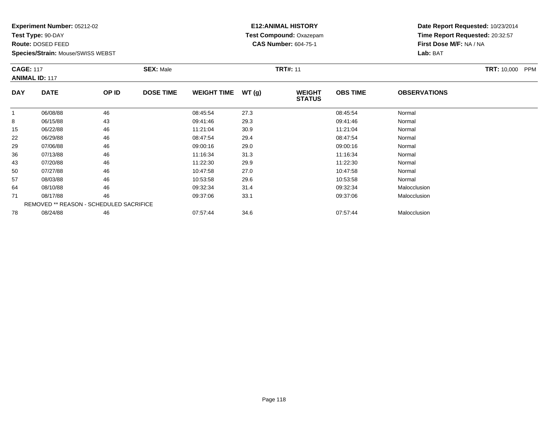**Test Type:** 90-DAY

**Route:** DOSED FEED

78

**Species/Strain:** Mouse/SWISS WEBST

#### **E12:ANIMAL HISTORY Test Compound:** Oxazepam**CAS Number:** 604-75-1

**Date Report Requested:** 10/23/2014**Time Report Requested:** 20:32:57**First Dose M/F:** NA / NA**Lab:** BAT

|              | <b>CAGE: 117</b><br><b>ANIMAL ID: 117</b> |       | <b>SEX: Male</b> | TRT: 10,000 PPM    |       |                                |                 |                     |  |
|--------------|-------------------------------------------|-------|------------------|--------------------|-------|--------------------------------|-----------------|---------------------|--|
| <b>DAY</b>   | <b>DATE</b>                               | OP ID | <b>DOSE TIME</b> | <b>WEIGHT TIME</b> | WT(g) | <b>WEIGHT</b><br><b>STATUS</b> | <b>OBS TIME</b> | <b>OBSERVATIONS</b> |  |
| $\mathbf{1}$ | 06/08/88                                  | 46    |                  | 08:45:54           | 27.3  |                                | 08:45:54        | Normal              |  |
| 8            | 06/15/88                                  | 43    |                  | 09:41:46           | 29.3  |                                | 09:41:46        | Normal              |  |
| 15           | 06/22/88                                  | 46    |                  | 11:21:04           | 30.9  |                                | 11:21:04        | Normal              |  |
| 22           | 06/29/88                                  | 46    |                  | 08:47:54           | 29.4  |                                | 08:47:54        | Normal              |  |
| 29           | 07/06/88                                  | 46    |                  | 09:00:16           | 29.0  |                                | 09:00:16        | Normal              |  |
| 36           | 07/13/88                                  | 46    |                  | 11:16:34           | 31.3  |                                | 11:16:34        | Normal              |  |
| 43           | 07/20/88                                  | 46    |                  | 11:22:30           | 29.9  |                                | 11:22:30        | Normal              |  |
| 50           | 07/27/88                                  | 46    |                  | 10:47:58           | 27.0  |                                | 10:47:58        | Normal              |  |
| 57           | 08/03/88                                  | 46    |                  | 10:53:58           | 29.6  |                                | 10:53:58        | Normal              |  |
| 64           | 08/10/88                                  | 46    |                  | 09:32:34           | 31.4  |                                | 09:32:34        | Malocclusion        |  |
| 71           | 08/17/88                                  | 46    |                  | 09:37:06           | 33.1  |                                | 09:37:06        | Malocclusion        |  |

8 08/24/88 46 46 07:57:44 34.6 07:57:44 07:57:44 Malocclusion

REMOVED \*\* REASON - SCHEDULED SACRIFICE

Page 118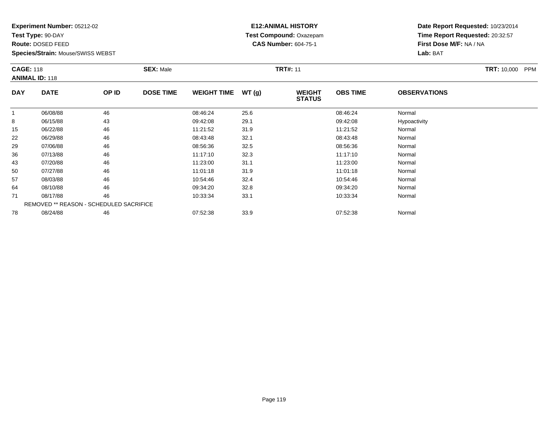**Test Type:** 90-DAY

**Route:** DOSED FEED

**Species/Strain:** Mouse/SWISS WEBST

#### **E12:ANIMAL HISTORY Test Compound:** Oxazepam**CAS Number:** 604-75-1

|            | <b>CAGE: 118</b><br><b>ANIMAL ID: 118</b> |       | <b>SEX: Male</b> |                    |       | <b>TRT#: 11</b>                |                 | <b>TRT: 10,000</b><br><b>PPM</b> |  |
|------------|-------------------------------------------|-------|------------------|--------------------|-------|--------------------------------|-----------------|----------------------------------|--|
| <b>DAY</b> | <b>DATE</b>                               | OP ID | <b>DOSE TIME</b> | <b>WEIGHT TIME</b> | WT(g) | <b>WEIGHT</b><br><b>STATUS</b> | <b>OBS TIME</b> | <b>OBSERVATIONS</b>              |  |
|            | 06/08/88                                  | 46    |                  | 08:46:24           | 25.6  |                                | 08:46:24        | Normal                           |  |
| 8          | 06/15/88                                  | 43    |                  | 09:42:08           | 29.1  |                                | 09:42:08        | Hypoactivity                     |  |
| 15         | 06/22/88                                  | 46    |                  | 11:21:52           | 31.9  |                                | 11:21:52        | Normal                           |  |
| 22         | 06/29/88                                  | 46    |                  | 08:43:48           | 32.1  |                                | 08:43:48        | Normal                           |  |
| 29         | 07/06/88                                  | 46    |                  | 08:56:36           | 32.5  |                                | 08:56:36        | Normal                           |  |
| 36         | 07/13/88                                  | 46    |                  | 11:17:10           | 32.3  |                                | 11:17:10        | Normal                           |  |
| 43         | 07/20/88                                  | 46    |                  | 11:23:00           | 31.1  |                                | 11:23:00        | Normal                           |  |
| 50         | 07/27/88                                  | 46    |                  | 11:01:18           | 31.9  |                                | 11:01:18        | Normal                           |  |
| 57         | 08/03/88                                  | 46    |                  | 10:54:46           | 32.4  |                                | 10:54:46        | Normal                           |  |
| 64         | 08/10/88                                  | 46    |                  | 09:34:20           | 32.8  |                                | 09:34:20        | Normal                           |  |
| 71         | 08/17/88                                  | 46    |                  | 10:33:34           | 33.1  |                                | 10:33:34        | Normal                           |  |
|            | REMOVED ** REASON - SCHEDULED SACRIFICE   |       |                  |                    |       |                                |                 |                                  |  |
| 78         | 08/24/88                                  | 46    |                  | 07:52:38           | 33.9  |                                | 07:52:38        | Normal                           |  |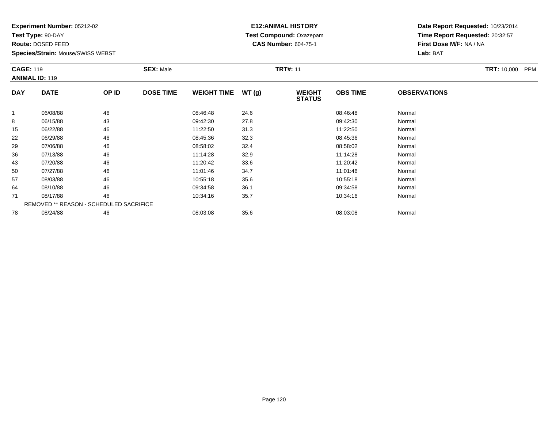**Test Type:** 90-DAY

**Route:** DOSED FEED

**Species/Strain:** Mouse/SWISS WEBST

# **E12:ANIMAL HISTORY Test Compound:** Oxazepam**CAS Number:** 604-75-1

**Date Report Requested:** 10/23/2014**Time Report Requested:** 20:32:57**First Dose M/F:** NA / NA**Lab:** BAT

|            | <b>CAGE: 119</b><br><b>ANIMAL ID: 119</b>      |       | <b>SEX: Male</b> |                    | <b>TRT#: 11</b> |                                |                 | <b>TRT: 10,000</b><br>PPM |  |
|------------|------------------------------------------------|-------|------------------|--------------------|-----------------|--------------------------------|-----------------|---------------------------|--|
| <b>DAY</b> | <b>DATE</b>                                    | OP ID | <b>DOSE TIME</b> | <b>WEIGHT TIME</b> | WT(g)           | <b>WEIGHT</b><br><b>STATUS</b> | <b>OBS TIME</b> | <b>OBSERVATIONS</b>       |  |
| -1         | 06/08/88                                       | 46    |                  | 08:46:48           | 24.6            |                                | 08:46:48        | Normal                    |  |
| 8          | 06/15/88                                       | 43    |                  | 09:42:30           | 27.8            |                                | 09:42:30        | Normal                    |  |
| 15         | 06/22/88                                       | 46    |                  | 11:22:50           | 31.3            |                                | 11:22:50        | Normal                    |  |
| 22         | 06/29/88                                       | 46    |                  | 08:45:36           | 32.3            |                                | 08:45:36        | Normal                    |  |
| 29         | 07/06/88                                       | 46    |                  | 08:58:02           | 32.4            |                                | 08:58:02        | Normal                    |  |
| 36         | 07/13/88                                       | 46    |                  | 11:14:28           | 32.9            |                                | 11:14:28        | Normal                    |  |
| 43         | 07/20/88                                       | 46    |                  | 11:20:42           | 33.6            |                                | 11:20:42        | Normal                    |  |
| 50         | 07/27/88                                       | 46    |                  | 11:01:46           | 34.7            |                                | 11:01:46        | Normal                    |  |
| 57         | 08/03/88                                       | 46    |                  | 10:55:18           | 35.6            |                                | 10:55:18        | Normal                    |  |
| 64         | 08/10/88                                       | 46    |                  | 09:34:58           | 36.1            |                                | 09:34:58        | Normal                    |  |
| 71         | 08/17/88                                       | 46    |                  | 10:34:16           | 35.7            |                                | 10:34:16        | Normal                    |  |
|            | <b>REMOVED ** REASON - SCHEDULED SACRIFICE</b> |       |                  |                    |                 |                                |                 |                           |  |
| 78         | 08/24/88                                       | 46    |                  | 08:03:08           | 35.6            |                                | 08:03:08        | Normal                    |  |

8 08/24/88 46 46 08:03:08 35.6 08:03:08 08:03:08 08:03:08 08:03:08 08:03:08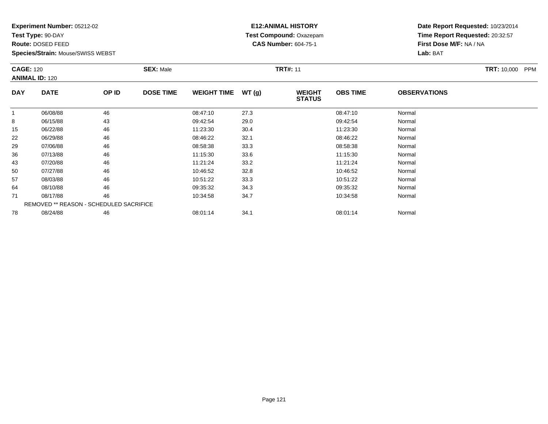**Test Type:** 90-DAY

**Route:** DOSED FEED

**Species/Strain:** Mouse/SWISS WEBST

#### **E12:ANIMAL HISTORY Test Compound:** Oxazepam**CAS Number:** 604-75-1

| <b>CAGE: 120</b> | <b>ANIMAL ID: 120</b>                          |       | <b>SEX: Male</b> |                    |       | <b>TRT#: 11</b>                |                 |                     | <b>TRT: 10,000</b><br><b>PPM</b> |
|------------------|------------------------------------------------|-------|------------------|--------------------|-------|--------------------------------|-----------------|---------------------|----------------------------------|
| <b>DAY</b>       | <b>DATE</b>                                    | OP ID | <b>DOSE TIME</b> | <b>WEIGHT TIME</b> | WT(g) | <b>WEIGHT</b><br><b>STATUS</b> | <b>OBS TIME</b> | <b>OBSERVATIONS</b> |                                  |
|                  | 06/08/88                                       | 46    |                  | 08:47:10           | 27.3  |                                | 08:47:10        | Normal              |                                  |
| 8                | 06/15/88                                       | 43    |                  | 09:42:54           | 29.0  |                                | 09:42:54        | Normal              |                                  |
| 15               | 06/22/88                                       | 46    |                  | 11:23:30           | 30.4  |                                | 11:23:30        | Normal              |                                  |
| 22               | 06/29/88                                       | 46    |                  | 08:46:22           | 32.1  |                                | 08:46:22        | Normal              |                                  |
| 29               | 07/06/88                                       | 46    |                  | 08:58:38           | 33.3  |                                | 08:58:38        | Normal              |                                  |
| 36               | 07/13/88                                       | 46    |                  | 11:15:30           | 33.6  |                                | 11:15:30        | Normal              |                                  |
| 43               | 07/20/88                                       | 46    |                  | 11:21:24           | 33.2  |                                | 11:21:24        | Normal              |                                  |
| 50               | 07/27/88                                       | 46    |                  | 10:46:52           | 32.8  |                                | 10:46:52        | Normal              |                                  |
| 57               | 08/03/88                                       | 46    |                  | 10:51:22           | 33.3  |                                | 10:51:22        | Normal              |                                  |
| 64               | 08/10/88                                       | 46    |                  | 09:35:32           | 34.3  |                                | 09:35:32        | Normal              |                                  |
| 71               | 08/17/88                                       | 46    |                  | 10:34:58           | 34.7  |                                | 10:34:58        | Normal              |                                  |
|                  | <b>REMOVED ** REASON - SCHEDULED SACRIFICE</b> |       |                  |                    |       |                                |                 |                     |                                  |
| 78               | 08/24/88                                       | 46    |                  | 08:01:14           | 34.1  |                                | 08:01:14        | Normal              |                                  |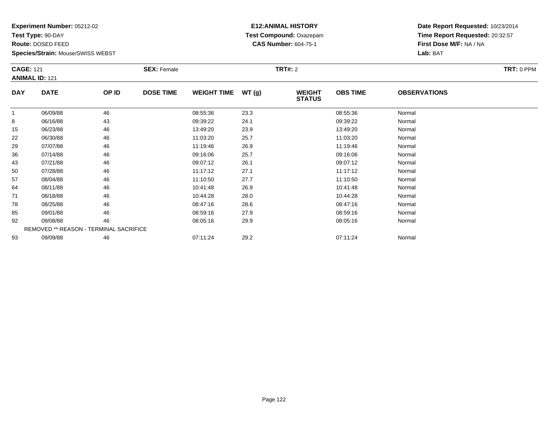**Test Type:** 90-DAY

**Route:** DOSED FEED

**Species/Strain:** Mouse/SWISS WEBST

# **E12:ANIMAL HISTORY Test Compound:** Oxazepam**CAS Number:** 604-75-1

| <b>CAGE: 121</b> | <b>ANIMAL ID: 121</b>                  |       | <b>SEX: Female</b> |                    |       | <b>TRT#: 2</b>                 |                 |                     | TRT: 0 PPM |
|------------------|----------------------------------------|-------|--------------------|--------------------|-------|--------------------------------|-----------------|---------------------|------------|
| <b>DAY</b>       | <b>DATE</b>                            | OP ID | <b>DOSE TIME</b>   | <b>WEIGHT TIME</b> | WT(g) | <b>WEIGHT</b><br><b>STATUS</b> | <b>OBS TIME</b> | <b>OBSERVATIONS</b> |            |
| $\overline{1}$   | 06/09/88                               | 46    |                    | 08:55:36           | 23.3  |                                | 08:55:36        | Normal              |            |
| 8                | 06/16/88                               | 43    |                    | 09:39:22           | 24.1  |                                | 09:39:22        | Normal              |            |
| 15               | 06/23/88                               | 46    |                    | 13:49:20           | 23.9  |                                | 13:49:20        | Normal              |            |
| 22               | 06/30/88                               | 46    |                    | 11:03:20           | 25.7  |                                | 11:03:20        | Normal              |            |
| 29               | 07/07/88                               | 46    |                    | 11:19:46           | 26.9  |                                | 11:19:46        | Normal              |            |
| 36               | 07/14/88                               | 46    |                    | 09:16:06           | 25.7  |                                | 09:16:06        | Normal              |            |
| 43               | 07/21/88                               | 46    |                    | 09:07:12           | 26.1  |                                | 09:07:12        | Normal              |            |
| 50               | 07/28/88                               | 46    |                    | 11:17:12           | 27.1  |                                | 11:17:12        | Normal              |            |
| 57               | 08/04/88                               | 46    |                    | 11:10:50           | 27.7  |                                | 11:10:50        | Normal              |            |
| 64               | 08/11/88                               | 46    |                    | 10:41:48           | 26.9  |                                | 10:41:48        | Normal              |            |
| 71               | 08/18/88                               | 46    |                    | 10:44:28           | 28.0  |                                | 10:44:28        | Normal              |            |
| 78               | 08/25/88                               | 46    |                    | 08:47:16           | 28.6  |                                | 08:47:16        | Normal              |            |
| 85               | 09/01/88                               | 46    |                    | 08:59:16           | 27.9  |                                | 08:59:16        | Normal              |            |
| 92               | 09/08/88                               | 46    |                    | 08:05:16           | 29.9  |                                | 08:05:16        | Normal              |            |
|                  | REMOVED ** REASON - TERMINAL SACRIFICE |       |                    |                    |       |                                |                 |                     |            |
| 93               | 09/09/88                               | 46    |                    | 07:11:24           | 29.2  |                                | 07:11:24        | Normal              |            |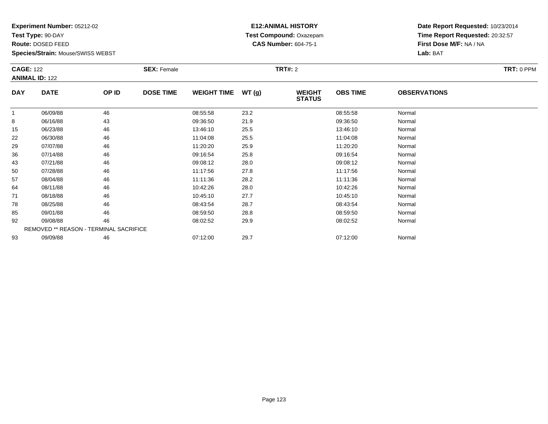**Test Type:** 90-DAY

**Route:** DOSED FEED

**Species/Strain:** Mouse/SWISS WEBST

# **E12:ANIMAL HISTORY Test Compound:** Oxazepam**CAS Number:** 604-75-1

| <b>CAGE: 122</b> | <b>ANIMAL ID: 122</b>                  |       | <b>SEX: Female</b> |                    |       | <b>TRT#: 2</b>                 |                 |                     | TRT: 0 PPM |
|------------------|----------------------------------------|-------|--------------------|--------------------|-------|--------------------------------|-----------------|---------------------|------------|
| <b>DAY</b>       | <b>DATE</b>                            | OP ID | <b>DOSE TIME</b>   | <b>WEIGHT TIME</b> | WT(g) | <b>WEIGHT</b><br><b>STATUS</b> | <b>OBS TIME</b> | <b>OBSERVATIONS</b> |            |
| $\mathbf{1}$     | 06/09/88                               | 46    |                    | 08:55:58           | 23.2  |                                | 08:55:58        | Normal              |            |
| 8                | 06/16/88                               | 43    |                    | 09:36:50           | 21.9  |                                | 09:36:50        | Normal              |            |
| 15               | 06/23/88                               | 46    |                    | 13:46:10           | 25.5  |                                | 13:46:10        | Normal              |            |
| 22               | 06/30/88                               | 46    |                    | 11:04:08           | 25.5  |                                | 11:04:08        | Normal              |            |
| 29               | 07/07/88                               | 46    |                    | 11:20:20           | 25.9  |                                | 11:20:20        | Normal              |            |
| 36               | 07/14/88                               | 46    |                    | 09:16:54           | 25.8  |                                | 09:16:54        | Normal              |            |
| 43               | 07/21/88                               | 46    |                    | 09:08:12           | 28.0  |                                | 09:08:12        | Normal              |            |
| 50               | 07/28/88                               | 46    |                    | 11:17:56           | 27.8  |                                | 11:17:56        | Normal              |            |
| 57               | 08/04/88                               | 46    |                    | 11:11:36           | 28.2  |                                | 11:11:36        | Normal              |            |
| 64               | 08/11/88                               | 46    |                    | 10:42:26           | 28.0  |                                | 10:42:26        | Normal              |            |
| 71               | 08/18/88                               | 46    |                    | 10:45:10           | 27.7  |                                | 10:45:10        | Normal              |            |
| 78               | 08/25/88                               | 46    |                    | 08:43:54           | 28.7  |                                | 08:43:54        | Normal              |            |
| 85               | 09/01/88                               | 46    |                    | 08:59:50           | 28.8  |                                | 08:59:50        | Normal              |            |
| 92               | 09/08/88                               | 46    |                    | 08:02:52           | 29.9  |                                | 08:02:52        | Normal              |            |
|                  | REMOVED ** REASON - TERMINAL SACRIFICE |       |                    |                    |       |                                |                 |                     |            |
| 93               | 09/09/88                               | 46    |                    | 07:12:00           | 29.7  |                                | 07:12:00        | Normal              |            |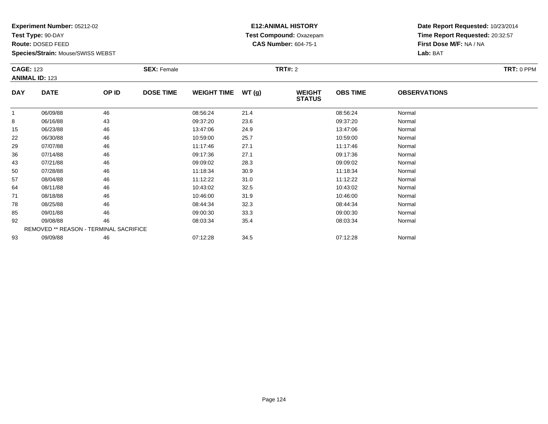**Test Type:** 90-DAY

**Route:** DOSED FEED

**Species/Strain:** Mouse/SWISS WEBST

# **E12:ANIMAL HISTORY Test Compound:** Oxazepam**CAS Number:** 604-75-1

| <b>CAGE: 123</b> | <b>ANIMAL ID: 123</b> |                                        | <b>SEX: Female</b> |                    |        | <b>TRT#: 2</b>                 |                 |                     | TRT: 0 PPM |
|------------------|-----------------------|----------------------------------------|--------------------|--------------------|--------|--------------------------------|-----------------|---------------------|------------|
| <b>DAY</b>       | <b>DATE</b>           | OP ID                                  | <b>DOSE TIME</b>   | <b>WEIGHT TIME</b> | WT (g) | <b>WEIGHT</b><br><b>STATUS</b> | <b>OBS TIME</b> | <b>OBSERVATIONS</b> |            |
|                  | 06/09/88              | 46                                     |                    | 08:56:24           | 21.4   |                                | 08:56:24        | Normal              |            |
| 8                | 06/16/88              | 43                                     |                    | 09:37:20           | 23.6   |                                | 09:37:20        | Normal              |            |
| 15               | 06/23/88              | 46                                     |                    | 13:47:06           | 24.9   |                                | 13:47:06        | Normal              |            |
| 22               | 06/30/88              | 46                                     |                    | 10:59:00           | 25.7   |                                | 10:59:00        | Normal              |            |
| 29               | 07/07/88              | 46                                     |                    | 11:17:46           | 27.1   |                                | 11:17:46        | Normal              |            |
| 36               | 07/14/88              | 46                                     |                    | 09:17:36           | 27.1   |                                | 09:17:36        | Normal              |            |
| 43               | 07/21/88              | 46                                     |                    | 09:09:02           | 28.3   |                                | 09:09:02        | Normal              |            |
| 50               | 07/28/88              | 46                                     |                    | 11:18:34           | 30.9   |                                | 11:18:34        | Normal              |            |
| 57               | 08/04/88              | 46                                     |                    | 11:12:22           | 31.0   |                                | 11:12:22        | Normal              |            |
| 64               | 08/11/88              | 46                                     |                    | 10:43:02           | 32.5   |                                | 10:43:02        | Normal              |            |
| 71               | 08/18/88              | 46                                     |                    | 10:46:00           | 31.9   |                                | 10:46:00        | Normal              |            |
| 78               | 08/25/88              | 46                                     |                    | 08:44:34           | 32.3   |                                | 08:44:34        | Normal              |            |
| 85               | 09/01/88              | 46                                     |                    | 09:00:30           | 33.3   |                                | 09:00:30        | Normal              |            |
| 92               | 09/08/88              | 46                                     |                    | 08:03:34           | 35.4   |                                | 08:03:34        | Normal              |            |
|                  |                       | REMOVED ** REASON - TERMINAL SACRIFICE |                    |                    |        |                                |                 |                     |            |
| 93               | 09/09/88              | 46                                     |                    | 07:12:28           | 34.5   |                                | 07:12:28        | Normal              |            |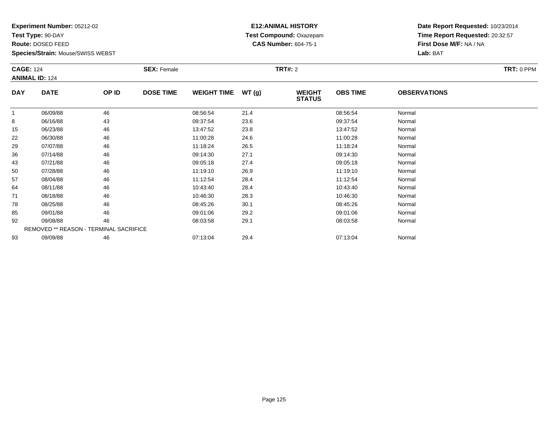**Test Type:** 90-DAY

**Route:** DOSED FEED

**Species/Strain:** Mouse/SWISS WEBST

# **E12:ANIMAL HISTORY Test Compound:** Oxazepam**CAS Number:** 604-75-1

| <b>CAGE: 124</b> | <b>ANIMAL ID: 124</b> |                                        | <b>SEX: Female</b> |                    |      | <b>TRT#: 2</b>                 |                 |                     | TRT: 0 PPM |
|------------------|-----------------------|----------------------------------------|--------------------|--------------------|------|--------------------------------|-----------------|---------------------|------------|
| <b>DAY</b>       | <b>DATE</b>           | OP ID                                  | <b>DOSE TIME</b>   | WEIGHT TIME WT (g) |      | <b>WEIGHT</b><br><b>STATUS</b> | <b>OBS TIME</b> | <b>OBSERVATIONS</b> |            |
| $\overline{1}$   | 06/09/88              | 46                                     |                    | 08:56:54           | 21.4 |                                | 08:56:54        | Normal              |            |
| 8                | 06/16/88              | 43                                     |                    | 09:37:54           | 23.6 |                                | 09:37:54        | Normal              |            |
| 15               | 06/23/88              | 46                                     |                    | 13:47:52           | 23.8 |                                | 13:47:52        | Normal              |            |
| 22               | 06/30/88              | 46                                     |                    | 11:00:28           | 24.6 |                                | 11:00:28        | Normal              |            |
| 29               | 07/07/88              | 46                                     |                    | 11:18:24           | 26.5 |                                | 11:18:24        | Normal              |            |
| 36               | 07/14/88              | 46                                     |                    | 09:14:30           | 27.1 |                                | 09:14:30        | Normal              |            |
| 43               | 07/21/88              | 46                                     |                    | 09:05:18           | 27.4 |                                | 09:05:18        | Normal              |            |
| 50               | 07/28/88              | 46                                     |                    | 11:19:10           | 26.9 |                                | 11:19:10        | Normal              |            |
| 57               | 08/04/88              | 46                                     |                    | 11:12:54           | 28.4 |                                | 11:12:54        | Normal              |            |
| 64               | 08/11/88              | 46                                     |                    | 10:43:40           | 28.4 |                                | 10:43:40        | Normal              |            |
| 71               | 08/18/88              | 46                                     |                    | 10:46:30           | 28.3 |                                | 10:46:30        | Normal              |            |
| 78               | 08/25/88              | 46                                     |                    | 08:45:26           | 30.1 |                                | 08:45:26        | Normal              |            |
| 85               | 09/01/88              | 46                                     |                    | 09:01:06           | 29.2 |                                | 09:01:06        | Normal              |            |
| 92               | 09/08/88              | 46                                     |                    | 08:03:58           | 29.1 |                                | 08:03:58        | Normal              |            |
|                  |                       | REMOVED ** REASON - TERMINAL SACRIFICE |                    |                    |      |                                |                 |                     |            |
| 93               | 09/09/88              | 46                                     |                    | 07:13:04           | 29.4 |                                | 07:13:04        | Normal              |            |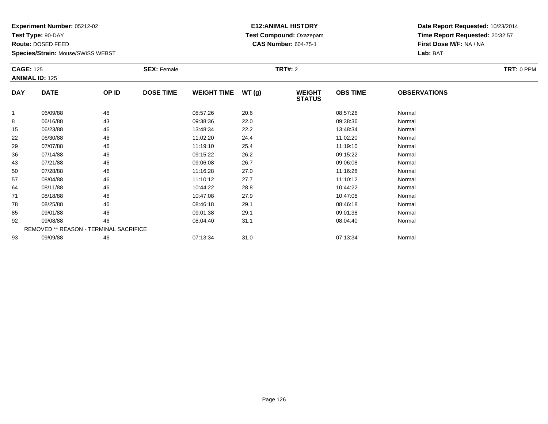**Test Type:** 90-DAY

**Route:** DOSED FEED

**Species/Strain:** Mouse/SWISS WEBST

# **E12:ANIMAL HISTORY Test Compound:** Oxazepam**CAS Number:** 604-75-1

| <b>CAGE: 125</b> |                       |                                        | <b>SEX: Female</b> |                    |       | <b>TRT#: 2</b>                 |                 |                     | TRT: 0 PPM |
|------------------|-----------------------|----------------------------------------|--------------------|--------------------|-------|--------------------------------|-----------------|---------------------|------------|
|                  | <b>ANIMAL ID: 125</b> |                                        |                    |                    |       |                                |                 |                     |            |
| <b>DAY</b>       | <b>DATE</b>           | OP ID                                  | <b>DOSE TIME</b>   | <b>WEIGHT TIME</b> | WT(g) | <b>WEIGHT</b><br><b>STATUS</b> | <b>OBS TIME</b> | <b>OBSERVATIONS</b> |            |
|                  | 06/09/88              | 46                                     |                    | 08:57:26           | 20.6  |                                | 08:57:26        | Normal              |            |
| 8                | 06/16/88              | 43                                     |                    | 09:38:36           | 22.0  |                                | 09:38:36        | Normal              |            |
| 15               | 06/23/88              | 46                                     |                    | 13:48:34           | 22.2  |                                | 13:48:34        | Normal              |            |
| 22               | 06/30/88              | 46                                     |                    | 11:02:20           | 24.4  |                                | 11:02:20        | Normal              |            |
| 29               | 07/07/88              | 46                                     |                    | 11:19:10           | 25.4  |                                | 11:19:10        | Normal              |            |
| 36               | 07/14/88              | 46                                     |                    | 09:15:22           | 26.2  |                                | 09:15:22        | Normal              |            |
| 43               | 07/21/88              | 46                                     |                    | 09:06:08           | 26.7  |                                | 09:06:08        | Normal              |            |
| 50               | 07/28/88              | 46                                     |                    | 11:16:28           | 27.0  |                                | 11:16:28        | Normal              |            |
| 57               | 08/04/88              | 46                                     |                    | 11:10:12           | 27.7  |                                | 11:10:12        | Normal              |            |
| 64               | 08/11/88              | 46                                     |                    | 10:44:22           | 28.8  |                                | 10:44:22        | Normal              |            |
| 71               | 08/18/88              | 46                                     |                    | 10:47:08           | 27.9  |                                | 10:47:08        | Normal              |            |
| 78               | 08/25/88              | 46                                     |                    | 08:46:18           | 29.1  |                                | 08:46:18        | Normal              |            |
| 85               | 09/01/88              | 46                                     |                    | 09:01:38           | 29.1  |                                | 09:01:38        | Normal              |            |
| 92               | 09/08/88              | 46                                     |                    | 08:04:40           | 31.1  |                                | 08:04:40        | Normal              |            |
|                  |                       | REMOVED ** REASON - TERMINAL SACRIFICE |                    |                    |       |                                |                 |                     |            |
| 93               | 09/09/88              | 46                                     |                    | 07:13:34           | 31.0  |                                | 07:13:34        | Normal              |            |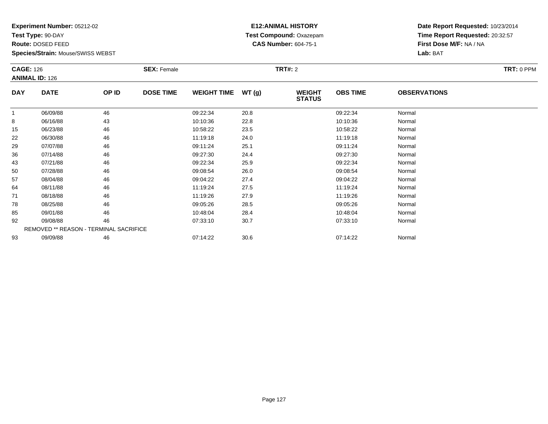**Test Type:** 90-DAY

**Route:** DOSED FEED

**Species/Strain:** Mouse/SWISS WEBST

# **E12:ANIMAL HISTORY Test Compound:** Oxazepam**CAS Number:** 604-75-1

| <b>CAGE: 126</b> |                       |                                        | <b>SEX: Female</b> |                    |       | <b>TRT#:</b> 2                 |                 |                     | TRT: 0 PPM |
|------------------|-----------------------|----------------------------------------|--------------------|--------------------|-------|--------------------------------|-----------------|---------------------|------------|
|                  | <b>ANIMAL ID: 126</b> |                                        |                    |                    |       |                                |                 |                     |            |
| <b>DAY</b>       | <b>DATE</b>           | OP ID                                  | <b>DOSE TIME</b>   | <b>WEIGHT TIME</b> | WT(g) | <b>WEIGHT</b><br><b>STATUS</b> | <b>OBS TIME</b> | <b>OBSERVATIONS</b> |            |
|                  | 06/09/88              | 46                                     |                    | 09:22:34           | 20.8  |                                | 09:22:34        | Normal              |            |
| 8                | 06/16/88              | 43                                     |                    | 10:10:36           | 22.8  |                                | 10:10:36        | Normal              |            |
| 15               | 06/23/88              | 46                                     |                    | 10:58:22           | 23.5  |                                | 10:58:22        | Normal              |            |
| 22               | 06/30/88              | 46                                     |                    | 11:19:18           | 24.0  |                                | 11:19:18        | Normal              |            |
| 29               | 07/07/88              | 46                                     |                    | 09:11:24           | 25.1  |                                | 09:11:24        | Normal              |            |
| 36               | 07/14/88              | 46                                     |                    | 09:27:30           | 24.4  |                                | 09:27:30        | Normal              |            |
| 43               | 07/21/88              | 46                                     |                    | 09:22:34           | 25.9  |                                | 09:22:34        | Normal              |            |
| 50               | 07/28/88              | 46                                     |                    | 09:08:54           | 26.0  |                                | 09:08:54        | Normal              |            |
| 57               | 08/04/88              | 46                                     |                    | 09:04:22           | 27.4  |                                | 09:04:22        | Normal              |            |
| 64               | 08/11/88              | 46                                     |                    | 11:19:24           | 27.5  |                                | 11:19:24        | Normal              |            |
| 71               | 08/18/88              | 46                                     |                    | 11:19:26           | 27.9  |                                | 11:19:26        | Normal              |            |
| 78               | 08/25/88              | 46                                     |                    | 09:05:26           | 28.5  |                                | 09:05:26        | Normal              |            |
| 85               | 09/01/88              | 46                                     |                    | 10:48:04           | 28.4  |                                | 10:48:04        | Normal              |            |
| 92               | 09/08/88              | 46                                     |                    | 07:33:10           | 30.7  |                                | 07:33:10        | Normal              |            |
|                  |                       | REMOVED ** REASON - TERMINAL SACRIFICE |                    |                    |       |                                |                 |                     |            |
| 93               | 09/09/88              | 46                                     |                    | 07:14:22           | 30.6  |                                | 07:14:22        | Normal              |            |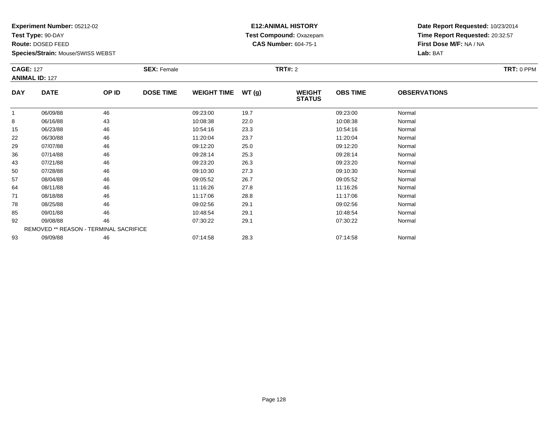**Test Type:** 90-DAY

**Route:** DOSED FEED

**Species/Strain:** Mouse/SWISS WEBST

# **E12:ANIMAL HISTORY Test Compound:** Oxazepam**CAS Number:** 604-75-1

| <b>CAGE: 127</b> |                                        |       | <b>SEX: Female</b> |                    |       | <b>TRT#: 2</b>                 |                 |                     | TRT: 0 PPM |
|------------------|----------------------------------------|-------|--------------------|--------------------|-------|--------------------------------|-----------------|---------------------|------------|
|                  | <b>ANIMAL ID: 127</b>                  |       |                    |                    |       |                                |                 |                     |            |
| <b>DAY</b>       | <b>DATE</b>                            | OP ID | <b>DOSE TIME</b>   | <b>WEIGHT TIME</b> | WT(g) | <b>WEIGHT</b><br><b>STATUS</b> | <b>OBS TIME</b> | <b>OBSERVATIONS</b> |            |
|                  | 06/09/88                               | 46    |                    | 09:23:00           | 19.7  |                                | 09:23:00        | Normal              |            |
| 8                | 06/16/88                               | 43    |                    | 10:08:38           | 22.0  |                                | 10:08:38        | Normal              |            |
| 15               | 06/23/88                               | 46    |                    | 10:54:16           | 23.3  |                                | 10:54:16        | Normal              |            |
| 22               | 06/30/88                               | 46    |                    | 11:20:04           | 23.7  |                                | 11:20:04        | Normal              |            |
| 29               | 07/07/88                               | 46    |                    | 09:12:20           | 25.0  |                                | 09:12:20        | Normal              |            |
| 36               | 07/14/88                               | 46    |                    | 09:28:14           | 25.3  |                                | 09:28:14        | Normal              |            |
| 43               | 07/21/88                               | 46    |                    | 09:23:20           | 26.3  |                                | 09:23:20        | Normal              |            |
| 50               | 07/28/88                               | 46    |                    | 09:10:30           | 27.3  |                                | 09:10:30        | Normal              |            |
| 57               | 08/04/88                               | 46    |                    | 09:05:52           | 26.7  |                                | 09:05:52        | Normal              |            |
| 64               | 08/11/88                               | 46    |                    | 11:16:26           | 27.8  |                                | 11:16:26        | Normal              |            |
| 71               | 08/18/88                               | 46    |                    | 11:17:06           | 28.8  |                                | 11:17:06        | Normal              |            |
| 78               | 08/25/88                               | 46    |                    | 09:02:56           | 29.1  |                                | 09:02:56        | Normal              |            |
| 85               | 09/01/88                               | 46    |                    | 10:48:54           | 29.1  |                                | 10:48:54        | Normal              |            |
| 92               | 09/08/88                               | 46    |                    | 07:30:22           | 29.1  |                                | 07:30:22        | Normal              |            |
|                  | REMOVED ** REASON - TERMINAL SACRIFICE |       |                    |                    |       |                                |                 |                     |            |
| 93               | 09/09/88                               | 46    |                    | 07:14:58           | 28.3  |                                | 07:14:58        | Normal              |            |
|                  |                                        |       |                    |                    |       |                                |                 |                     |            |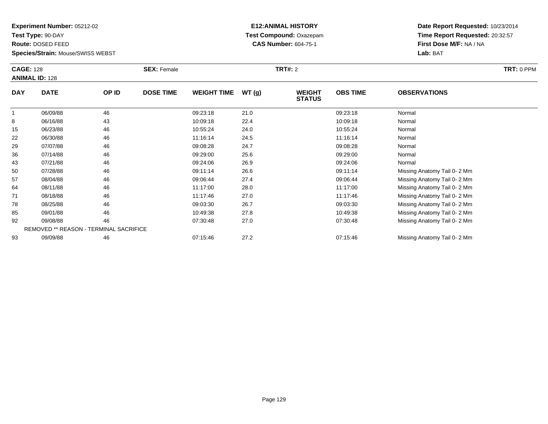**Test Type:** 90-DAY

**Route:** DOSED FEED

**Species/Strain:** Mouse/SWISS WEBST

# **E12:ANIMAL HISTORY Test Compound:** Oxazepam**CAS Number:** 604-75-1

| <b>CAGE: 128</b> | <b>ANIMAL ID: 128</b>                  |       | <b>SEX: Female</b> |                    |       | <b>TRT#: 2</b>                 |                 |                             | TRT: 0 PPM |
|------------------|----------------------------------------|-------|--------------------|--------------------|-------|--------------------------------|-----------------|-----------------------------|------------|
| <b>DAY</b>       | <b>DATE</b>                            | OP ID | <b>DOSE TIME</b>   | <b>WEIGHT TIME</b> | WT(g) | <b>WEIGHT</b><br><b>STATUS</b> | <b>OBS TIME</b> | <b>OBSERVATIONS</b>         |            |
|                  | 06/09/88                               | 46    |                    | 09:23:18           | 21.0  |                                | 09:23:18        | Normal                      |            |
| 8                | 06/16/88                               | 43    |                    | 10:09:18           | 22.4  |                                | 10:09:18        | Normal                      |            |
| 15               | 06/23/88                               | 46    |                    | 10:55:24           | 24.0  |                                | 10:55:24        | Normal                      |            |
| 22               | 06/30/88                               | 46    |                    | 11:16:14           | 24.5  |                                | 11:16:14        | Normal                      |            |
| 29               | 07/07/88                               | 46    |                    | 09:08:28           | 24.7  |                                | 09:08:28        | Normal                      |            |
| 36               | 07/14/88                               | 46    |                    | 09:29:00           | 25.6  |                                | 09:29:00        | Normal                      |            |
| 43               | 07/21/88                               | 46    |                    | 09:24:06           | 26.9  |                                | 09:24:06        | Normal                      |            |
| 50               | 07/28/88                               | 46    |                    | 09:11:14           | 26.6  |                                | 09:11:14        | Missing Anatomy Tail 0-2 Mm |            |
| 57               | 08/04/88                               | 46    |                    | 09:06:44           | 27.4  |                                | 09:06:44        | Missing Anatomy Tail 0-2 Mm |            |
| 64               | 08/11/88                               | 46    |                    | 11:17:00           | 28.0  |                                | 11:17:00        | Missing Anatomy Tail 0-2 Mm |            |
| 71               | 08/18/88                               | 46    |                    | 11:17:46           | 27.0  |                                | 11:17:46        | Missing Anatomy Tail 0-2 Mm |            |
| 78               | 08/25/88                               | 46    |                    | 09:03:30           | 26.7  |                                | 09:03:30        | Missing Anatomy Tail 0-2 Mm |            |
| 85               | 09/01/88                               | 46    |                    | 10:49:38           | 27.8  |                                | 10:49:38        | Missing Anatomy Tail 0-2 Mm |            |
| 92               | 09/08/88                               | 46    |                    | 07:30:48           | 27.0  |                                | 07:30:48        | Missing Anatomy Tail 0-2 Mm |            |
|                  | REMOVED ** REASON - TERMINAL SACRIFICE |       |                    |                    |       |                                |                 |                             |            |
| 93               | 09/09/88                               | 46    |                    | 07:15:46           | 27.2  |                                | 07:15:46        | Missing Anatomy Tail 0-2 Mm |            |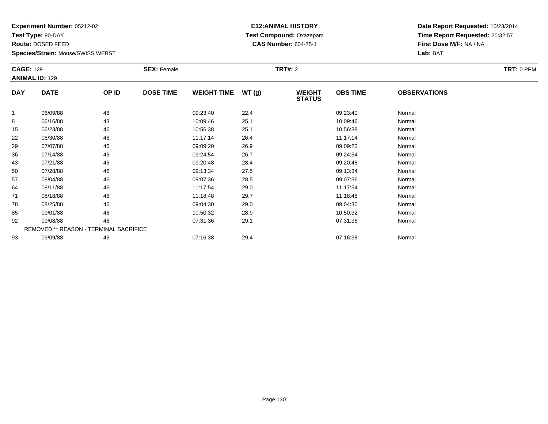**Test Type:** 90-DAY

**Route:** DOSED FEED

**Species/Strain:** Mouse/SWISS WEBST

# **E12:ANIMAL HISTORY Test Compound:** Oxazepam**CAS Number:** 604-75-1

| <b>CAGE: 129</b> | <b>ANIMAL ID: 129</b>                  |       | <b>SEX: Female</b> |                    |       | <b>TRT#: 2</b>                 |                 |                     | TRT: 0 PPM |
|------------------|----------------------------------------|-------|--------------------|--------------------|-------|--------------------------------|-----------------|---------------------|------------|
| <b>DAY</b>       | <b>DATE</b>                            | OP ID | <b>DOSE TIME</b>   | <b>WEIGHT TIME</b> | WT(g) | <b>WEIGHT</b><br><b>STATUS</b> | <b>OBS TIME</b> | <b>OBSERVATIONS</b> |            |
| $\mathbf{1}$     | 06/09/88                               | 46    |                    | 09:23:40           | 22.4  |                                | 09:23:40        | Normal              |            |
| 8                | 06/16/88                               | 43    |                    | 10:09:46           | 25.1  |                                | 10:09:46        | Normal              |            |
| 15               | 06/23/88                               | 46    |                    | 10:56:38           | 25.1  |                                | 10:56:38        | Normal              |            |
| 22               | 06/30/88                               | 46    |                    | 11:17:14           | 26.4  |                                | 11:17:14        | Normal              |            |
| 29               | 07/07/88                               | 46    |                    | 09:09:20           | 26.9  |                                | 09:09:20        | Normal              |            |
| 36               | 07/14/88                               | 46    |                    | 09:24:54           | 26.7  |                                | 09:24:54        | Normal              |            |
| 43               | 07/21/88                               | 46    |                    | 09:20:48           | 28.4  |                                | 09:20:48        | Normal              |            |
| 50               | 07/28/88                               | 46    |                    | 09:13:34           | 27.5  |                                | 09:13:34        | Normal              |            |
| 57               | 08/04/88                               | 46    |                    | 09:07:36           | 28.5  |                                | 09:07:36        | Normal              |            |
| 64               | 08/11/88                               | 46    |                    | 11:17:54           | 29.0  |                                | 11:17:54        | Normal              |            |
| 71               | 08/18/88                               | 46    |                    | 11:18:48           | 29.7  |                                | 11:18:48        | Normal              |            |
| 78               | 08/25/88                               | 46    |                    | 09:04:30           | 29.0  |                                | 09:04:30        | Normal              |            |
| 85               | 09/01/88                               | 46    |                    | 10:50:32           | 28.9  |                                | 10:50:32        | Normal              |            |
| 92               | 09/08/88                               | 46    |                    | 07:31:36           | 29.1  |                                | 07:31:36        | Normal              |            |
|                  | REMOVED ** REASON - TERMINAL SACRIFICE |       |                    |                    |       |                                |                 |                     |            |
| 93               | 09/09/88                               | 46    |                    | 07:16:38           | 29.4  |                                | 07:16:38        | Normal              |            |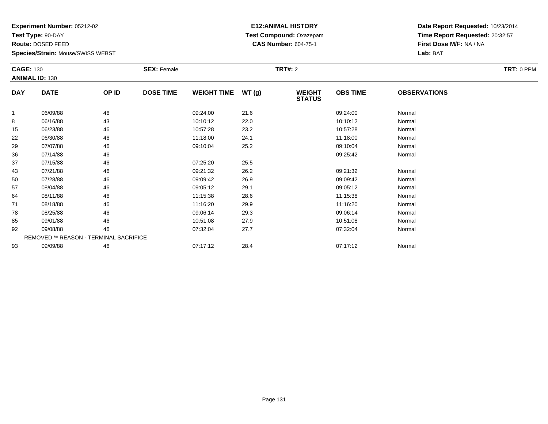**Test Type:** 90-DAY

**Route:** DOSED FEED

**Species/Strain:** Mouse/SWISS WEBST

# **E12:ANIMAL HISTORY Test Compound:** Oxazepam**CAS Number:** 604-75-1

| <b>CAGE: 130</b> |                                        |       | <b>SEX: Female</b> |                    |       | <b>TRT#: 2</b>                 |                 |                     | TRT: 0 PPM |
|------------------|----------------------------------------|-------|--------------------|--------------------|-------|--------------------------------|-----------------|---------------------|------------|
|                  | <b>ANIMAL ID: 130</b>                  |       |                    |                    |       |                                |                 |                     |            |
| <b>DAY</b>       | <b>DATE</b>                            | OP ID | <b>DOSE TIME</b>   | <b>WEIGHT TIME</b> | WT(g) | <b>WEIGHT</b><br><b>STATUS</b> | <b>OBS TIME</b> | <b>OBSERVATIONS</b> |            |
|                  | 06/09/88                               | 46    |                    | 09:24:00           | 21.6  |                                | 09:24:00        | Normal              |            |
| 8                | 06/16/88                               | 43    |                    | 10:10:12           | 22.0  |                                | 10:10:12        | Normal              |            |
| 15               | 06/23/88                               | 46    |                    | 10:57:28           | 23.2  |                                | 10:57:28        | Normal              |            |
| 22               | 06/30/88                               | 46    |                    | 11:18:00           | 24.1  |                                | 11:18:00        | Normal              |            |
| 29               | 07/07/88                               | 46    |                    | 09:10:04           | 25.2  |                                | 09:10:04        | Normal              |            |
| 36               | 07/14/88                               | 46    |                    |                    |       |                                | 09:25:42        | Normal              |            |
| 37               | 07/15/88                               | 46    |                    | 07:25:20           | 25.5  |                                |                 |                     |            |
| 43               | 07/21/88                               | 46    |                    | 09:21:32           | 26.2  |                                | 09:21:32        | Normal              |            |
| 50               | 07/28/88                               | 46    |                    | 09:09:42           | 26.9  |                                | 09:09:42        | Normal              |            |
| 57               | 08/04/88                               | 46    |                    | 09:05:12           | 29.1  |                                | 09:05:12        | Normal              |            |
| 64               | 08/11/88                               | 46    |                    | 11:15:38           | 28.6  |                                | 11:15:38        | Normal              |            |
| 71               | 08/18/88                               | 46    |                    | 11:16:20           | 29.9  |                                | 11:16:20        | Normal              |            |
| 78               | 08/25/88                               | 46    |                    | 09:06:14           | 29.3  |                                | 09:06:14        | Normal              |            |
| 85               | 09/01/88                               | 46    |                    | 10:51:08           | 27.9  |                                | 10:51:08        | Normal              |            |
| 92               | 09/08/88                               | 46    |                    | 07:32:04           | 27.7  |                                | 07:32:04        | Normal              |            |
|                  | REMOVED ** REASON - TERMINAL SACRIFICE |       |                    |                    |       |                                |                 |                     |            |
| 93               | 09/09/88                               | 46    |                    | 07:17:12           | 28.4  |                                | 07:17:12        | Normal              |            |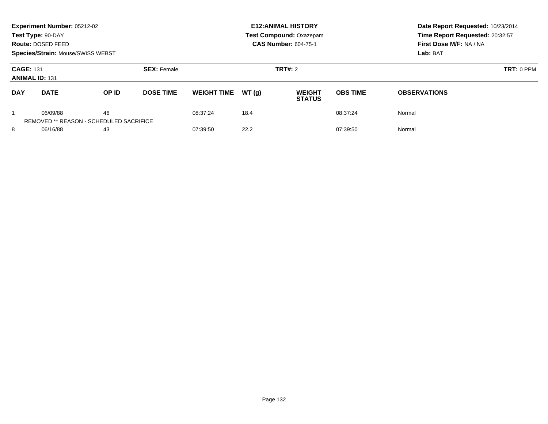|                                                                 | Experiment Number: 05212-02<br>Test Type: 90-DAY<br>Route: DOSED FEED<br>Species/Strain: Mouse/SWISS WEBST |                                                      |                              |                    |         | <b>E12: ANIMAL HISTORY</b><br>Test Compound: Oxazepam<br><b>CAS Number: 604-75-1</b> | Date Report Requested: 10/23/2014<br>Time Report Requested: 20:32:57<br>First Dose M/F: NA / NA<br>Lab: BAT |                     |
|-----------------------------------------------------------------|------------------------------------------------------------------------------------------------------------|------------------------------------------------------|------------------------------|--------------------|---------|--------------------------------------------------------------------------------------|-------------------------------------------------------------------------------------------------------------|---------------------|
| <b>CAGE: 131</b><br><b>SEX: Female</b><br><b>ANIMAL ID: 131</b> |                                                                                                            |                                                      |                              |                    | TRT#: 2 | $TRT: 0$ PPM                                                                         |                                                                                                             |                     |
| <b>DAY</b><br><b>DATE</b>                                       |                                                                                                            | <b>DOSE TIME</b><br>OP ID                            |                              | <b>WEIGHT TIME</b> | WT(q)   | <b>WEIGHT</b><br><b>STATUS</b>                                                       | <b>OBS TIME</b>                                                                                             | <b>OBSERVATIONS</b> |
|                                                                 | 06/09/88                                                                                                   | 46<br><b>REMOVED ** REASON - SCHEDULED SACRIFICE</b> |                              | 08:37:24           | 18.4    |                                                                                      | 08:37:24                                                                                                    | Normal              |
| 8                                                               | 06/16/88<br>43                                                                                             |                                                      | 22.2<br>07:39:50<br>07:39:50 |                    |         | Normal                                                                               |                                                                                                             |                     |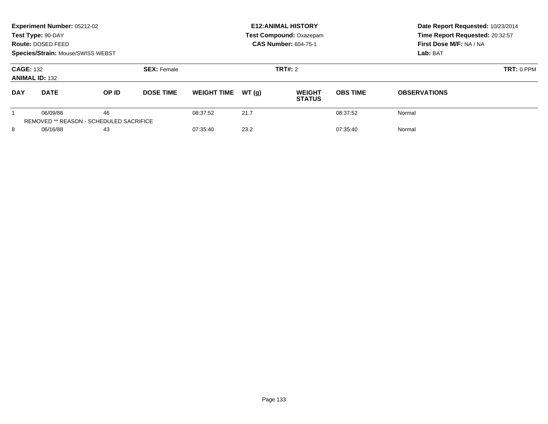|                                           | Experiment Number: 05212-02<br>Test Type: 90-DAY<br>Route: DOSED FEED<br>Species/Strain: Mouse/SWISS WEBST |                                                      |                    |                    |       | <b>E12: ANIMAL HISTORY</b><br>Test Compound: Oxazepam<br><b>CAS Number: 604-75-1</b> | Date Report Requested: 10/23/2014<br>Time Report Requested: 20:32:57<br>First Dose M/F: NA / NA<br>Lab: BAT |                     |
|-------------------------------------------|------------------------------------------------------------------------------------------------------------|------------------------------------------------------|--------------------|--------------------|-------|--------------------------------------------------------------------------------------|-------------------------------------------------------------------------------------------------------------|---------------------|
| <b>CAGE: 132</b><br><b>ANIMAL ID: 132</b> |                                                                                                            |                                                      | <b>SEX: Female</b> |                    |       | TRT#: 2                                                                              |                                                                                                             | $TRT: 0$ PPM        |
| <b>DAY</b>                                | <b>DATE</b>                                                                                                | OP ID                                                | <b>DOSE TIME</b>   | <b>WEIGHT TIME</b> | WT(q) | <b>WEIGHT</b><br><b>STATUS</b>                                                       | <b>OBS TIME</b>                                                                                             | <b>OBSERVATIONS</b> |
|                                           | 06/09/88                                                                                                   | 46<br><b>REMOVED ** REASON - SCHEDULED SACRIFICE</b> |                    | 08:37:52           | 21.7  |                                                                                      | 08:37:52                                                                                                    | Normal              |
| 8<br>06/16/88                             |                                                                                                            | 43                                                   |                    | 07:35:40           | 23.2  |                                                                                      | 07:35:40                                                                                                    | Normal              |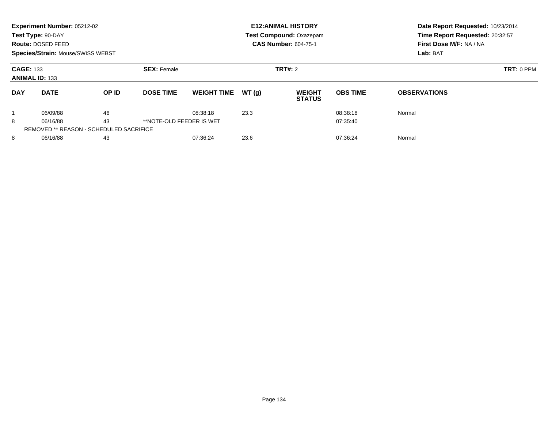|                                                 | Experiment Number: 05212-02<br>Test Type: 90-DAY<br>Route: DOSED FEED<br><b>Species/Strain: Mouse/SWISS WEBST</b> |       |                    |                    |          | <b>E12: ANIMAL HISTORY</b><br>Test Compound: Oxazepam<br><b>CAS Number: 604-75-1</b> | Date Report Requested: 10/23/2014<br>Time Report Requested: 20:32:57<br>First Dose M/F: NA / NA<br>Lab: BAT |                     |
|-------------------------------------------------|-------------------------------------------------------------------------------------------------------------------|-------|--------------------|--------------------|----------|--------------------------------------------------------------------------------------|-------------------------------------------------------------------------------------------------------------|---------------------|
| <b>CAGE: 133</b><br><b>ANIMAL ID: 133</b>       |                                                                                                                   |       | <b>SEX: Female</b> |                    |          | TRT#: 2                                                                              | TRT: 0 PPM                                                                                                  |                     |
| <b>DAY</b>                                      | <b>DATE</b>                                                                                                       | OP ID | <b>DOSE TIME</b>   | <b>WEIGHT TIME</b> | WT(q)    | <b>WEIGHT</b><br><b>STATUS</b>                                                       | <b>OBS TIME</b>                                                                                             | <b>OBSERVATIONS</b> |
|                                                 | 06/09/88                                                                                                          | 46    |                    | 08:38:18           | 23.3     |                                                                                      | 08:38:18                                                                                                    | Normal              |
| 43<br>8<br>**NOTE-OLD FEEDER IS WET<br>06/16/88 |                                                                                                                   |       |                    |                    | 07:35:40 |                                                                                      |                                                                                                             |                     |
|                                                 | <b>REMOVED ** REASON - SCHEDULED SACRIFICE</b>                                                                    |       |                    |                    |          |                                                                                      |                                                                                                             |                     |
| 8                                               | 06/16/88                                                                                                          | 43    |                    | 07:36:24           | 23.6     |                                                                                      | 07:36:24                                                                                                    | Normal              |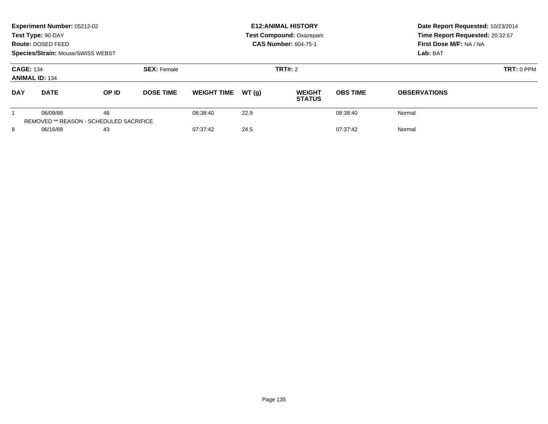|                                           | Experiment Number: 05212-02<br>Test Type: 90-DAY<br>Route: DOSED FEED<br>Species/Strain: Mouse/SWISS WEBST |                                                      |                    |                    |         | <b>E12: ANIMAL HISTORY</b><br>Test Compound: Oxazepam<br><b>CAS Number: 604-75-1</b> | Date Report Requested: 10/23/2014<br>Time Report Requested: 20:32:57<br>First Dose M/F: NA / NA<br>Lab: BAT |                     |
|-------------------------------------------|------------------------------------------------------------------------------------------------------------|------------------------------------------------------|--------------------|--------------------|---------|--------------------------------------------------------------------------------------|-------------------------------------------------------------------------------------------------------------|---------------------|
| <b>CAGE: 134</b><br><b>ANIMAL ID: 134</b> |                                                                                                            |                                                      | <b>SEX: Female</b> |                    | TRT#: 2 | $TRT: 0$ PPM                                                                         |                                                                                                             |                     |
| <b>DAY</b>                                | <b>DATE</b>                                                                                                | OP ID                                                | <b>DOSE TIME</b>   | <b>WEIGHT TIME</b> | WT(q)   | <b>WEIGHT</b><br><b>STATUS</b>                                                       | <b>OBS TIME</b>                                                                                             | <b>OBSERVATIONS</b> |
|                                           | 06/09/88                                                                                                   | 46<br><b>REMOVED ** REASON - SCHEDULED SACRIFICE</b> |                    | 08:38:40           | 22.9    |                                                                                      | 08:38:40                                                                                                    | Normal              |
| 8                                         | 06/16/88                                                                                                   | 43                                                   |                    | 07:37:42           | 24.5    |                                                                                      | 07:37:42                                                                                                    | Normal              |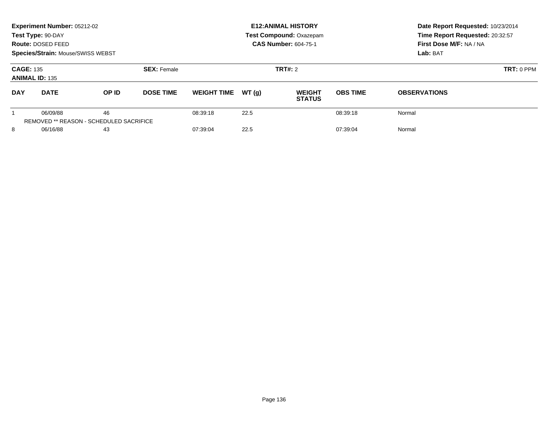|                                           | Experiment Number: 05212-02<br>Test Type: 90-DAY<br>Route: DOSED FEED<br>Species/Strain: Mouse/SWISS WEBST |                                                      |                    |                    |         | <b>E12: ANIMAL HISTORY</b><br>Test Compound: Oxazepam<br><b>CAS Number: 604-75-1</b> | Date Report Requested: 10/23/2014<br>Time Report Requested: 20:32:57<br>First Dose M/F: NA / NA<br>Lab: BAT |                     |
|-------------------------------------------|------------------------------------------------------------------------------------------------------------|------------------------------------------------------|--------------------|--------------------|---------|--------------------------------------------------------------------------------------|-------------------------------------------------------------------------------------------------------------|---------------------|
| <b>CAGE: 135</b><br><b>ANIMAL ID: 135</b> |                                                                                                            |                                                      | <b>SEX: Female</b> |                    | TRT#: 2 | $TRT: 0$ PPM                                                                         |                                                                                                             |                     |
| <b>DAY</b>                                | <b>DATE</b>                                                                                                | OP ID                                                | <b>DOSE TIME</b>   | <b>WEIGHT TIME</b> | WT(q)   | <b>WEIGHT</b><br><b>STATUS</b>                                                       | <b>OBS TIME</b>                                                                                             | <b>OBSERVATIONS</b> |
|                                           | 06/09/88                                                                                                   | 46<br><b>REMOVED ** REASON - SCHEDULED SACRIFICE</b> |                    | 08:39:18           | 22.5    |                                                                                      | 08:39:18                                                                                                    | Normal              |
| 8<br>06/16/88                             |                                                                                                            | 43                                                   |                    | 07:39:04           | 22.5    |                                                                                      | 07:39:04                                                                                                    | Normal              |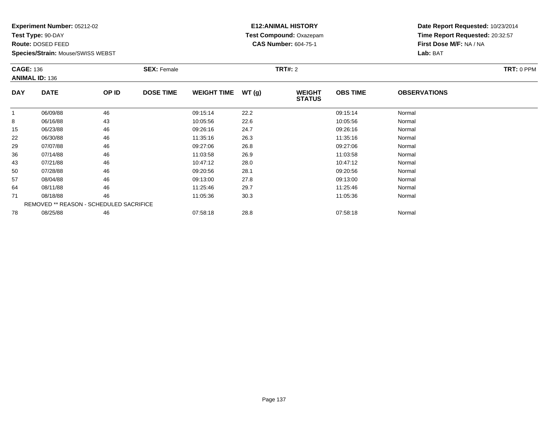**Test Type:** 90-DAY

**Route:** DOSED FEED

**Species/Strain:** Mouse/SWISS WEBST

# **E12:ANIMAL HISTORY Test Compound:** Oxazepam**CAS Number:** 604-75-1

|            | <b>CAGE: 136</b><br><b>ANIMAL ID: 136</b> |       | <b>SEX:</b> Female |                    |       | <b>TRT#:</b> 2                 |                 | <b>TRT: 0 PPM</b>   |  |
|------------|-------------------------------------------|-------|--------------------|--------------------|-------|--------------------------------|-----------------|---------------------|--|
| <b>DAY</b> | <b>DATE</b>                               | OP ID | <b>DOSE TIME</b>   | <b>WEIGHT TIME</b> | WT(g) | <b>WEIGHT</b><br><b>STATUS</b> | <b>OBS TIME</b> | <b>OBSERVATIONS</b> |  |
| 1          | 06/09/88                                  | 46    |                    | 09:15:14           | 22.2  |                                | 09:15:14        | Normal              |  |
| 8          | 06/16/88                                  | 43    |                    | 10:05:56           | 22.6  |                                | 10:05:56        | Normal              |  |
| 15         | 06/23/88                                  | 46    |                    | 09:26:16           | 24.7  |                                | 09:26:16        | Normal              |  |
| 22         | 06/30/88                                  | 46    |                    | 11:35:16           | 26.3  |                                | 11:35:16        | Normal              |  |
| 29         | 07/07/88                                  | 46    |                    | 09:27:06           | 26.8  |                                | 09:27:06        | Normal              |  |
| 36         | 07/14/88                                  | 46    |                    | 11:03:58           | 26.9  |                                | 11:03:58        | Normal              |  |
| 43         | 07/21/88                                  | 46    |                    | 10:47:12           | 28.0  |                                | 10:47:12        | Normal              |  |
| 50         | 07/28/88                                  | 46    |                    | 09:20:56           | 28.1  |                                | 09:20:56        | Normal              |  |
| 57         | 08/04/88                                  | 46    |                    | 09:13:00           | 27.8  |                                | 09:13:00        | Normal              |  |
| 64         | 08/11/88                                  | 46    |                    | 11:25:46           | 29.7  |                                | 11:25:46        | Normal              |  |
| 71         | 08/18/88                                  | 46    |                    | 11:05:36           | 30.3  |                                | 11:05:36        | Normal              |  |
|            | REMOVED ** REASON - SCHEDULED SACRIFICE   |       |                    |                    |       |                                |                 |                     |  |
| 78         | 08/25/88                                  | 46    |                    | 07:58:18           | 28.8  |                                | 07:58:18        | Normal              |  |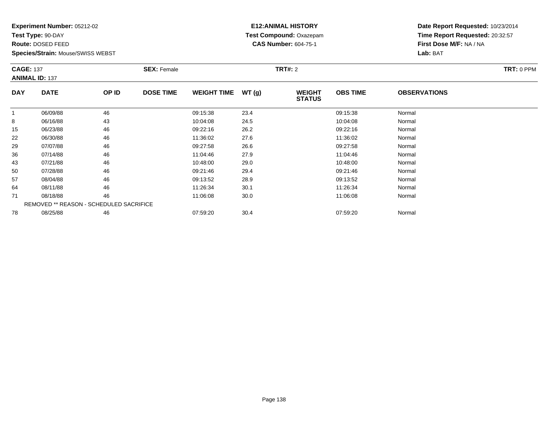**Test Type:** 90-DAY

**Route:** DOSED FEED

**Species/Strain:** Mouse/SWISS WEBST

# **E12:ANIMAL HISTORY Test Compound:** Oxazepam**CAS Number:** 604-75-1

| <b>CAGE: 137</b> | <b>ANIMAL ID: 137</b>                   |       | <b>SEX: Female</b> |                    |       | <b>TRT#: 2</b>                 | TRT: 0 PPM      |                     |  |
|------------------|-----------------------------------------|-------|--------------------|--------------------|-------|--------------------------------|-----------------|---------------------|--|
| <b>DAY</b>       | <b>DATE</b>                             | OP ID | <b>DOSE TIME</b>   | <b>WEIGHT TIME</b> | WT(g) | <b>WEIGHT</b><br><b>STATUS</b> | <b>OBS TIME</b> | <b>OBSERVATIONS</b> |  |
| 1                | 06/09/88                                | 46    |                    | 09:15:38           | 23.4  |                                | 09:15:38        | Normal              |  |
| 8                | 06/16/88                                | 43    |                    | 10:04:08           | 24.5  |                                | 10:04:08        | Normal              |  |
| 15               | 06/23/88                                | 46    |                    | 09:22:16           | 26.2  |                                | 09:22:16        | Normal              |  |
| 22               | 06/30/88                                | 46    |                    | 11:36:02           | 27.6  |                                | 11:36:02        | Normal              |  |
| 29               | 07/07/88                                | 46    |                    | 09:27:58           | 26.6  |                                | 09:27:58        | Normal              |  |
| 36               | 07/14/88                                | 46    |                    | 11:04:46           | 27.9  |                                | 11:04:46        | Normal              |  |
| 43               | 07/21/88                                | 46    |                    | 10:48:00           | 29.0  |                                | 10:48:00        | Normal              |  |
| 50               | 07/28/88                                | 46    |                    | 09:21:46           | 29.4  |                                | 09:21:46        | Normal              |  |
| 57               | 08/04/88                                | 46    |                    | 09:13:52           | 28.9  |                                | 09:13:52        | Normal              |  |
| 64               | 08/11/88                                | 46    |                    | 11:26:34           | 30.1  |                                | 11:26:34        | Normal              |  |
| 71               | 08/18/88                                | 46    |                    | 11:06:08           | 30.0  |                                | 11:06:08        | Normal              |  |
|                  | REMOVED ** REASON - SCHEDULED SACRIFICE |       |                    |                    |       |                                |                 |                     |  |
| 78               | 08/25/88                                | 46    |                    | 07:59:20           | 30.4  |                                | 07:59:20        | Normal              |  |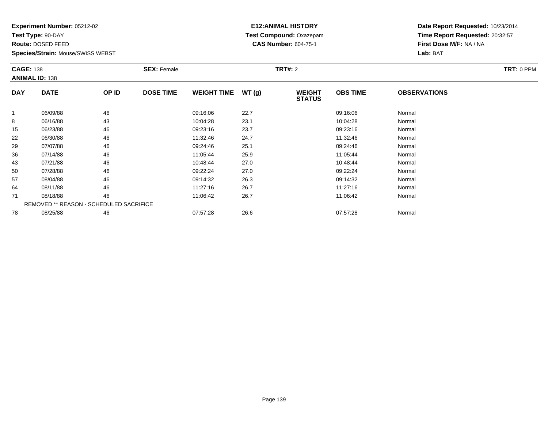**Test Type:** 90-DAY

**Route:** DOSED FEED

**Species/Strain:** Mouse/SWISS WEBST

# **E12:ANIMAL HISTORY Test Compound:** Oxazepam**CAS Number:** 604-75-1

|            | <b>CAGE: 138</b><br><b>ANIMAL ID: 138</b> |       | <b>SEX: Female</b> |                    |       | <b>TRT#:</b> 2                 | <b>TRT: 0 PPM</b> |                     |  |
|------------|-------------------------------------------|-------|--------------------|--------------------|-------|--------------------------------|-------------------|---------------------|--|
| <b>DAY</b> | <b>DATE</b>                               | OP ID | <b>DOSE TIME</b>   | <b>WEIGHT TIME</b> | WT(g) | <b>WEIGHT</b><br><b>STATUS</b> | <b>OBS TIME</b>   | <b>OBSERVATIONS</b> |  |
| 1          | 06/09/88                                  | 46    |                    | 09:16:06           | 22.7  |                                | 09:16:06          | Normal              |  |
| 8          | 06/16/88                                  | 43    |                    | 10:04:28           | 23.1  |                                | 10:04:28          | Normal              |  |
| 15         | 06/23/88                                  | 46    |                    | 09:23:16           | 23.7  |                                | 09:23:16          | Normal              |  |
| 22         | 06/30/88                                  | 46    |                    | 11:32:46           | 24.7  |                                | 11:32:46          | Normal              |  |
| 29         | 07/07/88                                  | 46    |                    | 09:24:46           | 25.1  |                                | 09:24:46          | Normal              |  |
| 36         | 07/14/88                                  | 46    |                    | 11:05:44           | 25.9  |                                | 11:05:44          | Normal              |  |
| 43         | 07/21/88                                  | 46    |                    | 10:48:44           | 27.0  |                                | 10:48:44          | Normal              |  |
| 50         | 07/28/88                                  | 46    |                    | 09:22:24           | 27.0  |                                | 09:22:24          | Normal              |  |
| 57         | 08/04/88                                  | 46    |                    | 09:14:32           | 26.3  |                                | 09:14:32          | Normal              |  |
| 64         | 08/11/88                                  | 46    |                    | 11:27:16           | 26.7  |                                | 11:27:16          | Normal              |  |
| 71         | 08/18/88                                  | 46    |                    | 11:06:42           | 26.7  |                                | 11:06:42          | Normal              |  |
|            | REMOVED ** REASON - SCHEDULED SACRIFICE   |       |                    |                    |       |                                |                   |                     |  |
| 78         | 08/25/88                                  | 46    |                    | 07:57:28           | 26.6  |                                | 07:57:28          | Normal              |  |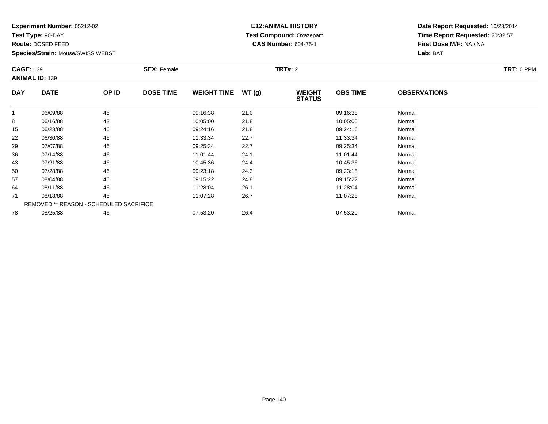**Test Type:** 90-DAY

**Route:** DOSED FEED

**Species/Strain:** Mouse/SWISS WEBST

# **E12:ANIMAL HISTORY Test Compound:** Oxazepam**CAS Number:** 604-75-1

|            | <b>CAGE: 139</b><br><b>ANIMAL ID: 139</b> |       | <b>SEX:</b> Female |                    |       | <b>TRT#:</b> 2                 |                 | <b>TRT: 0 PPM</b>   |  |
|------------|-------------------------------------------|-------|--------------------|--------------------|-------|--------------------------------|-----------------|---------------------|--|
| <b>DAY</b> | <b>DATE</b>                               | OP ID | <b>DOSE TIME</b>   | <b>WEIGHT TIME</b> | WT(g) | <b>WEIGHT</b><br><b>STATUS</b> | <b>OBS TIME</b> | <b>OBSERVATIONS</b> |  |
| 1          | 06/09/88                                  | 46    |                    | 09:16:38           | 21.0  |                                | 09:16:38        | Normal              |  |
| 8          | 06/16/88                                  | 43    |                    | 10:05:00           | 21.8  |                                | 10:05:00        | Normal              |  |
| 15         | 06/23/88                                  | 46    |                    | 09:24:16           | 21.8  |                                | 09:24:16        | Normal              |  |
| 22         | 06/30/88                                  | 46    |                    | 11:33:34           | 22.7  |                                | 11:33:34        | Normal              |  |
| 29         | 07/07/88                                  | 46    |                    | 09:25:34           | 22.7  |                                | 09:25:34        | Normal              |  |
| 36         | 07/14/88                                  | 46    |                    | 11:01:44           | 24.1  |                                | 11:01:44        | Normal              |  |
| 43         | 07/21/88                                  | 46    |                    | 10:45:36           | 24.4  |                                | 10:45:36        | Normal              |  |
| 50         | 07/28/88                                  | 46    |                    | 09:23:18           | 24.3  |                                | 09:23:18        | Normal              |  |
| 57         | 08/04/88                                  | 46    |                    | 09:15:22           | 24.8  |                                | 09:15:22        | Normal              |  |
| 64         | 08/11/88                                  | 46    |                    | 11:28:04           | 26.1  |                                | 11:28:04        | Normal              |  |
| 71         | 08/18/88                                  | 46    |                    | 11:07:28           | 26.7  |                                | 11:07:28        | Normal              |  |
|            | REMOVED ** REASON - SCHEDULED SACRIFICE   |       |                    |                    |       |                                |                 |                     |  |
| 78         | 08/25/88                                  | 46    |                    | 07:53:20           | 26.4  |                                | 07:53:20        | Normal              |  |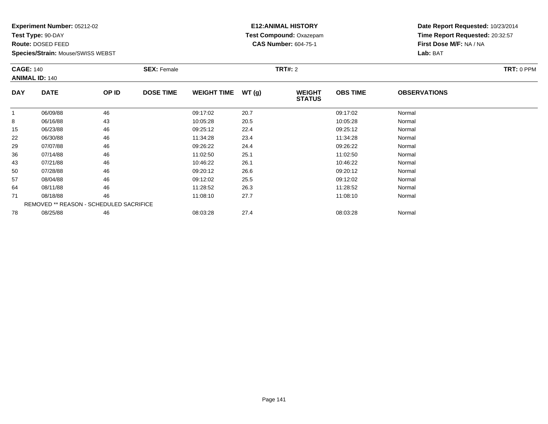**Test Type:** 90-DAY

**Route:** DOSED FEED

**Species/Strain:** Mouse/SWISS WEBST

# **E12:ANIMAL HISTORY Test Compound:** Oxazepam**CAS Number:** 604-75-1

|              | <b>CAGE: 140</b><br><b>ANIMAL ID: 140</b> |       | <b>SEX: Female</b> |                    |       | <b>TRT#:</b> 2                 | TRT: 0 PPM      |                     |  |
|--------------|-------------------------------------------|-------|--------------------|--------------------|-------|--------------------------------|-----------------|---------------------|--|
| <b>DAY</b>   | <b>DATE</b>                               | OP ID | <b>DOSE TIME</b>   | <b>WEIGHT TIME</b> | WT(g) | <b>WEIGHT</b><br><b>STATUS</b> | <b>OBS TIME</b> | <b>OBSERVATIONS</b> |  |
| $\mathbf{1}$ | 06/09/88                                  | 46    |                    | 09:17:02           | 20.7  |                                | 09:17:02        | Normal              |  |
| 8            | 06/16/88                                  | 43    |                    | 10:05:28           | 20.5  |                                | 10:05:28        | Normal              |  |
| 15           | 06/23/88                                  | 46    |                    | 09:25:12           | 22.4  |                                | 09:25:12        | Normal              |  |
| 22           | 06/30/88                                  | 46    |                    | 11:34:28           | 23.4  |                                | 11:34:28        | Normal              |  |
| 29           | 07/07/88                                  | 46    |                    | 09:26:22           | 24.4  |                                | 09:26:22        | Normal              |  |
| 36           | 07/14/88                                  | 46    |                    | 11:02:50           | 25.1  |                                | 11:02:50        | Normal              |  |
| 43           | 07/21/88                                  | 46    |                    | 10:46:22           | 26.1  |                                | 10:46:22        | Normal              |  |
| 50           | 07/28/88                                  | 46    |                    | 09:20:12           | 26.6  |                                | 09:20:12        | Normal              |  |
| 57           | 08/04/88                                  | 46    |                    | 09:12:02           | 25.5  |                                | 09:12:02        | Normal              |  |
| 64           | 08/11/88                                  | 46    |                    | 11:28:52           | 26.3  |                                | 11:28:52        | Normal              |  |
| 71           | 08/18/88                                  | 46    |                    | 11:08:10           | 27.7  |                                | 11:08:10        | Normal              |  |
|              | REMOVED ** REASON - SCHEDULED SACRIFICE   |       |                    |                    |       |                                |                 |                     |  |
| 78           | 08/25/88                                  | 46    |                    | 08:03:28           | 27.4  |                                | 08:03:28        | Normal              |  |
|              |                                           |       |                    |                    |       |                                |                 |                     |  |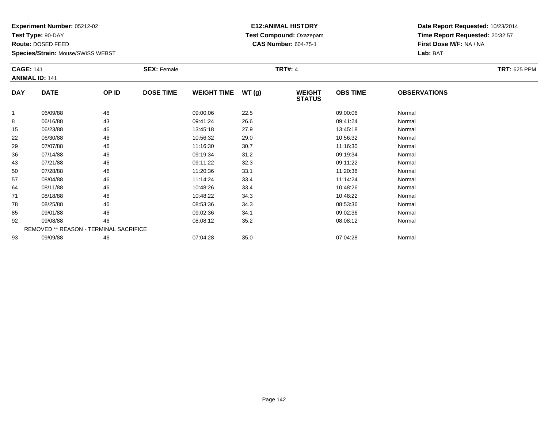**Test Type:** 90-DAY

**Route:** DOSED FEED

**Species/Strain:** Mouse/SWISS WEBST

# **E12:ANIMAL HISTORY Test Compound:** Oxazepam**CAS Number:** 604-75-1

| <b>CAGE: 141</b><br><b>ANIMAL ID: 141</b> |             | <b>SEX: Female</b>                     |                  |                    | <b>TRT#: 4</b> |                                | <b>TRT: 625 PPM</b> |                     |  |
|-------------------------------------------|-------------|----------------------------------------|------------------|--------------------|----------------|--------------------------------|---------------------|---------------------|--|
| <b>DAY</b>                                | <b>DATE</b> | OP ID                                  | <b>DOSE TIME</b> | <b>WEIGHT TIME</b> | WT(g)          | <b>WEIGHT</b><br><b>STATUS</b> | <b>OBS TIME</b>     | <b>OBSERVATIONS</b> |  |
| 1                                         | 06/09/88    | 46                                     |                  | 09:00:06           | 22.5           |                                | 09:00:06            | Normal              |  |
| 8                                         | 06/16/88    | 43                                     |                  | 09:41:24           | 26.6           |                                | 09:41:24            | Normal              |  |
| 15                                        | 06/23/88    | 46                                     |                  | 13:45:18           | 27.9           |                                | 13:45:18            | Normal              |  |
| 22                                        | 06/30/88    | 46                                     |                  | 10:56:32           | 29.0           |                                | 10:56:32            | Normal              |  |
| 29                                        | 07/07/88    | 46                                     |                  | 11:16:30           | 30.7           |                                | 11:16:30            | Normal              |  |
| 36                                        | 07/14/88    | 46                                     |                  | 09:19:34           | 31.2           |                                | 09:19:34            | Normal              |  |
| 43                                        | 07/21/88    | 46                                     |                  | 09:11:22           | 32.3           |                                | 09:11:22            | Normal              |  |
| 50                                        | 07/28/88    | 46                                     |                  | 11:20:36           | 33.1           |                                | 11:20:36            | Normal              |  |
| 57                                        | 08/04/88    | 46                                     |                  | 11:14:24           | 33.4           |                                | 11:14:24            | Normal              |  |
| 64                                        | 08/11/88    | 46                                     |                  | 10:48:26           | 33.4           |                                | 10:48:26            | Normal              |  |
| 71                                        | 08/18/88    | 46                                     |                  | 10:48:22           | 34.3           |                                | 10:48:22            | Normal              |  |
| 78                                        | 08/25/88    | 46                                     |                  | 08:53:36           | 34.3           |                                | 08:53:36            | Normal              |  |
| 85                                        | 09/01/88    | 46                                     |                  | 09:02:36           | 34.1           |                                | 09:02:36            | Normal              |  |
| 92                                        | 09/08/88    | 46                                     |                  | 08:08:12           | 35.2           |                                | 08:08:12            | Normal              |  |
|                                           |             | REMOVED ** REASON - TERMINAL SACRIFICE |                  |                    |                |                                |                     |                     |  |
| 93                                        | 09/09/88    | 46                                     |                  | 07:04:28           | 35.0           |                                | 07:04:28            | Normal              |  |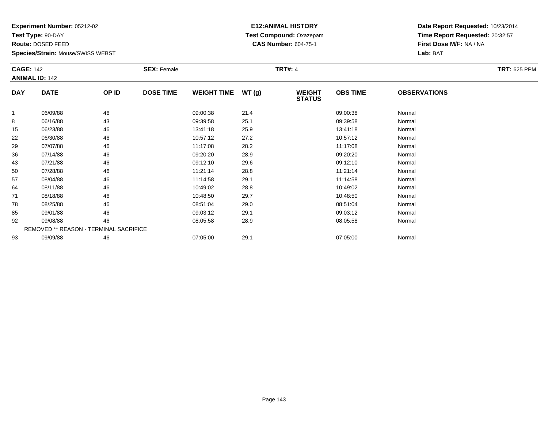**Test Type:** 90-DAY

**Route:** DOSED FEED

**Species/Strain:** Mouse/SWISS WEBST

# **E12:ANIMAL HISTORY Test Compound:** Oxazepam**CAS Number:** 604-75-1

|            | <b>CAGE: 142</b><br><b>ANIMAL ID: 142</b> |                                        | <b>SEX: Female</b> |                    |       | <b>TRT#: 4</b>                 |                 | <b>TRT: 625 PPM</b> |  |
|------------|-------------------------------------------|----------------------------------------|--------------------|--------------------|-------|--------------------------------|-----------------|---------------------|--|
| <b>DAY</b> | <b>DATE</b>                               | OP ID                                  | <b>DOSE TIME</b>   | <b>WEIGHT TIME</b> | WT(g) | <b>WEIGHT</b><br><b>STATUS</b> | <b>OBS TIME</b> | <b>OBSERVATIONS</b> |  |
| 1          | 06/09/88                                  | 46                                     |                    | 09:00:38           | 21.4  |                                | 09:00:38        | Normal              |  |
| 8          | 06/16/88                                  | 43                                     |                    | 09:39:58           | 25.1  |                                | 09:39:58        | Normal              |  |
| 15         | 06/23/88                                  | 46                                     |                    | 13:41:18           | 25.9  |                                | 13:41:18        | Normal              |  |
| 22         | 06/30/88                                  | 46                                     |                    | 10:57:12           | 27.2  |                                | 10:57:12        | Normal              |  |
| 29         | 07/07/88                                  | 46                                     |                    | 11:17:08           | 28.2  |                                | 11:17:08        | Normal              |  |
| 36         | 07/14/88                                  | 46                                     |                    | 09:20:20           | 28.9  |                                | 09:20:20        | Normal              |  |
| 43         | 07/21/88                                  | 46                                     |                    | 09:12:10           | 29.6  |                                | 09:12:10        | Normal              |  |
| 50         | 07/28/88                                  | 46                                     |                    | 11:21:14           | 28.8  |                                | 11:21:14        | Normal              |  |
| 57         | 08/04/88                                  | 46                                     |                    | 11:14:58           | 29.1  |                                | 11:14:58        | Normal              |  |
| 64         | 08/11/88                                  | 46                                     |                    | 10:49:02           | 28.8  |                                | 10:49:02        | Normal              |  |
| 71         | 08/18/88                                  | 46                                     |                    | 10:48:50           | 29.7  |                                | 10:48:50        | Normal              |  |
| 78         | 08/25/88                                  | 46                                     |                    | 08:51:04           | 29.0  |                                | 08:51:04        | Normal              |  |
| 85         | 09/01/88                                  | 46                                     |                    | 09:03:12           | 29.1  |                                | 09:03:12        | Normal              |  |
| 92         | 09/08/88                                  | 46                                     |                    | 08:05:58           | 28.9  |                                | 08:05:58        | Normal              |  |
|            |                                           | REMOVED ** REASON - TERMINAL SACRIFICE |                    |                    |       |                                |                 |                     |  |
| 93         | 09/09/88                                  | 46                                     |                    | 07:05:00           | 29.1  |                                | 07:05:00        | Normal              |  |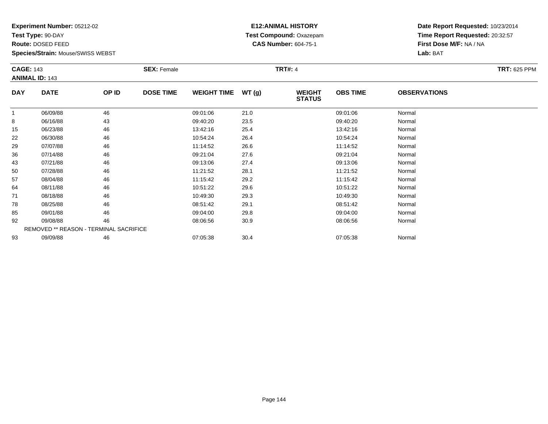**Test Type:** 90-DAY

**Route:** DOSED FEED

**Species/Strain:** Mouse/SWISS WEBST

# **E12:ANIMAL HISTORY Test Compound:** Oxazepam**CAS Number:** 604-75-1

| <b>CAGE: 143</b><br><b>ANIMAL ID: 143</b> |             | <b>SEX: Female</b>                     |                  |                    | <b>TRT#: 4</b> |                                | <b>TRT: 625 PPM</b> |                     |  |
|-------------------------------------------|-------------|----------------------------------------|------------------|--------------------|----------------|--------------------------------|---------------------|---------------------|--|
| <b>DAY</b>                                | <b>DATE</b> | OP ID                                  | <b>DOSE TIME</b> | <b>WEIGHT TIME</b> | WT(g)          | <b>WEIGHT</b><br><b>STATUS</b> | <b>OBS TIME</b>     | <b>OBSERVATIONS</b> |  |
| 1                                         | 06/09/88    | 46                                     |                  | 09:01:06           | 21.0           |                                | 09:01:06            | Normal              |  |
| 8                                         | 06/16/88    | 43                                     |                  | 09:40:20           | 23.5           |                                | 09:40:20            | Normal              |  |
| 15                                        | 06/23/88    | 46                                     |                  | 13:42:16           | 25.4           |                                | 13:42:16            | Normal              |  |
| 22                                        | 06/30/88    | 46                                     |                  | 10:54:24           | 26.4           |                                | 10:54:24            | Normal              |  |
| 29                                        | 07/07/88    | 46                                     |                  | 11:14:52           | 26.6           |                                | 11:14:52            | Normal              |  |
| 36                                        | 07/14/88    | 46                                     |                  | 09:21:04           | 27.6           |                                | 09:21:04            | Normal              |  |
| 43                                        | 07/21/88    | 46                                     |                  | 09:13:06           | 27.4           |                                | 09:13:06            | Normal              |  |
| 50                                        | 07/28/88    | 46                                     |                  | 11:21:52           | 28.1           |                                | 11:21:52            | Normal              |  |
| 57                                        | 08/04/88    | 46                                     |                  | 11:15:42           | 29.2           |                                | 11:15:42            | Normal              |  |
| 64                                        | 08/11/88    | 46                                     |                  | 10:51:22           | 29.6           |                                | 10:51:22            | Normal              |  |
| 71                                        | 08/18/88    | 46                                     |                  | 10:49:30           | 29.3           |                                | 10:49:30            | Normal              |  |
| 78                                        | 08/25/88    | 46                                     |                  | 08:51:42           | 29.1           |                                | 08:51:42            | Normal              |  |
| 85                                        | 09/01/88    | 46                                     |                  | 09:04:00           | 29.8           |                                | 09:04:00            | Normal              |  |
| 92                                        | 09/08/88    | 46                                     |                  | 08:06:56           | 30.9           |                                | 08:06:56            | Normal              |  |
|                                           |             | REMOVED ** REASON - TERMINAL SACRIFICE |                  |                    |                |                                |                     |                     |  |
| 93                                        | 09/09/88    | 46                                     |                  | 07:05:38           | 30.4           |                                | 07:05:38            | Normal              |  |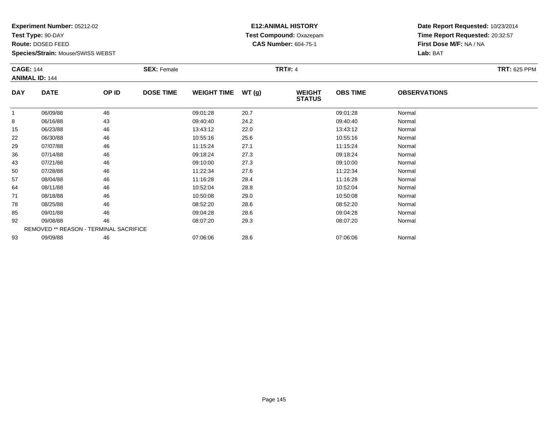**Test Type:** 90-DAY

**Route:** DOSED FEED

**Species/Strain:** Mouse/SWISS WEBST

# **E12:ANIMAL HISTORY Test Compound:** Oxazepam**CAS Number:** 604-75-1

| <b>CAGE: 144</b> |                                        | <b>SEX: Female</b> |                  |                    | <b>TRT#: 4</b> | <b>TRT: 625 PPM</b>            |                 |                     |  |
|------------------|----------------------------------------|--------------------|------------------|--------------------|----------------|--------------------------------|-----------------|---------------------|--|
|                  | <b>ANIMAL ID: 144</b>                  |                    |                  |                    |                |                                |                 |                     |  |
| <b>DAY</b>       | <b>DATE</b>                            | OP ID              | <b>DOSE TIME</b> | <b>WEIGHT TIME</b> | WT(g)          | <b>WEIGHT</b><br><b>STATUS</b> | <b>OBS TIME</b> | <b>OBSERVATIONS</b> |  |
| 1                | 06/09/88                               | 46                 |                  | 09:01:28           | 20.7           |                                | 09:01:28        | Normal              |  |
| 8                | 06/16/88                               | 43                 |                  | 09:40:40           | 24.2           |                                | 09:40:40        | Normal              |  |
| 15               | 06/23/88                               | 46                 |                  | 13:43:12           | 22.0           |                                | 13:43:12        | Normal              |  |
| 22               | 06/30/88                               | 46                 |                  | 10:55:16           | 25.6           |                                | 10:55:16        | Normal              |  |
| 29               | 07/07/88                               | 46                 |                  | 11:15:24           | 27.1           |                                | 11:15:24        | Normal              |  |
| 36               | 07/14/88                               | 46                 |                  | 09:18:24           | 27.3           |                                | 09:18:24        | Normal              |  |
| 43               | 07/21/88                               | 46                 |                  | 09:10:00           | 27.3           |                                | 09:10:00        | Normal              |  |
| 50               | 07/28/88                               | 46                 |                  | 11:22:34           | 27.6           |                                | 11:22:34        | Normal              |  |
| 57               | 08/04/88                               | 46                 |                  | 11:16:28           | 28.4           |                                | 11:16:28        | Normal              |  |
| 64               | 08/11/88                               | 46                 |                  | 10:52:04           | 28.8           |                                | 10:52:04        | Normal              |  |
| 71               | 08/18/88                               | 46                 |                  | 10:50:08           | 29.0           |                                | 10:50:08        | Normal              |  |
| 78               | 08/25/88                               | 46                 |                  | 08:52:20           | 28.6           |                                | 08:52:20        | Normal              |  |
| 85               | 09/01/88                               | 46                 |                  | 09:04:28           | 28.6           |                                | 09:04:28        | Normal              |  |
| 92               | 09/08/88                               | 46                 |                  | 08:07:20           | 29.3           |                                | 08:07:20        | Normal              |  |
|                  | REMOVED ** REASON - TERMINAL SACRIFICE |                    |                  |                    |                |                                |                 |                     |  |
| 93               | 09/09/88                               | 46                 |                  | 07:06:06           | 28.6           |                                | 07:06:06        | Normal              |  |
|                  |                                        |                    |                  |                    |                |                                |                 |                     |  |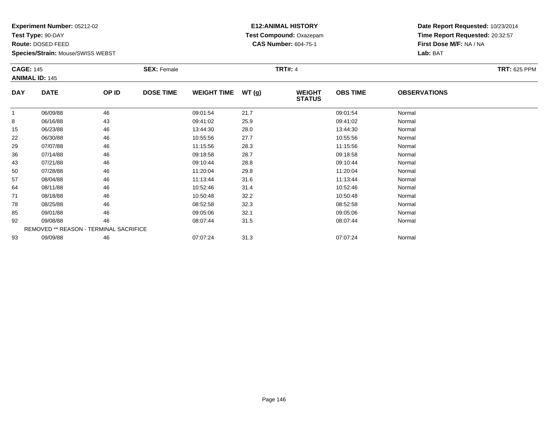**Test Type:** 90-DAY

**Route:** DOSED FEED

**Species/Strain:** Mouse/SWISS WEBST

# **E12:ANIMAL HISTORY Test Compound:** Oxazepam**CAS Number:** 604-75-1

| <b>CAGE: 145</b> |                                        | <b>SEX: Female</b> |                  |                    | <b>TRT#: 4</b> | <b>TRT: 625 PPM</b>            |                 |                     |  |
|------------------|----------------------------------------|--------------------|------------------|--------------------|----------------|--------------------------------|-----------------|---------------------|--|
|                  | <b>ANIMAL ID: 145</b>                  |                    |                  |                    |                |                                |                 |                     |  |
| <b>DAY</b>       | <b>DATE</b>                            | OP ID              | <b>DOSE TIME</b> | <b>WEIGHT TIME</b> | WT(g)          | <b>WEIGHT</b><br><b>STATUS</b> | <b>OBS TIME</b> | <b>OBSERVATIONS</b> |  |
| 1                | 06/09/88                               | 46                 |                  | 09:01:54           | 21.7           |                                | 09:01:54        | Normal              |  |
| 8                | 06/16/88                               | 43                 |                  | 09:41:02           | 25.9           |                                | 09:41:02        | Normal              |  |
| 15               | 06/23/88                               | 46                 |                  | 13:44:30           | 28.0           |                                | 13:44:30        | Normal              |  |
| 22               | 06/30/88                               | 46                 |                  | 10:55:56           | 27.7           |                                | 10:55:56        | Normal              |  |
| 29               | 07/07/88                               | 46                 |                  | 11:15:56           | 28.3           |                                | 11:15:56        | Normal              |  |
| 36               | 07/14/88                               | 46                 |                  | 09:18:58           | 28.7           |                                | 09:18:58        | Normal              |  |
| 43               | 07/21/88                               | 46                 |                  | 09:10:44           | 28.8           |                                | 09:10:44        | Normal              |  |
| 50               | 07/28/88                               | 46                 |                  | 11:20:04           | 29.8           |                                | 11:20:04        | Normal              |  |
| 57               | 08/04/88                               | 46                 |                  | 11:13:44           | 31.6           |                                | 11:13:44        | Normal              |  |
| 64               | 08/11/88                               | 46                 |                  | 10:52:46           | 31.4           |                                | 10:52:46        | Normal              |  |
| 71               | 08/18/88                               | 46                 |                  | 10:50:48           | 32.2           |                                | 10:50:48        | Normal              |  |
| 78               | 08/25/88                               | 46                 |                  | 08:52:58           | 32.3           |                                | 08:52:58        | Normal              |  |
| 85               | 09/01/88                               | 46                 |                  | 09:05:06           | 32.1           |                                | 09:05:06        | Normal              |  |
| 92               | 09/08/88                               | 46                 |                  | 08:07:44           | 31.5           |                                | 08:07:44        | Normal              |  |
|                  | REMOVED ** REASON - TERMINAL SACRIFICE |                    |                  |                    |                |                                |                 |                     |  |
| 93               | 09/09/88                               | 46                 |                  | 07:07:24           | 31.3           |                                | 07:07:24        | Normal              |  |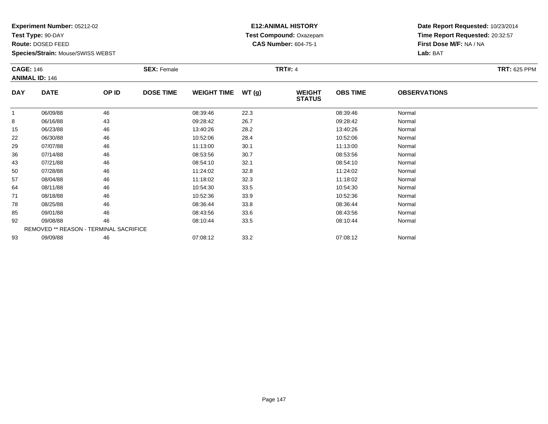**Test Type:** 90-DAY

**Route:** DOSED FEED

**Species/Strain:** Mouse/SWISS WEBST

# **E12:ANIMAL HISTORY Test Compound:** Oxazepam**CAS Number:** 604-75-1

| <b>CAGE: 146</b><br><b>ANIMAL ID: 146</b> |                                        | <b>SEX: Female</b> |                  |          | <b>TRT#: 4</b> |                                | <b>TRT: 625 PPM</b> |                     |  |
|-------------------------------------------|----------------------------------------|--------------------|------------------|----------|----------------|--------------------------------|---------------------|---------------------|--|
| <b>DAY</b>                                | <b>DATE</b>                            | OP ID              | <b>DOSE TIME</b> |          | WT(g)          | <b>WEIGHT</b><br><b>STATUS</b> | <b>OBS TIME</b>     | <b>OBSERVATIONS</b> |  |
| $\mathbf{1}$                              | 06/09/88                               | 46                 |                  | 08:39:46 | 22.3           |                                | 08:39:46            | Normal              |  |
| 8                                         | 06/16/88                               | 43                 |                  | 09:28:42 | 26.7           |                                | 09:28:42            | Normal              |  |
| 15                                        | 06/23/88                               | 46                 |                  | 13:40:26 | 28.2           |                                | 13:40:26            | Normal              |  |
| 22                                        | 06/30/88                               | 46                 |                  | 10:52:06 | 28.4           |                                | 10:52:06            | Normal              |  |
| 29                                        | 07/07/88                               | 46                 |                  | 11:13:00 | 30.1           |                                | 11:13:00            | Normal              |  |
| 36                                        | 07/14/88                               | 46                 |                  | 08:53:56 | 30.7           |                                | 08:53:56            | Normal              |  |
| 43                                        | 07/21/88                               | 46                 |                  | 08:54:10 | 32.1           |                                | 08:54:10            | Normal              |  |
| 50                                        | 07/28/88                               | 46                 |                  | 11:24:02 | 32.8           |                                | 11:24:02            | Normal              |  |
| 57                                        | 08/04/88                               | 46                 |                  | 11:18:02 | 32.3           |                                | 11:18:02            | Normal              |  |
| 64                                        | 08/11/88                               | 46                 |                  | 10:54:30 | 33.5           |                                | 10:54:30            | Normal              |  |
| 71                                        | 08/18/88                               | 46                 |                  | 10:52:36 | 33.9           |                                | 10:52:36            | Normal              |  |
| 78                                        | 08/25/88                               | 46                 |                  | 08:36:44 | 33.8           |                                | 08:36:44            | Normal              |  |
| 85                                        | 09/01/88                               | 46                 |                  | 08:43:56 | 33.6           |                                | 08:43:56            | Normal              |  |
| 92                                        | 09/08/88                               | 46                 |                  | 08:10:44 | 33.5           |                                | 08:10:44            | Normal              |  |
|                                           | REMOVED ** REASON - TERMINAL SACRIFICE |                    |                  |          |                |                                |                     |                     |  |
| 93                                        | 09/09/88                               | 46                 |                  | 07:08:12 | 33.2           |                                | 07:08:12            | Normal              |  |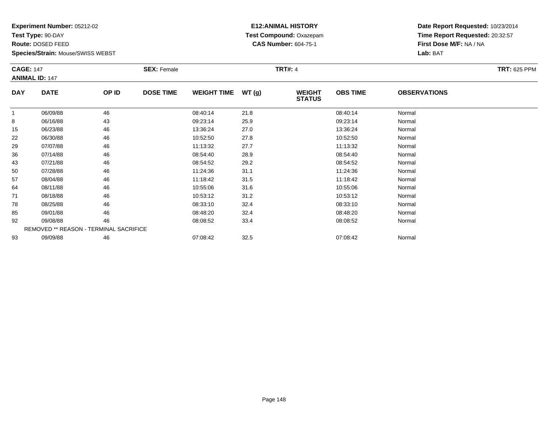**Test Type:** 90-DAY

**Route:** DOSED FEED

**Species/Strain:** Mouse/SWISS WEBST

# **E12:ANIMAL HISTORY Test Compound:** Oxazepam**CAS Number:** 604-75-1

| <b>CAGE: 147</b>      |             | <b>SEX: Female</b>                     |                  |                    | <b>TRT#: 4</b> | <b>TRT: 625 PPM</b>            |                 |                     |  |
|-----------------------|-------------|----------------------------------------|------------------|--------------------|----------------|--------------------------------|-----------------|---------------------|--|
| <b>ANIMAL ID: 147</b> |             |                                        |                  |                    |                |                                |                 |                     |  |
| <b>DAY</b>            | <b>DATE</b> | OP ID                                  | <b>DOSE TIME</b> | <b>WEIGHT TIME</b> | WT(g)          | <b>WEIGHT</b><br><b>STATUS</b> | <b>OBS TIME</b> | <b>OBSERVATIONS</b> |  |
|                       | 06/09/88    | 46                                     |                  | 08:40:14           | 21.8           |                                | 08:40:14        | Normal              |  |
| 8                     | 06/16/88    | 43                                     |                  | 09:23:14           | 25.9           |                                | 09:23:14        | Normal              |  |
| 15                    | 06/23/88    | 46                                     |                  | 13:36:24           | 27.0           |                                | 13:36:24        | Normal              |  |
| 22                    | 06/30/88    | 46                                     |                  | 10:52:50           | 27.8           |                                | 10:52:50        | Normal              |  |
| 29                    | 07/07/88    | 46                                     |                  | 11:13:32           | 27.7           |                                | 11:13:32        | Normal              |  |
| 36                    | 07/14/88    | 46                                     |                  | 08:54:40           | 28.9           |                                | 08:54:40        | Normal              |  |
| 43                    | 07/21/88    | 46                                     |                  | 08:54:52           | 29.2           |                                | 08:54:52        | Normal              |  |
| 50                    | 07/28/88    | 46                                     |                  | 11:24:36           | 31.1           |                                | 11:24:36        | Normal              |  |
| 57                    | 08/04/88    | 46                                     |                  | 11:18:42           | 31.5           |                                | 11:18:42        | Normal              |  |
| 64                    | 08/11/88    | 46                                     |                  | 10:55:06           | 31.6           |                                | 10:55:06        | Normal              |  |
| 71                    | 08/18/88    | 46                                     |                  | 10:53:12           | 31.2           |                                | 10:53:12        | Normal              |  |
| 78                    | 08/25/88    | 46                                     |                  | 08:33:10           | 32.4           |                                | 08:33:10        | Normal              |  |
| 85                    | 09/01/88    | 46                                     |                  | 08:48:20           | 32.4           |                                | 08:48:20        | Normal              |  |
| 92                    | 09/08/88    | 46                                     |                  | 08:08:52           | 33.4           |                                | 08:08:52        | Normal              |  |
|                       |             | REMOVED ** REASON - TERMINAL SACRIFICE |                  |                    |                |                                |                 |                     |  |
| 93                    | 09/09/88    | 46                                     |                  | 07:08:42           | 32.5           |                                | 07:08:42        | Normal              |  |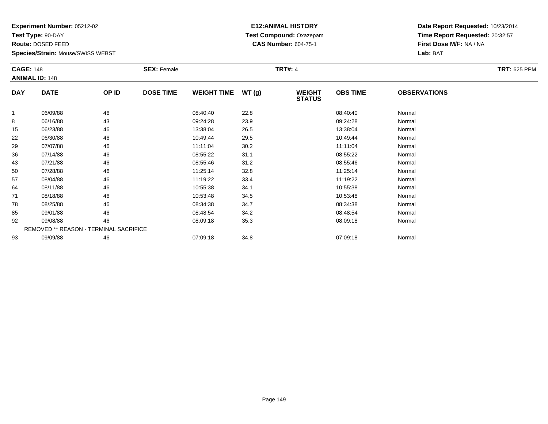**Test Type:** 90-DAY

**Route:** DOSED FEED

**Species/Strain:** Mouse/SWISS WEBST

# **E12:ANIMAL HISTORY Test Compound:** Oxazepam**CAS Number:** 604-75-1

| <b>CAGE: 148</b> |                                        | <b>SEX: Female</b> |                  |                    | <b>TRT#: 4</b> | <b>TRT: 625 PPM</b>            |                 |                     |  |
|------------------|----------------------------------------|--------------------|------------------|--------------------|----------------|--------------------------------|-----------------|---------------------|--|
|                  | <b>ANIMAL ID: 148</b>                  |                    |                  |                    |                |                                |                 |                     |  |
| <b>DAY</b>       | <b>DATE</b>                            | OP ID              | <b>DOSE TIME</b> | <b>WEIGHT TIME</b> | WT(g)          | <b>WEIGHT</b><br><b>STATUS</b> | <b>OBS TIME</b> | <b>OBSERVATIONS</b> |  |
| -1               | 06/09/88                               | 46                 |                  | 08:40:40           | 22.8           |                                | 08:40:40        | Normal              |  |
| 8                | 06/16/88                               | 43                 |                  | 09:24:28           | 23.9           |                                | 09:24:28        | Normal              |  |
| 15               | 06/23/88                               | 46                 |                  | 13:38:04           | 26.5           |                                | 13:38:04        | Normal              |  |
| 22               | 06/30/88                               | 46                 |                  | 10:49:44           | 29.5           |                                | 10:49:44        | Normal              |  |
| 29               | 07/07/88                               | 46                 |                  | 11:11:04           | 30.2           |                                | 11:11:04        | Normal              |  |
| 36               | 07/14/88                               | 46                 |                  | 08:55:22           | 31.1           |                                | 08:55:22        | Normal              |  |
| 43               | 07/21/88                               | 46                 |                  | 08:55:46           | 31.2           |                                | 08:55:46        | Normal              |  |
| 50               | 07/28/88                               | 46                 |                  | 11:25:14           | 32.8           |                                | 11:25:14        | Normal              |  |
| 57               | 08/04/88                               | 46                 |                  | 11:19:22           | 33.4           |                                | 11:19:22        | Normal              |  |
| 64               | 08/11/88                               | 46                 |                  | 10:55:38           | 34.1           |                                | 10:55:38        | Normal              |  |
| 71               | 08/18/88                               | 46                 |                  | 10:53:48           | 34.5           |                                | 10:53:48        | Normal              |  |
| 78               | 08/25/88                               | 46                 |                  | 08:34:38           | 34.7           |                                | 08:34:38        | Normal              |  |
| 85               | 09/01/88                               | 46                 |                  | 08:48:54           | 34.2           |                                | 08:48:54        | Normal              |  |
| 92               | 09/08/88                               | 46                 |                  | 08:09:18           | 35.3           |                                | 08:09:18        | Normal              |  |
|                  | REMOVED ** REASON - TERMINAL SACRIFICE |                    |                  |                    |                |                                |                 |                     |  |
| 93               | 09/09/88                               | 46                 |                  | 07:09:18           | 34.8           |                                | 07:09:18        | Normal              |  |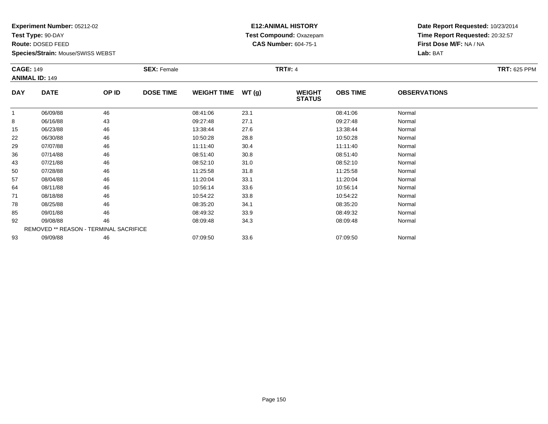**Test Type:** 90-DAY

**Route:** DOSED FEED

**Species/Strain:** Mouse/SWISS WEBST

# **E12:ANIMAL HISTORY Test Compound:** Oxazepam**CAS Number:** 604-75-1

| <b>CAGE: 149</b><br><b>ANIMAL ID: 149</b> |                                        |    | <b>SEX: Female</b> |                    |       | <b>TRT#: 4</b>                 |                 |                     |  |  |  |
|-------------------------------------------|----------------------------------------|----|--------------------|--------------------|-------|--------------------------------|-----------------|---------------------|--|--|--|
| <b>DAY</b>                                | <b>DATE</b><br>OP ID                   |    | <b>DOSE TIME</b>   | <b>WEIGHT TIME</b> | WT(g) | <b>WEIGHT</b><br><b>STATUS</b> | <b>OBS TIME</b> | <b>OBSERVATIONS</b> |  |  |  |
|                                           | 06/09/88                               | 46 |                    | 08:41:06           | 23.1  |                                | 08:41:06        | Normal              |  |  |  |
| 8                                         | 06/16/88                               | 43 |                    | 09:27:48           | 27.1  |                                | 09:27:48        | Normal              |  |  |  |
| 15                                        | 06/23/88                               | 46 |                    | 13:38:44           | 27.6  |                                | 13:38:44        | Normal              |  |  |  |
| 22                                        | 06/30/88                               | 46 |                    | 10:50:28           | 28.8  |                                | 10:50:28        | Normal              |  |  |  |
| 29                                        | 07/07/88                               | 46 |                    | 11:11:40           | 30.4  |                                | 11:11:40        | Normal              |  |  |  |
| 36                                        | 07/14/88                               | 46 |                    | 08:51:40           | 30.8  |                                | 08:51:40        | Normal              |  |  |  |
| 43                                        | 07/21/88                               | 46 |                    | 08:52:10           | 31.0  |                                | 08:52:10        | Normal              |  |  |  |
| 50                                        | 07/28/88                               | 46 |                    | 11:25:58           | 31.8  |                                | 11:25:58        | Normal              |  |  |  |
| 57                                        | 08/04/88                               | 46 |                    | 11:20:04           | 33.1  |                                | 11:20:04        | Normal              |  |  |  |
| 64                                        | 08/11/88                               | 46 |                    | 10:56:14           | 33.6  |                                | 10:56:14        | Normal              |  |  |  |
| 71                                        | 08/18/88                               | 46 |                    | 10:54:22           | 33.8  |                                | 10:54:22        | Normal              |  |  |  |
| 78                                        | 08/25/88                               | 46 |                    | 08:35:20           | 34.1  |                                | 08:35:20        | Normal              |  |  |  |
| 85                                        | 09/01/88                               | 46 |                    | 08:49:32           | 33.9  |                                | 08:49:32        | Normal              |  |  |  |
| 92                                        | 09/08/88                               | 46 |                    | 08:09:48           | 34.3  |                                | 08:09:48        | Normal              |  |  |  |
|                                           | REMOVED ** REASON - TERMINAL SACRIFICE |    |                    |                    |       |                                |                 |                     |  |  |  |
| 93                                        | 09/09/88                               | 46 |                    | 07:09:50           | 33.6  |                                | 07:09:50        | Normal              |  |  |  |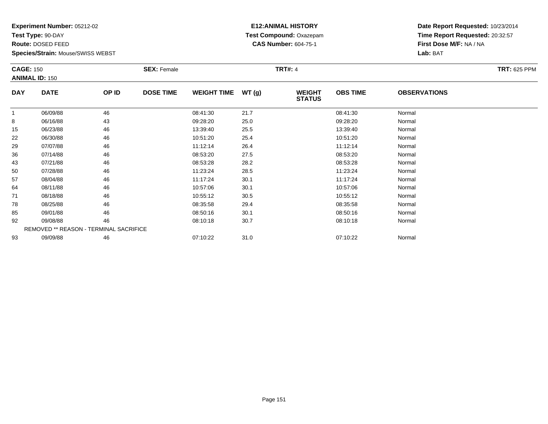**Test Type:** 90-DAY

**Route:** DOSED FEED

**Species/Strain:** Mouse/SWISS WEBST

# **E12:ANIMAL HISTORY Test Compound:** Oxazepam**CAS Number:** 604-75-1

| <b>CAGE: 150</b><br><b>ANIMAL ID: 150</b> |                                        |       | <b>SEX: Female</b> |                    |       | <b>TRT#: 4</b>                 |                 |                     | <b>TRT: 625 PPM</b> |
|-------------------------------------------|----------------------------------------|-------|--------------------|--------------------|-------|--------------------------------|-----------------|---------------------|---------------------|
| <b>DAY</b>                                | <b>DATE</b>                            | OP ID | <b>DOSE TIME</b>   | <b>WEIGHT TIME</b> | WT(g) | <b>WEIGHT</b><br><b>STATUS</b> | <b>OBS TIME</b> | <b>OBSERVATIONS</b> |                     |
|                                           | 06/09/88                               | 46    |                    | 08:41:30           | 21.7  |                                | 08:41:30        | Normal              |                     |
| 8                                         | 06/16/88                               | 43    |                    | 09:28:20           | 25.0  |                                | 09:28:20        | Normal              |                     |
| 15                                        | 06/23/88                               | 46    |                    | 13:39:40           | 25.5  |                                | 13:39:40        | Normal              |                     |
| 22                                        | 06/30/88                               | 46    |                    | 10:51:20           | 25.4  |                                | 10:51:20        | Normal              |                     |
| 29                                        | 07/07/88                               | 46    |                    | 11:12:14           | 26.4  |                                | 11:12:14        | Normal              |                     |
| 36                                        | 07/14/88                               | 46    |                    | 08:53:20           | 27.5  |                                | 08:53:20        | Normal              |                     |
| 43                                        | 07/21/88                               | 46    |                    | 08:53:28           | 28.2  |                                | 08:53:28        | Normal              |                     |
| 50                                        | 07/28/88                               | 46    |                    | 11:23:24           | 28.5  |                                | 11:23:24        | Normal              |                     |
| 57                                        | 08/04/88                               | 46    |                    | 11:17:24           | 30.1  |                                | 11:17:24        | Normal              |                     |
| 64                                        | 08/11/88                               | 46    |                    | 10:57:06           | 30.1  |                                | 10:57:06        | Normal              |                     |
| 71                                        | 08/18/88                               | 46    |                    | 10:55:12           | 30.5  |                                | 10:55:12        | Normal              |                     |
| 78                                        | 08/25/88                               | 46    |                    | 08:35:58           | 29.4  |                                | 08:35:58        | Normal              |                     |
| 85                                        | 09/01/88                               | 46    |                    | 08:50:16           | 30.1  |                                | 08:50:16        | Normal              |                     |
| 92                                        | 09/08/88                               | 46    |                    | 08:10:18           | 30.7  |                                | 08:10:18        | Normal              |                     |
|                                           | REMOVED ** REASON - TERMINAL SACRIFICE |       |                    |                    |       |                                |                 |                     |                     |
| 93                                        | 09/09/88                               | 46    |                    | 07:10:22           | 31.0  |                                | 07:10:22        | Normal              |                     |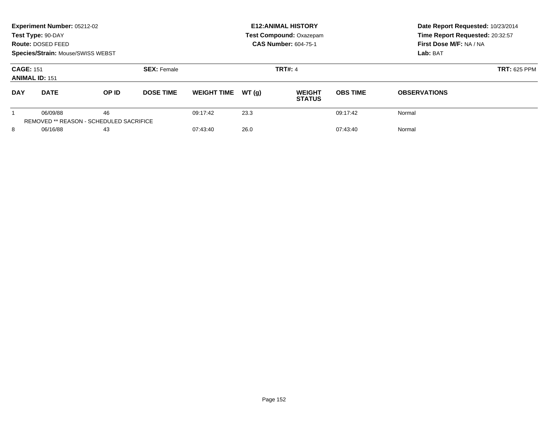|                                                                 | Experiment Number: 05212-02<br>Test Type: 90-DAY<br>Route: DOSED FEED<br>Species/Strain: Mouse/SWISS WEBST |                                               |                  |                    |                | <b>E12: ANIMAL HISTORY</b><br>Test Compound: Oxazepam<br><b>CAS Number: 604-75-1</b> | Date Report Requested: 10/23/2014<br>Time Report Requested: 20:32:57<br>First Dose M/F: NA / NA<br>Lab: BAT |                     |
|-----------------------------------------------------------------|------------------------------------------------------------------------------------------------------------|-----------------------------------------------|------------------|--------------------|----------------|--------------------------------------------------------------------------------------|-------------------------------------------------------------------------------------------------------------|---------------------|
| <b>CAGE: 151</b><br><b>SEX: Female</b><br><b>ANIMAL ID: 151</b> |                                                                                                            |                                               |                  |                    | <b>TRT#: 4</b> | <b>TRT: 625 PPM</b>                                                                  |                                                                                                             |                     |
| <b>DAY</b>                                                      | <b>DATE</b>                                                                                                | OP ID                                         | <b>DOSE TIME</b> | <b>WEIGHT TIME</b> | WT(q)          | <b>WEIGHT</b><br><b>STATUS</b>                                                       | <b>OBS TIME</b>                                                                                             | <b>OBSERVATIONS</b> |
|                                                                 | 06/09/88                                                                                                   | 46<br>REMOVED ** REASON - SCHEDULED SACRIFICE |                  | 09:17:42           | 23.3           |                                                                                      | 09:17:42                                                                                                    | Normal              |
| 8<br>06/16/88<br>43                                             |                                                                                                            | 07:43:40                                      | 26.0             |                    | 07:43:40       | Normal                                                                               |                                                                                                             |                     |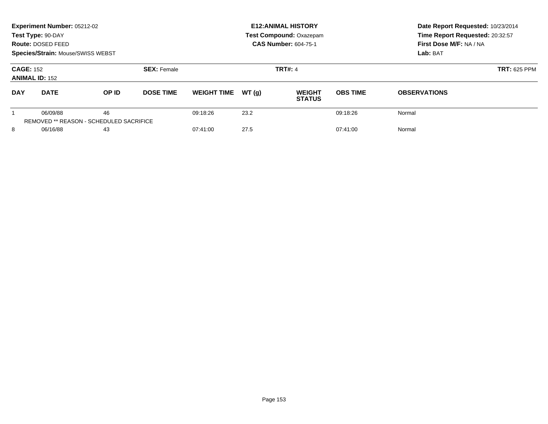|                                                                 | Experiment Number: 05212-02<br>Test Type: 90-DAY<br>Route: DOSED FEED<br>Species/Strain: Mouse/SWISS WEBST |                                                      |                  |                    |                | <b>E12: ANIMAL HISTORY</b><br><b>Test Compound: Oxazepam</b><br><b>CAS Number: 604-75-1</b> | Date Report Requested: 10/23/2014<br>Time Report Requested: 20:32:57<br>First Dose M/F: NA / NA<br>Lab: BAT |                     |
|-----------------------------------------------------------------|------------------------------------------------------------------------------------------------------------|------------------------------------------------------|------------------|--------------------|----------------|---------------------------------------------------------------------------------------------|-------------------------------------------------------------------------------------------------------------|---------------------|
| <b>CAGE: 152</b><br><b>SEX: Female</b><br><b>ANIMAL ID: 152</b> |                                                                                                            |                                                      |                  |                    | <b>TRT#: 4</b> | <b>TRT: 625 PPM</b>                                                                         |                                                                                                             |                     |
| <b>DAY</b>                                                      | <b>DATE</b>                                                                                                | <b>OP ID</b>                                         | <b>DOSE TIME</b> | <b>WEIGHT TIME</b> | WT(q)          | <b>WEIGHT</b><br><b>STATUS</b>                                                              | <b>OBS TIME</b>                                                                                             | <b>OBSERVATIONS</b> |
|                                                                 | 06/09/88                                                                                                   | 46<br><b>REMOVED ** REASON - SCHEDULED SACRIFICE</b> |                  | 09:18:26           | 23.2           |                                                                                             | 09:18:26                                                                                                    | Normal              |
| 8<br>06/16/88<br>43                                             |                                                                                                            |                                                      | 07:41:00         | 27.5               |                | 07:41:00                                                                                    | Normal                                                                                                      |                     |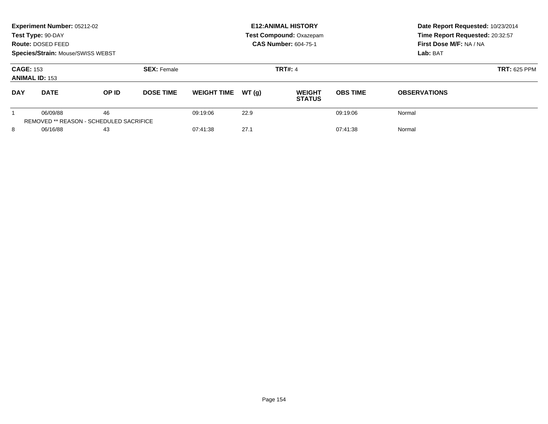|                                                                 | Experiment Number: 05212-02<br>Test Type: 90-DAY<br><b>Route: DOSED FEED</b><br>Species/Strain: Mouse/SWISS WEBST |                                                      |                  |                    |                | <b>E12: ANIMAL HISTORY</b><br><b>Test Compound: Oxazepam</b><br><b>CAS Number: 604-75-1</b> | Date Report Requested: 10/23/2014<br>Time Report Requested: 20:32:57<br>First Dose M/F: NA / NA<br>Lab: BAT |                     |
|-----------------------------------------------------------------|-------------------------------------------------------------------------------------------------------------------|------------------------------------------------------|------------------|--------------------|----------------|---------------------------------------------------------------------------------------------|-------------------------------------------------------------------------------------------------------------|---------------------|
| <b>CAGE: 153</b><br><b>SEX: Female</b><br><b>ANIMAL ID: 153</b> |                                                                                                                   |                                                      |                  |                    | <b>TRT#: 4</b> | <b>TRT: 625 PPM</b>                                                                         |                                                                                                             |                     |
| <b>DAY</b>                                                      | <b>DATE</b>                                                                                                       | OP ID                                                | <b>DOSE TIME</b> | <b>WEIGHT TIME</b> | WT(q)          | <b>WEIGHT</b><br><b>STATUS</b>                                                              | <b>OBS TIME</b>                                                                                             | <b>OBSERVATIONS</b> |
|                                                                 | 06/09/88                                                                                                          | 46<br><b>REMOVED ** REASON - SCHEDULED SACRIFICE</b> |                  | 09:19:06           | 22.9           |                                                                                             | 09:19:06                                                                                                    | Normal              |
| 8<br>06/16/88<br>43                                             |                                                                                                                   |                                                      |                  | 07:41:38           | 27.1           |                                                                                             | 07:41:38                                                                                                    | Normal              |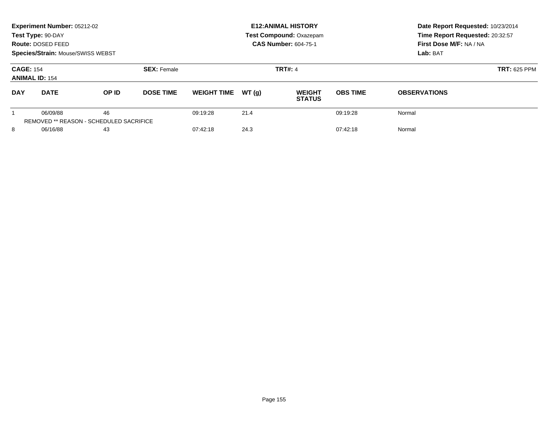|                                                                 | Experiment Number: 05212-02<br>Test Type: 90-DAY<br><b>Route: DOSED FEED</b><br>Species/Strain: Mouse/SWISS WEBST |                                                      |                  |                    |                | <b>E12: ANIMAL HISTORY</b><br><b>Test Compound: Oxazepam</b><br><b>CAS Number: 604-75-1</b> | Date Report Requested: 10/23/2014<br>Time Report Requested: 20:32:57<br>First Dose M/F: NA / NA<br>Lab: BAT |                     |
|-----------------------------------------------------------------|-------------------------------------------------------------------------------------------------------------------|------------------------------------------------------|------------------|--------------------|----------------|---------------------------------------------------------------------------------------------|-------------------------------------------------------------------------------------------------------------|---------------------|
| <b>CAGE: 154</b><br><b>SEX: Female</b><br><b>ANIMAL ID: 154</b> |                                                                                                                   |                                                      |                  |                    | <b>TRT#: 4</b> | <b>TRT: 625 PPM</b>                                                                         |                                                                                                             |                     |
| <b>DAY</b>                                                      | <b>DATE</b>                                                                                                       | OP ID                                                | <b>DOSE TIME</b> | <b>WEIGHT TIME</b> | WT(q)          | <b>WEIGHT</b><br><b>STATUS</b>                                                              | <b>OBS TIME</b>                                                                                             | <b>OBSERVATIONS</b> |
|                                                                 | 06/09/88                                                                                                          | 46<br><b>REMOVED ** REASON - SCHEDULED SACRIFICE</b> |                  | 09:19:28           | 21.4           |                                                                                             | 09:19:28                                                                                                    | Normal              |
| 8<br>06/16/88<br>43                                             |                                                                                                                   |                                                      |                  | 07:42:18           | 24.3           |                                                                                             | 07:42:18                                                                                                    | Normal              |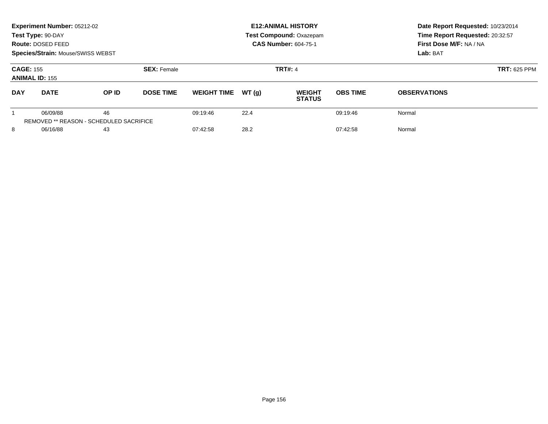|                                                                 | Experiment Number: 05212-02<br>Test Type: 90-DAY<br>Route: DOSED FEED<br>Species/Strain: Mouse/SWISS WEBST |                                               |                  |                    |                | <b>E12: ANIMAL HISTORY</b><br>Test Compound: Oxazepam<br><b>CAS Number: 604-75-1</b> | Date Report Requested: 10/23/2014<br>Time Report Requested: 20:32:57<br>First Dose M/F: NA / NA<br>Lab: BAT |                     |
|-----------------------------------------------------------------|------------------------------------------------------------------------------------------------------------|-----------------------------------------------|------------------|--------------------|----------------|--------------------------------------------------------------------------------------|-------------------------------------------------------------------------------------------------------------|---------------------|
| <b>CAGE: 155</b><br><b>SEX: Female</b><br><b>ANIMAL ID: 155</b> |                                                                                                            |                                               |                  |                    | <b>TRT#: 4</b> | <b>TRT: 625 PPM</b>                                                                  |                                                                                                             |                     |
| <b>DAY</b>                                                      | <b>DATE</b>                                                                                                | OP ID                                         | <b>DOSE TIME</b> | <b>WEIGHT TIME</b> | WT(q)          | <b>WEIGHT</b><br><b>STATUS</b>                                                       | <b>OBS TIME</b>                                                                                             | <b>OBSERVATIONS</b> |
|                                                                 | 06/09/88                                                                                                   | 46<br>REMOVED ** REASON - SCHEDULED SACRIFICE |                  | 09:19:46           | 22.4           |                                                                                      | 09:19:46                                                                                                    | Normal              |
| 8<br>06/16/88<br>43                                             |                                                                                                            |                                               | 07:42:58         | 28.2               |                | 07:42:58                                                                             | Normal                                                                                                      |                     |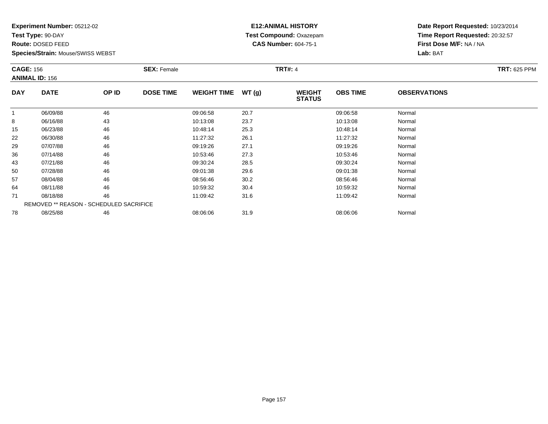**Test Type:** 90-DAY

**Route:** DOSED FEED

**Species/Strain:** Mouse/SWISS WEBST

# **E12:ANIMAL HISTORY Test Compound:** Oxazepam**CAS Number:** 604-75-1

|            | <b>CAGE: 156</b><br><b>ANIMAL ID: 156</b>      |       | <b>SEX: Female</b> |                    |       | <b>TRT#: 4</b>                 | <b>TRT: 625 PPM</b> |                     |  |
|------------|------------------------------------------------|-------|--------------------|--------------------|-------|--------------------------------|---------------------|---------------------|--|
| <b>DAY</b> | <b>DATE</b>                                    | OP ID | <b>DOSE TIME</b>   | <b>WEIGHT TIME</b> | WT(g) | <b>WEIGHT</b><br><b>STATUS</b> | <b>OBS TIME</b>     | <b>OBSERVATIONS</b> |  |
| 1          | 06/09/88                                       | 46    |                    | 09:06:58           | 20.7  |                                | 09:06:58            | Normal              |  |
| 8          | 06/16/88                                       | 43    |                    | 10:13:08           | 23.7  |                                | 10:13:08            | Normal              |  |
| 15         | 06/23/88                                       | 46    |                    | 10:48:14           | 25.3  |                                | 10:48:14            | Normal              |  |
| 22         | 06/30/88                                       | 46    |                    | 11:27:32           | 26.1  |                                | 11:27:32            | Normal              |  |
| 29         | 07/07/88                                       | 46    |                    | 09:19:26           | 27.1  |                                | 09:19:26            | Normal              |  |
| 36         | 07/14/88                                       | 46    |                    | 10:53:46           | 27.3  |                                | 10:53:46            | Normal              |  |
| 43         | 07/21/88                                       | 46    |                    | 09:30:24           | 28.5  |                                | 09:30:24            | Normal              |  |
| 50         | 07/28/88                                       | 46    |                    | 09:01:38           | 29.6  |                                | 09:01:38            | Normal              |  |
| 57         | 08/04/88                                       | 46    |                    | 08:56:46           | 30.2  |                                | 08:56:46            | Normal              |  |
| 64         | 08/11/88                                       | 46    |                    | 10:59:32           | 30.4  |                                | 10:59:32            | Normal              |  |
| 71         | 08/18/88                                       | 46    |                    | 11:09:42           | 31.6  |                                | 11:09:42            | Normal              |  |
|            | <b>REMOVED ** REASON - SCHEDULED SACRIFICE</b> |       |                    |                    |       |                                |                     |                     |  |
| 78         | 08/25/88                                       | 46    |                    | 08:06:06           | 31.9  |                                | 08:06:06            | Normal              |  |
|            |                                                |       |                    |                    |       |                                |                     |                     |  |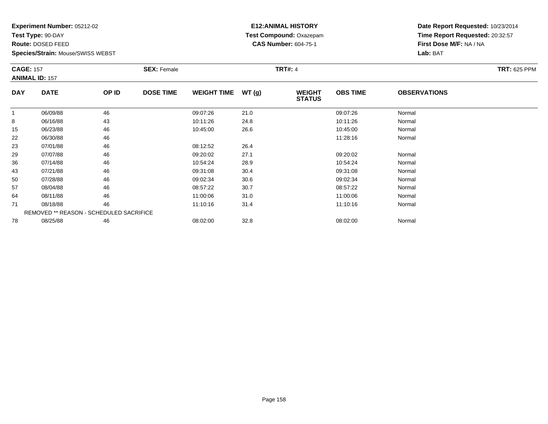**Test Type:** 90-DAY

**Route:** DOSED FEED

**Species/Strain:** Mouse/SWISS WEBST

# **E12:ANIMAL HISTORY Test Compound:** Oxazepam**CAS Number:** 604-75-1

| <b>CAGE: 157</b> | <b>ANIMAL ID: 157</b>                   |       | <b>SEX: Female</b> |                    |       | <b>TRT#: 4</b>                 |                 |                     | <b>TRT: 625 PPM</b> |
|------------------|-----------------------------------------|-------|--------------------|--------------------|-------|--------------------------------|-----------------|---------------------|---------------------|
| <b>DAY</b>       | <b>DATE</b>                             | OP ID | <b>DOSE TIME</b>   | <b>WEIGHT TIME</b> | WT(g) | <b>WEIGHT</b><br><b>STATUS</b> | <b>OBS TIME</b> | <b>OBSERVATIONS</b> |                     |
|                  | 06/09/88                                | 46    |                    | 09:07:26           | 21.0  |                                | 09:07:26        | Normal              |                     |
| 8                | 06/16/88                                | 43    |                    | 10:11:26           | 24.8  |                                | 10:11:26        | Normal              |                     |
| 15               | 06/23/88                                | 46    |                    | 10:45:00           | 26.6  |                                | 10:45:00        | Normal              |                     |
| 22               | 06/30/88                                | 46    |                    |                    |       |                                | 11:28:16        | Normal              |                     |
| 23               | 07/01/88                                | 46    |                    | 08:12:52           | 26.4  |                                |                 |                     |                     |
| 29               | 07/07/88                                | 46    |                    | 09:20:02           | 27.1  |                                | 09:20:02        | Normal              |                     |
| 36               | 07/14/88                                | 46    |                    | 10:54:24           | 28.9  |                                | 10:54:24        | Normal              |                     |
| 43               | 07/21/88                                | 46    |                    | 09:31:08           | 30.4  |                                | 09:31:08        | Normal              |                     |
| 50               | 07/28/88                                | 46    |                    | 09:02:34           | 30.6  |                                | 09:02:34        | Normal              |                     |
| 57               | 08/04/88                                | 46    |                    | 08:57:22           | 30.7  |                                | 08:57:22        | Normal              |                     |
| 64               | 08/11/88                                | 46    |                    | 11:00:06           | 31.0  |                                | 11:00:06        | Normal              |                     |
| 71               | 08/18/88                                | 46    |                    | 11:10:16           | 31.4  |                                | 11:10:16        | Normal              |                     |
|                  | REMOVED ** REASON - SCHEDULED SACRIFICE |       |                    |                    |       |                                |                 |                     |                     |
| 78               | 08/25/88                                | 46    |                    | 08:02:00           | 32.8  |                                | 08:02:00        | Normal              |                     |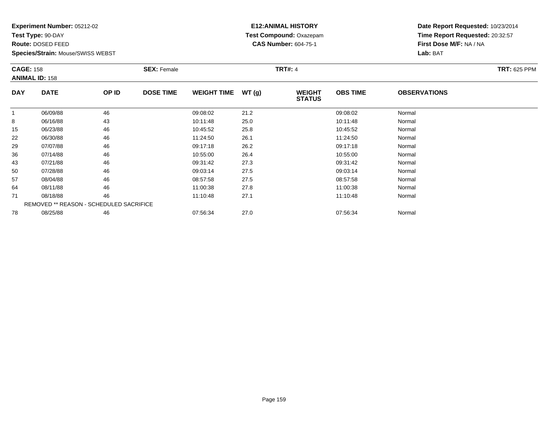**Test Type:** 90-DAY

**Route:** DOSED FEED

**Species/Strain:** Mouse/SWISS WEBST

# **E12:ANIMAL HISTORY Test Compound:** Oxazepam**CAS Number:** 604-75-1

| <b>CAGE: 158</b> | <b>ANIMAL ID: 158</b>                   |       | <b>SEX: Female</b> |                    |       | <b>TRT#: 4</b>                 |                 |                     | <b>TRT: 625 PPM</b> |
|------------------|-----------------------------------------|-------|--------------------|--------------------|-------|--------------------------------|-----------------|---------------------|---------------------|
| <b>DAY</b>       | <b>DATE</b>                             | OP ID | <b>DOSE TIME</b>   | <b>WEIGHT TIME</b> | WT(g) | <b>WEIGHT</b><br><b>STATUS</b> | <b>OBS TIME</b> | <b>OBSERVATIONS</b> |                     |
| -1               | 06/09/88                                | 46    |                    | 09:08:02           | 21.2  |                                | 09:08:02        | Normal              |                     |
| 8                | 06/16/88                                | 43    |                    | 10:11:48           | 25.0  |                                | 10:11:48        | Normal              |                     |
| 15               | 06/23/88                                | 46    |                    | 10:45:52           | 25.8  |                                | 10:45:52        | Normal              |                     |
| 22               | 06/30/88                                | 46    |                    | 11:24:50           | 26.1  |                                | 11:24:50        | Normal              |                     |
| 29               | 07/07/88                                | 46    |                    | 09:17:18           | 26.2  |                                | 09:17:18        | Normal              |                     |
| 36               | 07/14/88                                | 46    |                    | 10:55:00           | 26.4  |                                | 10:55:00        | Normal              |                     |
| 43               | 07/21/88                                | 46    |                    | 09:31:42           | 27.3  |                                | 09:31:42        | Normal              |                     |
| 50               | 07/28/88                                | 46    |                    | 09:03:14           | 27.5  |                                | 09:03:14        | Normal              |                     |
| 57               | 08/04/88                                | 46    |                    | 08:57:58           | 27.5  |                                | 08:57:58        | Normal              |                     |
| 64               | 08/11/88                                | 46    |                    | 11:00:38           | 27.8  |                                | 11:00:38        | Normal              |                     |
| 71               | 08/18/88                                | 46    |                    | 11:10:48           | 27.1  |                                | 11:10:48        | Normal              |                     |
|                  | REMOVED ** REASON - SCHEDULED SACRIFICE |       |                    |                    |       |                                |                 |                     |                     |
| 78               | 08/25/88                                | 46    |                    | 07:56:34           | 27.0  |                                | 07:56:34        | Normal              |                     |
|                  |                                         |       |                    |                    |       |                                |                 |                     |                     |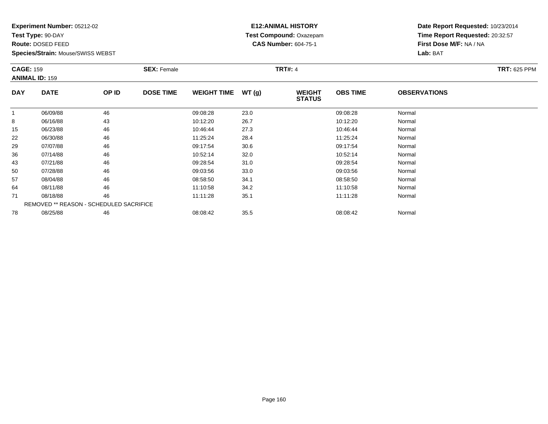**Test Type:** 90-DAY

**Route:** DOSED FEED

**Species/Strain:** Mouse/SWISS WEBST

# **E12:ANIMAL HISTORY Test Compound:** Oxazepam**CAS Number:** 604-75-1

|            | <b>CAGE: 159</b><br><b>ANIMAL ID: 159</b> |       | <b>SEX: Female</b> |                    |       | <b>TRT#: 4</b>                 | <b>TRT: 625 PPM</b> |                     |  |
|------------|-------------------------------------------|-------|--------------------|--------------------|-------|--------------------------------|---------------------|---------------------|--|
| <b>DAY</b> | <b>DATE</b>                               | OP ID | <b>DOSE TIME</b>   | <b>WEIGHT TIME</b> | WT(g) | <b>WEIGHT</b><br><b>STATUS</b> | <b>OBS TIME</b>     | <b>OBSERVATIONS</b> |  |
| 1          | 06/09/88                                  | 46    |                    | 09:08:28           | 23.0  |                                | 09:08:28            | Normal              |  |
| 8          | 06/16/88                                  | 43    |                    | 10:12:20           | 26.7  |                                | 10:12:20            | Normal              |  |
| 15         | 06/23/88                                  | 46    |                    | 10:46:44           | 27.3  |                                | 10:46:44            | Normal              |  |
| 22         | 06/30/88                                  | 46    |                    | 11:25:24           | 28.4  |                                | 11:25:24            | Normal              |  |
| 29         | 07/07/88                                  | 46    |                    | 09:17:54           | 30.6  |                                | 09:17:54            | Normal              |  |
| 36         | 07/14/88                                  | 46    |                    | 10:52:14           | 32.0  |                                | 10:52:14            | Normal              |  |
| 43         | 07/21/88                                  | 46    |                    | 09:28:54           | 31.0  |                                | 09:28:54            | Normal              |  |
| 50         | 07/28/88                                  | 46    |                    | 09:03:56           | 33.0  |                                | 09:03:56            | Normal              |  |
| 57         | 08/04/88                                  | 46    |                    | 08:58:50           | 34.1  |                                | 08:58:50            | Normal              |  |
| 64         | 08/11/88                                  | 46    |                    | 11:10:58           | 34.2  |                                | 11:10:58            | Normal              |  |
| 71         | 08/18/88                                  | 46    |                    | 11:11:28           | 35.1  |                                | 11:11:28            | Normal              |  |
|            | REMOVED ** REASON - SCHEDULED SACRIFICE   |       |                    |                    |       |                                |                     |                     |  |
| 78         | 08/25/88                                  | 46    |                    | 08:08:42           | 35.5  |                                | 08:08:42            | Normal              |  |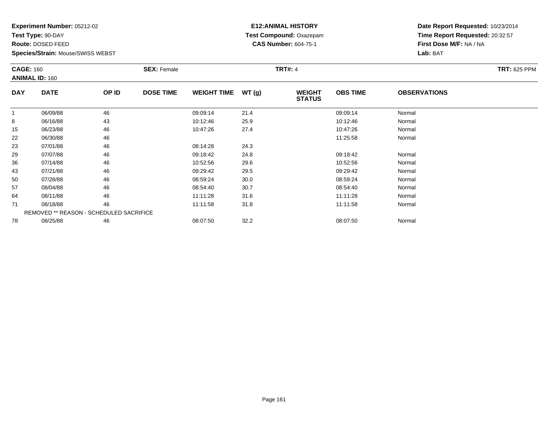**Test Type:** 90-DAY

**Route:** DOSED FEED

**Species/Strain:** Mouse/SWISS WEBST

# **E12:ANIMAL HISTORY Test Compound:** Oxazepam**CAS Number:** 604-75-1

| <b>CAGE: 160</b> | <b>ANIMAL ID: 160</b> |                                         | <b>SEX: Female</b> |                    |       | <b>TRT#: 4</b>                 |                 |                     | <b>TRT: 625 PPM</b> |
|------------------|-----------------------|-----------------------------------------|--------------------|--------------------|-------|--------------------------------|-----------------|---------------------|---------------------|
| <b>DAY</b>       | <b>DATE</b>           | OP ID                                   | <b>DOSE TIME</b>   | <b>WEIGHT TIME</b> | WT(g) | <b>WEIGHT</b><br><b>STATUS</b> | <b>OBS TIME</b> | <b>OBSERVATIONS</b> |                     |
|                  | 06/09/88              | 46                                      |                    | 09:09:14           | 21.4  |                                | 09:09:14        | Normal              |                     |
| 8                | 06/16/88              | 43                                      |                    | 10:12:46           | 25.9  |                                | 10:12:46        | Normal              |                     |
| 15               | 06/23/88              | 46                                      |                    | 10:47:26           | 27.4  |                                | 10:47:26        | Normal              |                     |
| 22               | 06/30/88              | 46                                      |                    |                    |       |                                | 11:25:58        | Normal              |                     |
| 23               | 07/01/88              | 46                                      |                    | 08:14:28           | 24.3  |                                |                 |                     |                     |
| 29               | 07/07/88              | 46                                      |                    | 09:18:42           | 24.8  |                                | 09:18:42        | Normal              |                     |
| 36               | 07/14/88              | 46                                      |                    | 10:52:56           | 29.6  |                                | 10:52:56        | Normal              |                     |
| 43               | 07/21/88              | 46                                      |                    | 09:29:42           | 29.5  |                                | 09:29:42        | Normal              |                     |
| 50               | 07/28/88              | 46                                      |                    | 08:59:24           | 30.0  |                                | 08:59:24        | Normal              |                     |
| 57               | 08/04/88              | 46                                      |                    | 08:54:40           | 30.7  |                                | 08:54:40        | Normal              |                     |
| 64               | 08/11/88              | 46                                      |                    | 11:11:28           | 31.6  |                                | 11:11:28        | Normal              |                     |
| 71               | 08/18/88              | 46                                      |                    | 11:11:58           | 31.8  |                                | 11:11:58        | Normal              |                     |
|                  |                       | REMOVED ** REASON - SCHEDULED SACRIFICE |                    |                    |       |                                |                 |                     |                     |
| 78               | 08/25/88              | 46                                      |                    | 08:07:50           | 32.2  |                                | 08:07:50        | Normal              |                     |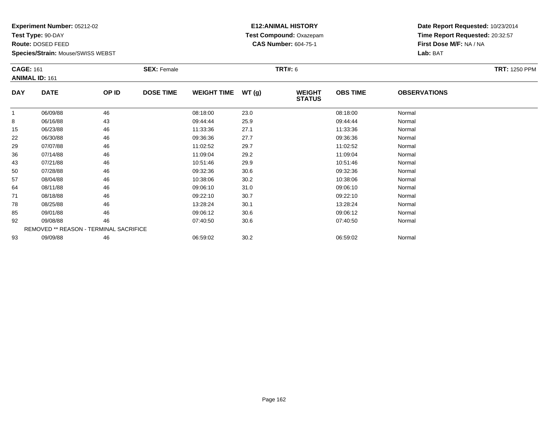**Test Type:** 90-DAY

**Route:** DOSED FEED

**Species/Strain:** Mouse/SWISS WEBST

# **E12:ANIMAL HISTORY Test Compound:** Oxazepam**CAS Number:** 604-75-1

|              | <b>CAGE: 161</b><br><b>ANIMAL ID: 161</b> |       | <b>SEX: Female</b> |                    |       | <b>TRT#: 6</b>                 | <b>TRT: 1250 PPM</b> |                     |  |
|--------------|-------------------------------------------|-------|--------------------|--------------------|-------|--------------------------------|----------------------|---------------------|--|
| <b>DAY</b>   | <b>DATE</b>                               | OP ID | <b>DOSE TIME</b>   | <b>WEIGHT TIME</b> | WT(g) | <b>WEIGHT</b><br><b>STATUS</b> | <b>OBS TIME</b>      | <b>OBSERVATIONS</b> |  |
| $\mathbf{1}$ | 06/09/88                                  | 46    |                    | 08:18:00           | 23.0  |                                | 08:18:00             | Normal              |  |
| 8            | 06/16/88                                  | 43    |                    | 09:44:44           | 25.9  |                                | 09:44:44             | Normal              |  |
| 15           | 06/23/88                                  | 46    |                    | 11:33:36           | 27.1  |                                | 11:33:36             | Normal              |  |
| 22           | 06/30/88                                  | 46    |                    | 09:36:36           | 27.7  |                                | 09:36:36             | Normal              |  |
| 29           | 07/07/88                                  | 46    |                    | 11:02:52           | 29.7  |                                | 11:02:52             | Normal              |  |
| 36           | 07/14/88                                  | 46    |                    | 11:09:04           | 29.2  |                                | 11:09:04             | Normal              |  |
| 43           | 07/21/88                                  | 46    |                    | 10:51:46           | 29.9  |                                | 10:51:46             | Normal              |  |
| 50           | 07/28/88                                  | 46    |                    | 09:32:36           | 30.6  |                                | 09:32:36             | Normal              |  |
| 57           | 08/04/88                                  | 46    |                    | 10:38:06           | 30.2  |                                | 10:38:06             | Normal              |  |
| 64           | 08/11/88                                  | 46    |                    | 09:06:10           | 31.0  |                                | 09:06:10             | Normal              |  |
| 71           | 08/18/88                                  | 46    |                    | 09:22:10           | 30.7  |                                | 09:22:10             | Normal              |  |
| 78           | 08/25/88                                  | 46    |                    | 13:28:24           | 30.1  |                                | 13:28:24             | Normal              |  |
| 85           | 09/01/88                                  | 46    |                    | 09:06:12           | 30.6  |                                | 09:06:12             | Normal              |  |
| 92           | 09/08/88                                  | 46    |                    | 07:40:50           | 30.6  |                                | 07:40:50             | Normal              |  |
|              | REMOVED ** REASON - TERMINAL SACRIFICE    |       |                    |                    |       |                                |                      |                     |  |
| 93           | 09/09/88                                  | 46    |                    | 06:59:02           | 30.2  |                                | 06:59:02             | Normal              |  |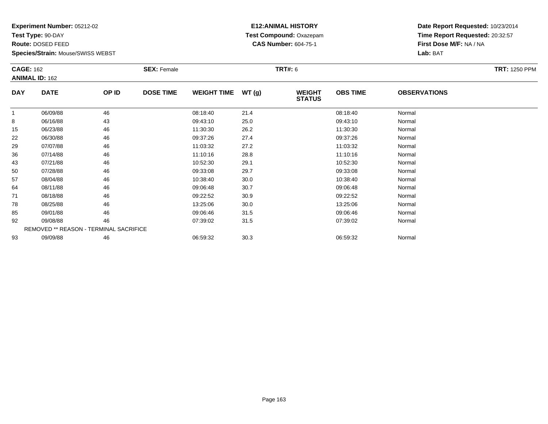**Test Type:** 90-DAY

**Route:** DOSED FEED

**Species/Strain:** Mouse/SWISS WEBST

# **E12:ANIMAL HISTORY Test Compound:** Oxazepam**CAS Number:** 604-75-1

| <b>CAGE: 162</b> |                                        |       | <b>SEX: Female</b> |                    |       | <b>TRT#:</b> 6                 |                 |                     | <b>TRT: 1250 PPM</b> |
|------------------|----------------------------------------|-------|--------------------|--------------------|-------|--------------------------------|-----------------|---------------------|----------------------|
|                  | <b>ANIMAL ID: 162</b>                  |       |                    |                    |       |                                |                 |                     |                      |
| <b>DAY</b>       | <b>DATE</b>                            | OP ID | <b>DOSE TIME</b>   | <b>WEIGHT TIME</b> | WT(g) | <b>WEIGHT</b><br><b>STATUS</b> | <b>OBS TIME</b> | <b>OBSERVATIONS</b> |                      |
| -1               | 06/09/88                               | 46    |                    | 08:18:40           | 21.4  |                                | 08:18:40        | Normal              |                      |
| 8                | 06/16/88                               | 43    |                    | 09:43:10           | 25.0  |                                | 09:43:10        | Normal              |                      |
| 15               | 06/23/88                               | 46    |                    | 11:30:30           | 26.2  |                                | 11:30:30        | Normal              |                      |
| 22               | 06/30/88                               | 46    |                    | 09:37:26           | 27.4  |                                | 09:37:26        | Normal              |                      |
| 29               | 07/07/88                               | 46    |                    | 11:03:32           | 27.2  |                                | 11:03:32        | Normal              |                      |
| 36               | 07/14/88                               | 46    |                    | 11:10:16           | 28.8  |                                | 11:10:16        | Normal              |                      |
| 43               | 07/21/88                               | 46    |                    | 10:52:30           | 29.1  |                                | 10:52:30        | Normal              |                      |
| 50               | 07/28/88                               | 46    |                    | 09:33:08           | 29.7  |                                | 09:33:08        | Normal              |                      |
| 57               | 08/04/88                               | 46    |                    | 10:38:40           | 30.0  |                                | 10:38:40        | Normal              |                      |
| 64               | 08/11/88                               | 46    |                    | 09:06:48           | 30.7  |                                | 09:06:48        | Normal              |                      |
| 71               | 08/18/88                               | 46    |                    | 09:22:52           | 30.9  |                                | 09:22:52        | Normal              |                      |
| 78               | 08/25/88                               | 46    |                    | 13:25:06           | 30.0  |                                | 13:25:06        | Normal              |                      |
| 85               | 09/01/88                               | 46    |                    | 09:06:46           | 31.5  |                                | 09:06:46        | Normal              |                      |
| 92               | 09/08/88                               | 46    |                    | 07:39:02           | 31.5  |                                | 07:39:02        | Normal              |                      |
|                  | REMOVED ** REASON - TERMINAL SACRIFICE |       |                    |                    |       |                                |                 |                     |                      |
| 93               | 09/09/88                               | 46    |                    | 06:59:32           | 30.3  |                                | 06:59:32        | Normal              |                      |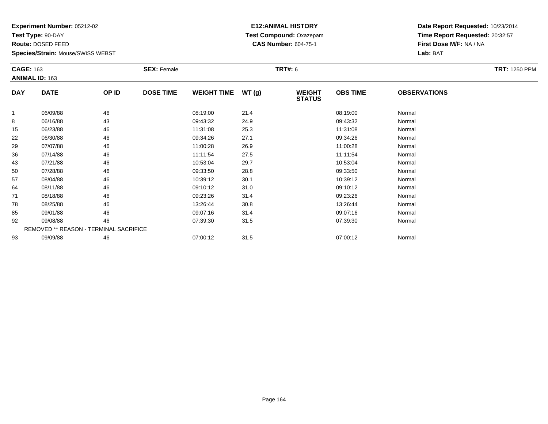**Test Type:** 90-DAY

**Route:** DOSED FEED

**Species/Strain:** Mouse/SWISS WEBST

# **E12:ANIMAL HISTORY Test Compound:** Oxazepam**CAS Number:** 604-75-1

| <b>CAGE: 163</b> | <b>ANIMAL ID: 163</b>                  |       | <b>SEX: Female</b> |                    |       | <b>TRT#:</b> 6                 |                 |                     | <b>TRT: 1250 PPM</b> |
|------------------|----------------------------------------|-------|--------------------|--------------------|-------|--------------------------------|-----------------|---------------------|----------------------|
| <b>DAY</b>       | <b>DATE</b>                            | OP ID | <b>DOSE TIME</b>   | <b>WEIGHT TIME</b> | WT(g) | <b>WEIGHT</b><br><b>STATUS</b> | <b>OBS TIME</b> | <b>OBSERVATIONS</b> |                      |
|                  | 06/09/88                               | 46    |                    | 08:19:00           | 21.4  |                                | 08:19:00        | Normal              |                      |
| 8                | 06/16/88                               | 43    |                    | 09:43:32           | 24.9  |                                | 09:43:32        | Normal              |                      |
| 15               | 06/23/88                               | 46    |                    | 11:31:08           | 25.3  |                                | 11:31:08        | Normal              |                      |
| 22               | 06/30/88                               | 46    |                    | 09:34:26           | 27.1  |                                | 09:34:26        | Normal              |                      |
| 29               | 07/07/88                               | 46    |                    | 11:00:28           | 26.9  |                                | 11:00:28        | Normal              |                      |
| 36               | 07/14/88                               | 46    |                    | 11:11:54           | 27.5  |                                | 11:11:54        | Normal              |                      |
| 43               | 07/21/88                               | 46    |                    | 10:53:04           | 29.7  |                                | 10:53:04        | Normal              |                      |
| 50               | 07/28/88                               | 46    |                    | 09:33:50           | 28.8  |                                | 09:33:50        | Normal              |                      |
| 57               | 08/04/88                               | 46    |                    | 10:39:12           | 30.1  |                                | 10:39:12        | Normal              |                      |
| 64               | 08/11/88                               | 46    |                    | 09:10:12           | 31.0  |                                | 09:10:12        | Normal              |                      |
| 71               | 08/18/88                               | 46    |                    | 09:23:26           | 31.4  |                                | 09:23:26        | Normal              |                      |
| 78               | 08/25/88                               | 46    |                    | 13:26:44           | 30.8  |                                | 13:26:44        | Normal              |                      |
| 85               | 09/01/88                               | 46    |                    | 09:07:16           | 31.4  |                                | 09:07:16        | Normal              |                      |
| 92               | 09/08/88                               | 46    |                    | 07:39:30           | 31.5  |                                | 07:39:30        | Normal              |                      |
|                  | REMOVED ** REASON - TERMINAL SACRIFICE |       |                    |                    |       |                                |                 |                     |                      |
| 93               | 09/09/88                               | 46    |                    | 07:00:12           | 31.5  |                                | 07:00:12        | Normal              |                      |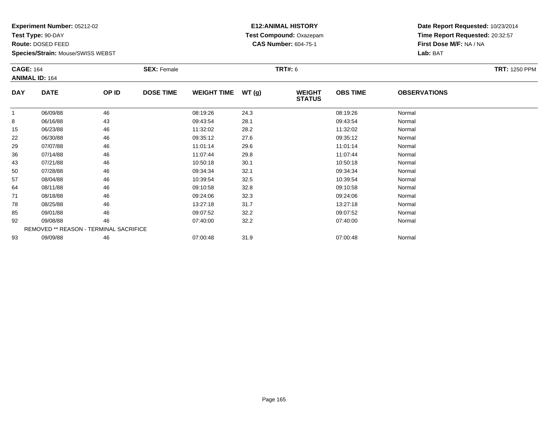**Test Type:** 90-DAY

**Route:** DOSED FEED

**Species/Strain:** Mouse/SWISS WEBST

# **E12:ANIMAL HISTORY Test Compound:** Oxazepam**CAS Number:** 604-75-1

| <b>CAGE: 164</b> | <b>ANIMAL ID: 164</b>                         |       | <b>SEX: Female</b> |                    |       | <b>TRT#: 6</b>                 |                 |                     | <b>TRT: 1250 PPM</b> |
|------------------|-----------------------------------------------|-------|--------------------|--------------------|-------|--------------------------------|-----------------|---------------------|----------------------|
| <b>DAY</b>       | <b>DATE</b>                                   | OP ID | <b>DOSE TIME</b>   | <b>WEIGHT TIME</b> | WT(g) | <b>WEIGHT</b><br><b>STATUS</b> | <b>OBS TIME</b> | <b>OBSERVATIONS</b> |                      |
|                  | 06/09/88                                      | 46    |                    | 08:19:26           | 24.3  |                                | 08:19:26        | Normal              |                      |
| 8                | 06/16/88                                      | 43    |                    | 09:43:54           | 28.1  |                                | 09:43:54        | Normal              |                      |
| 15               | 06/23/88                                      | 46    |                    | 11:32:02           | 28.2  |                                | 11:32:02        | Normal              |                      |
| 22               | 06/30/88                                      | 46    |                    | 09:35:12           | 27.6  |                                | 09:35:12        | Normal              |                      |
| 29               | 07/07/88                                      | 46    |                    | 11:01:14           | 29.6  |                                | 11:01:14        | Normal              |                      |
| 36               | 07/14/88                                      | 46    |                    | 11:07:44           | 29.8  |                                | 11:07:44        | Normal              |                      |
| 43               | 07/21/88                                      | 46    |                    | 10:50:18           | 30.1  |                                | 10:50:18        | Normal              |                      |
| 50               | 07/28/88                                      | 46    |                    | 09:34:34           | 32.1  |                                | 09:34:34        | Normal              |                      |
| 57               | 08/04/88                                      | 46    |                    | 10:39:54           | 32.5  |                                | 10:39:54        | Normal              |                      |
| 64               | 08/11/88                                      | 46    |                    | 09:10:58           | 32.8  |                                | 09:10:58        | Normal              |                      |
| 71               | 08/18/88                                      | 46    |                    | 09:24:06           | 32.3  |                                | 09:24:06        | Normal              |                      |
| 78               | 08/25/88                                      | 46    |                    | 13:27:18           | 31.7  |                                | 13:27:18        | Normal              |                      |
| 85               | 09/01/88                                      | 46    |                    | 09:07:52           | 32.2  |                                | 09:07:52        | Normal              |                      |
| 92               | 09/08/88                                      | 46    |                    | 07:40:00           | 32.2  |                                | 07:40:00        | Normal              |                      |
|                  | <b>REMOVED ** REASON - TERMINAL SACRIFICE</b> |       |                    |                    |       |                                |                 |                     |                      |
| 93               | 09/09/88                                      | 46    |                    | 07:00:48           | 31.9  |                                | 07:00:48        | Normal              |                      |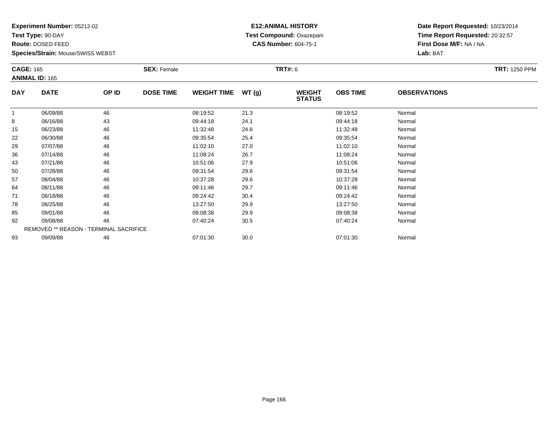**Test Type:** 90-DAY

**Route:** DOSED FEED

**Species/Strain:** Mouse/SWISS WEBST

# **E12:ANIMAL HISTORY Test Compound:** Oxazepam**CAS Number:** 604-75-1

| <b>CAGE: 165</b> |                       |                                        | <b>SEX: Female</b> |                    |       | <b>TRT#:</b> 6                 |                 |                     | <b>TRT: 1250 PPM</b> |
|------------------|-----------------------|----------------------------------------|--------------------|--------------------|-------|--------------------------------|-----------------|---------------------|----------------------|
|                  | <b>ANIMAL ID: 165</b> |                                        |                    |                    |       |                                |                 |                     |                      |
| <b>DAY</b>       | <b>DATE</b>           | OP ID                                  | <b>DOSE TIME</b>   | <b>WEIGHT TIME</b> | WT(g) | <b>WEIGHT</b><br><b>STATUS</b> | <b>OBS TIME</b> | <b>OBSERVATIONS</b> |                      |
|                  | 06/09/88              | 46                                     |                    | 08:19:52           | 21.3  |                                | 08:19:52        | Normal              |                      |
| 8                | 06/16/88              | 43                                     |                    | 09:44:18           | 24.1  |                                | 09:44:18        | Normal              |                      |
| 15               | 06/23/88              | 46                                     |                    | 11:32:48           | 24.6  |                                | 11:32:48        | Normal              |                      |
| 22               | 06/30/88              | 46                                     |                    | 09:35:54           | 25.4  |                                | 09:35:54        | Normal              |                      |
| 29               | 07/07/88              | 46                                     |                    | 11:02:10           | 27.0  |                                | 11:02:10        | Normal              |                      |
| 36               | 07/14/88              | 46                                     |                    | 11:08:24           | 26.7  |                                | 11:08:24        | Normal              |                      |
| 43               | 07/21/88              | 46                                     |                    | 10:51:06           | 27.9  |                                | 10:51:06        | Normal              |                      |
| 50               | 07/28/88              | 46                                     |                    | 09:31:54           | 29.6  |                                | 09:31:54        | Normal              |                      |
| 57               | 08/04/88              | 46                                     |                    | 10:37:28           | 29.6  |                                | 10:37:28        | Normal              |                      |
| 64               | 08/11/88              | 46                                     |                    | 09:11:46           | 29.7  |                                | 09:11:46        | Normal              |                      |
| 71               | 08/18/88              | 46                                     |                    | 09:24:42           | 30.4  |                                | 09:24:42        | Normal              |                      |
| 78               | 08/25/88              | 46                                     |                    | 13:27:50           | 29.9  |                                | 13:27:50        | Normal              |                      |
| 85               | 09/01/88              | 46                                     |                    | 09:08:38           | 29.9  |                                | 09:08:38        | Normal              |                      |
| 92               | 09/08/88              | 46                                     |                    | 07:40:24           | 30.5  |                                | 07:40:24        | Normal              |                      |
|                  |                       | REMOVED ** REASON - TERMINAL SACRIFICE |                    |                    |       |                                |                 |                     |                      |
| 93               | 09/09/88              | 46                                     |                    | 07:01:30           | 30.0  |                                | 07:01:30        | Normal              |                      |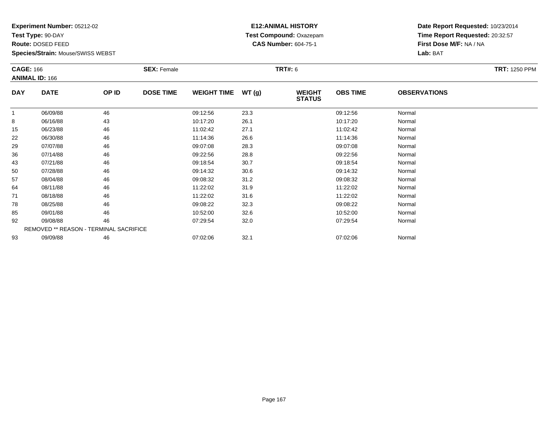**Test Type:** 90-DAY

**Route:** DOSED FEED

**Species/Strain:** Mouse/SWISS WEBST

# **E12:ANIMAL HISTORY Test Compound:** Oxazepam**CAS Number:** 604-75-1

|              | <b>CAGE: 166</b><br><b>ANIMAL ID: 166</b> |       | <b>SEX: Female</b> |                    |       | <b>TRT#: 6</b>                 | <b>TRT: 1250 PPM</b> |                     |  |
|--------------|-------------------------------------------|-------|--------------------|--------------------|-------|--------------------------------|----------------------|---------------------|--|
| <b>DAY</b>   | <b>DATE</b>                               | OP ID | <b>DOSE TIME</b>   | <b>WEIGHT TIME</b> | WT(g) | <b>WEIGHT</b><br><b>STATUS</b> | <b>OBS TIME</b>      | <b>OBSERVATIONS</b> |  |
| $\mathbf{1}$ | 06/09/88                                  | 46    |                    | 09:12:56           | 23.3  |                                | 09:12:56             | Normal              |  |
| 8            | 06/16/88                                  | 43    |                    | 10:17:20           | 26.1  |                                | 10:17:20             | Normal              |  |
| 15           | 06/23/88                                  | 46    |                    | 11:02:42           | 27.1  |                                | 11:02:42             | Normal              |  |
| 22           | 06/30/88                                  | 46    |                    | 11:14:36           | 26.6  |                                | 11:14:36             | Normal              |  |
| 29           | 07/07/88                                  | 46    |                    | 09:07:08           | 28.3  |                                | 09:07:08             | Normal              |  |
| 36           | 07/14/88                                  | 46    |                    | 09:22:56           | 28.8  |                                | 09:22:56             | Normal              |  |
| 43           | 07/21/88                                  | 46    |                    | 09:18:54           | 30.7  |                                | 09:18:54             | Normal              |  |
| 50           | 07/28/88                                  | 46    |                    | 09:14:32           | 30.6  |                                | 09:14:32             | Normal              |  |
| 57           | 08/04/88                                  | 46    |                    | 09:08:32           | 31.2  |                                | 09:08:32             | Normal              |  |
| 64           | 08/11/88                                  | 46    |                    | 11:22:02           | 31.9  |                                | 11:22:02             | Normal              |  |
| 71           | 08/18/88                                  | 46    |                    | 11:22:02           | 31.6  |                                | 11:22:02             | Normal              |  |
| 78           | 08/25/88                                  | 46    |                    | 09:08:22           | 32.3  |                                | 09:08:22             | Normal              |  |
| 85           | 09/01/88                                  | 46    |                    | 10:52:00           | 32.6  |                                | 10:52:00             | Normal              |  |
| 92           | 09/08/88                                  | 46    |                    | 07:29:54           | 32.0  |                                | 07:29:54             | Normal              |  |
|              | REMOVED ** REASON - TERMINAL SACRIFICE    |       |                    |                    |       |                                |                      |                     |  |
| 93           | 09/09/88                                  | 46    |                    | 07:02:06           | 32.1  |                                | 07:02:06             | Normal              |  |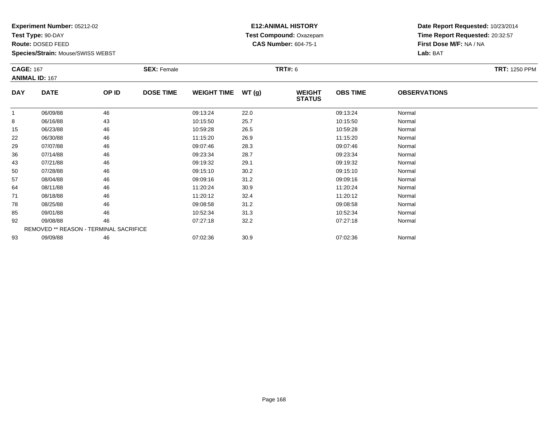**Test Type:** 90-DAY

**Route:** DOSED FEED

**Species/Strain:** Mouse/SWISS WEBST

# **E12:ANIMAL HISTORY Test Compound:** Oxazepam**CAS Number:** 604-75-1

| <b>CAGE: 167</b> |                                        |       | <b>SEX: Female</b> |                    |       | <b>TRT#: 6</b>                 |                 |                     | <b>TRT: 1250 PPM</b> |
|------------------|----------------------------------------|-------|--------------------|--------------------|-------|--------------------------------|-----------------|---------------------|----------------------|
|                  | <b>ANIMAL ID: 167</b>                  |       |                    |                    |       |                                |                 |                     |                      |
| <b>DAY</b>       | <b>DATE</b>                            | OP ID | <b>DOSE TIME</b>   | <b>WEIGHT TIME</b> | WT(g) | <b>WEIGHT</b><br><b>STATUS</b> | <b>OBS TIME</b> | <b>OBSERVATIONS</b> |                      |
| 1                | 06/09/88                               | 46    |                    | 09:13:24           | 22.0  |                                | 09:13:24        | Normal              |                      |
| 8                | 06/16/88                               | 43    |                    | 10:15:50           | 25.7  |                                | 10:15:50        | Normal              |                      |
| 15               | 06/23/88                               | 46    |                    | 10:59:28           | 26.5  |                                | 10:59:28        | Normal              |                      |
| 22               | 06/30/88                               | 46    |                    | 11:15:20           | 26.9  |                                | 11:15:20        | Normal              |                      |
| 29               | 07/07/88                               | 46    |                    | 09:07:46           | 28.3  |                                | 09:07:46        | Normal              |                      |
| 36               | 07/14/88                               | 46    |                    | 09:23:34           | 28.7  |                                | 09:23:34        | Normal              |                      |
| 43               | 07/21/88                               | 46    |                    | 09:19:32           | 29.1  |                                | 09:19:32        | Normal              |                      |
| 50               | 07/28/88                               | 46    |                    | 09:15:10           | 30.2  |                                | 09:15:10        | Normal              |                      |
| 57               | 08/04/88                               | 46    |                    | 09:09:16           | 31.2  |                                | 09:09:16        | Normal              |                      |
| 64               | 08/11/88                               | 46    |                    | 11:20:24           | 30.9  |                                | 11:20:24        | Normal              |                      |
| 71               | 08/18/88                               | 46    |                    | 11:20:12           | 32.4  |                                | 11:20:12        | Normal              |                      |
| 78               | 08/25/88                               | 46    |                    | 09:08:58           | 31.2  |                                | 09:08:58        | Normal              |                      |
| 85               | 09/01/88                               | 46    |                    | 10:52:34           | 31.3  |                                | 10:52:34        | Normal              |                      |
| 92               | 09/08/88                               | 46    |                    | 07:27:18           | 32.2  |                                | 07:27:18        | Normal              |                      |
|                  | REMOVED ** REASON - TERMINAL SACRIFICE |       |                    |                    |       |                                |                 |                     |                      |
| 93               | 09/09/88                               | 46    |                    | 07:02:36           | 30.9  |                                | 07:02:36        | Normal              |                      |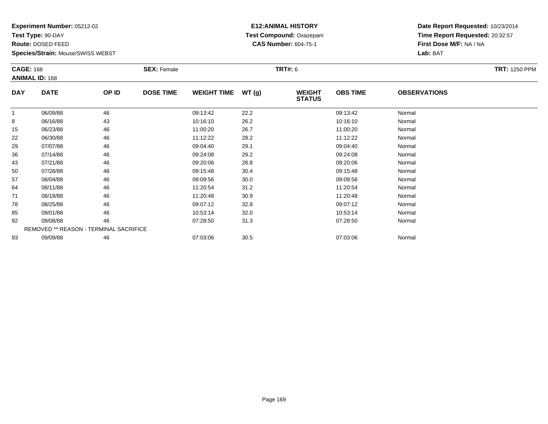**Test Type:** 90-DAY

**Route:** DOSED FEED

**Species/Strain:** Mouse/SWISS WEBST

# **E12:ANIMAL HISTORY Test Compound:** Oxazepam**CAS Number:** 604-75-1

| <b>CAGE: 168</b><br><b>ANIMAL ID: 168</b> |                                        | <b>SEX: Female</b> |                  |                    | <b>TRT#: 6</b> |                                | <b>TRT: 1250 PPM</b> |                     |  |
|-------------------------------------------|----------------------------------------|--------------------|------------------|--------------------|----------------|--------------------------------|----------------------|---------------------|--|
| <b>DAY</b>                                | <b>DATE</b>                            | OP ID              | <b>DOSE TIME</b> | <b>WEIGHT TIME</b> | WT(g)          | <b>WEIGHT</b><br><b>STATUS</b> | <b>OBS TIME</b>      | <b>OBSERVATIONS</b> |  |
|                                           | 06/09/88                               | 46                 |                  | 09:13:42           | 22.2           |                                | 09:13:42             | Normal              |  |
| 8                                         | 06/16/88                               | 43                 |                  | 10:16:10           | 26.2           |                                | 10:16:10             | Normal              |  |
| 15                                        | 06/23/88                               | 46                 |                  | 11:00:20           | 26.7           |                                | 11:00:20             | Normal              |  |
| 22                                        | 06/30/88                               | 46                 |                  | 11:12:22           | 28.2           |                                | 11:12:22             | Normal              |  |
| 29                                        | 07/07/88                               | 46                 |                  | 09:04:40           | 29.1           |                                | 09:04:40             | Normal              |  |
| 36                                        | 07/14/88                               | 46                 |                  | 09:24:08           | 29.2           |                                | 09:24:08             | Normal              |  |
| 43                                        | 07/21/88                               | 46                 |                  | 09:20:06           | 28.8           |                                | 09:20:06             | Normal              |  |
| 50                                        | 07/28/88                               | 46                 |                  | 09:15:48           | 30.4           |                                | 09:15:48             | Normal              |  |
| 57                                        | 08/04/88                               | 46                 |                  | 09:09:56           | 30.0           |                                | 09:09:56             | Normal              |  |
| 64                                        | 08/11/88                               | 46                 |                  | 11:20:54           | 31.2           |                                | 11:20:54             | Normal              |  |
| 71                                        | 08/18/88                               | 46                 |                  | 11:20:48           | 30.9           |                                | 11:20:48             | Normal              |  |
| 78                                        | 08/25/88                               | 46                 |                  | 09:07:12           | 32.8           |                                | 09:07:12             | Normal              |  |
| 85                                        | 09/01/88                               | 46                 |                  | 10:53:14           | 32.0           |                                | 10:53:14             | Normal              |  |
| 92                                        | 09/08/88                               | 46                 |                  | 07:28:50           | 31.3           |                                | 07:28:50             | Normal              |  |
|                                           | REMOVED ** REASON - TERMINAL SACRIFICE |                    |                  |                    |                |                                |                      |                     |  |
| 93                                        | 09/09/88                               | 46                 |                  | 07:03:06           | 30.5           |                                | 07:03:06             | Normal              |  |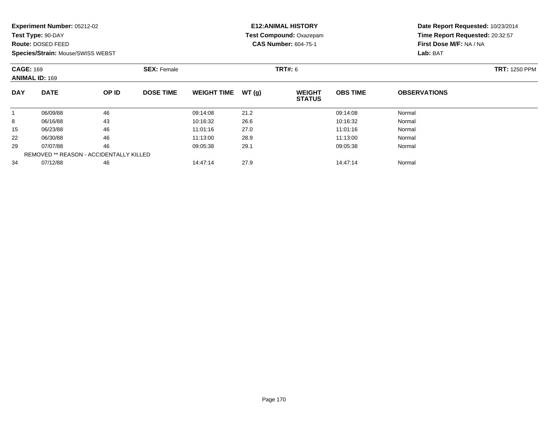**Test Type:** 90-DAY

**Route:** DOSED FEED

**Species/Strain:** Mouse/SWISS WEBST

# **E12:ANIMAL HISTORY Test Compound:** Oxazepam**CAS Number:** 604-75-1

| <b>CAGE: 169</b><br><b>ANIMAL ID: 169</b> |             | <b>SEX: Female</b>                             |                  |                    | <b>TRT#:</b> 6 | <b>TRT: 1250 PPM</b>           |                 |                     |  |
|-------------------------------------------|-------------|------------------------------------------------|------------------|--------------------|----------------|--------------------------------|-----------------|---------------------|--|
| <b>DAY</b>                                | <b>DATE</b> | OP ID                                          | <b>DOSE TIME</b> | <b>WEIGHT TIME</b> | WT(g)          | <b>WEIGHT</b><br><b>STATUS</b> | <b>OBS TIME</b> | <b>OBSERVATIONS</b> |  |
|                                           | 06/09/88    | 46                                             |                  | 09:14:08           | 21.2           |                                | 09:14:08        | Normal              |  |
| 8                                         | 06/16/88    | 43                                             |                  | 10:16:32           | 26.6           |                                | 10:16:32        | Normal              |  |
| 15                                        | 06/23/88    | 46                                             |                  | 11:01:16           | 27.0           |                                | 11:01:16        | Normal              |  |
| 22                                        | 06/30/88    | 46                                             |                  | 11:13:00           | 28.9           |                                | 11:13:00        | Normal              |  |
| 29                                        | 07/07/88    | 46                                             |                  | 09:05:38           | 29.1           |                                | 09:05:38        | Normal              |  |
|                                           |             | <b>REMOVED ** REASON - ACCIDENTALLY KILLED</b> |                  |                    |                |                                |                 |                     |  |
| 34                                        | 07/12/88    | 46                                             |                  | 14:47:14           | 27.9           |                                | 14:47:14        | Normal              |  |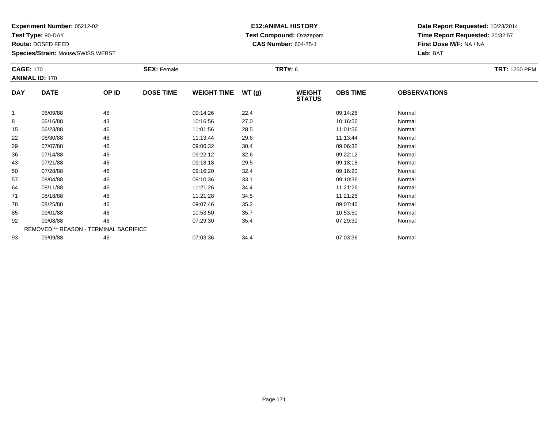**Test Type:** 90-DAY

**Route:** DOSED FEED

**Species/Strain:** Mouse/SWISS WEBST

# **E12:ANIMAL HISTORY Test Compound:** Oxazepam**CAS Number:** 604-75-1

| <b>CAGE: 170</b><br><b>ANIMAL ID: 170</b> |                                        | <b>SEX: Female</b> |                  |                    | <b>TRT#:</b> 6 |                                | <b>TRT: 1250 PPM</b> |                     |  |
|-------------------------------------------|----------------------------------------|--------------------|------------------|--------------------|----------------|--------------------------------|----------------------|---------------------|--|
|                                           |                                        |                    |                  |                    |                |                                |                      |                     |  |
| <b>DAY</b>                                | <b>DATE</b>                            | OP ID              | <b>DOSE TIME</b> | <b>WEIGHT TIME</b> | WT(g)          | <b>WEIGHT</b><br><b>STATUS</b> | <b>OBS TIME</b>      | <b>OBSERVATIONS</b> |  |
| $\overline{1}$                            | 06/09/88                               | 46                 |                  | 09:14:26           | 22.4           |                                | 09:14:26             | Normal              |  |
| 8                                         | 06/16/88                               | 43                 |                  | 10:16:56           | 27.0           |                                | 10:16:56             | Normal              |  |
| 15                                        | 06/23/88                               | 46                 |                  | 11:01:56           | 28.5           |                                | 11:01:56             | Normal              |  |
| 22                                        | 06/30/88                               | 46                 |                  | 11:13:44           | 29.6           |                                | 11:13:44             | Normal              |  |
| 29                                        | 07/07/88                               | 46                 |                  | 09:06:32           | 30.4           |                                | 09:06:32             | Normal              |  |
| 36                                        | 07/14/88                               | 46                 |                  | 09:22:12           | 32.6           |                                | 09:22:12             | Normal              |  |
| 43                                        | 07/21/88                               | 46                 |                  | 09:18:18           | 29.5           |                                | 09:18:18             | Normal              |  |
| 50                                        | 07/28/88                               | 46                 |                  | 09:16:20           | 32.4           |                                | 09:16:20             | Normal              |  |
| 57                                        | 08/04/88                               | 46                 |                  | 09:10:36           | 33.1           |                                | 09:10:36             | Normal              |  |
| 64                                        | 08/11/88                               | 46                 |                  | 11:21:26           | 34.4           |                                | 11:21:26             | Normal              |  |
| 71                                        | 08/18/88                               | 46                 |                  | 11:21:28           | 34.5           |                                | 11:21:28             | Normal              |  |
| 78                                        | 08/25/88                               | 46                 |                  | 09:07:46           | 35.2           |                                | 09:07:46             | Normal              |  |
| 85                                        | 09/01/88                               | 46                 |                  | 10:53:50           | 35.7           |                                | 10:53:50             | Normal              |  |
| 92                                        | 09/08/88                               | 46                 |                  | 07:29:30           | 35.4           |                                | 07:29:30             | Normal              |  |
|                                           | REMOVED ** REASON - TERMINAL SACRIFICE |                    |                  |                    |                |                                |                      |                     |  |
| 93                                        | 09/09/88                               | 46                 |                  | 07:03:36           | 34.4           |                                | 07:03:36             | Normal              |  |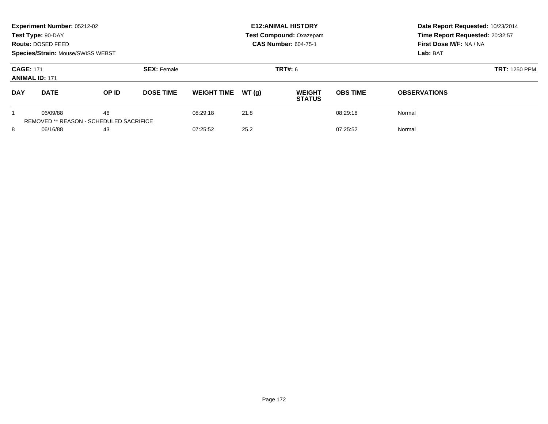|                                           | Experiment Number: 05212-02<br>Test Type: 90-DAY<br><b>Route: DOSED FEED</b><br>Species/Strain: Mouse/SWISS WEBST |                                               |                    |                    |       | <b>E12: ANIMAL HISTORY</b><br>Test Compound: Oxazepam<br><b>CAS Number: 604-75-1</b> | Date Report Requested: 10/23/2014<br>Time Report Requested: 20:32:57<br>First Dose M/F: NA / NA<br>Lab: BAT |                      |
|-------------------------------------------|-------------------------------------------------------------------------------------------------------------------|-----------------------------------------------|--------------------|--------------------|-------|--------------------------------------------------------------------------------------|-------------------------------------------------------------------------------------------------------------|----------------------|
| <b>CAGE: 171</b><br><b>ANIMAL ID: 171</b> |                                                                                                                   |                                               | <b>SEX: Female</b> |                    |       | <b>TRT#: 6</b>                                                                       |                                                                                                             | <b>TRT: 1250 PPM</b> |
| <b>DAY</b>                                | <b>DATE</b>                                                                                                       | <b>OP ID</b>                                  | <b>DOSE TIME</b>   | <b>WEIGHT TIME</b> | WT(q) | <b>WEIGHT</b><br><b>STATUS</b>                                                       | <b>OBS TIME</b>                                                                                             | <b>OBSERVATIONS</b>  |
|                                           | 06/09/88                                                                                                          | 46<br>REMOVED ** REASON - SCHEDULED SACRIFICE |                    | 08:29:18           | 21.8  |                                                                                      | 08:29:18                                                                                                    | Normal               |
| 8<br>06/16/88                             |                                                                                                                   | 43                                            |                    | 07:25:52           | 25.2  |                                                                                      | 07:25:52                                                                                                    | Normal               |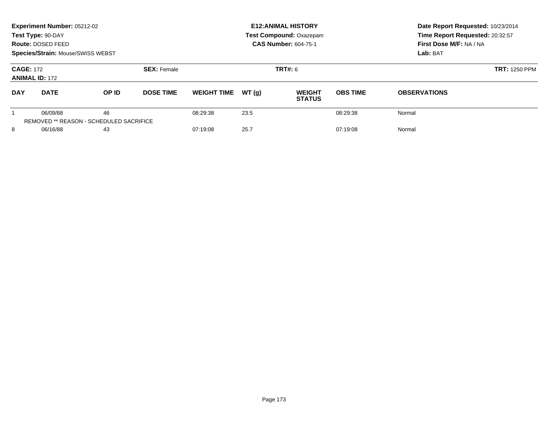|                                           | Experiment Number: 05212-02<br>Test Type: 90-DAY<br><b>Route: DOSED FEED</b><br>Species/Strain: Mouse/SWISS WEBST |                                               |                    |                    |       | <b>E12: ANIMAL HISTORY</b><br>Test Compound: Oxazepam<br><b>CAS Number: 604-75-1</b> | Date Report Requested: 10/23/2014<br>Time Report Requested: 20:32:57<br>First Dose M/F: NA / NA<br>Lab: BAT |                     |
|-------------------------------------------|-------------------------------------------------------------------------------------------------------------------|-----------------------------------------------|--------------------|--------------------|-------|--------------------------------------------------------------------------------------|-------------------------------------------------------------------------------------------------------------|---------------------|
| <b>CAGE: 172</b><br><b>ANIMAL ID: 172</b> |                                                                                                                   |                                               | <b>SEX: Female</b> |                    |       | <b>TRT#: 6</b>                                                                       | <b>TRT: 1250 PPM</b>                                                                                        |                     |
| <b>DAY</b>                                | <b>DATE</b>                                                                                                       | <b>OP ID</b>                                  | <b>DOSE TIME</b>   | <b>WEIGHT TIME</b> | WT(q) | <b>WEIGHT</b><br><b>STATUS</b>                                                       | <b>OBS TIME</b>                                                                                             | <b>OBSERVATIONS</b> |
|                                           | 06/09/88                                                                                                          | 46<br>REMOVED ** REASON - SCHEDULED SACRIFICE |                    | 08:29:38           | 23.5  |                                                                                      | 08:29:38                                                                                                    | Normal              |
| 8<br>06/16/88                             |                                                                                                                   | 43                                            |                    | 07:19:08           | 25.7  |                                                                                      | 07:19:08                                                                                                    | Normal              |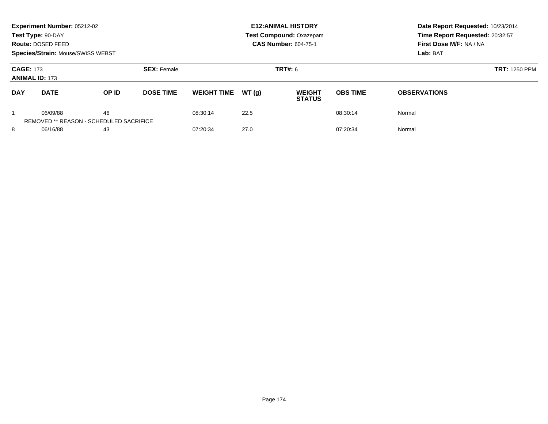|                                           | Experiment Number: 05212-02<br>Test Type: 90-DAY<br><b>Route: DOSED FEED</b><br>Species/Strain: Mouse/SWISS WEBST |                                               |                    |                    |       | <b>E12: ANIMAL HISTORY</b><br>Test Compound: Oxazepam<br><b>CAS Number: 604-75-1</b> | Date Report Requested: 10/23/2014<br>Time Report Requested: 20:32:57<br>First Dose M/F: NA / NA<br>Lab: BAT |                     |
|-------------------------------------------|-------------------------------------------------------------------------------------------------------------------|-----------------------------------------------|--------------------|--------------------|-------|--------------------------------------------------------------------------------------|-------------------------------------------------------------------------------------------------------------|---------------------|
| <b>CAGE: 173</b><br><b>ANIMAL ID: 173</b> |                                                                                                                   |                                               | <b>SEX: Female</b> |                    |       | <b>TRT#: 6</b>                                                                       | <b>TRT: 1250 PPM</b>                                                                                        |                     |
| <b>DAY</b>                                | <b>DATE</b>                                                                                                       | <b>OP ID</b>                                  | <b>DOSE TIME</b>   | <b>WEIGHT TIME</b> | WT(q) | <b>WEIGHT</b><br><b>STATUS</b>                                                       | <b>OBS TIME</b>                                                                                             | <b>OBSERVATIONS</b> |
|                                           | 06/09/88                                                                                                          | 46<br>REMOVED ** REASON - SCHEDULED SACRIFICE |                    | 08:30:14           | 22.5  |                                                                                      | 08:30:14                                                                                                    | Normal              |
| 8<br>06/16/88                             |                                                                                                                   | 43                                            |                    | 07:20:34           | 27.0  |                                                                                      | 07:20:34                                                                                                    | Normal              |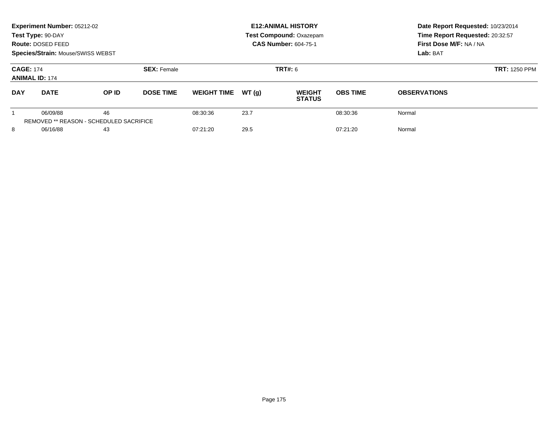|                                           | Experiment Number: 05212-02<br>Test Type: 90-DAY<br><b>Route: DOSED FEED</b><br>Species/Strain: Mouse/SWISS WEBST |                                               |                    |                    |       | <b>E12: ANIMAL HISTORY</b><br>Test Compound: Oxazepam<br><b>CAS Number: 604-75-1</b> | Date Report Requested: 10/23/2014<br>Time Report Requested: 20:32:57<br>First Dose M/F: NA / NA<br>Lab: BAT |                     |
|-------------------------------------------|-------------------------------------------------------------------------------------------------------------------|-----------------------------------------------|--------------------|--------------------|-------|--------------------------------------------------------------------------------------|-------------------------------------------------------------------------------------------------------------|---------------------|
| <b>CAGE: 174</b><br><b>ANIMAL ID: 174</b> |                                                                                                                   |                                               | <b>SEX: Female</b> |                    |       | <b>TRT#: 6</b>                                                                       | <b>TRT: 1250 PPM</b>                                                                                        |                     |
| <b>DAY</b>                                | <b>DATE</b>                                                                                                       | <b>OP ID</b>                                  | <b>DOSE TIME</b>   | <b>WEIGHT TIME</b> | WT(q) | <b>WEIGHT</b><br><b>STATUS</b>                                                       | <b>OBS TIME</b>                                                                                             | <b>OBSERVATIONS</b> |
|                                           | 06/09/88                                                                                                          | 46<br>REMOVED ** REASON - SCHEDULED SACRIFICE |                    | 08:30:36           | 23.7  |                                                                                      | 08:30:36                                                                                                    | Normal              |
| 8<br>06/16/88                             |                                                                                                                   | 43                                            |                    | 07:21:20           | 29.5  |                                                                                      | 07:21:20                                                                                                    | Normal              |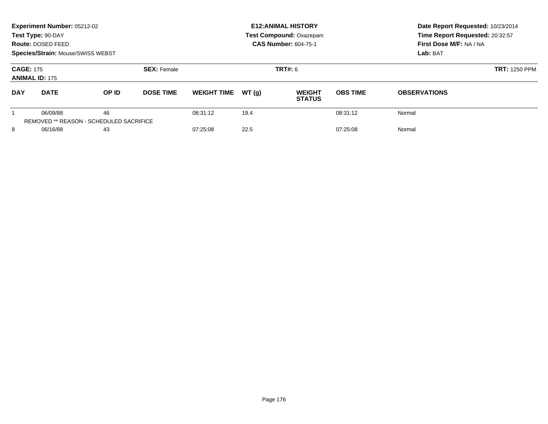|                  | Experiment Number: 05212-02<br>Test Type: 90-DAY<br><b>Route: DOSED FEED</b><br>Species/Strain: Mouse/SWISS WEBST |                                               |                    |                    |                | <b>E12: ANIMAL HISTORY</b><br>Test Compound: Oxazepam<br><b>CAS Number: 604-75-1</b> | Date Report Requested: 10/23/2014<br>Time Report Requested: 20:32:57<br>First Dose M/F: NA / NA<br>Lab: BAT |                     |
|------------------|-------------------------------------------------------------------------------------------------------------------|-----------------------------------------------|--------------------|--------------------|----------------|--------------------------------------------------------------------------------------|-------------------------------------------------------------------------------------------------------------|---------------------|
| <b>CAGE: 175</b> | <b>ANIMAL ID: 175</b>                                                                                             |                                               | <b>SEX: Female</b> |                    | <b>TRT#: 6</b> |                                                                                      | <b>TRT: 1250 PPM</b>                                                                                        |                     |
| <b>DAY</b>       | <b>DATE</b>                                                                                                       | <b>OP ID</b>                                  | <b>DOSE TIME</b>   | <b>WEIGHT TIME</b> | WT(q)          | <b>WEIGHT</b><br><b>STATUS</b>                                                       | <b>OBS TIME</b>                                                                                             | <b>OBSERVATIONS</b> |
|                  | 06/09/88                                                                                                          | 46<br>REMOVED ** REASON - SCHEDULED SACRIFICE |                    | 08:31:12           | 19.4           |                                                                                      | 08:31:12                                                                                                    | Normal              |
| 8<br>06/16/88    |                                                                                                                   | 43                                            |                    | 07:25:08           | 22.5           |                                                                                      | 07:25:08                                                                                                    | Normal              |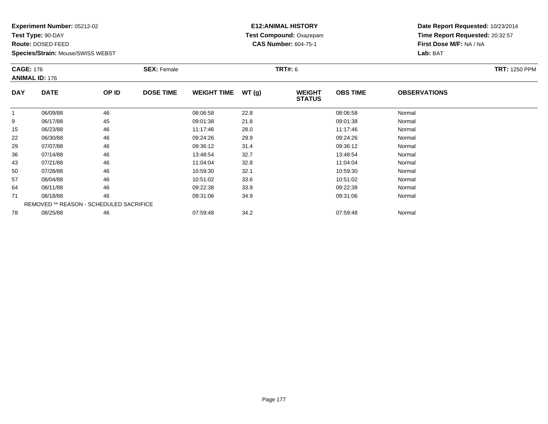**Test Type:** 90-DAY

**Route:** DOSED FEED

**Species/Strain:** Mouse/SWISS WEBST

# **E12:ANIMAL HISTORY Test Compound:** Oxazepam**CAS Number:** 604-75-1

| <b>CAGE: 176</b> | <b>ANIMAL ID: 176</b>                   |       | <b>SEX: Female</b> |                    |       | <b>TRT#: 6</b>                 | <b>TRT: 1250 PPM</b> |                     |  |
|------------------|-----------------------------------------|-------|--------------------|--------------------|-------|--------------------------------|----------------------|---------------------|--|
| <b>DAY</b>       | <b>DATE</b>                             | OP ID | <b>DOSE TIME</b>   | <b>WEIGHT TIME</b> | WT(g) | <b>WEIGHT</b><br><b>STATUS</b> | <b>OBS TIME</b>      | <b>OBSERVATIONS</b> |  |
| $\mathbf{1}$     | 06/09/88                                | 46    |                    | 08:06:58           | 22.8  |                                | 08:06:58             | Normal              |  |
| 9                | 06/17/88                                | 45    |                    | 09:01:38           | 21.8  |                                | 09:01:38             | Normal              |  |
| 15               | 06/23/88                                | 46    |                    | 11:17:46           | 28.0  |                                | 11:17:46             | Normal              |  |
| 22               | 06/30/88                                | 46    |                    | 09:24:26           | 29.9  |                                | 09:24:26             | Normal              |  |
| 29               | 07/07/88                                | 46    |                    | 09:36:12           | 31.4  |                                | 09:36:12             | Normal              |  |
| 36               | 07/14/88                                | 46    |                    | 13:48:54           | 32.7  |                                | 13:48:54             | Normal              |  |
| 43               | 07/21/88                                | 46    |                    | 11:04:04           | 32.8  |                                | 11:04:04             | Normal              |  |
| 50               | 07/28/88                                | 46    |                    | 10:59:30           | 32.1  |                                | 10:59:30             | Normal              |  |
| 57               | 08/04/88                                | 46    |                    | 10:51:02           | 33.6  |                                | 10:51:02             | Normal              |  |
| 64               | 08/11/88                                | 46    |                    | 09:22:38           | 33.9  |                                | 09:22:38             | Normal              |  |
| 71               | 08/18/88                                | 46    |                    | 09:31:06           | 34.9  |                                | 09:31:06             | Normal              |  |
|                  | REMOVED ** REASON - SCHEDULED SACRIFICE |       |                    |                    |       |                                |                      |                     |  |
| 78               | 08/25/88                                | 46    |                    | 07:59:48           | 34.2  |                                | 07:59:48             | Normal              |  |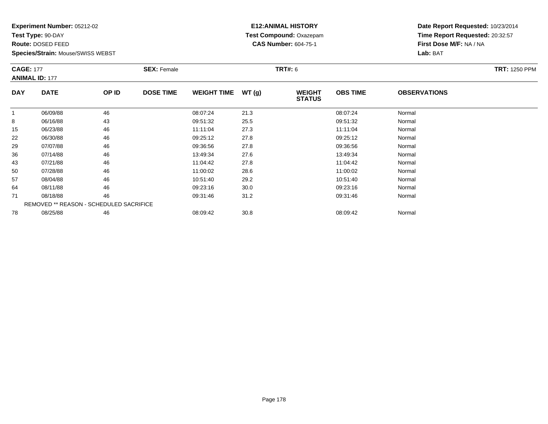**Test Type:** 90-DAY

**Route:** DOSED FEED

**Species/Strain:** Mouse/SWISS WEBST

# **E12:ANIMAL HISTORY Test Compound:** Oxazepam**CAS Number:** 604-75-1

| <b>CAGE: 177</b><br><b>ANIMAL ID: 177</b> |                                         | <b>SEX: Female</b> |                  |                    | <b>TRT#: 6</b> | <b>TRT: 1250 PPM</b>           |                 |                     |  |
|-------------------------------------------|-----------------------------------------|--------------------|------------------|--------------------|----------------|--------------------------------|-----------------|---------------------|--|
| <b>DAY</b>                                | <b>DATE</b>                             | OP ID              | <b>DOSE TIME</b> | <b>WEIGHT TIME</b> | WT(g)          | <b>WEIGHT</b><br><b>STATUS</b> | <b>OBS TIME</b> | <b>OBSERVATIONS</b> |  |
|                                           | 06/09/88                                | 46                 |                  | 08:07:24           | 21.3           |                                | 08:07:24        | Normal              |  |
| 8                                         | 06/16/88                                | 43                 |                  | 09:51:32           | 25.5           |                                | 09:51:32        | Normal              |  |
| 15                                        | 06/23/88                                | 46                 |                  | 11:11:04           | 27.3           |                                | 11:11:04        | Normal              |  |
| 22                                        | 06/30/88                                | 46                 |                  | 09:25:12           | 27.8           |                                | 09:25:12        | Normal              |  |
| 29                                        | 07/07/88                                | 46                 |                  | 09:36:56           | 27.8           |                                | 09:36:56        | Normal              |  |
| 36                                        | 07/14/88                                | 46                 |                  | 13:49:34           | 27.6           |                                | 13:49:34        | Normal              |  |
| 43                                        | 07/21/88                                | 46                 |                  | 11:04:42           | 27.8           |                                | 11:04:42        | Normal              |  |
| 50                                        | 07/28/88                                | 46                 |                  | 11:00:02           | 28.6           |                                | 11:00:02        | Normal              |  |
| 57                                        | 08/04/88                                | 46                 |                  | 10:51:40           | 29.2           |                                | 10:51:40        | Normal              |  |
| 64                                        | 08/11/88                                | 46                 |                  | 09:23:16           | 30.0           |                                | 09:23:16        | Normal              |  |
| 71                                        | 08/18/88                                | 46                 |                  | 09:31:46           | 31.2           |                                | 09:31:46        | Normal              |  |
|                                           | REMOVED ** REASON - SCHEDULED SACRIFICE |                    |                  |                    |                |                                |                 |                     |  |
| 78                                        | 08/25/88                                | 46                 |                  | 08:09:42           | 30.8           |                                | 08:09:42        | Normal              |  |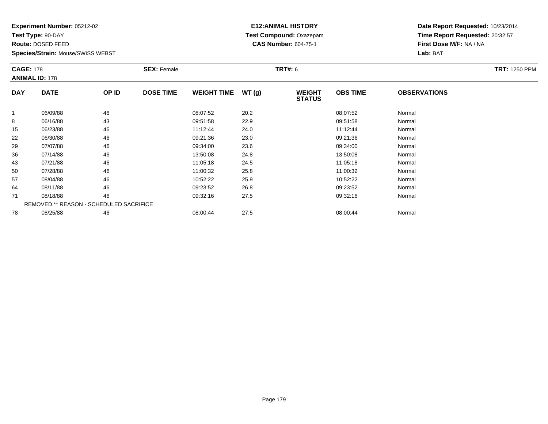**Test Type:** 90-DAY

**Route:** DOSED FEED

**Species/Strain:** Mouse/SWISS WEBST

# **E12:ANIMAL HISTORY Test Compound:** Oxazepam**CAS Number:** 604-75-1

| <b>CAGE: 178</b><br><b>ANIMAL ID: 178</b> |                                         | <b>SEX: Female</b> |                  |                    | <b>TRT#: 6</b> | <b>TRT: 1250 PPM</b>           |                 |                     |  |
|-------------------------------------------|-----------------------------------------|--------------------|------------------|--------------------|----------------|--------------------------------|-----------------|---------------------|--|
| <b>DAY</b>                                | <b>DATE</b>                             | OP ID              | <b>DOSE TIME</b> | <b>WEIGHT TIME</b> | WT(g)          | <b>WEIGHT</b><br><b>STATUS</b> | <b>OBS TIME</b> | <b>OBSERVATIONS</b> |  |
| $\mathbf{1}$                              | 06/09/88                                | 46                 |                  | 08:07:52           | 20.2           |                                | 08:07:52        | Normal              |  |
| 8                                         | 06/16/88                                | 43                 |                  | 09:51:58           | 22.9           |                                | 09:51:58        | Normal              |  |
| 15                                        | 06/23/88                                | 46                 |                  | 11:12:44           | 24.0           |                                | 11:12:44        | Normal              |  |
| 22                                        | 06/30/88                                | 46                 |                  | 09:21:36           | 23.0           |                                | 09:21:36        | Normal              |  |
| 29                                        | 07/07/88                                | 46                 |                  | 09:34:00           | 23.6           |                                | 09:34:00        | Normal              |  |
| 36                                        | 07/14/88                                | 46                 |                  | 13:50:08           | 24.8           |                                | 13:50:08        | Normal              |  |
| 43                                        | 07/21/88                                | 46                 |                  | 11:05:18           | 24.5           |                                | 11:05:18        | Normal              |  |
| 50                                        | 07/28/88                                | 46                 |                  | 11:00:32           | 25.8           |                                | 11:00:32        | Normal              |  |
| 57                                        | 08/04/88                                | 46                 |                  | 10:52:22           | 25.9           |                                | 10:52:22        | Normal              |  |
| 64                                        | 08/11/88                                | 46                 |                  | 09:23:52           | 26.8           |                                | 09:23:52        | Normal              |  |
| 71                                        | 08/18/88                                | 46                 |                  | 09:32:16           | 27.5           |                                | 09:32:16        | Normal              |  |
|                                           | REMOVED ** REASON - SCHEDULED SACRIFICE |                    |                  |                    |                |                                |                 |                     |  |
| 78                                        | 08/25/88                                | 46                 |                  | 08:00:44           | 27.5           |                                | 08:00:44        | Normal              |  |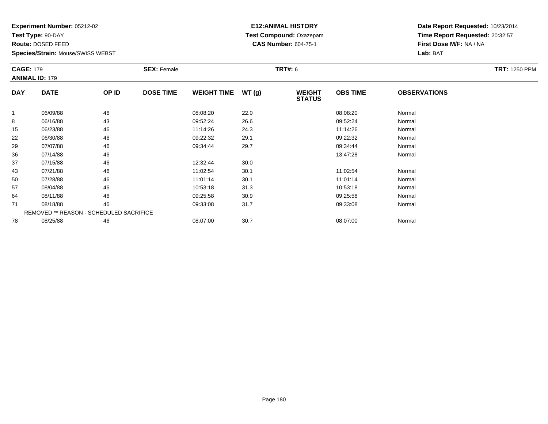**Test Type:** 90-DAY

**Route:** DOSED FEED

**Species/Strain:** Mouse/SWISS WEBST

#### **E12:ANIMAL HISTORY Test Compound:** Oxazepam**CAS Number:** 604-75-1

| <b>CAGE: 179</b><br><b>ANIMAL ID: 179</b> |                                                | <b>SEX: Female</b> |                  |                    | <b>TRT#: 6</b> | <b>TRT: 1250 PPM</b>           |                 |                     |  |
|-------------------------------------------|------------------------------------------------|--------------------|------------------|--------------------|----------------|--------------------------------|-----------------|---------------------|--|
| <b>DAY</b>                                | <b>DATE</b>                                    | OP ID              | <b>DOSE TIME</b> | <b>WEIGHT TIME</b> | WT(g)          | <b>WEIGHT</b><br><b>STATUS</b> | <b>OBS TIME</b> | <b>OBSERVATIONS</b> |  |
| -1                                        | 06/09/88                                       | 46                 |                  | 08:08:20           | 22.0           |                                | 08:08:20        | Normal              |  |
| 8                                         | 06/16/88                                       | 43                 |                  | 09:52:24           | 26.6           |                                | 09:52:24        | Normal              |  |
| 15                                        | 06/23/88                                       | 46                 |                  | 11:14:26           | 24.3           |                                | 11:14:26        | Normal              |  |
| 22                                        | 06/30/88                                       | 46                 |                  | 09:22:32           | 29.1           |                                | 09:22:32        | Normal              |  |
| 29                                        | 07/07/88                                       | 46                 |                  | 09:34:44           | 29.7           |                                | 09:34:44        | Normal              |  |
| 36                                        | 07/14/88                                       | 46                 |                  |                    |                |                                | 13:47:28        | Normal              |  |
| 37                                        | 07/15/88                                       | 46                 |                  | 12:32:44           | 30.0           |                                |                 |                     |  |
| 43                                        | 07/21/88                                       | 46                 |                  | 11:02:54           | 30.1           |                                | 11:02:54        | Normal              |  |
| 50                                        | 07/28/88                                       | 46                 |                  | 11:01:14           | 30.1           |                                | 11:01:14        | Normal              |  |
| 57                                        | 08/04/88                                       | 46                 |                  | 10:53:18           | 31.3           |                                | 10:53:18        | Normal              |  |
| 64                                        | 08/11/88                                       | 46                 |                  | 09:25:58           | 30.9           |                                | 09:25:58        | Normal              |  |
| 71                                        | 08/18/88                                       | 46                 |                  | 09:33:08           | 31.7           |                                | 09:33:08        | Normal              |  |
|                                           | <b>REMOVED ** REASON - SCHEDULED SACRIFICE</b> |                    |                  |                    |                |                                |                 |                     |  |
| 78                                        | 08/25/88                                       | 46                 |                  | 08:07:00           | 30.7           |                                | 08:07:00        | Normal              |  |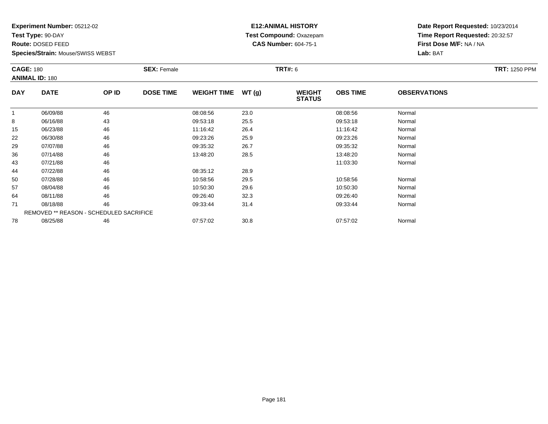**Test Type:** 90-DAY

**Route:** DOSED FEED

**Species/Strain:** Mouse/SWISS WEBST

## **E12:ANIMAL HISTORY Test Compound:** Oxazepam**CAS Number:** 604-75-1

|            | <b>CAGE: 180</b><br><b>ANIMAL ID: 180</b> |       | <b>SEX: Female</b> |                    |       | <b>TRT#: 6</b>                 | <b>TRT: 1250 PPM</b> |                     |  |
|------------|-------------------------------------------|-------|--------------------|--------------------|-------|--------------------------------|----------------------|---------------------|--|
| <b>DAY</b> | <b>DATE</b>                               | OP ID | <b>DOSE TIME</b>   | <b>WEIGHT TIME</b> | WT(g) | <b>WEIGHT</b><br><b>STATUS</b> | <b>OBS TIME</b>      | <b>OBSERVATIONS</b> |  |
| -1         | 06/09/88                                  | 46    |                    | 08:08:56           | 23.0  |                                | 08:08:56             | Normal              |  |
| 8          | 06/16/88                                  | 43    |                    | 09:53:18           | 25.5  |                                | 09:53:18             | Normal              |  |
| 15         | 06/23/88                                  | 46    |                    | 11:16:42           | 26.4  |                                | 11:16:42             | Normal              |  |
| 22         | 06/30/88                                  | 46    |                    | 09:23:26           | 25.9  |                                | 09:23:26             | Normal              |  |
| 29         | 07/07/88                                  | 46    |                    | 09:35:32           | 26.7  |                                | 09:35:32             | Normal              |  |
| 36         | 07/14/88                                  | 46    |                    | 13:48:20           | 28.5  |                                | 13:48:20             | Normal              |  |
| 43         | 07/21/88                                  | 46    |                    |                    |       |                                | 11:03:30             | Normal              |  |
| 44         | 07/22/88                                  | 46    |                    | 08:35:12           | 28.9  |                                |                      |                     |  |
| 50         | 07/28/88                                  | 46    |                    | 10:58:56           | 29.5  |                                | 10:58:56             | Normal              |  |
| 57         | 08/04/88                                  | 46    |                    | 10:50:30           | 29.6  |                                | 10:50:30             | Normal              |  |
| 64         | 08/11/88                                  | 46    |                    | 09:26:40           | 32.3  |                                | 09:26:40             | Normal              |  |
| 71         | 08/18/88                                  | 46    |                    | 09:33:44           | 31.4  |                                | 09:33:44             | Normal              |  |
|            | REMOVED ** REASON - SCHEDULED SACRIFICE   |       |                    |                    |       |                                |                      |                     |  |
| 78         | 08/25/88                                  | 46    |                    | 07:57:02           | 30.8  |                                | 07:57:02             | Normal              |  |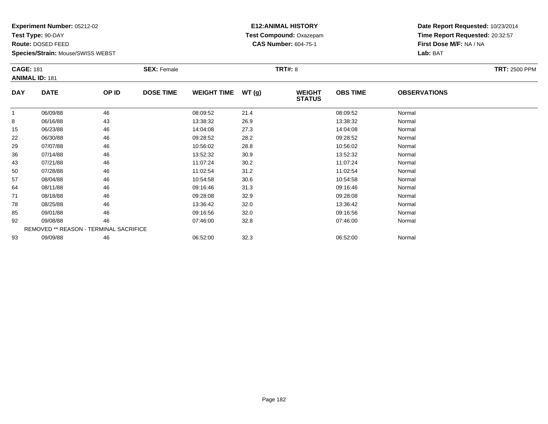**Test Type:** 90-DAY

**Route:** DOSED FEED

**Species/Strain:** Mouse/SWISS WEBST

## **E12:ANIMAL HISTORY Test Compound:** Oxazepam**CAS Number:** 604-75-1

| <b>CAGE: 181</b> | <b>ANIMAL ID: 181</b>                  |       | <b>SEX: Female</b> |                    |       | <b>TRT#: 8</b>                 |                 |                     | <b>TRT: 2500 PPM</b> |
|------------------|----------------------------------------|-------|--------------------|--------------------|-------|--------------------------------|-----------------|---------------------|----------------------|
| <b>DAY</b>       | <b>DATE</b>                            | OP ID | <b>DOSE TIME</b>   | <b>WEIGHT TIME</b> | WT(g) | <b>WEIGHT</b><br><b>STATUS</b> | <b>OBS TIME</b> | <b>OBSERVATIONS</b> |                      |
|                  | 06/09/88                               | 46    |                    | 08:09:52           | 21.4  |                                | 08:09:52        | Normal              |                      |
| 8                | 06/16/88                               | 43    |                    | 13:38:32           | 26.9  |                                | 13:38:32        | Normal              |                      |
| 15               | 06/23/88                               | 46    |                    | 14:04:08           | 27.3  |                                | 14:04:08        | Normal              |                      |
| 22               | 06/30/88                               | 46    |                    | 09:28:52           | 28.2  |                                | 09:28:52        | Normal              |                      |
| 29               | 07/07/88                               | 46    |                    | 10:56:02           | 28.8  |                                | 10:56:02        | Normal              |                      |
| 36               | 07/14/88                               | 46    |                    | 13:52:32           | 30.9  |                                | 13:52:32        | Normal              |                      |
| 43               | 07/21/88                               | 46    |                    | 11:07:24           | 30.2  |                                | 11:07:24        | Normal              |                      |
| 50               | 07/28/88                               | 46    |                    | 11:02:54           | 31.2  |                                | 11:02:54        | Normal              |                      |
| 57               | 08/04/88                               | 46    |                    | 10:54:58           | 30.6  |                                | 10:54:58        | Normal              |                      |
| 64               | 08/11/88                               | 46    |                    | 09:16:46           | 31.3  |                                | 09:16:46        | Normal              |                      |
| 71               | 08/18/88                               | 46    |                    | 09:28:08           | 32.9  |                                | 09:28:08        | Normal              |                      |
| 78               | 08/25/88                               | 46    |                    | 13:36:42           | 32.0  |                                | 13:36:42        | Normal              |                      |
| 85               | 09/01/88                               | 46    |                    | 09:16:56           | 32.0  |                                | 09:16:56        | Normal              |                      |
| 92               | 09/08/88                               | 46    |                    | 07:46:00           | 32.8  |                                | 07:46:00        | Normal              |                      |
|                  | REMOVED ** REASON - TERMINAL SACRIFICE |       |                    |                    |       |                                |                 |                     |                      |
| 93               | 09/09/88                               | 46    |                    | 06:52:00           | 32.3  |                                | 06:52:00        | Normal              |                      |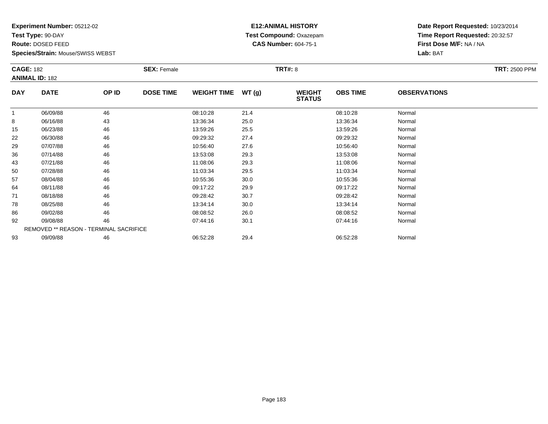**Test Type:** 90-DAY

**Route:** DOSED FEED

**Species/Strain:** Mouse/SWISS WEBST

## **E12:ANIMAL HISTORY Test Compound:** Oxazepam**CAS Number:** 604-75-1

| <b>CAGE: 182</b> |                                        |       | <b>SEX: Female</b> |                    |       | <b>TRT#: 8</b>                 |                 |                     | <b>TRT: 2500 PPM</b> |
|------------------|----------------------------------------|-------|--------------------|--------------------|-------|--------------------------------|-----------------|---------------------|----------------------|
|                  | <b>ANIMAL ID: 182</b>                  |       |                    |                    |       |                                |                 |                     |                      |
| <b>DAY</b>       | <b>DATE</b>                            | OP ID | <b>DOSE TIME</b>   | <b>WEIGHT TIME</b> | WT(g) | <b>WEIGHT</b><br><b>STATUS</b> | <b>OBS TIME</b> | <b>OBSERVATIONS</b> |                      |
| -1               | 06/09/88                               | 46    |                    | 08:10:28           | 21.4  |                                | 08:10:28        | Normal              |                      |
| 8                | 06/16/88                               | 43    |                    | 13:36:34           | 25.0  |                                | 13:36:34        | Normal              |                      |
| 15               | 06/23/88                               | 46    |                    | 13:59:26           | 25.5  |                                | 13:59:26        | Normal              |                      |
| 22               | 06/30/88                               | 46    |                    | 09:29:32           | 27.4  |                                | 09:29:32        | Normal              |                      |
| 29               | 07/07/88                               | 46    |                    | 10:56:40           | 27.6  |                                | 10:56:40        | Normal              |                      |
| 36               | 07/14/88                               | 46    |                    | 13:53:08           | 29.3  |                                | 13:53:08        | Normal              |                      |
| 43               | 07/21/88                               | 46    |                    | 11:08:06           | 29.3  |                                | 11:08:06        | Normal              |                      |
| 50               | 07/28/88                               | 46    |                    | 11:03:34           | 29.5  |                                | 11:03:34        | Normal              |                      |
| 57               | 08/04/88                               | 46    |                    | 10:55:36           | 30.0  |                                | 10:55:36        | Normal              |                      |
| 64               | 08/11/88                               | 46    |                    | 09:17:22           | 29.9  |                                | 09:17:22        | Normal              |                      |
| 71               | 08/18/88                               | 46    |                    | 09:28:42           | 30.7  |                                | 09:28:42        | Normal              |                      |
| 78               | 08/25/88                               | 46    |                    | 13:34:14           | 30.0  |                                | 13:34:14        | Normal              |                      |
| 86               | 09/02/88                               | 46    |                    | 08:08:52           | 26.0  |                                | 08:08:52        | Normal              |                      |
| 92               | 09/08/88                               | 46    |                    | 07:44:16           | 30.1  |                                | 07:44:16        | Normal              |                      |
|                  | REMOVED ** REASON - TERMINAL SACRIFICE |       |                    |                    |       |                                |                 |                     |                      |
| 93               | 09/09/88                               | 46    |                    | 06:52:28           | 29.4  |                                | 06:52:28        | Normal              |                      |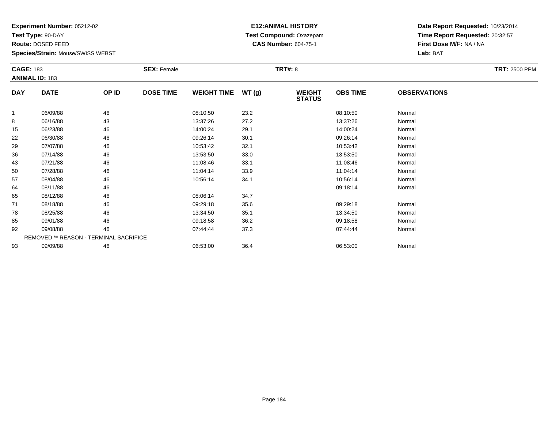**Test Type:** 90-DAY

**Route:** DOSED FEED

**Species/Strain:** Mouse/SWISS WEBST

## **E12:ANIMAL HISTORY Test Compound:** Oxazepam**CAS Number:** 604-75-1

| <b>CAGE: 183</b> | <b>ANIMAL ID: 183</b>                  |       | <b>SEX: Female</b> |                    |       | <b>TRT#: 8</b>                 |                 |                     | <b>TRT: 2500 PPM</b> |
|------------------|----------------------------------------|-------|--------------------|--------------------|-------|--------------------------------|-----------------|---------------------|----------------------|
| <b>DAY</b>       | <b>DATE</b>                            | OP ID | <b>DOSE TIME</b>   | <b>WEIGHT TIME</b> | WT(g) | <b>WEIGHT</b><br><b>STATUS</b> | <b>OBS TIME</b> | <b>OBSERVATIONS</b> |                      |
|                  | 06/09/88                               | 46    |                    | 08:10:50           | 23.2  |                                | 08:10:50        | Normal              |                      |
| 8                | 06/16/88                               | 43    |                    | 13:37:26           | 27.2  |                                | 13:37:26        | Normal              |                      |
| 15               | 06/23/88                               | 46    |                    | 14:00:24           | 29.1  |                                | 14:00:24        | Normal              |                      |
| 22               | 06/30/88                               | 46    |                    | 09:26:14           | 30.1  |                                | 09:26:14        | Normal              |                      |
| 29               | 07/07/88                               | 46    |                    | 10:53:42           | 32.1  |                                | 10:53:42        | Normal              |                      |
| 36               | 07/14/88                               | 46    |                    | 13:53:50           | 33.0  |                                | 13:53:50        | Normal              |                      |
| 43               | 07/21/88                               | 46    |                    | 11:08:46           | 33.1  |                                | 11:08:46        | Normal              |                      |
| 50               | 07/28/88                               | 46    |                    | 11:04:14           | 33.9  |                                | 11:04:14        | Normal              |                      |
| 57               | 08/04/88                               | 46    |                    | 10:56:14           | 34.1  |                                | 10:56:14        | Normal              |                      |
| 64               | 08/11/88                               | 46    |                    |                    |       |                                | 09:18:14        | Normal              |                      |
| 65               | 08/12/88                               | 46    |                    | 08:06:14           | 34.7  |                                |                 |                     |                      |
| 71               | 08/18/88                               | 46    |                    | 09:29:18           | 35.6  |                                | 09:29:18        | Normal              |                      |
| 78               | 08/25/88                               | 46    |                    | 13:34:50           | 35.1  |                                | 13:34:50        | Normal              |                      |
| 85               | 09/01/88                               | 46    |                    | 09:18:58           | 36.2  |                                | 09:18:58        | Normal              |                      |
| 92               | 09/08/88                               | 46    |                    | 07:44:44           | 37.3  |                                | 07:44:44        | Normal              |                      |
|                  | REMOVED ** REASON - TERMINAL SACRIFICE |       |                    |                    |       |                                |                 |                     |                      |
| 93               | 09/09/88                               | 46    |                    | 06:53:00           | 36.4  |                                | 06:53:00        | Normal              |                      |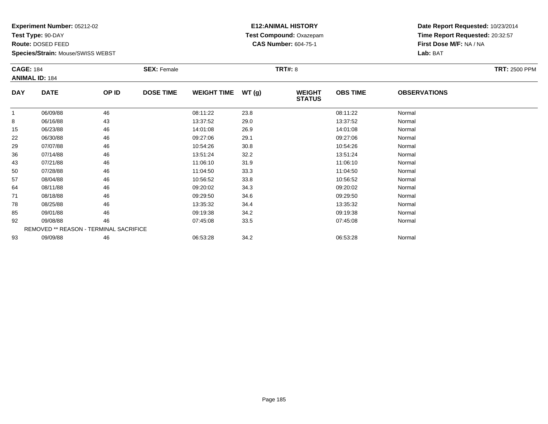**Test Type:** 90-DAY

**Route:** DOSED FEED

**Species/Strain:** Mouse/SWISS WEBST

## **E12:ANIMAL HISTORY Test Compound:** Oxazepam**CAS Number:** 604-75-1

| <b>CAGE: 184</b> |                                        |       | <b>SEX: Female</b> |                    |       | <b>TRT#:</b> 8                 |                 |                     | <b>TRT: 2500 PPM</b> |
|------------------|----------------------------------------|-------|--------------------|--------------------|-------|--------------------------------|-----------------|---------------------|----------------------|
|                  | <b>ANIMAL ID: 184</b>                  |       |                    |                    |       |                                |                 |                     |                      |
| <b>DAY</b>       | <b>DATE</b>                            | OP ID | <b>DOSE TIME</b>   | <b>WEIGHT TIME</b> | WT(g) | <b>WEIGHT</b><br><b>STATUS</b> | <b>OBS TIME</b> | <b>OBSERVATIONS</b> |                      |
|                  | 06/09/88                               | 46    |                    | 08:11:22           | 23.8  |                                | 08:11:22        | Normal              |                      |
| 8                | 06/16/88                               | 43    |                    | 13:37:52           | 29.0  |                                | 13:37:52        | Normal              |                      |
| 15               | 06/23/88                               | 46    |                    | 14:01:08           | 26.9  |                                | 14:01:08        | Normal              |                      |
| 22               | 06/30/88                               | 46    |                    | 09:27:06           | 29.1  |                                | 09:27:06        | Normal              |                      |
| 29               | 07/07/88                               | 46    |                    | 10:54:26           | 30.8  |                                | 10:54:26        | Normal              |                      |
| 36               | 07/14/88                               | 46    |                    | 13:51:24           | 32.2  |                                | 13:51:24        | Normal              |                      |
| 43               | 07/21/88                               | 46    |                    | 11:06:10           | 31.9  |                                | 11:06:10        | Normal              |                      |
| 50               | 07/28/88                               | 46    |                    | 11:04:50           | 33.3  |                                | 11:04:50        | Normal              |                      |
| 57               | 08/04/88                               | 46    |                    | 10:56:52           | 33.8  |                                | 10:56:52        | Normal              |                      |
| 64               | 08/11/88                               | 46    |                    | 09:20:02           | 34.3  |                                | 09:20:02        | Normal              |                      |
| 71               | 08/18/88                               | 46    |                    | 09:29:50           | 34.6  |                                | 09:29:50        | Normal              |                      |
| 78               | 08/25/88                               | 46    |                    | 13:35:32           | 34.4  |                                | 13:35:32        | Normal              |                      |
| 85               | 09/01/88                               | 46    |                    | 09:19:38           | 34.2  |                                | 09:19:38        | Normal              |                      |
| 92               | 09/08/88                               | 46    |                    | 07:45:08           | 33.5  |                                | 07:45:08        | Normal              |                      |
|                  | REMOVED ** REASON - TERMINAL SACRIFICE |       |                    |                    |       |                                |                 |                     |                      |
| 93               | 09/09/88                               | 46    |                    | 06:53:28           | 34.2  |                                | 06:53:28        | Normal              |                      |
|                  |                                        |       |                    |                    |       |                                |                 |                     |                      |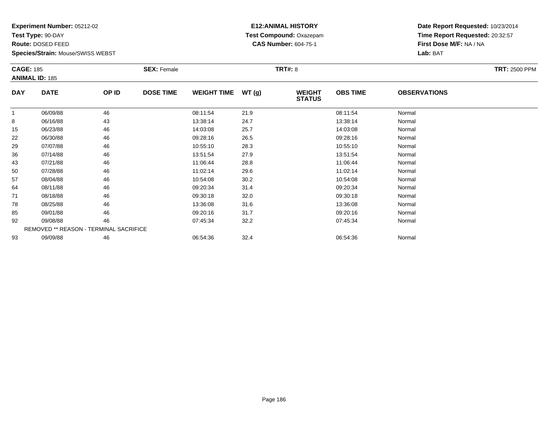**Test Type:** 90-DAY

**Route:** DOSED FEED

**Species/Strain:** Mouse/SWISS WEBST

## **E12:ANIMAL HISTORY Test Compound:** Oxazepam**CAS Number:** 604-75-1

| <b>CAGE: 185</b> | <b>ANIMAL ID: 185</b>                  |       | <b>SEX: Female</b> |                    |       | <b>TRT#: 8</b>                 |                 |                     | <b>TRT: 2500 PPM</b> |
|------------------|----------------------------------------|-------|--------------------|--------------------|-------|--------------------------------|-----------------|---------------------|----------------------|
| <b>DAY</b>       | <b>DATE</b>                            | OP ID | <b>DOSE TIME</b>   | <b>WEIGHT TIME</b> | WT(g) | <b>WEIGHT</b><br><b>STATUS</b> | <b>OBS TIME</b> | <b>OBSERVATIONS</b> |                      |
| $\mathbf{1}$     | 06/09/88                               | 46    |                    | 08:11:54           | 21.9  |                                | 08:11:54        | Normal              |                      |
| 8                | 06/16/88                               | 43    |                    | 13:38:14           | 24.7  |                                | 13:38:14        | Normal              |                      |
| 15               | 06/23/88                               | 46    |                    | 14:03:08           | 25.7  |                                | 14:03:08        | Normal              |                      |
| 22               | 06/30/88                               | 46    |                    | 09:28:16           | 26.5  |                                | 09:28:16        | Normal              |                      |
| 29               | 07/07/88                               | 46    |                    | 10:55:10           | 28.3  |                                | 10:55:10        | Normal              |                      |
| 36               | 07/14/88                               | 46    |                    | 13:51:54           | 27.9  |                                | 13:51:54        | Normal              |                      |
| 43               | 07/21/88                               | 46    |                    | 11:06:44           | 28.8  |                                | 11:06:44        | Normal              |                      |
| 50               | 07/28/88                               | 46    |                    | 11:02:14           | 29.6  |                                | 11:02:14        | Normal              |                      |
| 57               | 08/04/88                               | 46    |                    | 10:54:08           | 30.2  |                                | 10:54:08        | Normal              |                      |
| 64               | 08/11/88                               | 46    |                    | 09:20:34           | 31.4  |                                | 09:20:34        | Normal              |                      |
| 71               | 08/18/88                               | 46    |                    | 09:30:18           | 32.0  |                                | 09:30:18        | Normal              |                      |
| 78               | 08/25/88                               | 46    |                    | 13:36:08           | 31.6  |                                | 13:36:08        | Normal              |                      |
| 85               | 09/01/88                               | 46    |                    | 09:20:16           | 31.7  |                                | 09:20:16        | Normal              |                      |
| 92               | 09/08/88                               | 46    |                    | 07:45:34           | 32.2  |                                | 07:45:34        | Normal              |                      |
|                  | REMOVED ** REASON - TERMINAL SACRIFICE |       |                    |                    |       |                                |                 |                     |                      |
| 93               | 09/09/88                               | 46    |                    | 06:54:36           | 32.4  |                                | 06:54:36        | Normal              |                      |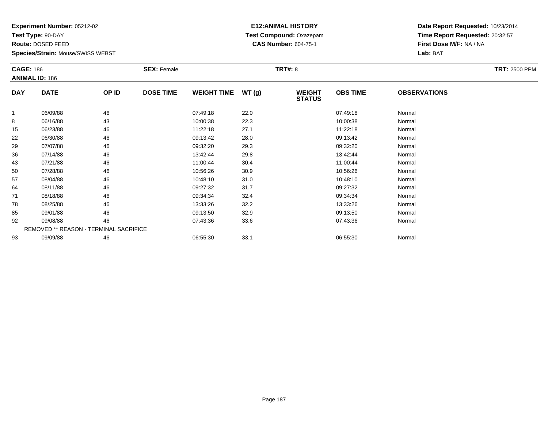**Test Type:** 90-DAY

**Route:** DOSED FEED

**Species/Strain:** Mouse/SWISS WEBST

## **E12:ANIMAL HISTORY Test Compound:** Oxazepam**CAS Number:** 604-75-1

|            | <b>CAGE: 186</b><br><b>ANIMAL ID: 186</b> |       | <b>SEX: Female</b> |                    |       | <b>TRT#: 8</b>                 | <b>TRT: 2500 PPM</b> |                     |  |
|------------|-------------------------------------------|-------|--------------------|--------------------|-------|--------------------------------|----------------------|---------------------|--|
| <b>DAY</b> | <b>DATE</b>                               | OP ID | <b>DOSE TIME</b>   | <b>WEIGHT TIME</b> | WT(g) | <b>WEIGHT</b><br><b>STATUS</b> | <b>OBS TIME</b>      | <b>OBSERVATIONS</b> |  |
|            | 06/09/88                                  | 46    |                    | 07:49:18           | 22.0  |                                | 07:49:18             | Normal              |  |
| 8          | 06/16/88                                  | 43    |                    | 10:00:38           | 22.3  |                                | 10:00:38             | Normal              |  |
| 15         | 06/23/88                                  | 46    |                    | 11:22:18           | 27.1  |                                | 11:22:18             | Normal              |  |
| 22         | 06/30/88                                  | 46    |                    | 09:13:42           | 28.0  |                                | 09:13:42             | Normal              |  |
| 29         | 07/07/88                                  | 46    |                    | 09:32:20           | 29.3  |                                | 09:32:20             | Normal              |  |
| 36         | 07/14/88                                  | 46    |                    | 13:42:44           | 29.8  |                                | 13:42:44             | Normal              |  |
| 43         | 07/21/88                                  | 46    |                    | 11:00:44           | 30.4  |                                | 11:00:44             | Normal              |  |
| 50         | 07/28/88                                  | 46    |                    | 10:56:26           | 30.9  |                                | 10:56:26             | Normal              |  |
| 57         | 08/04/88                                  | 46    |                    | 10:48:10           | 31.0  |                                | 10:48:10             | Normal              |  |
| 64         | 08/11/88                                  | 46    |                    | 09:27:32           | 31.7  |                                | 09:27:32             | Normal              |  |
| 71         | 08/18/88                                  | 46    |                    | 09:34:34           | 32.4  |                                | 09:34:34             | Normal              |  |
| 78         | 08/25/88                                  | 46    |                    | 13:33:26           | 32.2  |                                | 13:33:26             | Normal              |  |
| 85         | 09/01/88                                  | 46    |                    | 09:13:50           | 32.9  |                                | 09:13:50             | Normal              |  |
| 92         | 09/08/88                                  | 46    |                    | 07:43:36           | 33.6  |                                | 07:43:36             | Normal              |  |
|            | REMOVED ** REASON - TERMINAL SACRIFICE    |       |                    |                    |       |                                |                      |                     |  |
| 93         | 09/09/88                                  | 46    |                    | 06:55:30           | 33.1  |                                | 06:55:30             | Normal              |  |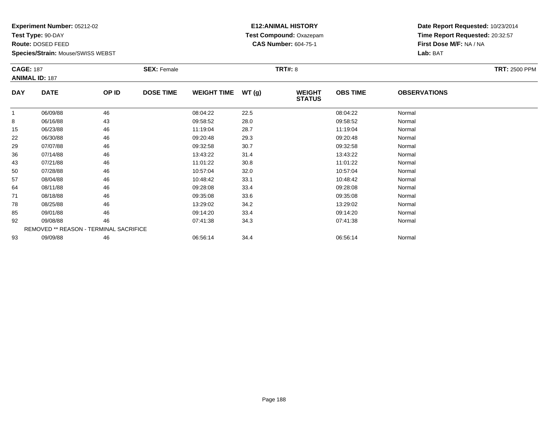**Test Type:** 90-DAY

**Route:** DOSED FEED

**Species/Strain:** Mouse/SWISS WEBST

## **E12:ANIMAL HISTORY Test Compound:** Oxazepam**CAS Number:** 604-75-1

| <b>CAGE: 187</b> | <b>ANIMAL ID: 187</b>                  |       | <b>SEX: Female</b> |                    |       | <b>TRT#: 8</b>                 |                 |                     | <b>TRT: 2500 PPM</b> |
|------------------|----------------------------------------|-------|--------------------|--------------------|-------|--------------------------------|-----------------|---------------------|----------------------|
|                  |                                        |       |                    |                    |       |                                |                 |                     |                      |
| <b>DAY</b>       | <b>DATE</b>                            | OP ID | <b>DOSE TIME</b>   | <b>WEIGHT TIME</b> | WT(g) | <b>WEIGHT</b><br><b>STATUS</b> | <b>OBS TIME</b> | <b>OBSERVATIONS</b> |                      |
| $\overline{1}$   | 06/09/88                               | 46    |                    | 08:04:22           | 22.5  |                                | 08:04:22        | Normal              |                      |
| 8                | 06/16/88                               | 43    |                    | 09:58:52           | 28.0  |                                | 09:58:52        | Normal              |                      |
| 15               | 06/23/88                               | 46    |                    | 11:19:04           | 28.7  |                                | 11:19:04        | Normal              |                      |
| 22               | 06/30/88                               | 46    |                    | 09:20:48           | 29.3  |                                | 09:20:48        | Normal              |                      |
| 29               | 07/07/88                               | 46    |                    | 09:32:58           | 30.7  |                                | 09:32:58        | Normal              |                      |
| 36               | 07/14/88                               | 46    |                    | 13:43:22           | 31.4  |                                | 13:43:22        | Normal              |                      |
| 43               | 07/21/88                               | 46    |                    | 11:01:22           | 30.8  |                                | 11:01:22        | Normal              |                      |
| 50               | 07/28/88                               | 46    |                    | 10:57:04           | 32.0  |                                | 10:57:04        | Normal              |                      |
| 57               | 08/04/88                               | 46    |                    | 10:48:42           | 33.1  |                                | 10:48:42        | Normal              |                      |
| 64               | 08/11/88                               | 46    |                    | 09:28:08           | 33.4  |                                | 09:28:08        | Normal              |                      |
| 71               | 08/18/88                               | 46    |                    | 09:35:08           | 33.6  |                                | 09:35:08        | Normal              |                      |
| 78               | 08/25/88                               | 46    |                    | 13:29:02           | 34.2  |                                | 13:29:02        | Normal              |                      |
| 85               | 09/01/88                               | 46    |                    | 09:14:20           | 33.4  |                                | 09:14:20        | Normal              |                      |
| 92               | 09/08/88                               | 46    |                    | 07:41:38           | 34.3  |                                | 07:41:38        | Normal              |                      |
|                  | REMOVED ** REASON - TERMINAL SACRIFICE |       |                    |                    |       |                                |                 |                     |                      |
| 93               | 09/09/88                               | 46    |                    | 06:56:14           | 34.4  |                                | 06:56:14        | Normal              |                      |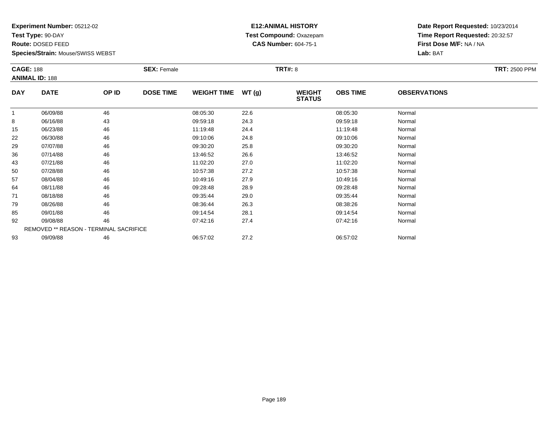**Test Type:** 90-DAY

**Route:** DOSED FEED

**Species/Strain:** Mouse/SWISS WEBST

## **E12:ANIMAL HISTORY Test Compound:** Oxazepam**CAS Number:** 604-75-1

|            | <b>CAGE: 188</b><br><b>ANIMAL ID: 188</b> |       | <b>SEX: Female</b> |                    |       | <b>TRT#: 8</b>                 | <b>TRT: 2500 PPM</b> |                     |  |
|------------|-------------------------------------------|-------|--------------------|--------------------|-------|--------------------------------|----------------------|---------------------|--|
| <b>DAY</b> | <b>DATE</b>                               | OP ID | <b>DOSE TIME</b>   | <b>WEIGHT TIME</b> | WT(g) | <b>WEIGHT</b><br><b>STATUS</b> | <b>OBS TIME</b>      | <b>OBSERVATIONS</b> |  |
|            | 06/09/88                                  | 46    |                    | 08:05:30           | 22.6  |                                | 08:05:30             | Normal              |  |
| 8          | 06/16/88                                  | 43    |                    | 09:59:18           | 24.3  |                                | 09:59:18             | Normal              |  |
| 15         | 06/23/88                                  | 46    |                    | 11:19:48           | 24.4  |                                | 11:19:48             | Normal              |  |
| 22         | 06/30/88                                  | 46    |                    | 09:10:06           | 24.8  |                                | 09:10:06             | Normal              |  |
| 29         | 07/07/88                                  | 46    |                    | 09:30:20           | 25.8  |                                | 09:30:20             | Normal              |  |
| 36         | 07/14/88                                  | 46    |                    | 13:46:52           | 26.6  |                                | 13:46:52             | Normal              |  |
| 43         | 07/21/88                                  | 46    |                    | 11:02:20           | 27.0  |                                | 11:02:20             | Normal              |  |
| 50         | 07/28/88                                  | 46    |                    | 10:57:38           | 27.2  |                                | 10:57:38             | Normal              |  |
| 57         | 08/04/88                                  | 46    |                    | 10:49:16           | 27.9  |                                | 10:49:16             | Normal              |  |
| 64         | 08/11/88                                  | 46    |                    | 09:28:48           | 28.9  |                                | 09:28:48             | Normal              |  |
| 71         | 08/18/88                                  | 46    |                    | 09:35:44           | 29.0  |                                | 09:35:44             | Normal              |  |
| 79         | 08/26/88                                  | 46    |                    | 08:36:44           | 26.3  |                                | 08:38:26             | Normal              |  |
| 85         | 09/01/88                                  | 46    |                    | 09:14:54           | 28.1  |                                | 09:14:54             | Normal              |  |
| 92         | 09/08/88                                  | 46    |                    | 07:42:16           | 27.4  |                                | 07:42:16             | Normal              |  |
|            | REMOVED ** REASON - TERMINAL SACRIFICE    |       |                    |                    |       |                                |                      |                     |  |
| 93         | 09/09/88                                  | 46    |                    | 06:57:02           | 27.2  |                                | 06:57:02             | Normal              |  |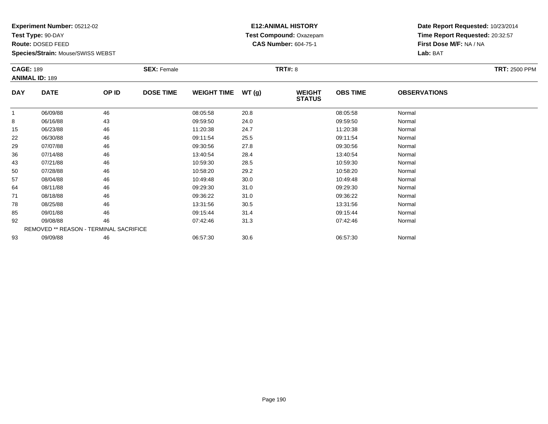**Test Type:** 90-DAY

**Route:** DOSED FEED

**Species/Strain:** Mouse/SWISS WEBST

## **E12:ANIMAL HISTORY Test Compound:** Oxazepam**CAS Number:** 604-75-1

| <b>CAGE: 189</b> | <b>ANIMAL ID: 189</b>                         |       | <b>SEX: Female</b> |                    |       | <b>TRT#: 8</b>                 |                 |                     | <b>TRT: 2500 PPM</b> |
|------------------|-----------------------------------------------|-------|--------------------|--------------------|-------|--------------------------------|-----------------|---------------------|----------------------|
| <b>DAY</b>       | <b>DATE</b>                                   | OP ID | <b>DOSE TIME</b>   | <b>WEIGHT TIME</b> | WT(g) | <b>WEIGHT</b><br><b>STATUS</b> | <b>OBS TIME</b> | <b>OBSERVATIONS</b> |                      |
|                  | 06/09/88                                      | 46    |                    | 08:05:58           | 20.8  |                                | 08:05:58        | Normal              |                      |
| 8                | 06/16/88                                      | 43    |                    | 09:59:50           | 24.0  |                                | 09:59:50        | Normal              |                      |
| 15               | 06/23/88                                      | 46    |                    | 11:20:38           | 24.7  |                                | 11:20:38        | Normal              |                      |
| 22               | 06/30/88                                      | 46    |                    | 09:11:54           | 25.5  |                                | 09:11:54        | Normal              |                      |
| 29               | 07/07/88                                      | 46    |                    | 09:30:56           | 27.8  |                                | 09:30:56        | Normal              |                      |
| 36               | 07/14/88                                      | 46    |                    | 13:40:54           | 28.4  |                                | 13:40:54        | Normal              |                      |
| 43               | 07/21/88                                      | 46    |                    | 10:59:30           | 28.5  |                                | 10:59:30        | Normal              |                      |
| 50               | 07/28/88                                      | 46    |                    | 10:58:20           | 29.2  |                                | 10:58:20        | Normal              |                      |
| 57               | 08/04/88                                      | 46    |                    | 10:49:48           | 30.0  |                                | 10:49:48        | Normal              |                      |
| 64               | 08/11/88                                      | 46    |                    | 09:29:30           | 31.0  |                                | 09:29:30        | Normal              |                      |
| 71               | 08/18/88                                      | 46    |                    | 09:36:22           | 31.0  |                                | 09:36:22        | Normal              |                      |
| 78               | 08/25/88                                      | 46    |                    | 13:31:56           | 30.5  |                                | 13:31:56        | Normal              |                      |
| 85               | 09/01/88                                      | 46    |                    | 09:15:44           | 31.4  |                                | 09:15:44        | Normal              |                      |
| 92               | 09/08/88                                      | 46    |                    | 07:42:46           | 31.3  |                                | 07:42:46        | Normal              |                      |
|                  | <b>REMOVED ** REASON - TERMINAL SACRIFICE</b> |       |                    |                    |       |                                |                 |                     |                      |
| 93               | 09/09/88                                      | 46    |                    | 06:57:30           | 30.6  |                                | 06:57:30        | Normal              |                      |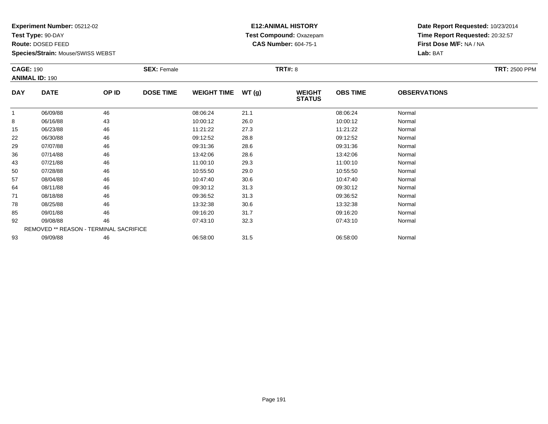**Test Type:** 90-DAY

**Route:** DOSED FEED

**Species/Strain:** Mouse/SWISS WEBST

## **E12:ANIMAL HISTORY Test Compound:** Oxazepam**CAS Number:** 604-75-1

| <b>CAGE: 190</b> | <b>ANIMAL ID: 190</b>                         |       | <b>SEX: Female</b> |                    |       | <b>TRT#: 8</b>                 |                 |                     | <b>TRT: 2500 PPM</b> |
|------------------|-----------------------------------------------|-------|--------------------|--------------------|-------|--------------------------------|-----------------|---------------------|----------------------|
| <b>DAY</b>       | <b>DATE</b>                                   | OP ID | <b>DOSE TIME</b>   | <b>WEIGHT TIME</b> | WT(g) | <b>WEIGHT</b><br><b>STATUS</b> | <b>OBS TIME</b> | <b>OBSERVATIONS</b> |                      |
|                  | 06/09/88                                      | 46    |                    | 08:06:24           | 21.1  |                                | 08:06:24        | Normal              |                      |
| 8                | 06/16/88                                      | 43    |                    | 10:00:12           | 26.0  |                                | 10:00:12        | Normal              |                      |
| 15               | 06/23/88                                      | 46    |                    | 11:21:22           | 27.3  |                                | 11:21:22        | Normal              |                      |
| 22               | 06/30/88                                      | 46    |                    | 09:12:52           | 28.8  |                                | 09:12:52        | Normal              |                      |
| 29               | 07/07/88                                      | 46    |                    | 09:31:36           | 28.6  |                                | 09:31:36        | Normal              |                      |
| 36               | 07/14/88                                      | 46    |                    | 13:42:06           | 28.6  |                                | 13:42:06        | Normal              |                      |
| 43               | 07/21/88                                      | 46    |                    | 11:00:10           | 29.3  |                                | 11:00:10        | Normal              |                      |
| 50               | 07/28/88                                      | 46    |                    | 10:55:50           | 29.0  |                                | 10:55:50        | Normal              |                      |
| 57               | 08/04/88                                      | 46    |                    | 10:47:40           | 30.6  |                                | 10:47:40        | Normal              |                      |
| 64               | 08/11/88                                      | 46    |                    | 09:30:12           | 31.3  |                                | 09:30:12        | Normal              |                      |
| 71               | 08/18/88                                      | 46    |                    | 09:36:52           | 31.3  |                                | 09:36:52        | Normal              |                      |
| 78               | 08/25/88                                      | 46    |                    | 13:32:38           | 30.6  |                                | 13:32:38        | Normal              |                      |
| 85               | 09/01/88                                      | 46    |                    | 09:16:20           | 31.7  |                                | 09:16:20        | Normal              |                      |
| 92               | 09/08/88                                      | 46    |                    | 07:43:10           | 32.3  |                                | 07:43:10        | Normal              |                      |
|                  | <b>REMOVED ** REASON - TERMINAL SACRIFICE</b> |       |                    |                    |       |                                |                 |                     |                      |
| 93               | 09/09/88                                      | 46    |                    | 06:58:00           | 31.5  |                                | 06:58:00        | Normal              |                      |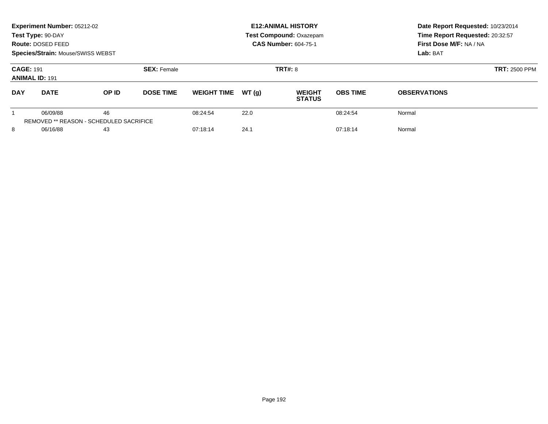|                                                                  | Experiment Number: 05212-02<br>Test Type: 90-DAY<br>Route: DOSED FEED<br><b>Species/Strain: Mouse/SWISS WEBST</b> |       |                              |                    |                | <b>E12: ANIMAL HISTORY</b><br><b>Test Compound: Oxazepam</b><br><b>CAS Number: 604-75-1</b> | Date Report Requested: 10/23/2014<br>Time Report Requested: 20:32:57<br>First Dose M/F: NA / NA<br>Lab: BAT |                     |
|------------------------------------------------------------------|-------------------------------------------------------------------------------------------------------------------|-------|------------------------------|--------------------|----------------|---------------------------------------------------------------------------------------------|-------------------------------------------------------------------------------------------------------------|---------------------|
| <b>CAGE: 191</b><br><b>SEX: Female</b><br><b>ANIMAL ID: 191</b>  |                                                                                                                   |       |                              |                    | <b>TRT#: 8</b> | <b>TRT: 2500 PPM</b>                                                                        |                                                                                                             |                     |
| <b>DAY</b><br><b>DATE</b>                                        |                                                                                                                   | OP ID | <b>DOSE TIME</b>             | <b>WEIGHT TIME</b> | WT(q)          | <b>WEIGHT</b><br><b>STATUS</b>                                                              | <b>OBS TIME</b>                                                                                             | <b>OBSERVATIONS</b> |
| 46<br>06/09/88<br><b>REMOVED ** REASON - SCHEDULED SACRIFICE</b> |                                                                                                                   |       | 08:24:54                     | 22.0               |                | 08:24:54                                                                                    | Normal                                                                                                      |                     |
| 8<br>06/16/88<br>43                                              |                                                                                                                   |       | 24.1<br>07:18:14<br>07:18:14 |                    |                |                                                                                             | Normal                                                                                                      |                     |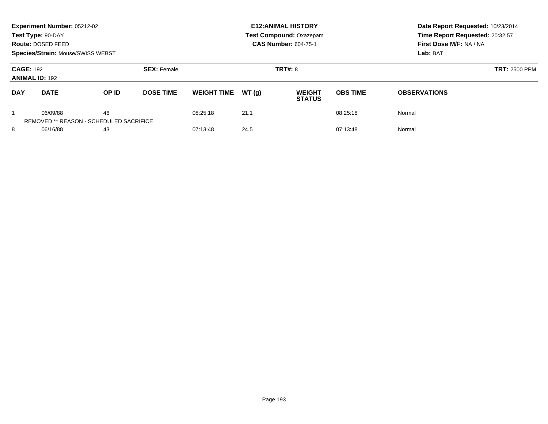|                                                                 | Experiment Number: 05212-02<br>Test Type: 90-DAY<br>Route: DOSED FEED<br><b>Species/Strain: Mouse/SWISS WEBST</b> |                                                      |                  |                    |                | <b>E12: ANIMAL HISTORY</b><br><b>Test Compound: Oxazepam</b><br><b>CAS Number: 604-75-1</b> | Date Report Requested: 10/23/2014<br>Time Report Requested: 20:32:57<br>First Dose M/F: NA / NA<br>Lab: BAT |                     |
|-----------------------------------------------------------------|-------------------------------------------------------------------------------------------------------------------|------------------------------------------------------|------------------|--------------------|----------------|---------------------------------------------------------------------------------------------|-------------------------------------------------------------------------------------------------------------|---------------------|
| <b>CAGE: 192</b><br><b>SEX: Female</b><br><b>ANIMAL ID: 192</b> |                                                                                                                   |                                                      |                  |                    | <b>TRT#: 8</b> | <b>TRT: 2500 PPM</b>                                                                        |                                                                                                             |                     |
| <b>DAY</b>                                                      | <b>DATE</b>                                                                                                       | OP ID                                                | <b>DOSE TIME</b> | <b>WEIGHT TIME</b> | WT(q)          | <b>WEIGHT</b><br><b>STATUS</b>                                                              | <b>OBS TIME</b>                                                                                             | <b>OBSERVATIONS</b> |
|                                                                 | 06/09/88                                                                                                          | 46<br><b>REMOVED ** REASON - SCHEDULED SACRIFICE</b> |                  | 08:25:18           | 21.1           |                                                                                             | 08:25:18                                                                                                    | Normal              |
| 8                                                               | 06/16/88                                                                                                          | 43                                                   |                  | 07:13:48           | 24.5           |                                                                                             | 07:13:48                                                                                                    | Normal              |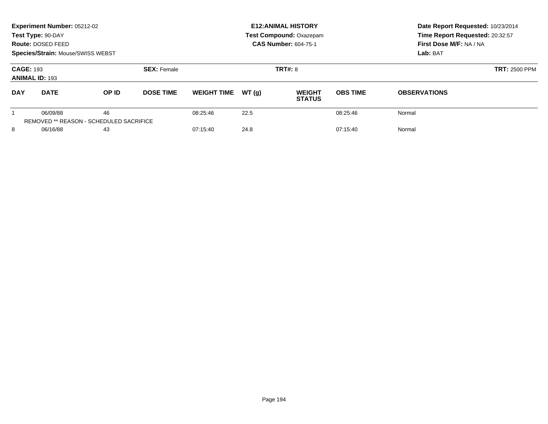|                                           | Experiment Number: 05212-02<br>Test Type: 90-DAY<br>Route: DOSED FEED<br>Species/Strain: Mouse/SWISS WEBST |                                                      |                    |                    |       | <b>E12: ANIMAL HISTORY</b><br><b>Test Compound: Oxazepam</b><br><b>CAS Number: 604-75-1</b> | Date Report Requested: 10/23/2014<br>Time Report Requested: 20:32:57<br>First Dose M/F: NA / NA<br>Lab: BAT |                     |
|-------------------------------------------|------------------------------------------------------------------------------------------------------------|------------------------------------------------------|--------------------|--------------------|-------|---------------------------------------------------------------------------------------------|-------------------------------------------------------------------------------------------------------------|---------------------|
| <b>CAGE: 193</b><br><b>ANIMAL ID: 193</b> |                                                                                                            |                                                      | <b>SEX: Female</b> |                    |       | <b>TRT#: 8</b>                                                                              | <b>TRT: 2500 PPM</b>                                                                                        |                     |
| <b>DAY</b>                                | <b>DATE</b>                                                                                                | OP ID                                                | <b>DOSE TIME</b>   | <b>WEIGHT TIME</b> | WT(q) | <b>WEIGHT</b><br><b>STATUS</b>                                                              | <b>OBS TIME</b>                                                                                             | <b>OBSERVATIONS</b> |
|                                           | 06/09/88                                                                                                   | 46<br><b>REMOVED ** REASON - SCHEDULED SACRIFICE</b> |                    | 08:25:46           | 22.5  |                                                                                             | 08:25:46                                                                                                    | Normal              |
| 8                                         | 06/16/88                                                                                                   | 43                                                   |                    | 07:15:40           | 24.8  |                                                                                             | 07:15:40                                                                                                    | Normal              |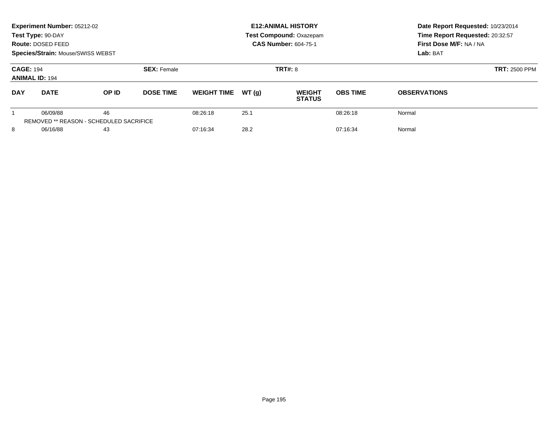|                                           | Experiment Number: 05212-02<br>Test Type: 90-DAY<br>Route: DOSED FEED<br><b>Species/Strain: Mouse/SWISS WEBST</b> |                                                      |                    |                    |       | <b>E12: ANIMAL HISTORY</b><br><b>Test Compound: Oxazepam</b><br><b>CAS Number: 604-75-1</b> | Date Report Requested: 10/23/2014<br>Time Report Requested: 20:32:57<br>First Dose M/F: NA / NA<br>Lab: BAT |                     |
|-------------------------------------------|-------------------------------------------------------------------------------------------------------------------|------------------------------------------------------|--------------------|--------------------|-------|---------------------------------------------------------------------------------------------|-------------------------------------------------------------------------------------------------------------|---------------------|
| <b>CAGE: 194</b><br><b>ANIMAL ID: 194</b> |                                                                                                                   |                                                      | <b>SEX: Female</b> |                    |       | <b>TRT#: 8</b>                                                                              | <b>TRT: 2500 PPM</b>                                                                                        |                     |
| <b>DAY</b>                                | <b>DATE</b>                                                                                                       | OP ID                                                | <b>DOSE TIME</b>   | <b>WEIGHT TIME</b> | WT(q) | <b>WEIGHT</b><br><b>STATUS</b>                                                              | <b>OBS TIME</b>                                                                                             | <b>OBSERVATIONS</b> |
|                                           | 06/09/88                                                                                                          | 46<br><b>REMOVED ** REASON - SCHEDULED SACRIFICE</b> |                    | 08:26:18           | 25.1  |                                                                                             | 08:26:18                                                                                                    | Normal              |
| 8                                         | 06/16/88                                                                                                          | 43                                                   |                    | 07:16:34           | 28.2  |                                                                                             | 07:16:34                                                                                                    | Normal              |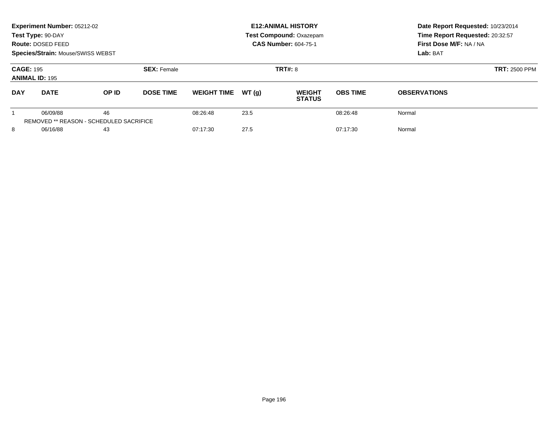|                                           | Experiment Number: 05212-02<br>Test Type: 90-DAY<br>Route: DOSED FEED<br>Species/Strain: Mouse/SWISS WEBST |                                                      |                    |                    |       | <b>E12: ANIMAL HISTORY</b><br><b>Test Compound: Oxazepam</b><br><b>CAS Number: 604-75-1</b> | Date Report Requested: 10/23/2014<br>Time Report Requested: 20:32:57<br>First Dose M/F: NA / NA<br>Lab: BAT |                     |
|-------------------------------------------|------------------------------------------------------------------------------------------------------------|------------------------------------------------------|--------------------|--------------------|-------|---------------------------------------------------------------------------------------------|-------------------------------------------------------------------------------------------------------------|---------------------|
| <b>CAGE: 195</b><br><b>ANIMAL ID: 195</b> |                                                                                                            |                                                      | <b>SEX: Female</b> |                    |       | <b>TRT#: 8</b>                                                                              | <b>TRT: 2500 PPM</b>                                                                                        |                     |
| <b>DAY</b>                                | <b>DATE</b>                                                                                                | OP ID                                                | <b>DOSE TIME</b>   | <b>WEIGHT TIME</b> | WT(q) | <b>WEIGHT</b><br><b>STATUS</b>                                                              | <b>OBS TIME</b>                                                                                             | <b>OBSERVATIONS</b> |
|                                           | 06/09/88                                                                                                   | 46<br><b>REMOVED ** REASON - SCHEDULED SACRIFICE</b> |                    | 08:26:48           | 23.5  |                                                                                             | 08:26:48                                                                                                    | Normal              |
| 8                                         | 06/16/88                                                                                                   | 43                                                   |                    | 07:17:30           | 27.5  |                                                                                             | 07:17:30                                                                                                    | Normal              |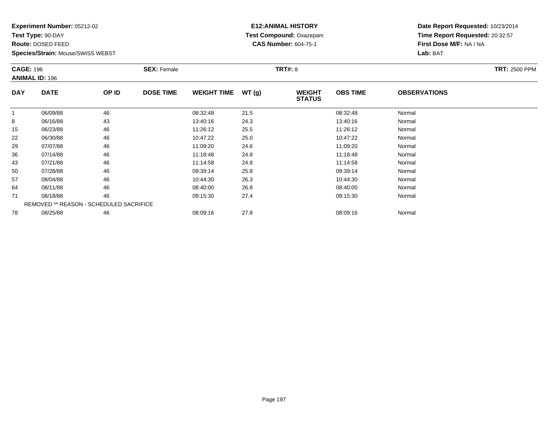**Test Type:** 90-DAY

**Route:** DOSED FEED

**Species/Strain:** Mouse/SWISS WEBST

## **E12:ANIMAL HISTORY Test Compound:** Oxazepam**CAS Number:** 604-75-1

|            | <b>CAGE: 196</b><br><b>ANIMAL ID: 196</b>      |       | <b>SEX: Female</b> |                    |       | <b>TRT#: 8</b>                 |                 | <b>TRT: 2500 PPM</b> |  |
|------------|------------------------------------------------|-------|--------------------|--------------------|-------|--------------------------------|-----------------|----------------------|--|
| <b>DAY</b> | <b>DATE</b>                                    | OP ID | <b>DOSE TIME</b>   | <b>WEIGHT TIME</b> | WT(g) | <b>WEIGHT</b><br><b>STATUS</b> | <b>OBS TIME</b> | <b>OBSERVATIONS</b>  |  |
| 1          | 06/09/88                                       | 46    |                    | 08:32:48           | 21.5  |                                | 08:32:48        | Normal               |  |
| 8          | 06/16/88                                       | 43    |                    | 13:40:16           | 24.3  |                                | 13:40:16        | Normal               |  |
| 15         | 06/23/88                                       | 46    |                    | 11:26:12           | 25.5  |                                | 11:26:12        | Normal               |  |
| 22         | 06/30/88                                       | 46    |                    | 10:47:22           | 25.0  |                                | 10:47:22        | Normal               |  |
| 29         | 07/07/88                                       | 46    |                    | 11:09:20           | 24.6  |                                | 11:09:20        | Normal               |  |
| 36         | 07/14/88                                       | 46    |                    | 11:18:48           | 24.8  |                                | 11:18:48        | Normal               |  |
| 43         | 07/21/88                                       | 46    |                    | 11:14:58           | 24.8  |                                | 11:14:58        | Normal               |  |
| 50         | 07/28/88                                       | 46    |                    | 09:39:14           | 25.8  |                                | 09:39:14        | Normal               |  |
| 57         | 08/04/88                                       | 46    |                    | 10:44:30           | 26.3  |                                | 10:44:30        | Normal               |  |
| 64         | 08/11/88                                       | 46    |                    | 08:40:00           | 26.8  |                                | 08:40:00        | Normal               |  |
| 71         | 08/18/88                                       | 46    |                    | 09:15:30           | 27.4  |                                | 09:15:30        | Normal               |  |
|            | <b>REMOVED ** REASON - SCHEDULED SACRIFICE</b> |       |                    |                    |       |                                |                 |                      |  |
| 78         | 08/25/88                                       | 46    |                    | 08:09:16           | 27.8  |                                | 08:09:16        | Normal               |  |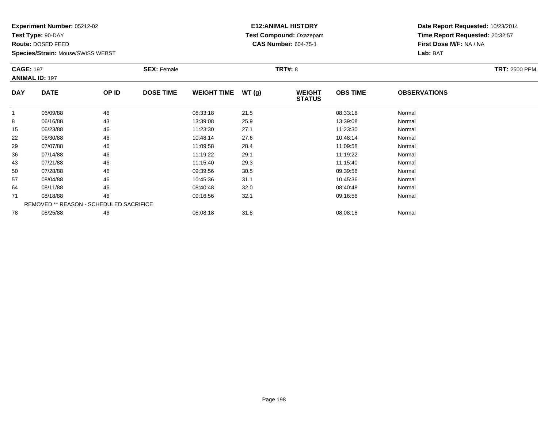**Test Type:** 90-DAY

**Route:** DOSED FEED

**Species/Strain:** Mouse/SWISS WEBST

## **E12:ANIMAL HISTORY Test Compound:** Oxazepam**CAS Number:** 604-75-1

|            | <b>CAGE: 197</b><br><b>ANIMAL ID: 197</b> |       | <b>SEX: Female</b> |                    |       | <b>TRT#: 8</b>                 | <b>TRT: 2500 PPM</b> |                     |  |
|------------|-------------------------------------------|-------|--------------------|--------------------|-------|--------------------------------|----------------------|---------------------|--|
| <b>DAY</b> | <b>DATE</b>                               | OP ID | <b>DOSE TIME</b>   | <b>WEIGHT TIME</b> | WT(g) | <b>WEIGHT</b><br><b>STATUS</b> | <b>OBS TIME</b>      | <b>OBSERVATIONS</b> |  |
| 1          | 06/09/88                                  | 46    |                    | 08:33:18           | 21.5  |                                | 08:33:18             | Normal              |  |
| 8          | 06/16/88                                  | 43    |                    | 13:39:08           | 25.9  |                                | 13:39:08             | Normal              |  |
| 15         | 06/23/88                                  | 46    |                    | 11:23:30           | 27.1  |                                | 11:23:30             | Normal              |  |
| 22         | 06/30/88                                  | 46    |                    | 10:48:14           | 27.6  |                                | 10:48:14             | Normal              |  |
| 29         | 07/07/88                                  | 46    |                    | 11:09:58           | 28.4  |                                | 11:09:58             | Normal              |  |
| 36         | 07/14/88                                  | 46    |                    | 11:19:22           | 29.1  |                                | 11:19:22             | Normal              |  |
| 43         | 07/21/88                                  | 46    |                    | 11:15:40           | 29.3  |                                | 11:15:40             | Normal              |  |
| 50         | 07/28/88                                  | 46    |                    | 09:39:56           | 30.5  |                                | 09:39:56             | Normal              |  |
| 57         | 08/04/88                                  | 46    |                    | 10:45:36           | 31.1  |                                | 10:45:36             | Normal              |  |
| 64         | 08/11/88                                  | 46    |                    | 08:40:48           | 32.0  |                                | 08:40:48             | Normal              |  |
| 71         | 08/18/88                                  | 46    |                    | 09:16:56           | 32.1  |                                | 09:16:56             | Normal              |  |
|            | REMOVED ** REASON - SCHEDULED SACRIFICE   |       |                    |                    |       |                                |                      |                     |  |
| 78         | 08/25/88                                  | 46    |                    | 08:08:18           | 31.8  |                                | 08:08:18             | Normal              |  |
|            |                                           |       |                    |                    |       |                                |                      |                     |  |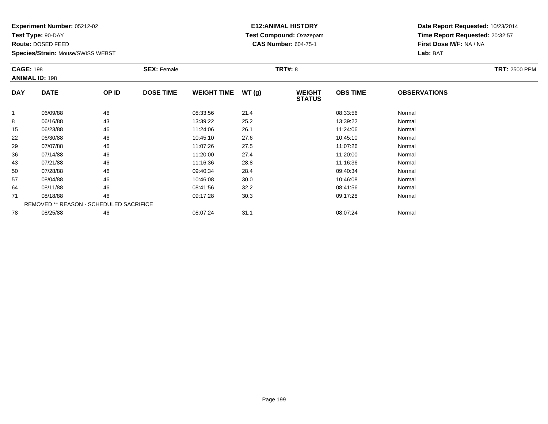**Test Type:** 90-DAY

**Route:** DOSED FEED

**Species/Strain:** Mouse/SWISS WEBST

## **E12:ANIMAL HISTORY Test Compound:** Oxazepam**CAS Number:** 604-75-1

|            | <b>CAGE: 198</b><br><b>ANIMAL ID: 198</b> |       | <b>SEX: Female</b> |                    |       | <b>TRT#: 8</b>                 | <b>TRT: 2500 PPM</b> |                     |  |
|------------|-------------------------------------------|-------|--------------------|--------------------|-------|--------------------------------|----------------------|---------------------|--|
| <b>DAY</b> | <b>DATE</b>                               | OP ID | <b>DOSE TIME</b>   | <b>WEIGHT TIME</b> | WT(g) | <b>WEIGHT</b><br><b>STATUS</b> | <b>OBS TIME</b>      | <b>OBSERVATIONS</b> |  |
| -1         | 06/09/88                                  | 46    |                    | 08:33:56           | 21.4  |                                | 08:33:56             | Normal              |  |
| 8          | 06/16/88                                  | 43    |                    | 13:39:22           | 25.2  |                                | 13:39:22             | Normal              |  |
| 15         | 06/23/88                                  | 46    |                    | 11:24:06           | 26.1  |                                | 11:24:06             | Normal              |  |
| 22         | 06/30/88                                  | 46    |                    | 10:45:10           | 27.6  |                                | 10:45:10             | Normal              |  |
| 29         | 07/07/88                                  | 46    |                    | 11:07:26           | 27.5  |                                | 11:07:26             | Normal              |  |
| 36         | 07/14/88                                  | 46    |                    | 11:20:00           | 27.4  |                                | 11:20:00             | Normal              |  |
| 43         | 07/21/88                                  | 46    |                    | 11:16:36           | 28.8  |                                | 11:16:36             | Normal              |  |
| 50         | 07/28/88                                  | 46    |                    | 09:40:34           | 28.4  |                                | 09:40:34             | Normal              |  |
| 57         | 08/04/88                                  | 46    |                    | 10:46:08           | 30.0  |                                | 10:46:08             | Normal              |  |
| 64         | 08/11/88                                  | 46    |                    | 08:41:56           | 32.2  |                                | 08:41:56             | Normal              |  |
| 71         | 08/18/88                                  | 46    |                    | 09:17:28           | 30.3  |                                | 09:17:28             | Normal              |  |
|            | REMOVED ** REASON - SCHEDULED SACRIFICE   |       |                    |                    |       |                                |                      |                     |  |
| 78         | 08/25/88                                  | 46    |                    | 08:07:24           | 31.1  |                                | 08:07:24             | Normal              |  |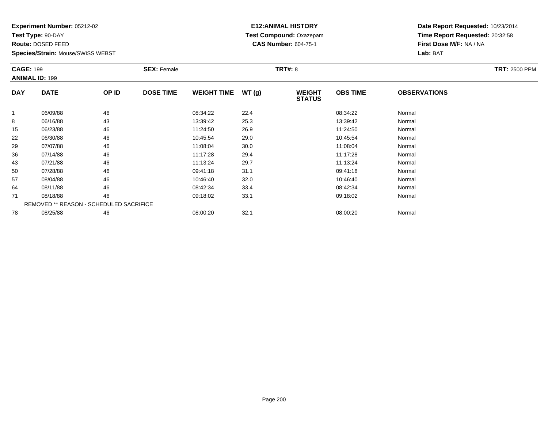**Test Type:** 90-DAY

**Route:** DOSED FEED

**Species/Strain:** Mouse/SWISS WEBST

## **E12:ANIMAL HISTORY Test Compound:** Oxazepam**CAS Number:** 604-75-1

| <b>CAGE: 199</b> | <b>ANIMAL ID: 199</b>                   |       | <b>TRT#: 8</b><br><b>SEX: Female</b> |                    |       |                                |                 |                     | <b>TRT: 2500 PPM</b> |
|------------------|-----------------------------------------|-------|--------------------------------------|--------------------|-------|--------------------------------|-----------------|---------------------|----------------------|
| <b>DAY</b>       | <b>DATE</b>                             | OP ID | <b>DOSE TIME</b>                     | <b>WEIGHT TIME</b> | WT(g) | <b>WEIGHT</b><br><b>STATUS</b> | <b>OBS TIME</b> | <b>OBSERVATIONS</b> |                      |
| 1                | 06/09/88                                | 46    |                                      | 08:34:22           | 22.4  |                                | 08:34:22        | Normal              |                      |
| 8                | 06/16/88                                | 43    |                                      | 13:39:42           | 25.3  |                                | 13:39:42        | Normal              |                      |
| 15               | 06/23/88                                | 46    |                                      | 11:24:50           | 26.9  |                                | 11:24:50        | Normal              |                      |
| 22               | 06/30/88                                | 46    |                                      | 10:45:54           | 29.0  |                                | 10:45:54        | Normal              |                      |
| 29               | 07/07/88                                | 46    |                                      | 11:08:04           | 30.0  |                                | 11:08:04        | Normal              |                      |
| 36               | 07/14/88                                | 46    |                                      | 11:17:28           | 29.4  |                                | 11:17:28        | Normal              |                      |
| 43               | 07/21/88                                | 46    |                                      | 11:13:24           | 29.7  |                                | 11:13:24        | Normal              |                      |
| 50               | 07/28/88                                | 46    |                                      | 09:41:18           | 31.1  |                                | 09:41:18        | Normal              |                      |
| 57               | 08/04/88                                | 46    |                                      | 10:46:40           | 32.0  |                                | 10:46:40        | Normal              |                      |
| 64               | 08/11/88                                | 46    |                                      | 08:42:34           | 33.4  |                                | 08:42:34        | Normal              |                      |
| 71               | 08/18/88                                | 46    |                                      | 09:18:02           | 33.1  |                                | 09:18:02        | Normal              |                      |
|                  | REMOVED ** REASON - SCHEDULED SACRIFICE |       |                                      |                    |       |                                |                 |                     |                      |
| 78               | 08/25/88                                | 46    |                                      | 08:00:20           | 32.1  |                                | 08:00:20        | Normal              |                      |
|                  |                                         |       |                                      |                    |       |                                |                 |                     |                      |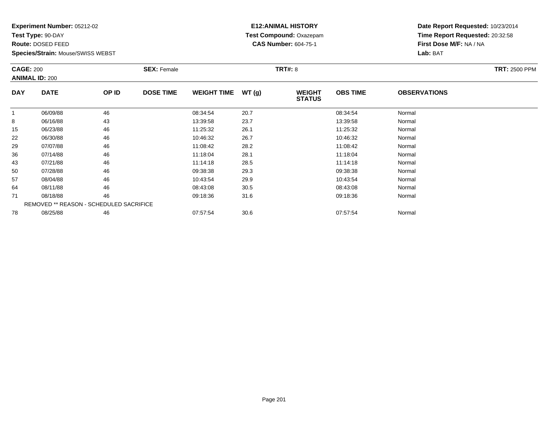**Test Type:** 90-DAY

**Route:** DOSED FEED

**Species/Strain:** Mouse/SWISS WEBST

## **E12:ANIMAL HISTORY Test Compound:** Oxazepam**CAS Number:** 604-75-1

| <b>CAGE: 200</b> | <b>ANIMAL ID: 200</b>                   |       | <b>SEX: Female</b> |                    | <b>TRT: 2500 PPM</b> |                                |                 |                     |  |
|------------------|-----------------------------------------|-------|--------------------|--------------------|----------------------|--------------------------------|-----------------|---------------------|--|
| <b>DAY</b>       | <b>DATE</b>                             | OP ID | <b>DOSE TIME</b>   | <b>WEIGHT TIME</b> | WT(g)                | <b>WEIGHT</b><br><b>STATUS</b> | <b>OBS TIME</b> | <b>OBSERVATIONS</b> |  |
| $\mathbf{1}$     | 06/09/88                                | 46    |                    | 08:34:54           | 20.7                 |                                | 08:34:54        | Normal              |  |
| 8                | 06/16/88                                | 43    |                    | 13:39:58           | 23.7                 |                                | 13:39:58        | Normal              |  |
| 15               | 06/23/88                                | 46    |                    | 11:25:32           | 26.1                 |                                | 11:25:32        | Normal              |  |
| 22               | 06/30/88                                | 46    |                    | 10:46:32           | 26.7                 |                                | 10:46:32        | Normal              |  |
| 29               | 07/07/88                                | 46    |                    | 11:08:42           | 28.2                 |                                | 11:08:42        | Normal              |  |
| 36               | 07/14/88                                | 46    |                    | 11:18:04           | 28.1                 |                                | 11:18:04        | Normal              |  |
| 43               | 07/21/88                                | 46    |                    | 11:14:18           | 28.5                 |                                | 11:14:18        | Normal              |  |
| 50               | 07/28/88                                | 46    |                    | 09:38:38           | 29.3                 |                                | 09:38:38        | Normal              |  |
| 57               | 08/04/88                                | 46    |                    | 10:43:54           | 29.9                 |                                | 10:43:54        | Normal              |  |
| 64               | 08/11/88                                | 46    |                    | 08:43:08           | 30.5                 |                                | 08:43:08        | Normal              |  |
| 71               | 08/18/88                                | 46    |                    | 09:18:36           | 31.6                 |                                | 09:18:36        | Normal              |  |
|                  | REMOVED ** REASON - SCHEDULED SACRIFICE |       |                    |                    |                      |                                |                 |                     |  |
| 78               | 08/25/88                                | 46    |                    | 07:57:54           | 30.6                 |                                | 07:57:54        | Normal              |  |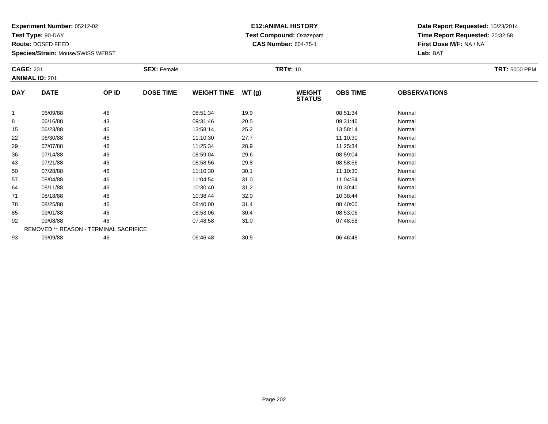**Test Type:** 90-DAY

**Route:** DOSED FEED

**Species/Strain:** Mouse/SWISS WEBST

## **E12:ANIMAL HISTORY Test Compound:** Oxazepam**CAS Number:** 604-75-1

|            | <b>SEX: Female</b><br><b>CAGE: 201</b><br><b>ANIMAL ID: 201</b> |       |                  |                    |       | <b>TRT: 5000 PPM</b>           |                 |                     |  |
|------------|-----------------------------------------------------------------|-------|------------------|--------------------|-------|--------------------------------|-----------------|---------------------|--|
| <b>DAY</b> | <b>DATE</b>                                                     | OP ID | <b>DOSE TIME</b> | <b>WEIGHT TIME</b> | WT(g) | <b>WEIGHT</b><br><b>STATUS</b> | <b>OBS TIME</b> | <b>OBSERVATIONS</b> |  |
| -1         | 06/09/88                                                        | 46    |                  | 08:51:34           | 19.9  |                                | 08:51:34        | Normal              |  |
| 8          | 06/16/88                                                        | 43    |                  | 09:31:46           | 20.5  |                                | 09:31:46        | Normal              |  |
| 15         | 06/23/88                                                        | 46    |                  | 13:58:14           | 25.2  |                                | 13:58:14        | Normal              |  |
| 22         | 06/30/88                                                        | 46    |                  | 11:10:30           | 27.7  |                                | 11:10:30        | Normal              |  |
| 29         | 07/07/88                                                        | 46    |                  | 11:25:34           | 28.9  |                                | 11:25:34        | Normal              |  |
| 36         | 07/14/88                                                        | 46    |                  | 08:59:04           | 29.6  |                                | 08:59:04        | Normal              |  |
| 43         | 07/21/88                                                        | 46    |                  | 08:58:56           | 29.8  |                                | 08:58:56        | Normal              |  |
| 50         | 07/28/88                                                        | 46    |                  | 11:10:30           | 30.1  |                                | 11:10:30        | Normal              |  |
| 57         | 08/04/88                                                        | 46    |                  | 11:04:54           | 31.0  |                                | 11:04:54        | Normal              |  |
| 64         | 08/11/88                                                        | 46    |                  | 10:30:40           | 31.2  |                                | 10:30:40        | Normal              |  |
| 71         | 08/18/88                                                        | 46    |                  | 10:38:44           | 32.0  |                                | 10:38:44        | Normal              |  |
| 78         | 08/25/88                                                        | 46    |                  | 08:40:00           | 31.4  |                                | 08:40:00        | Normal              |  |
| 85         | 09/01/88                                                        | 46    |                  | 08:53:06           | 30.4  |                                | 08:53:06        | Normal              |  |
| 92         | 09/08/88                                                        | 46    |                  | 07:48:58           | 31.0  |                                | 07:48:58        | Normal              |  |
|            | REMOVED ** REASON - TERMINAL SACRIFICE                          |       |                  |                    |       |                                |                 |                     |  |
| 93         | 09/09/88                                                        | 46    |                  | 06:46:48           | 30.5  |                                | 06:46:48        | Normal              |  |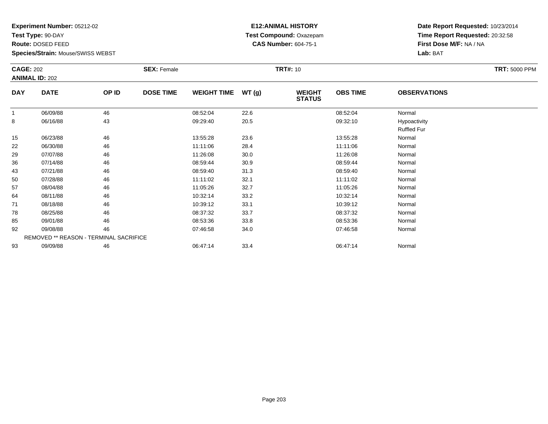**Test Type:** 90-DAY

**Route:** DOSED FEED

**Species/Strain:** Mouse/SWISS WEBST

## **E12:ANIMAL HISTORY Test Compound:** Oxazepam**CAS Number:** 604-75-1

|            | <b>CAGE: 202</b><br><b>ANIMAL ID: 202</b> |       | <b>SEX: Female</b> |                    |       | <b>TRT#: 10</b>                |                 | <b>TRT: 5000 PPM</b>               |  |
|------------|-------------------------------------------|-------|--------------------|--------------------|-------|--------------------------------|-----------------|------------------------------------|--|
| <b>DAY</b> | <b>DATE</b>                               | OP ID | <b>DOSE TIME</b>   | <b>WEIGHT TIME</b> | WT(g) | <b>WEIGHT</b><br><b>STATUS</b> | <b>OBS TIME</b> | <b>OBSERVATIONS</b>                |  |
| -1         | 06/09/88                                  | 46    |                    | 08:52:04           | 22.6  |                                | 08:52:04        | Normal                             |  |
| 8          | 06/16/88                                  | 43    |                    | 09:29:40           | 20.5  |                                | 09:32:10        | Hypoactivity<br><b>Ruffled Fur</b> |  |
| 15         | 06/23/88                                  | 46    |                    | 13:55:28           | 23.6  |                                | 13:55:28        | Normal                             |  |
| 22         | 06/30/88                                  | 46    |                    | 11:11:06           | 28.4  |                                | 11:11:06        | Normal                             |  |
| 29         | 07/07/88                                  | 46    |                    | 11:26:08           | 30.0  |                                | 11:26:08        | Normal                             |  |
| 36         | 07/14/88                                  | 46    |                    | 08:59:44           | 30.9  |                                | 08:59:44        | Normal                             |  |
| 43         | 07/21/88                                  | 46    |                    | 08:59:40           | 31.3  |                                | 08:59:40        | Normal                             |  |
| 50         | 07/28/88                                  | 46    |                    | 11:11:02           | 32.1  |                                | 11:11:02        | Normal                             |  |
| 57         | 08/04/88                                  | 46    |                    | 11:05:26           | 32.7  |                                | 11:05:26        | Normal                             |  |
| 64         | 08/11/88                                  | 46    |                    | 10:32:14           | 33.2  |                                | 10:32:14        | Normal                             |  |
| 71         | 08/18/88                                  | 46    |                    | 10:39:12           | 33.1  |                                | 10:39:12        | Normal                             |  |
| 78         | 08/25/88                                  | 46    |                    | 08:37:32           | 33.7  |                                | 08:37:32        | Normal                             |  |
| 85         | 09/01/88                                  | 46    |                    | 08:53:36           | 33.8  |                                | 08:53:36        | Normal                             |  |
| 92         | 09/08/88                                  | 46    |                    | 07:46:58           | 34.0  |                                | 07:46:58        | Normal                             |  |
|            | REMOVED ** REASON - TERMINAL SACRIFICE    |       |                    |                    |       |                                |                 |                                    |  |
| 93         | 09/09/88                                  | 46    |                    | 06:47:14           | 33.4  |                                | 06:47:14        | Normal                             |  |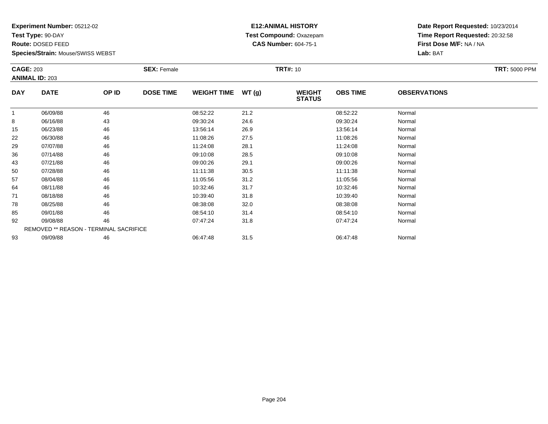**Test Type:** 90-DAY

**Route:** DOSED FEED

**Species/Strain:** Mouse/SWISS WEBST

## **E12:ANIMAL HISTORY Test Compound:** Oxazepam**CAS Number:** 604-75-1

|            | <b>CAGE: 203</b>      |                                        | <b>SEX: Female</b> | <b>TRT#: 10</b>    |       |                                |                 |                     |  |
|------------|-----------------------|----------------------------------------|--------------------|--------------------|-------|--------------------------------|-----------------|---------------------|--|
|            | <b>ANIMAL ID: 203</b> |                                        |                    |                    |       |                                |                 |                     |  |
| <b>DAY</b> | <b>DATE</b>           | OP ID                                  | <b>DOSE TIME</b>   | <b>WEIGHT TIME</b> | WT(g) | <b>WEIGHT</b><br><b>STATUS</b> | <b>OBS TIME</b> | <b>OBSERVATIONS</b> |  |
|            | 06/09/88              | 46                                     |                    | 08:52:22           | 21.2  |                                | 08:52:22        | Normal              |  |
| 8          | 06/16/88              | 43                                     |                    | 09:30:24           | 24.6  |                                | 09:30:24        | Normal              |  |
| 15         | 06/23/88              | 46                                     |                    | 13:56:14           | 26.9  |                                | 13:56:14        | Normal              |  |
| 22         | 06/30/88              | 46                                     |                    | 11:08:26           | 27.5  |                                | 11:08:26        | Normal              |  |
| 29         | 07/07/88              | 46                                     |                    | 11:24:08           | 28.1  |                                | 11:24:08        | Normal              |  |
| 36         | 07/14/88              | 46                                     |                    | 09:10:08           | 28.5  |                                | 09:10:08        | Normal              |  |
| 43         | 07/21/88              | 46                                     |                    | 09:00:26           | 29.1  |                                | 09:00:26        | Normal              |  |
| 50         | 07/28/88              | 46                                     |                    | 11:11:38           | 30.5  |                                | 11:11:38        | Normal              |  |
| 57         | 08/04/88              | 46                                     |                    | 11:05:56           | 31.2  |                                | 11:05:56        | Normal              |  |
| 64         | 08/11/88              | 46                                     |                    | 10:32:46           | 31.7  |                                | 10:32:46        | Normal              |  |
| 71         | 08/18/88              | 46                                     |                    | 10:39:40           | 31.8  |                                | 10:39:40        | Normal              |  |
| 78         | 08/25/88              | 46                                     |                    | 08:38:08           | 32.0  |                                | 08:38:08        | Normal              |  |
| 85         | 09/01/88              | 46                                     |                    | 08:54:10           | 31.4  |                                | 08:54:10        | Normal              |  |
| 92         | 09/08/88              | 46                                     |                    | 07:47:24           | 31.8  |                                | 07:47:24        | Normal              |  |
|            |                       | REMOVED ** REASON - TERMINAL SACRIFICE |                    |                    |       |                                |                 |                     |  |
| 93         | 09/09/88              | 46                                     |                    | 06:47:48           | 31.5  |                                | 06:47:48        | Normal              |  |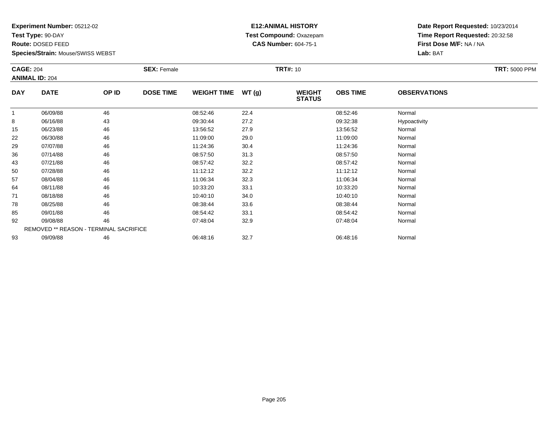**Test Type:** 90-DAY

**Route:** DOSED FEED

**Species/Strain:** Mouse/SWISS WEBST

## **E12:ANIMAL HISTORY Test Compound:** Oxazepam**CAS Number:** 604-75-1

| <b>CAGE: 204</b> |                                        | <b>SEX: Female</b> |                  |                    | <b>TRT#:</b> 10 |                                | <b>TRT: 5000 PPM</b> |                     |  |
|------------------|----------------------------------------|--------------------|------------------|--------------------|-----------------|--------------------------------|----------------------|---------------------|--|
|                  | <b>ANIMAL ID: 204</b>                  |                    |                  |                    |                 |                                |                      |                     |  |
| <b>DAY</b>       | <b>DATE</b>                            | OP ID              | <b>DOSE TIME</b> | <b>WEIGHT TIME</b> | WT(g)           | <b>WEIGHT</b><br><b>STATUS</b> | <b>OBS TIME</b>      | <b>OBSERVATIONS</b> |  |
| 1                | 06/09/88                               | 46                 |                  | 08:52:46           | 22.4            |                                | 08:52:46             | Normal              |  |
| 8                | 06/16/88                               | 43                 |                  | 09:30:44           | 27.2            |                                | 09:32:38             | Hypoactivity        |  |
| 15               | 06/23/88                               | 46                 |                  | 13:56:52           | 27.9            |                                | 13:56:52             | Normal              |  |
| 22               | 06/30/88                               | 46                 |                  | 11:09:00           | 29.0            |                                | 11:09:00             | Normal              |  |
| 29               | 07/07/88                               | 46                 |                  | 11:24:36           | 30.4            |                                | 11:24:36             | Normal              |  |
| 36               | 07/14/88                               | 46                 |                  | 08:57:50           | 31.3            |                                | 08:57:50             | Normal              |  |
| 43               | 07/21/88                               | 46                 |                  | 08:57:42           | 32.2            |                                | 08:57:42             | Normal              |  |
| 50               | 07/28/88                               | 46                 |                  | 11:12:12           | 32.2            |                                | 11:12:12             | Normal              |  |
| 57               | 08/04/88                               | 46                 |                  | 11:06:34           | 32.3            |                                | 11:06:34             | Normal              |  |
| 64               | 08/11/88                               | 46                 |                  | 10:33:20           | 33.1            |                                | 10:33:20             | Normal              |  |
| 71               | 08/18/88                               | 46                 |                  | 10:40:10           | 34.0            |                                | 10:40:10             | Normal              |  |
| 78               | 08/25/88                               | 46                 |                  | 08:38:44           | 33.6            |                                | 08:38:44             | Normal              |  |
| 85               | 09/01/88                               | 46                 |                  | 08:54:42           | 33.1            |                                | 08:54:42             | Normal              |  |
| 92               | 09/08/88                               | 46                 |                  | 07:48:04           | 32.9            |                                | 07:48:04             | Normal              |  |
|                  | REMOVED ** REASON - TERMINAL SACRIFICE |                    |                  |                    |                 |                                |                      |                     |  |
| 93               | 09/09/88                               | 46                 |                  | 06:48:16           | 32.7            |                                | 06:48:16             | Normal              |  |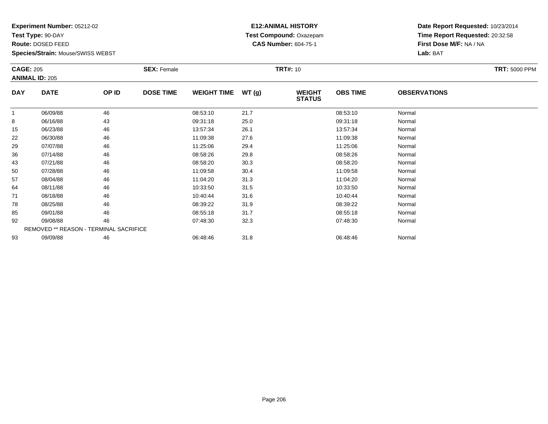**Test Type:** 90-DAY

**Route:** DOSED FEED

**Species/Strain:** Mouse/SWISS WEBST

## **E12:ANIMAL HISTORY Test Compound:** Oxazepam**CAS Number:** 604-75-1

|              | <b>CAGE: 205</b>                       |       | <b>SEX: Female</b> |                    |       | <b>TRT#: 10</b>                | <b>TRT: 5000 PPM</b> |                     |  |
|--------------|----------------------------------------|-------|--------------------|--------------------|-------|--------------------------------|----------------------|---------------------|--|
|              | <b>ANIMAL ID: 205</b>                  |       |                    |                    |       |                                |                      |                     |  |
| <b>DAY</b>   | <b>DATE</b>                            | OP ID | <b>DOSE TIME</b>   | <b>WEIGHT TIME</b> | WT(g) | <b>WEIGHT</b><br><b>STATUS</b> | <b>OBS TIME</b>      | <b>OBSERVATIONS</b> |  |
| $\mathbf{1}$ | 06/09/88                               | 46    |                    | 08:53:10           | 21.7  |                                | 08:53:10             | Normal              |  |
| 8            | 06/16/88                               | 43    |                    | 09:31:18           | 25.0  |                                | 09:31:18             | Normal              |  |
| 15           | 06/23/88                               | 46    |                    | 13:57:34           | 26.1  |                                | 13:57:34             | Normal              |  |
| 22           | 06/30/88                               | 46    |                    | 11:09:38           | 27.6  |                                | 11:09:38             | Normal              |  |
| 29           | 07/07/88                               | 46    |                    | 11:25:06           | 29.4  |                                | 11:25:06             | Normal              |  |
| 36           | 07/14/88                               | 46    |                    | 08:58:26           | 29.8  |                                | 08:58:26             | Normal              |  |
| 43           | 07/21/88                               | 46    |                    | 08:58:20           | 30.3  |                                | 08:58:20             | Normal              |  |
| 50           | 07/28/88                               | 46    |                    | 11:09:58           | 30.4  |                                | 11:09:58             | Normal              |  |
| 57           | 08/04/88                               | 46    |                    | 11:04:20           | 31.3  |                                | 11:04:20             | Normal              |  |
| 64           | 08/11/88                               | 46    |                    | 10:33:50           | 31.5  |                                | 10:33:50             | Normal              |  |
| 71           | 08/18/88                               | 46    |                    | 10:40:44           | 31.6  |                                | 10:40:44             | Normal              |  |
| 78           | 08/25/88                               | 46    |                    | 08:39:22           | 31.9  |                                | 08:39:22             | Normal              |  |
| 85           | 09/01/88                               | 46    |                    | 08:55:18           | 31.7  |                                | 08:55:18             | Normal              |  |
| 92           | 09/08/88                               | 46    |                    | 07:48:30           | 32.3  |                                | 07:48:30             | Normal              |  |
|              | REMOVED ** REASON - TERMINAL SACRIFICE |       |                    |                    |       |                                |                      |                     |  |
| 93           | 09/09/88                               | 46    |                    | 06:48:46           | 31.8  |                                | 06:48:46             | Normal              |  |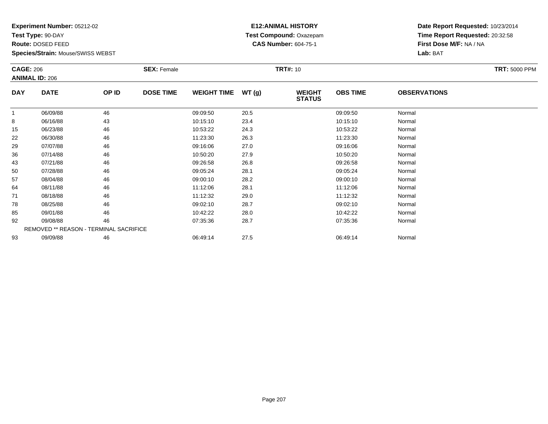**Test Type:** 90-DAY

**Route:** DOSED FEED

**Species/Strain:** Mouse/SWISS WEBST

## **E12:ANIMAL HISTORY Test Compound:** Oxazepam**CAS Number:** 604-75-1

| <b>CAGE: 206</b> |                       | <b>SEX: Female</b>                     |                  |                    | <b>TRT#: 10</b> | <b>TRT: 5000 PPM</b>           |                 |                     |  |
|------------------|-----------------------|----------------------------------------|------------------|--------------------|-----------------|--------------------------------|-----------------|---------------------|--|
|                  | <b>ANIMAL ID: 206</b> |                                        |                  |                    |                 |                                |                 |                     |  |
| <b>DAY</b>       | <b>DATE</b>           | OP ID                                  | <b>DOSE TIME</b> | <b>WEIGHT TIME</b> | WT(g)           | <b>WEIGHT</b><br><b>STATUS</b> | <b>OBS TIME</b> | <b>OBSERVATIONS</b> |  |
| 1                | 06/09/88              | 46                                     |                  | 09:09:50           | 20.5            |                                | 09:09:50        | Normal              |  |
| 8                | 06/16/88              | 43                                     |                  | 10:15:10           | 23.4            |                                | 10:15:10        | Normal              |  |
| 15               | 06/23/88              | 46                                     |                  | 10:53:22           | 24.3            |                                | 10:53:22        | Normal              |  |
| 22               | 06/30/88              | 46                                     |                  | 11:23:30           | 26.3            |                                | 11:23:30        | Normal              |  |
| 29               | 07/07/88              | 46                                     |                  | 09:16:06           | 27.0            |                                | 09:16:06        | Normal              |  |
| 36               | 07/14/88              | 46                                     |                  | 10:50:20           | 27.9            |                                | 10:50:20        | Normal              |  |
| 43               | 07/21/88              | 46                                     |                  | 09:26:58           | 26.8            |                                | 09:26:58        | Normal              |  |
| 50               | 07/28/88              | 46                                     |                  | 09:05:24           | 28.1            |                                | 09:05:24        | Normal              |  |
| 57               | 08/04/88              | 46                                     |                  | 09:00:10           | 28.2            |                                | 09:00:10        | Normal              |  |
| 64               | 08/11/88              | 46                                     |                  | 11:12:06           | 28.1            |                                | 11:12:06        | Normal              |  |
| 71               | 08/18/88              | 46                                     |                  | 11:12:32           | 29.0            |                                | 11:12:32        | Normal              |  |
| 78               | 08/25/88              | 46                                     |                  | 09:02:10           | 28.7            |                                | 09:02:10        | Normal              |  |
| 85               | 09/01/88              | 46                                     |                  | 10:42:22           | 28.0            |                                | 10:42:22        | Normal              |  |
| 92               | 09/08/88              | 46                                     |                  | 07:35:36           | 28.7            |                                | 07:35:36        | Normal              |  |
|                  |                       | REMOVED ** REASON - TERMINAL SACRIFICE |                  |                    |                 |                                |                 |                     |  |
| 93               | 09/09/88              | 46                                     |                  | 06:49:14           | 27.5            |                                | 06:49:14        | Normal              |  |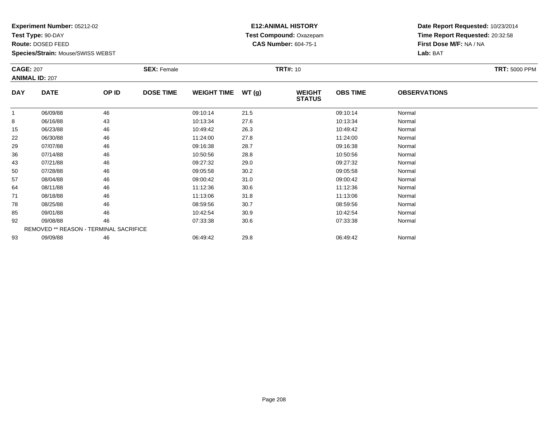**Test Type:** 90-DAY

**Route:** DOSED FEED

**Species/Strain:** Mouse/SWISS WEBST

## **E12:ANIMAL HISTORY Test Compound:** Oxazepam**CAS Number:** 604-75-1

| <b>CAGE: 207</b><br><b>ANIMAL ID: 207</b> |             | <b>SEX: Female</b>                     |                  |                    | <b>TRT#: 10</b> |                                | <b>TRT: 5000 PPM</b> |                     |  |
|-------------------------------------------|-------------|----------------------------------------|------------------|--------------------|-----------------|--------------------------------|----------------------|---------------------|--|
| <b>DAY</b>                                | <b>DATE</b> | OP ID                                  | <b>DOSE TIME</b> | <b>WEIGHT TIME</b> | WT(g)           | <b>WEIGHT</b><br><b>STATUS</b> | <b>OBS TIME</b>      | <b>OBSERVATIONS</b> |  |
| $\mathbf{1}$                              | 06/09/88    | 46                                     |                  | 09:10:14           | 21.5            |                                | 09:10:14             | Normal              |  |
| 8                                         | 06/16/88    | 43                                     |                  | 10:13:34           | 27.6            |                                | 10:13:34             | Normal              |  |
| 15                                        | 06/23/88    | 46                                     |                  | 10:49:42           | 26.3            |                                | 10:49:42             | Normal              |  |
| 22                                        | 06/30/88    | 46                                     |                  | 11:24:00           | 27.8            |                                | 11:24:00             | Normal              |  |
| 29                                        | 07/07/88    | 46                                     |                  | 09:16:38           | 28.7            |                                | 09:16:38             | Normal              |  |
| 36                                        | 07/14/88    | 46                                     |                  | 10:50:56           | 28.8            |                                | 10:50:56             | Normal              |  |
| 43                                        | 07/21/88    | 46                                     |                  | 09:27:32           | 29.0            |                                | 09:27:32             | Normal              |  |
| 50                                        | 07/28/88    | 46                                     |                  | 09:05:58           | 30.2            |                                | 09:05:58             | Normal              |  |
| 57                                        | 08/04/88    | 46                                     |                  | 09:00:42           | 31.0            |                                | 09:00:42             | Normal              |  |
| 64                                        | 08/11/88    | 46                                     |                  | 11:12:36           | 30.6            |                                | 11:12:36             | Normal              |  |
| 71                                        | 08/18/88    | 46                                     |                  | 11:13:06           | 31.8            |                                | 11:13:06             | Normal              |  |
| 78                                        | 08/25/88    | 46                                     |                  | 08:59:56           | 30.7            |                                | 08:59:56             | Normal              |  |
| 85                                        | 09/01/88    | 46                                     |                  | 10:42:54           | 30.9            |                                | 10:42:54             | Normal              |  |
| 92                                        | 09/08/88    | 46                                     |                  | 07:33:38           | 30.6            |                                | 07:33:38             | Normal              |  |
|                                           |             | REMOVED ** REASON - TERMINAL SACRIFICE |                  |                    |                 |                                |                      |                     |  |
| 93                                        | 09/09/88    | 46                                     |                  | 06:49:42           | 29.8            |                                | 06:49:42             | Normal              |  |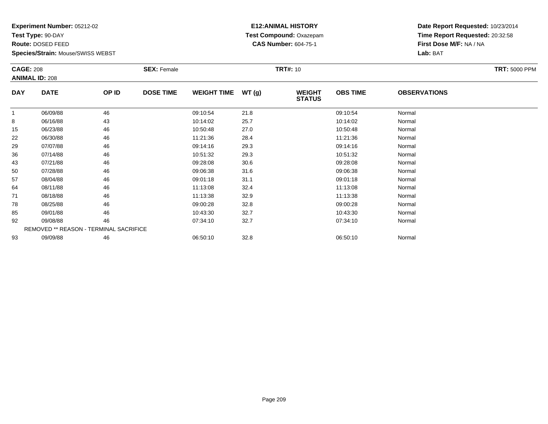**Test Type:** 90-DAY

**Route:** DOSED FEED

**Species/Strain:** Mouse/SWISS WEBST

## **E12:ANIMAL HISTORY Test Compound:** Oxazepam**CAS Number:** 604-75-1

| <b>CAGE: 208</b> |                                        | <b>SEX: Female</b> |                  |                    | <b>TRT#: 10</b> | <b>TRT: 5000 PPM</b>           |                 |                     |  |
|------------------|----------------------------------------|--------------------|------------------|--------------------|-----------------|--------------------------------|-----------------|---------------------|--|
|                  | <b>ANIMAL ID: 208</b>                  |                    |                  |                    |                 |                                |                 |                     |  |
| <b>DAY</b>       | <b>DATE</b>                            | OP ID              | <b>DOSE TIME</b> | <b>WEIGHT TIME</b> | WT(g)           | <b>WEIGHT</b><br><b>STATUS</b> | <b>OBS TIME</b> | <b>OBSERVATIONS</b> |  |
| $\mathbf{1}$     | 06/09/88                               | 46                 |                  | 09:10:54           | 21.8            |                                | 09:10:54        | Normal              |  |
| 8                | 06/16/88                               | 43                 |                  | 10:14:02           | 25.7            |                                | 10:14:02        | Normal              |  |
| 15               | 06/23/88                               | 46                 |                  | 10:50:48           | 27.0            |                                | 10:50:48        | Normal              |  |
| 22               | 06/30/88                               | 46                 |                  | 11:21:36           | 28.4            |                                | 11:21:36        | Normal              |  |
| 29               | 07/07/88                               | 46                 |                  | 09:14:16           | 29.3            |                                | 09:14:16        | Normal              |  |
| 36               | 07/14/88                               | 46                 |                  | 10:51:32           | 29.3            |                                | 10:51:32        | Normal              |  |
| 43               | 07/21/88                               | 46                 |                  | 09:28:08           | 30.6            |                                | 09:28:08        | Normal              |  |
| 50               | 07/28/88                               | 46                 |                  | 09:06:38           | 31.6            |                                | 09:06:38        | Normal              |  |
| 57               | 08/04/88                               | 46                 |                  | 09:01:18           | 31.1            |                                | 09:01:18        | Normal              |  |
| 64               | 08/11/88                               | 46                 |                  | 11:13:08           | 32.4            |                                | 11:13:08        | Normal              |  |
| 71               | 08/18/88                               | 46                 |                  | 11:13:38           | 32.9            |                                | 11:13:38        | Normal              |  |
| 78               | 08/25/88                               | 46                 |                  | 09:00:28           | 32.8            |                                | 09:00:28        | Normal              |  |
| 85               | 09/01/88                               | 46                 |                  | 10:43:30           | 32.7            |                                | 10:43:30        | Normal              |  |
| 92               | 09/08/88                               | 46                 |                  | 07:34:10           | 32.7            |                                | 07:34:10        | Normal              |  |
|                  | REMOVED ** REASON - TERMINAL SACRIFICE |                    |                  |                    |                 |                                |                 |                     |  |
| 93               | 09/09/88                               | 46                 |                  | 06:50:10           | 32.8            |                                | 06:50:10        | Normal              |  |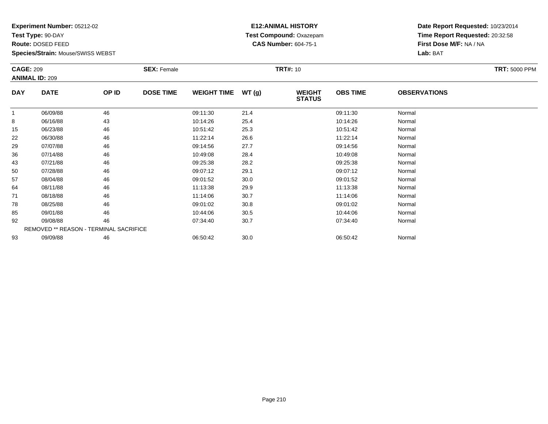**Test Type:** 90-DAY

**Route:** DOSED FEED

**Species/Strain:** Mouse/SWISS WEBST

## **E12:ANIMAL HISTORY Test Compound:** Oxazepam**CAS Number:** 604-75-1

| <b>CAGE: 209</b><br><b>ANIMAL ID: 209</b> |                                        | <b>SEX: Female</b>        |                    |          | <b>TRT#: 10</b>                |                 | <b>TRT: 5000 PPM</b> |        |  |
|-------------------------------------------|----------------------------------------|---------------------------|--------------------|----------|--------------------------------|-----------------|----------------------|--------|--|
| <b>DAY</b>                                | <b>DATE</b>                            | <b>DOSE TIME</b><br>OP ID | <b>WEIGHT TIME</b> | WT(g)    | <b>WEIGHT</b><br><b>STATUS</b> | <b>OBS TIME</b> | <b>OBSERVATIONS</b>  |        |  |
| -1                                        | 06/09/88                               | 46                        |                    | 09:11:30 | 21.4                           |                 | 09:11:30             | Normal |  |
| 8                                         | 06/16/88                               | 43                        |                    | 10:14:26 | 25.4                           |                 | 10:14:26             | Normal |  |
| 15                                        | 06/23/88                               | 46                        |                    | 10:51:42 | 25.3                           |                 | 10:51:42             | Normal |  |
| 22                                        | 06/30/88                               | 46                        |                    | 11:22:14 | 26.6                           |                 | 11:22:14             | Normal |  |
| 29                                        | 07/07/88                               | 46                        |                    | 09:14:56 | 27.7                           |                 | 09:14:56             | Normal |  |
| 36                                        | 07/14/88                               | 46                        |                    | 10:49:08 | 28.4                           |                 | 10:49:08             | Normal |  |
| 43                                        | 07/21/88                               | 46                        |                    | 09:25:38 | 28.2                           |                 | 09:25:38             | Normal |  |
| 50                                        | 07/28/88                               | 46                        |                    | 09:07:12 | 29.1                           |                 | 09:07:12             | Normal |  |
| 57                                        | 08/04/88                               | 46                        |                    | 09:01:52 | 30.0                           |                 | 09:01:52             | Normal |  |
| 64                                        | 08/11/88                               | 46                        |                    | 11:13:38 | 29.9                           |                 | 11:13:38             | Normal |  |
| 71                                        | 08/18/88                               | 46                        |                    | 11:14:06 | 30.7                           |                 | 11:14:06             | Normal |  |
| 78                                        | 08/25/88                               | 46                        |                    | 09:01:02 | 30.8                           |                 | 09:01:02             | Normal |  |
| 85                                        | 09/01/88                               | 46                        |                    | 10:44:06 | 30.5                           |                 | 10:44:06             | Normal |  |
| 92                                        | 09/08/88                               | 46                        |                    | 07:34:40 | 30.7                           |                 | 07:34:40             | Normal |  |
|                                           | REMOVED ** REASON - TERMINAL SACRIFICE |                           |                    |          |                                |                 |                      |        |  |
| 93                                        | 09/09/88                               | 46                        |                    | 06:50:42 | 30.0                           |                 | 06:50:42             | Normal |  |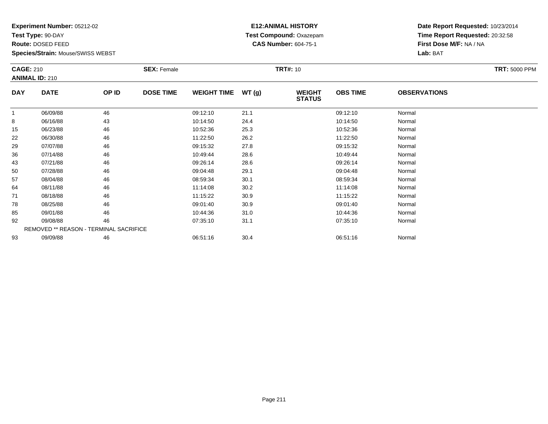**Test Type:** 90-DAY

**Route:** DOSED FEED

**Species/Strain:** Mouse/SWISS WEBST

## **E12:ANIMAL HISTORY Test Compound:** Oxazepam**CAS Number:** 604-75-1

| <b>CAGE: 210</b><br><b>ANIMAL ID: 210</b> |                                        | <b>SEX: Female</b> |                  |                    | <b>TRT#: 10</b> |                                | <b>TRT: 5000 PPM</b> |                     |  |
|-------------------------------------------|----------------------------------------|--------------------|------------------|--------------------|-----------------|--------------------------------|----------------------|---------------------|--|
| <b>DAY</b>                                | <b>DATE</b>                            | OP ID              | <b>DOSE TIME</b> | <b>WEIGHT TIME</b> | WT(g)           | <b>WEIGHT</b><br><b>STATUS</b> | <b>OBS TIME</b>      | <b>OBSERVATIONS</b> |  |
| $\mathbf{1}$                              | 06/09/88                               | 46                 |                  | 09:12:10           | 21.1            |                                | 09:12:10             | Normal              |  |
| 8                                         | 06/16/88                               | 43                 |                  | 10:14:50           | 24.4            |                                | 10:14:50             | Normal              |  |
| 15                                        | 06/23/88                               | 46                 |                  | 10:52:36           | 25.3            |                                | 10:52:36             | Normal              |  |
| 22                                        | 06/30/88                               | 46                 |                  | 11:22:50           | 26.2            |                                | 11:22:50             | Normal              |  |
| 29                                        | 07/07/88                               | 46                 |                  | 09:15:32           | 27.8            |                                | 09:15:32             | Normal              |  |
| 36                                        | 07/14/88                               | 46                 |                  | 10:49:44           | 28.6            |                                | 10:49:44             | Normal              |  |
| 43                                        | 07/21/88                               | 46                 |                  | 09:26:14           | 28.6            |                                | 09:26:14             | Normal              |  |
| 50                                        | 07/28/88                               | 46                 |                  | 09:04:48           | 29.1            |                                | 09:04:48             | Normal              |  |
| 57                                        | 08/04/88                               | 46                 |                  | 08:59:34           | 30.1            |                                | 08:59:34             | Normal              |  |
| 64                                        | 08/11/88                               | 46                 |                  | 11:14:08           | 30.2            |                                | 11:14:08             | Normal              |  |
| 71                                        | 08/18/88                               | 46                 |                  | 11:15:22           | 30.9            |                                | 11:15:22             | Normal              |  |
| 78                                        | 08/25/88                               | 46                 |                  | 09:01:40           | 30.9            |                                | 09:01:40             | Normal              |  |
| 85                                        | 09/01/88                               | 46                 |                  | 10:44:36           | 31.0            |                                | 10:44:36             | Normal              |  |
| 92                                        | 09/08/88                               | 46                 |                  | 07:35:10           | 31.1            |                                | 07:35:10             | Normal              |  |
|                                           | REMOVED ** REASON - TERMINAL SACRIFICE |                    |                  |                    |                 |                                |                      |                     |  |
| 93                                        | 09/09/88                               | 46                 |                  | 06:51:16           | 30.4            |                                | 06:51:16             | Normal              |  |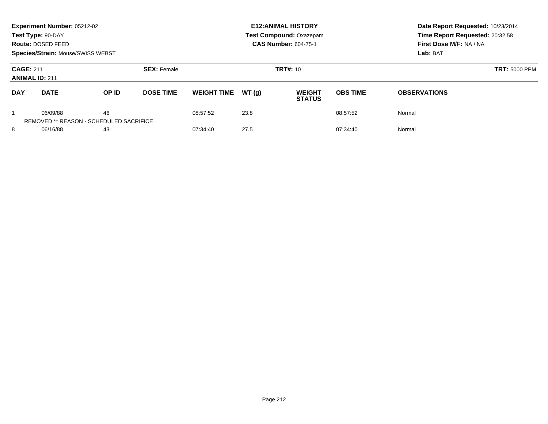| Experiment Number: 05212-02<br>Test Type: 90-DAY<br>Route: DOSED FEED<br><b>Species/Strain: Mouse/SWISS WEBST</b> |             |                                                      |                  |                    |          | <b>E12: ANIMAL HISTORY</b><br><b>Test Compound: Oxazepam</b><br><b>CAS Number: 604-75-1</b> |                 | Date Report Requested: 10/23/2014<br>Time Report Requested: 20:32:58<br>First Dose M/F: NA / NA<br>Lab: BAT |  |
|-------------------------------------------------------------------------------------------------------------------|-------------|------------------------------------------------------|------------------|--------------------|----------|---------------------------------------------------------------------------------------------|-----------------|-------------------------------------------------------------------------------------------------------------|--|
| <b>SEX: Female</b><br><b>CAGE: 211</b><br><b>ANIMAL ID: 211</b>                                                   |             |                                                      |                  |                    | TRT#: 10 | <b>TRT: 5000 PPM</b>                                                                        |                 |                                                                                                             |  |
| <b>DAY</b>                                                                                                        | <b>DATE</b> | OP ID                                                | <b>DOSE TIME</b> | <b>WEIGHT TIME</b> | WT(q)    | <b>WEIGHT</b><br><b>STATUS</b>                                                              | <b>OBS TIME</b> | <b>OBSERVATIONS</b>                                                                                         |  |
|                                                                                                                   | 06/09/88    | 46<br><b>REMOVED ** REASON - SCHEDULED SACRIFICE</b> |                  | 08:57:52           | 23.8     |                                                                                             | 08:57:52        | Normal                                                                                                      |  |
| 8<br>06/16/88<br>43                                                                                               |             |                                                      | 07:34:40         | 27.5               |          | 07:34:40                                                                                    | Normal          |                                                                                                             |  |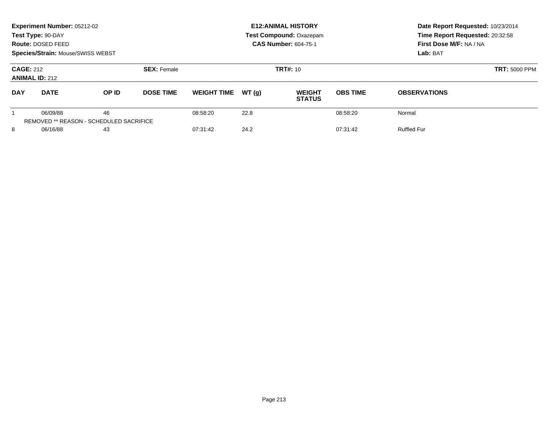| Experiment Number: 05212-02<br>Test Type: 90-DAY<br>Route: DOSED FEED<br>Species/Strain: Mouse/SWISS WEBST |             |                                                      |                  |                    |          | <b>E12: ANIMAL HISTORY</b><br><b>Test Compound: Oxazepam</b><br><b>CAS Number: 604-75-1</b> |                 | Date Report Requested: 10/23/2014<br>Time Report Requested: 20:32:58<br>First Dose M/F: NA / NA<br>Lab: BAT |  |
|------------------------------------------------------------------------------------------------------------|-------------|------------------------------------------------------|------------------|--------------------|----------|---------------------------------------------------------------------------------------------|-----------------|-------------------------------------------------------------------------------------------------------------|--|
| <b>CAGE: 212</b><br><b>SEX: Female</b><br><b>ANIMAL ID: 212</b>                                            |             |                                                      |                  |                    | TRT#: 10 | <b>TRT: 5000 PPM</b>                                                                        |                 |                                                                                                             |  |
| <b>DAY</b>                                                                                                 | <b>DATE</b> | OP ID                                                | <b>DOSE TIME</b> | <b>WEIGHT TIME</b> | WT(q)    | <b>WEIGHT</b><br><b>STATUS</b>                                                              | <b>OBS TIME</b> | <b>OBSERVATIONS</b>                                                                                         |  |
|                                                                                                            | 06/09/88    | 46<br><b>REMOVED ** REASON - SCHEDULED SACRIFICE</b> |                  | 08:58:20           | 22.8     |                                                                                             | 08:58:20        | Normal                                                                                                      |  |
| 8<br>06/16/88<br>43                                                                                        |             | 07:31:42                                             | 24.2             |                    | 07:31:42 | <b>Ruffled Fur</b>                                                                          |                 |                                                                                                             |  |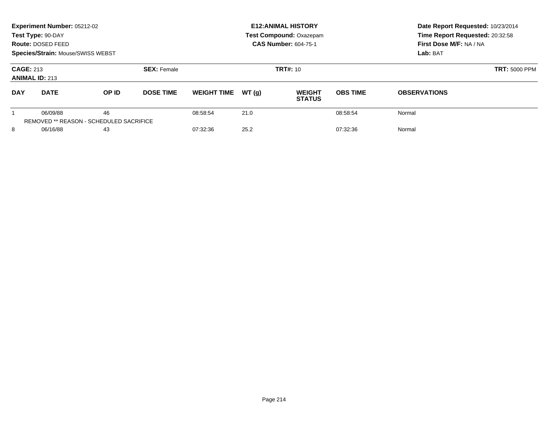|                                                                 | Experiment Number: 05212-02<br>Test Type: 90-DAY<br>Route: DOSED FEED<br><b>Species/Strain: Mouse/SWISS WEBST</b> |                                                      |                  |                    |          | <b>E12: ANIMAL HISTORY</b><br><b>Test Compound: Oxazepam</b><br><b>CAS Number: 604-75-1</b> |                 | Date Report Requested: 10/23/2014<br>Time Report Requested: 20:32:58<br>First Dose M/F: NA / NA<br>Lab: BAT |  |
|-----------------------------------------------------------------|-------------------------------------------------------------------------------------------------------------------|------------------------------------------------------|------------------|--------------------|----------|---------------------------------------------------------------------------------------------|-----------------|-------------------------------------------------------------------------------------------------------------|--|
| <b>SEX: Female</b><br><b>CAGE: 213</b><br><b>ANIMAL ID: 213</b> |                                                                                                                   |                                                      |                  |                    | TRT#: 10 | <b>TRT: 5000 PPM</b>                                                                        |                 |                                                                                                             |  |
| <b>DAY</b>                                                      | <b>DATE</b>                                                                                                       | OP ID                                                | <b>DOSE TIME</b> | <b>WEIGHT TIME</b> | WT(q)    | <b>WEIGHT</b><br><b>STATUS</b>                                                              | <b>OBS TIME</b> | <b>OBSERVATIONS</b>                                                                                         |  |
|                                                                 | 06/09/88                                                                                                          | 46<br><b>REMOVED ** REASON - SCHEDULED SACRIFICE</b> |                  | 08:58:54           | 21.0     |                                                                                             | 08:58:54        | Normal                                                                                                      |  |
| 8<br>06/16/88<br>43                                             |                                                                                                                   |                                                      | 07:32:36         | 25.2               |          | 07:32:36                                                                                    | Normal          |                                                                                                             |  |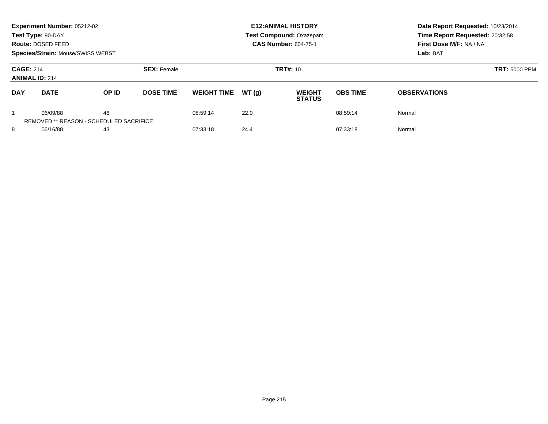|                                           | Experiment Number: 05212-02<br>Test Type: 90-DAY<br>Route: DOSED FEED<br><b>Species/Strain: Mouse/SWISS WEBST</b> |                                                      |                    | <b>E12: ANIMAL HISTORY</b><br>Test Compound: Oxazepam<br><b>CAS Number: 604-75-1</b> |       |                                |                      | Date Report Requested: 10/23/2014<br>Time Report Requested: 20:32:58<br>First Dose M/F: NA / NA<br>Lab: BAT |
|-------------------------------------------|-------------------------------------------------------------------------------------------------------------------|------------------------------------------------------|--------------------|--------------------------------------------------------------------------------------|-------|--------------------------------|----------------------|-------------------------------------------------------------------------------------------------------------|
| <b>CAGE: 214</b><br><b>ANIMAL ID: 214</b> |                                                                                                                   |                                                      | <b>SEX: Female</b> |                                                                                      |       | TRT#: 10                       | <b>TRT: 5000 PPM</b> |                                                                                                             |
| <b>DAY</b>                                | <b>DATE</b>                                                                                                       | OP ID                                                | <b>DOSE TIME</b>   | <b>WEIGHT TIME</b>                                                                   | WT(q) | <b>WEIGHT</b><br><b>STATUS</b> | <b>OBS TIME</b>      | <b>OBSERVATIONS</b>                                                                                         |
|                                           | 06/09/88                                                                                                          | 46<br><b>REMOVED ** REASON - SCHEDULED SACRIFICE</b> |                    | 08:59:14                                                                             | 22.0  |                                | 08:59:14             | Normal                                                                                                      |
| 8<br>06/16/88<br>43                       |                                                                                                                   |                                                      | 07:33:18           | 24.4                                                                                 |       | 07:33:18                       | Normal               |                                                                                                             |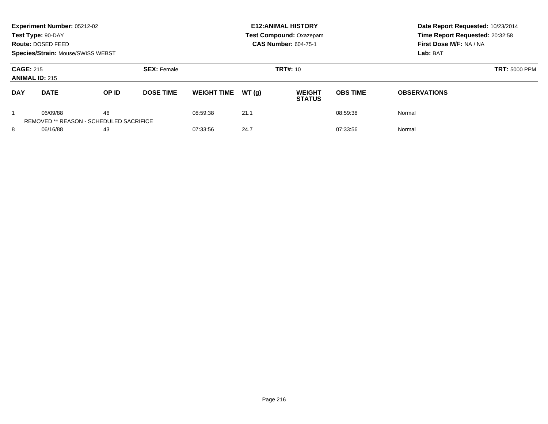| Experiment Number: 05212-02<br>Test Type: 90-DAY<br>Route: DOSED FEED<br><b>Species/Strain: Mouse/SWISS WEBST</b> |             |                                               |                  | <b>E12: ANIMAL HISTORY</b><br>Test Compound: Oxazepam<br><b>CAS Number: 604-75-1</b> |          |                                |                 | Date Report Requested: 10/23/2014<br>Time Report Requested: 20:32:58<br>First Dose M/F: NA / NA<br>Lab: BAT |
|-------------------------------------------------------------------------------------------------------------------|-------------|-----------------------------------------------|------------------|--------------------------------------------------------------------------------------|----------|--------------------------------|-----------------|-------------------------------------------------------------------------------------------------------------|
| <b>CAGE: 215</b><br><b>SEX: Female</b><br><b>ANIMAL ID: 215</b>                                                   |             |                                               |                  |                                                                                      | TRT#: 10 | <b>TRT: 5000 PPM</b>           |                 |                                                                                                             |
| <b>DAY</b>                                                                                                        | <b>DATE</b> | OP ID                                         | <b>DOSE TIME</b> | <b>WEIGHT TIME</b>                                                                   | WT(q)    | <b>WEIGHT</b><br><b>STATUS</b> | <b>OBS TIME</b> | <b>OBSERVATIONS</b>                                                                                         |
|                                                                                                                   | 06/09/88    | 46<br>REMOVED ** REASON - SCHEDULED SACRIFICE |                  | 08:59:38                                                                             | 21.1     |                                | 08:59:38        | Normal                                                                                                      |
| 8<br>06/16/88<br>43                                                                                               |             | 07:33:56                                      | 24.7             |                                                                                      | 07:33:56 | Normal                         |                 |                                                                                                             |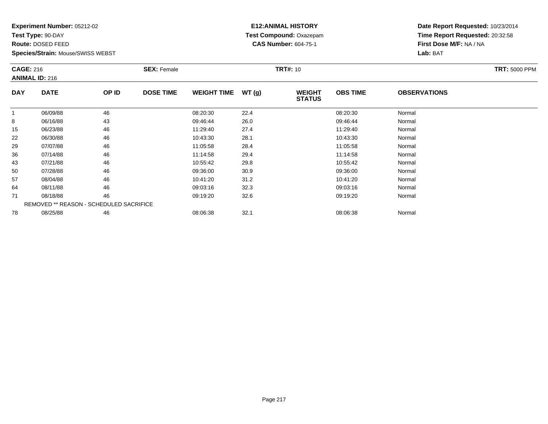**Test Type:** 90-DAY

**Route:** DOSED FEED

**Species/Strain:** Mouse/SWISS WEBST

### **E12:ANIMAL HISTORY Test Compound:** Oxazepam**CAS Number:** 604-75-1

|              | <b>CAGE: 216</b><br><b>ANIMAL ID: 216</b> |       | <b>SEX: Female</b> |                    |       | <b>TRT#: 10</b>                | <b>TRT: 5000 PPM</b> |                     |  |
|--------------|-------------------------------------------|-------|--------------------|--------------------|-------|--------------------------------|----------------------|---------------------|--|
| <b>DAY</b>   | <b>DATE</b>                               | OP ID | <b>DOSE TIME</b>   | <b>WEIGHT TIME</b> | WT(g) | <b>WEIGHT</b><br><b>STATUS</b> | <b>OBS TIME</b>      | <b>OBSERVATIONS</b> |  |
| $\mathbf{1}$ | 06/09/88                                  | 46    |                    | 08:20:30           | 22.4  |                                | 08:20:30             | Normal              |  |
| 8            | 06/16/88                                  | 43    |                    | 09:46:44           | 26.0  |                                | 09:46:44             | Normal              |  |
| 15           | 06/23/88                                  | 46    |                    | 11:29:40           | 27.4  |                                | 11:29:40             | Normal              |  |
| 22           | 06/30/88                                  | 46    |                    | 10:43:30           | 28.1  |                                | 10:43:30             | Normal              |  |
| 29           | 07/07/88                                  | 46    |                    | 11:05:58           | 28.4  |                                | 11:05:58             | Normal              |  |
| 36           | 07/14/88                                  | 46    |                    | 11:14:58           | 29.4  |                                | 11:14:58             | Normal              |  |
| 43           | 07/21/88                                  | 46    |                    | 10:55:42           | 29.8  |                                | 10:55:42             | Normal              |  |
| 50           | 07/28/88                                  | 46    |                    | 09:36:00           | 30.9  |                                | 09:36:00             | Normal              |  |
| 57           | 08/04/88                                  | 46    |                    | 10:41:20           | 31.2  |                                | 10:41:20             | Normal              |  |
| 64           | 08/11/88                                  | 46    |                    | 09:03:16           | 32.3  |                                | 09:03:16             | Normal              |  |
| 71           | 08/18/88                                  | 46    |                    | 09:19:20           | 32.6  |                                | 09:19:20             | Normal              |  |
|              | REMOVED ** REASON - SCHEDULED SACRIFICE   |       |                    |                    |       |                                |                      |                     |  |
| 78           | 08/25/88                                  | 46    |                    | 08:06:38           | 32.1  |                                | 08:06:38             | Normal              |  |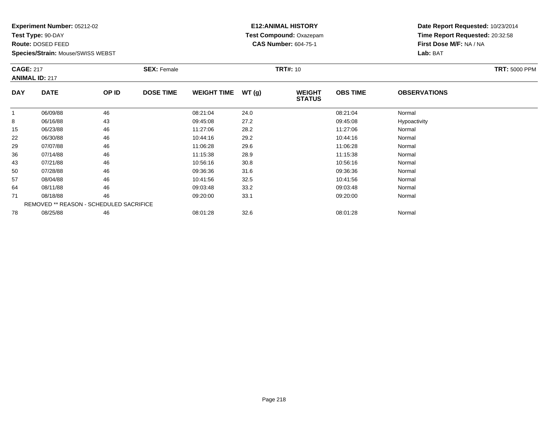**Test Type:** 90-DAY

**Route:** DOSED FEED

**Species/Strain:** Mouse/SWISS WEBST

### **E12:ANIMAL HISTORY Test Compound:** Oxazepam**CAS Number:** 604-75-1

|              | <b>CAGE: 217</b><br><b>ANIMAL ID: 217</b>      |       | <b>SEX: Female</b> |                    |       | <b>TRT#: 10</b>                | <b>TRT: 5000 PPM</b> |                     |  |
|--------------|------------------------------------------------|-------|--------------------|--------------------|-------|--------------------------------|----------------------|---------------------|--|
| <b>DAY</b>   | <b>DATE</b>                                    | OP ID | <b>DOSE TIME</b>   | <b>WEIGHT TIME</b> | WT(g) | <b>WEIGHT</b><br><b>STATUS</b> | <b>OBS TIME</b>      | <b>OBSERVATIONS</b> |  |
| $\mathbf{1}$ | 06/09/88                                       | 46    |                    | 08:21:04           | 24.0  |                                | 08:21:04             | Normal              |  |
| 8            | 06/16/88                                       | 43    |                    | 09:45:08           | 27.2  |                                | 09:45:08             | Hypoactivity        |  |
| 15           | 06/23/88                                       | 46    |                    | 11:27:06           | 28.2  |                                | 11:27:06             | Normal              |  |
| 22           | 06/30/88                                       | 46    |                    | 10:44:16           | 29.2  |                                | 10:44:16             | Normal              |  |
| 29           | 07/07/88                                       | 46    |                    | 11:06:28           | 29.6  |                                | 11:06:28             | Normal              |  |
| 36           | 07/14/88                                       | 46    |                    | 11:15:38           | 28.9  |                                | 11:15:38             | Normal              |  |
| 43           | 07/21/88                                       | 46    |                    | 10:56:16           | 30.8  |                                | 10:56:16             | Normal              |  |
| 50           | 07/28/88                                       | 46    |                    | 09:36:36           | 31.6  |                                | 09:36:36             | Normal              |  |
| 57           | 08/04/88                                       | 46    |                    | 10:41:56           | 32.5  |                                | 10:41:56             | Normal              |  |
| 64           | 08/11/88                                       | 46    |                    | 09:03:48           | 33.2  |                                | 09:03:48             | Normal              |  |
| 71           | 08/18/88                                       | 46    |                    | 09:20:00           | 33.1  |                                | 09:20:00             | Normal              |  |
|              | <b>REMOVED ** REASON - SCHEDULED SACRIFICE</b> |       |                    |                    |       |                                |                      |                     |  |
| 78           | 08/25/88                                       | 46    |                    | 08:01:28           | 32.6  |                                | 08:01:28             | Normal              |  |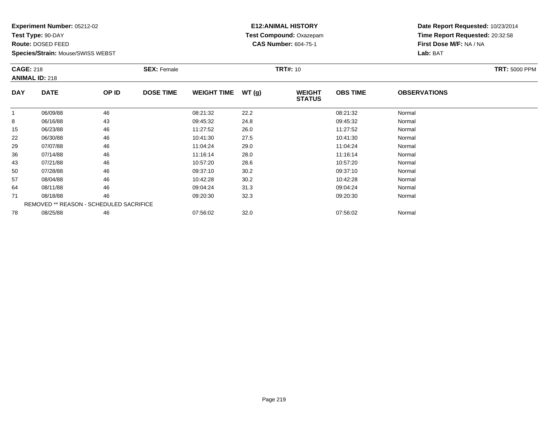**Test Type:** 90-DAY

**Route:** DOSED FEED

**Species/Strain:** Mouse/SWISS WEBST

### **E12:ANIMAL HISTORY Test Compound:** Oxazepam**CAS Number:** 604-75-1

| <b>CAGE: 218</b> | <b>ANIMAL ID: 218</b>                   |       | <b>SEX: Female</b> |                    |       | <b>TRT#: 10</b>                |                 |                     | <b>TRT: 5000 PPM</b> |
|------------------|-----------------------------------------|-------|--------------------|--------------------|-------|--------------------------------|-----------------|---------------------|----------------------|
| <b>DAY</b>       | <b>DATE</b>                             | OP ID | <b>DOSE TIME</b>   | <b>WEIGHT TIME</b> | WT(g) | <b>WEIGHT</b><br><b>STATUS</b> | <b>OBS TIME</b> | <b>OBSERVATIONS</b> |                      |
| $\mathbf{1}$     | 06/09/88                                | 46    |                    | 08:21:32           | 22.2  |                                | 08:21:32        | Normal              |                      |
| 8                | 06/16/88                                | 43    |                    | 09:45:32           | 24.8  |                                | 09:45:32        | Normal              |                      |
| 15               | 06/23/88                                | 46    |                    | 11:27:52           | 26.0  |                                | 11:27:52        | Normal              |                      |
| 22               | 06/30/88                                | 46    |                    | 10:41:30           | 27.5  |                                | 10:41:30        | Normal              |                      |
| 29               | 07/07/88                                | 46    |                    | 11:04:24           | 29.0  |                                | 11:04:24        | Normal              |                      |
| 36               | 07/14/88                                | 46    |                    | 11:16:14           | 28.0  |                                | 11:16:14        | Normal              |                      |
| 43               | 07/21/88                                | 46    |                    | 10:57:20           | 28.6  |                                | 10:57:20        | Normal              |                      |
| 50               | 07/28/88                                | 46    |                    | 09:37:10           | 30.2  |                                | 09:37:10        | Normal              |                      |
| 57               | 08/04/88                                | 46    |                    | 10:42:28           | 30.2  |                                | 10:42:28        | Normal              |                      |
| 64               | 08/11/88                                | 46    |                    | 09:04:24           | 31.3  |                                | 09:04:24        | Normal              |                      |
| 71               | 08/18/88                                | 46    |                    | 09:20:30           | 32.3  |                                | 09:20:30        | Normal              |                      |
|                  | REMOVED ** REASON - SCHEDULED SACRIFICE |       |                    |                    |       |                                |                 |                     |                      |
| 78               | 08/25/88                                | 46    |                    | 07:56:02           | 32.0  |                                | 07:56:02        | Normal              |                      |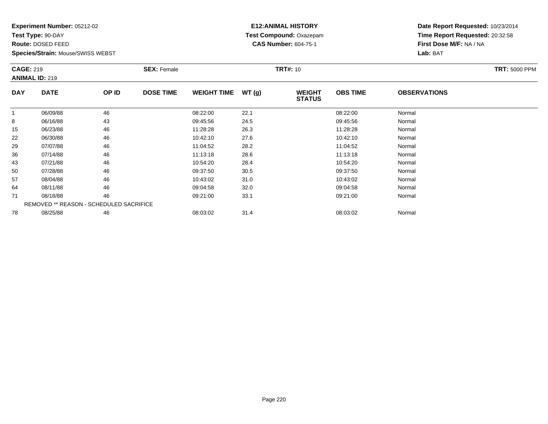**Test Type:** 90-DAY

**Route:** DOSED FEED

**Species/Strain:** Mouse/SWISS WEBST

### **E12:ANIMAL HISTORY Test Compound:** Oxazepam**CAS Number:** 604-75-1

| <b>CAGE: 219</b> | <b>ANIMAL ID: 219</b>                   |       | <b>SEX: Female</b> |                    |       | <b>TRT#: 10</b>                |                 |                     | <b>TRT: 5000 PPM</b> |
|------------------|-----------------------------------------|-------|--------------------|--------------------|-------|--------------------------------|-----------------|---------------------|----------------------|
| <b>DAY</b>       | <b>DATE</b>                             | OP ID | <b>DOSE TIME</b>   | <b>WEIGHT TIME</b> | WT(g) | <b>WEIGHT</b><br><b>STATUS</b> | <b>OBS TIME</b> | <b>OBSERVATIONS</b> |                      |
| $\mathbf{1}$     | 06/09/88                                | 46    |                    | 08:22:00           | 22.1  |                                | 08:22:00        | Normal              |                      |
| 8                | 06/16/88                                | 43    |                    | 09:45:56           | 24.5  |                                | 09:45:56        | Normal              |                      |
| 15               | 06/23/88                                | 46    |                    | 11:28:28           | 26.3  |                                | 11:28:28        | Normal              |                      |
| 22               | 06/30/88                                | 46    |                    | 10:42:10           | 27.6  |                                | 10:42:10        | Normal              |                      |
| 29               | 07/07/88                                | 46    |                    | 11:04:52           | 28.2  |                                | 11:04:52        | Normal              |                      |
| 36               | 07/14/88                                | 46    |                    | 11:13:18           | 28.6  |                                | 11:13:18        | Normal              |                      |
| 43               | 07/21/88                                | 46    |                    | 10:54:20           | 28.4  |                                | 10:54:20        | Normal              |                      |
| 50               | 07/28/88                                | 46    |                    | 09:37:50           | 30.5  |                                | 09:37:50        | Normal              |                      |
| 57               | 08/04/88                                | 46    |                    | 10:43:02           | 31.0  |                                | 10:43:02        | Normal              |                      |
| 64               | 08/11/88                                | 46    |                    | 09:04:58           | 32.0  |                                | 09:04:58        | Normal              |                      |
| 71               | 08/18/88                                | 46    |                    | 09:21:00           | 33.1  |                                | 09:21:00        | Normal              |                      |
|                  | REMOVED ** REASON - SCHEDULED SACRIFICE |       |                    |                    |       |                                |                 |                     |                      |
| 78               | 08/25/88                                | 46    |                    | 08:03:02           | 31.4  |                                | 08:03:02        | Normal              |                      |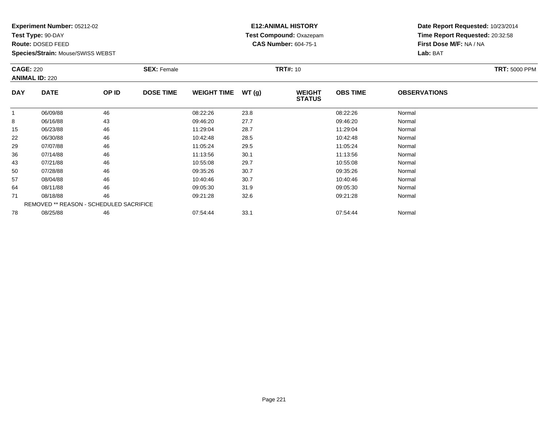**Test Type:** 90-DAY

**Route:** DOSED FEED

**Species/Strain:** Mouse/SWISS WEBST

### **E12:ANIMAL HISTORY Test Compound:** Oxazepam**CAS Number:** 604-75-1

|            | <b>CAGE: 220</b><br><b>ANIMAL ID: 220</b> |       | <b>SEX: Female</b> |                    |       |                                | <b>TRT#: 10</b> |                     |  |  |
|------------|-------------------------------------------|-------|--------------------|--------------------|-------|--------------------------------|-----------------|---------------------|--|--|
| <b>DAY</b> | <b>DATE</b>                               | OP ID | <b>DOSE TIME</b>   | <b>WEIGHT TIME</b> | WT(g) | <b>WEIGHT</b><br><b>STATUS</b> | <b>OBS TIME</b> | <b>OBSERVATIONS</b> |  |  |
| 1          | 06/09/88                                  | 46    |                    | 08:22:26           | 23.8  |                                | 08:22:26        | Normal              |  |  |
| 8          | 06/16/88                                  | 43    |                    | 09:46:20           | 27.7  |                                | 09:46:20        | Normal              |  |  |
| 15         | 06/23/88                                  | 46    |                    | 11:29:04           | 28.7  |                                | 11:29:04        | Normal              |  |  |
| 22         | 06/30/88                                  | 46    |                    | 10:42:48           | 28.5  |                                | 10:42:48        | Normal              |  |  |
| 29         | 07/07/88                                  | 46    |                    | 11:05:24           | 29.5  |                                | 11:05:24        | Normal              |  |  |
| 36         | 07/14/88                                  | 46    |                    | 11:13:56           | 30.1  |                                | 11:13:56        | Normal              |  |  |
| 43         | 07/21/88                                  | 46    |                    | 10:55:08           | 29.7  |                                | 10:55:08        | Normal              |  |  |
| 50         | 07/28/88                                  | 46    |                    | 09:35:26           | 30.7  |                                | 09:35:26        | Normal              |  |  |
| 57         | 08/04/88                                  | 46    |                    | 10:40:46           | 30.7  |                                | 10:40:46        | Normal              |  |  |
| 64         | 08/11/88                                  | 46    |                    | 09:05:30           | 31.9  |                                | 09:05:30        | Normal              |  |  |
| 71         | 08/18/88                                  | 46    |                    | 09:21:28           | 32.6  |                                | 09:21:28        | Normal              |  |  |
|            | REMOVED ** REASON - SCHEDULED SACRIFICE   |       |                    |                    |       |                                |                 |                     |  |  |
| 78         | 08/25/88                                  | 46    |                    | 07:54:44           | 33.1  |                                | 07:54:44        | Normal              |  |  |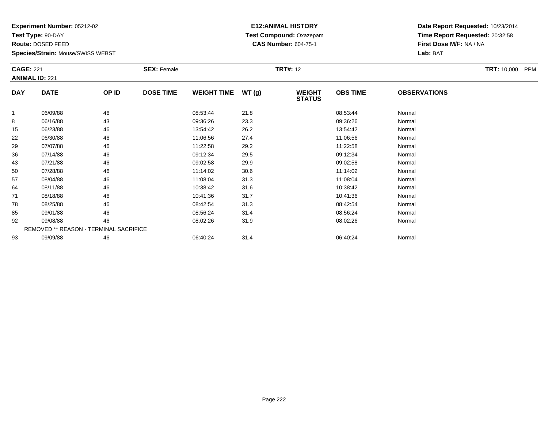**Test Type:** 90-DAY

**Route:** DOSED FEED

**Species/Strain:** Mouse/SWISS WEBST

### **E12:ANIMAL HISTORY Test Compound:** Oxazepam**CAS Number:** 604-75-1

| <b>CAGE: 221</b> | <b>ANIMAL ID: 221</b>                  |       | <b>SEX: Female</b> |                    |       | <b>TRT#: 12</b>                |                 |                     | <b>TRT: 10,000</b><br>PPM |
|------------------|----------------------------------------|-------|--------------------|--------------------|-------|--------------------------------|-----------------|---------------------|---------------------------|
| <b>DAY</b>       | <b>DATE</b>                            | OP ID | <b>DOSE TIME</b>   | <b>WEIGHT TIME</b> | WT(g) | <b>WEIGHT</b><br><b>STATUS</b> | <b>OBS TIME</b> | <b>OBSERVATIONS</b> |                           |
|                  | 06/09/88                               | 46    |                    | 08:53:44           | 21.8  |                                | 08:53:44        | Normal              |                           |
| 8                | 06/16/88                               | 43    |                    | 09:36:26           | 23.3  |                                | 09:36:26        | Normal              |                           |
| 15               | 06/23/88                               | 46    |                    | 13:54:42           | 26.2  |                                | 13:54:42        | Normal              |                           |
| 22               | 06/30/88                               | 46    |                    | 11:06:56           | 27.4  |                                | 11:06:56        | Normal              |                           |
| 29               | 07/07/88                               | 46    |                    | 11:22:58           | 29.2  |                                | 11:22:58        | Normal              |                           |
| 36               | 07/14/88                               | 46    |                    | 09:12:34           | 29.5  |                                | 09:12:34        | Normal              |                           |
| 43               | 07/21/88                               | 46    |                    | 09:02:58           | 29.9  |                                | 09:02:58        | Normal              |                           |
| 50               | 07/28/88                               | 46    |                    | 11:14:02           | 30.6  |                                | 11:14:02        | Normal              |                           |
| 57               | 08/04/88                               | 46    |                    | 11:08:04           | 31.3  |                                | 11:08:04        | Normal              |                           |
| 64               | 08/11/88                               | 46    |                    | 10:38:42           | 31.6  |                                | 10:38:42        | Normal              |                           |
| 71               | 08/18/88                               | 46    |                    | 10:41:36           | 31.7  |                                | 10:41:36        | Normal              |                           |
| 78               | 08/25/88                               | 46    |                    | 08:42:54           | 31.3  |                                | 08:42:54        | Normal              |                           |
| 85               | 09/01/88                               | 46    |                    | 08:56:24           | 31.4  |                                | 08:56:24        | Normal              |                           |
| 92               | 09/08/88                               | 46    |                    | 08:02:26           | 31.9  |                                | 08:02:26        | Normal              |                           |
|                  | REMOVED ** REASON - TERMINAL SACRIFICE |       |                    |                    |       |                                |                 |                     |                           |
| 93               | 09/09/88                               | 46    |                    | 06:40:24           | 31.4  |                                | 06:40:24        | Normal              |                           |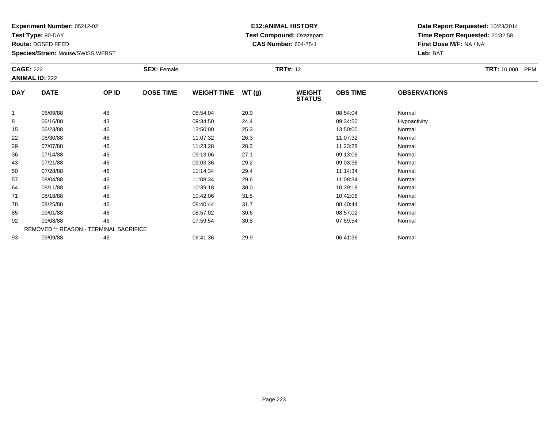**Test Type:** 90-DAY

**Route:** DOSED FEED

**Species/Strain:** Mouse/SWISS WEBST

### **E12:ANIMAL HISTORY Test Compound:** Oxazepam**CAS Number:** 604-75-1

| <b>CAGE: 222</b> | <b>ANIMAL ID: 222</b>                  |       | <b>SEX: Female</b> |                    |       | <b>TRT#: 12</b>                |                 |                     | <b>TRT: 10,000</b><br><b>PPM</b> |
|------------------|----------------------------------------|-------|--------------------|--------------------|-------|--------------------------------|-----------------|---------------------|----------------------------------|
| <b>DAY</b>       | <b>DATE</b>                            | OP ID | <b>DOSE TIME</b>   | <b>WEIGHT TIME</b> | WT(g) | <b>WEIGHT</b><br><b>STATUS</b> | <b>OBS TIME</b> | <b>OBSERVATIONS</b> |                                  |
| 1                | 06/09/88                               | 46    |                    | 08:54:04           | 20.9  |                                | 08:54:04        | Normal              |                                  |
| 8                | 06/16/88                               | 43    |                    | 09:34:50           | 24.4  |                                | 09:34:50        | Hypoactivity        |                                  |
| 15               | 06/23/88                               | 46    |                    | 13:50:00           | 25.2  |                                | 13:50:00        | Normal              |                                  |
| 22               | 06/30/88                               | 46    |                    | 11:07:32           | 26.3  |                                | 11:07:32        | Normal              |                                  |
| 29               | 07/07/88                               | 46    |                    | 11:23:28           | 28.3  |                                | 11:23:28        | Normal              |                                  |
| 36               | 07/14/88                               | 46    |                    | 09:13:06           | 27.1  |                                | 09:13:06        | Normal              |                                  |
| 43               | 07/21/88                               | 46    |                    | 09:03:36           | 29.2  |                                | 09:03:36        | Normal              |                                  |
| 50               | 07/28/88                               | 46    |                    | 11:14:34           | 29.4  |                                | 11:14:34        | Normal              |                                  |
| 57               | 08/04/88                               | 46    |                    | 11:08:34           | 29.6  |                                | 11:08:34        | Normal              |                                  |
| 64               | 08/11/88                               | 46    |                    | 10:39:18           | 30.0  |                                | 10:39:18        | Normal              |                                  |
| 71               | 08/18/88                               | 46    |                    | 10:42:06           | 31.5  |                                | 10:42:06        | Normal              |                                  |
| 78               | 08/25/88                               | 46    |                    | 08:40:44           | 31.7  |                                | 08:40:44        | Normal              |                                  |
| 85               | 09/01/88                               | 46    |                    | 08:57:02           | 30.6  |                                | 08:57:02        | Normal              |                                  |
| 92               | 09/08/88                               | 46    |                    | 07:59:54           | 30.8  |                                | 07:59:54        | Normal              |                                  |
|                  | REMOVED ** REASON - TERMINAL SACRIFICE |       |                    |                    |       |                                |                 |                     |                                  |
| 93               | 09/09/88                               | 46    |                    | 06:41:36           | 29.9  |                                | 06:41:36        | Normal              |                                  |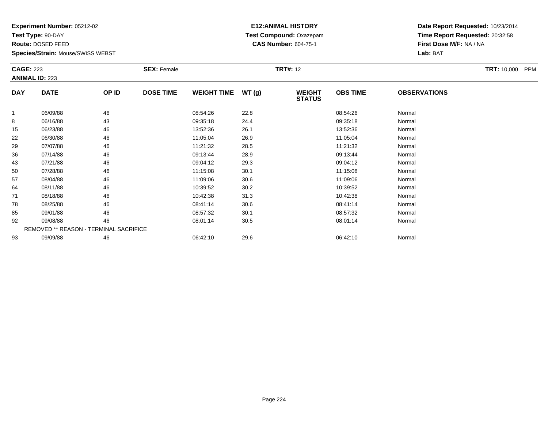**Test Type:** 90-DAY

**Route:** DOSED FEED

**Species/Strain:** Mouse/SWISS WEBST

### **E12:ANIMAL HISTORY Test Compound:** Oxazepam**CAS Number:** 604-75-1

| <b>CAGE: 223</b> | <b>ANIMAL ID: 223</b> |                                        | <b>SEX: Female</b> |                    |       | <b>TRT#: 12</b>                |                 |                     | TRT: 10,000 PPM |
|------------------|-----------------------|----------------------------------------|--------------------|--------------------|-------|--------------------------------|-----------------|---------------------|-----------------|
| <b>DAY</b>       | <b>DATE</b>           | OP ID                                  | <b>DOSE TIME</b>   | <b>WEIGHT TIME</b> | WT(g) | <b>WEIGHT</b><br><b>STATUS</b> | <b>OBS TIME</b> | <b>OBSERVATIONS</b> |                 |
|                  | 06/09/88              | 46                                     |                    | 08:54:26           | 22.8  |                                | 08:54:26        | Normal              |                 |
| 8                | 06/16/88              | 43                                     |                    | 09:35:18           | 24.4  |                                | 09:35:18        | Normal              |                 |
| 15               | 06/23/88              | 46                                     |                    | 13:52:36           | 26.1  |                                | 13:52:36        | Normal              |                 |
| 22               | 06/30/88              | 46                                     |                    | 11:05:04           | 26.9  |                                | 11:05:04        | Normal              |                 |
| 29               | 07/07/88              | 46                                     |                    | 11:21:32           | 28.5  |                                | 11:21:32        | Normal              |                 |
| 36               | 07/14/88              | 46                                     |                    | 09:13:44           | 28.9  |                                | 09:13:44        | Normal              |                 |
| 43               | 07/21/88              | 46                                     |                    | 09:04:12           | 29.3  |                                | 09:04:12        | Normal              |                 |
| 50               | 07/28/88              | 46                                     |                    | 11:15:08           | 30.1  |                                | 11:15:08        | Normal              |                 |
| 57               | 08/04/88              | 46                                     |                    | 11:09:06           | 30.6  |                                | 11:09:06        | Normal              |                 |
| 64               | 08/11/88              | 46                                     |                    | 10:39:52           | 30.2  |                                | 10:39:52        | Normal              |                 |
| 71               | 08/18/88              | 46                                     |                    | 10:42:38           | 31.3  |                                | 10:42:38        | Normal              |                 |
| 78               | 08/25/88              | 46                                     |                    | 08:41:14           | 30.6  |                                | 08:41:14        | Normal              |                 |
| 85               | 09/01/88              | 46                                     |                    | 08:57:32           | 30.1  |                                | 08:57:32        | Normal              |                 |
| 92               | 09/08/88              | 46                                     |                    | 08:01:14           | 30.5  |                                | 08:01:14        | Normal              |                 |
|                  |                       | REMOVED ** REASON - TERMINAL SACRIFICE |                    |                    |       |                                |                 |                     |                 |
| 93               | 09/09/88              | 46                                     |                    | 06:42:10           | 29.6  |                                | 06:42:10        | Normal              |                 |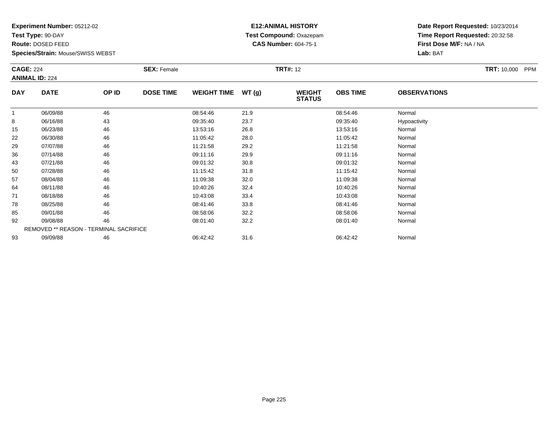**Test Type:** 90-DAY

**Route:** DOSED FEED

**Species/Strain:** Mouse/SWISS WEBST

### **E12:ANIMAL HISTORY Test Compound:** Oxazepam**CAS Number:** 604-75-1

| <b>CAGE: 224</b> | <b>ANIMAL ID: 224</b>                  |       | <b>SEX: Female</b> |                    |       | <b>TRT#: 12</b>                |                 |                     | <b>TRT:</b> 10,000 PPM |
|------------------|----------------------------------------|-------|--------------------|--------------------|-------|--------------------------------|-----------------|---------------------|------------------------|
| <b>DAY</b>       | <b>DATE</b>                            | OP ID | <b>DOSE TIME</b>   | <b>WEIGHT TIME</b> | WT(g) | <b>WEIGHT</b><br><b>STATUS</b> | <b>OBS TIME</b> | <b>OBSERVATIONS</b> |                        |
| $\mathbf{1}$     | 06/09/88                               | 46    |                    | 08:54:46           | 21.9  |                                | 08:54:46        | Normal              |                        |
| 8                | 06/16/88                               | 43    |                    | 09:35:40           | 23.7  |                                | 09:35:40        | Hypoactivity        |                        |
| 15               | 06/23/88                               | 46    |                    | 13:53:16           | 26.8  |                                | 13:53:16        | Normal              |                        |
| 22               | 06/30/88                               | 46    |                    | 11:05:42           | 28.0  |                                | 11:05:42        | Normal              |                        |
| 29               | 07/07/88                               | 46    |                    | 11:21:58           | 29.2  |                                | 11:21:58        | Normal              |                        |
| 36               | 07/14/88                               | 46    |                    | 09:11:16           | 29.9  |                                | 09:11:16        | Normal              |                        |
| 43               | 07/21/88                               | 46    |                    | 09:01:32           | 30.8  |                                | 09:01:32        | Normal              |                        |
| 50               | 07/28/88                               | 46    |                    | 11:15:42           | 31.8  |                                | 11:15:42        | Normal              |                        |
| 57               | 08/04/88                               | 46    |                    | 11:09:38           | 32.0  |                                | 11:09:38        | Normal              |                        |
| 64               | 08/11/88                               | 46    |                    | 10:40:26           | 32.4  |                                | 10:40:26        | Normal              |                        |
| 71               | 08/18/88                               | 46    |                    | 10:43:08           | 33.4  |                                | 10:43:08        | Normal              |                        |
| 78               | 08/25/88                               | 46    |                    | 08:41:46           | 33.8  |                                | 08:41:46        | Normal              |                        |
| 85               | 09/01/88                               | 46    |                    | 08:58:06           | 32.2  |                                | 08:58:06        | Normal              |                        |
| 92               | 09/08/88                               | 46    |                    | 08:01:40           | 32.2  |                                | 08:01:40        | Normal              |                        |
|                  | REMOVED ** REASON - TERMINAL SACRIFICE |       |                    |                    |       |                                |                 |                     |                        |
| 93               | 09/09/88                               | 46    |                    | 06:42:42           | 31.6  |                                | 06:42:42        | Normal              |                        |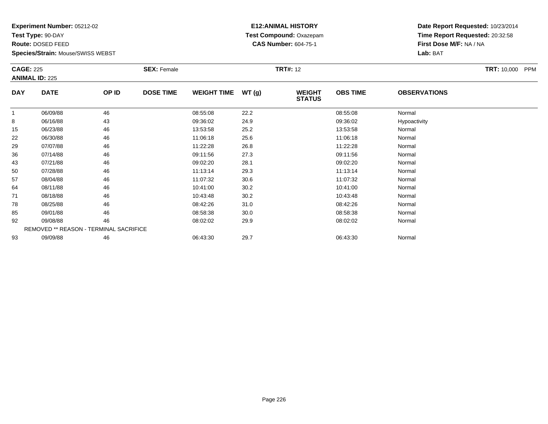**Test Type:** 90-DAY

**Route:** DOSED FEED

**Species/Strain:** Mouse/SWISS WEBST

### **E12:ANIMAL HISTORY Test Compound:** Oxazepam**CAS Number:** 604-75-1

| <b>CAGE: 225</b> | <b>ANIMAL ID: 225</b>                  |       | <b>SEX: Female</b> |                    |       | <b>TRT#: 12</b>                |                 |                     | TRT: 10,000 PPM |
|------------------|----------------------------------------|-------|--------------------|--------------------|-------|--------------------------------|-----------------|---------------------|-----------------|
| <b>DAY</b>       | <b>DATE</b>                            | OP ID | <b>DOSE TIME</b>   | <b>WEIGHT TIME</b> | WT(g) | <b>WEIGHT</b><br><b>STATUS</b> | <b>OBS TIME</b> | <b>OBSERVATIONS</b> |                 |
| 1                | 06/09/88                               | 46    |                    | 08:55:08           | 22.2  |                                | 08:55:08        | Normal              |                 |
| 8                | 06/16/88                               | 43    |                    | 09:36:02           | 24.9  |                                | 09:36:02        | Hypoactivity        |                 |
| 15               | 06/23/88                               | 46    |                    | 13:53:58           | 25.2  |                                | 13:53:58        | Normal              |                 |
| 22               | 06/30/88                               | 46    |                    | 11:06:18           | 25.6  |                                | 11:06:18        | Normal              |                 |
| 29               | 07/07/88                               | 46    |                    | 11:22:28           | 26.8  |                                | 11:22:28        | Normal              |                 |
| 36               | 07/14/88                               | 46    |                    | 09:11:56           | 27.3  |                                | 09:11:56        | Normal              |                 |
| 43               | 07/21/88                               | 46    |                    | 09:02:20           | 28.1  |                                | 09:02:20        | Normal              |                 |
| 50               | 07/28/88                               | 46    |                    | 11:13:14           | 29.3  |                                | 11:13:14        | Normal              |                 |
| 57               | 08/04/88                               | 46    |                    | 11:07:32           | 30.6  |                                | 11:07:32        | Normal              |                 |
| 64               | 08/11/88                               | 46    |                    | 10:41:00           | 30.2  |                                | 10:41:00        | Normal              |                 |
| 71               | 08/18/88                               | 46    |                    | 10:43:48           | 30.2  |                                | 10:43:48        | Normal              |                 |
| 78               | 08/25/88                               | 46    |                    | 08:42:26           | 31.0  |                                | 08:42:26        | Normal              |                 |
| 85               | 09/01/88                               | 46    |                    | 08:58:38           | 30.0  |                                | 08:58:38        | Normal              |                 |
| 92               | 09/08/88                               | 46    |                    | 08:02:02           | 29.9  |                                | 08:02:02        | Normal              |                 |
|                  | REMOVED ** REASON - TERMINAL SACRIFICE |       |                    |                    |       |                                |                 |                     |                 |
| 93               | 09/09/88                               | 46    |                    | 06:43:30           | 29.7  |                                | 06:43:30        | Normal              |                 |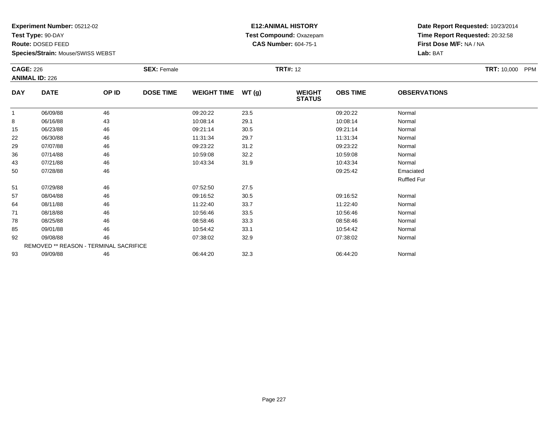**Test Type:** 90-DAY

**Route:** DOSED FEED

**Species/Strain:** Mouse/SWISS WEBST

### **E12:ANIMAL HISTORY Test Compound:** Oxazepam**CAS Number:** 604-75-1

| <b>CAGE: 226</b> |                                        |       | <b>SEX: Female</b> |                    |       | <b>TRT#: 12</b>                |                 |                     | <b>TRT:</b> 10,000 PPM |
|------------------|----------------------------------------|-------|--------------------|--------------------|-------|--------------------------------|-----------------|---------------------|------------------------|
|                  | <b>ANIMAL ID: 226</b>                  |       |                    |                    |       |                                |                 |                     |                        |
| <b>DAY</b>       | <b>DATE</b>                            | OP ID | <b>DOSE TIME</b>   | <b>WEIGHT TIME</b> | WT(g) | <b>WEIGHT</b><br><b>STATUS</b> | <b>OBS TIME</b> | <b>OBSERVATIONS</b> |                        |
|                  | 06/09/88                               | 46    |                    | 09:20:22           | 23.5  |                                | 09:20:22        | Normal              |                        |
| 8                | 06/16/88                               | 43    |                    | 10:08:14           | 29.1  |                                | 10:08:14        | Normal              |                        |
| 15               | 06/23/88                               | 46    |                    | 09:21:14           | 30.5  |                                | 09:21:14        | Normal              |                        |
| 22               | 06/30/88                               | 46    |                    | 11:31:34           | 29.7  |                                | 11:31:34        | Normal              |                        |
| 29               | 07/07/88                               | 46    |                    | 09:23:22           | 31.2  |                                | 09:23:22        | Normal              |                        |
| 36               | 07/14/88                               | 46    |                    | 10:59:08           | 32.2  |                                | 10:59:08        | Normal              |                        |
| 43               | 07/21/88                               | 46    |                    | 10:43:34           | 31.9  |                                | 10:43:34        | Normal              |                        |
| 50               | 07/28/88                               | 46    |                    |                    |       |                                | 09:25:42        | Emaciated           |                        |
|                  |                                        |       |                    |                    |       |                                |                 | <b>Ruffled Fur</b>  |                        |
| 51               | 07/29/88                               | 46    |                    | 07:52:50           | 27.5  |                                |                 |                     |                        |
| 57               | 08/04/88                               | 46    |                    | 09:16:52           | 30.5  |                                | 09:16:52        | Normal              |                        |
| 64               | 08/11/88                               | 46    |                    | 11:22:40           | 33.7  |                                | 11:22:40        | Normal              |                        |
| 71               | 08/18/88                               | 46    |                    | 10:56:46           | 33.5  |                                | 10:56:46        | Normal              |                        |
| 78               | 08/25/88                               | 46    |                    | 08:58:46           | 33.3  |                                | 08:58:46        | Normal              |                        |
| 85               | 09/01/88                               | 46    |                    | 10:54:42           | 33.1  |                                | 10:54:42        | Normal              |                        |
| 92               | 09/08/88                               | 46    |                    | 07:38:02           | 32.9  |                                | 07:38:02        | Normal              |                        |
|                  | REMOVED ** REASON - TERMINAL SACRIFICE |       |                    |                    |       |                                |                 |                     |                        |
| 93               | 09/09/88                               | 46    |                    | 06:44:20           | 32.3  |                                | 06:44:20        | Normal              |                        |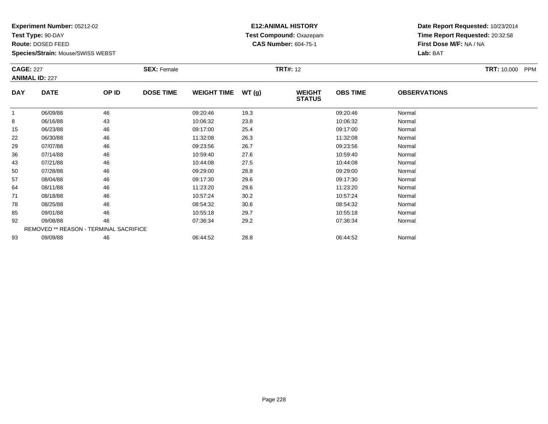**Test Type:** 90-DAY

**Route:** DOSED FEED

**Species/Strain:** Mouse/SWISS WEBST

### **E12:ANIMAL HISTORY Test Compound:** Oxazepam**CAS Number:** 604-75-1

| <b>CAGE: 227</b> | <b>ANIMAL ID: 227</b> |                                        | <b>SEX: Female</b> |                    |      | <b>TRT#: 12</b>                |                 |                     | <b>TRT: 10,000</b><br>PPM |
|------------------|-----------------------|----------------------------------------|--------------------|--------------------|------|--------------------------------|-----------------|---------------------|---------------------------|
| <b>DAY</b>       | <b>DATE</b>           | OP ID                                  | <b>DOSE TIME</b>   | WEIGHT TIME WT (g) |      | <b>WEIGHT</b><br><b>STATUS</b> | <b>OBS TIME</b> | <b>OBSERVATIONS</b> |                           |
|                  | 06/09/88              | 46                                     |                    | 09:20:46           | 19.3 |                                | 09:20:46        | Normal              |                           |
| 8                | 06/16/88              | 43                                     |                    | 10:06:32           | 23.8 |                                | 10:06:32        | Normal              |                           |
| 15               | 06/23/88              | 46                                     |                    | 09:17:00           | 25.4 |                                | 09:17:00        | Normal              |                           |
| 22               | 06/30/88              | 46                                     |                    | 11:32:08           | 26.3 |                                | 11:32:08        | Normal              |                           |
| 29               | 07/07/88              | 46                                     |                    | 09:23:56           | 26.7 |                                | 09:23:56        | Normal              |                           |
| 36               | 07/14/88              | 46                                     |                    | 10:59:40           | 27.6 |                                | 10:59:40        | Normal              |                           |
| 43               | 07/21/88              | 46                                     |                    | 10:44:08           | 27.5 |                                | 10:44:08        | Normal              |                           |
| 50               | 07/28/88              | 46                                     |                    | 09:29:00           | 28.8 |                                | 09:29:00        | Normal              |                           |
| 57               | 08/04/88              | 46                                     |                    | 09:17:30           | 29.6 |                                | 09:17:30        | Normal              |                           |
| 64               | 08/11/88              | 46                                     |                    | 11:23:20           | 29.6 |                                | 11:23:20        | Normal              |                           |
| 71               | 08/18/88              | 46                                     |                    | 10:57:24           | 30.2 |                                | 10:57:24        | Normal              |                           |
| 78               | 08/25/88              | 46                                     |                    | 08:54:32           | 30.6 |                                | 08:54:32        | Normal              |                           |
| 85               | 09/01/88              | 46                                     |                    | 10:55:18           | 29.7 |                                | 10:55:18        | Normal              |                           |
| 92               | 09/08/88              | 46                                     |                    | 07:36:34           | 29.2 |                                | 07:36:34        | Normal              |                           |
|                  |                       | REMOVED ** REASON - TERMINAL SACRIFICE |                    |                    |      |                                |                 |                     |                           |
| 93               | 09/09/88              | 46                                     |                    | 06:44:52           | 28.8 |                                | 06:44:52        | Normal              |                           |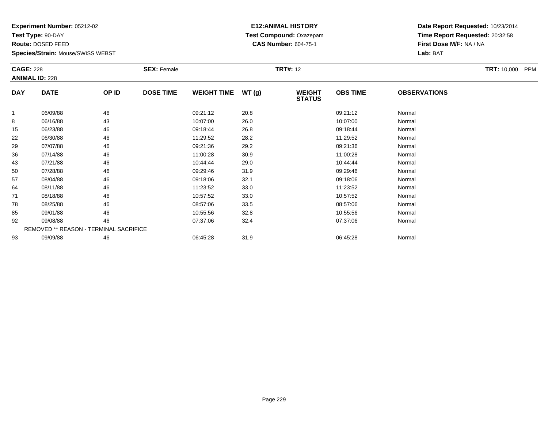**Test Type:** 90-DAY

**Route:** DOSED FEED

**Species/Strain:** Mouse/SWISS WEBST

### **E12:ANIMAL HISTORY Test Compound:** Oxazepam**CAS Number:** 604-75-1

|            | <b>CAGE: 228</b><br><b>ANIMAL ID: 228</b> |                                        | <b>SEX: Female</b> |                    |       | <b>TRT#: 12</b>                |                 | <b>TRT:</b> 10,000 PPM |  |
|------------|-------------------------------------------|----------------------------------------|--------------------|--------------------|-------|--------------------------------|-----------------|------------------------|--|
|            |                                           |                                        |                    |                    |       |                                |                 |                        |  |
| <b>DAY</b> | <b>DATE</b>                               | OP ID                                  | <b>DOSE TIME</b>   | <b>WEIGHT TIME</b> | WT(g) | <b>WEIGHT</b><br><b>STATUS</b> | <b>OBS TIME</b> | <b>OBSERVATIONS</b>    |  |
| 1          | 06/09/88                                  | 46                                     |                    | 09:21:12           | 20.8  |                                | 09:21:12        | Normal                 |  |
| 8          | 06/16/88                                  | 43                                     |                    | 10:07:00           | 26.0  |                                | 10:07:00        | Normal                 |  |
| 15         | 06/23/88                                  | 46                                     |                    | 09:18:44           | 26.8  |                                | 09:18:44        | Normal                 |  |
| 22         | 06/30/88                                  | 46                                     |                    | 11:29:52           | 28.2  |                                | 11:29:52        | Normal                 |  |
| 29         | 07/07/88                                  | 46                                     |                    | 09:21:36           | 29.2  |                                | 09:21:36        | Normal                 |  |
| 36         | 07/14/88                                  | 46                                     |                    | 11:00:28           | 30.9  |                                | 11:00:28        | Normal                 |  |
| 43         | 07/21/88                                  | 46                                     |                    | 10:44:44           | 29.0  |                                | 10:44:44        | Normal                 |  |
| 50         | 07/28/88                                  | 46                                     |                    | 09:29:46           | 31.9  |                                | 09:29:46        | Normal                 |  |
| 57         | 08/04/88                                  | 46                                     |                    | 09:18:06           | 32.1  |                                | 09:18:06        | Normal                 |  |
| 64         | 08/11/88                                  | 46                                     |                    | 11:23:52           | 33.0  |                                | 11:23:52        | Normal                 |  |
| 71         | 08/18/88                                  | 46                                     |                    | 10:57:52           | 33.0  |                                | 10:57:52        | Normal                 |  |
| 78         | 08/25/88                                  | 46                                     |                    | 08:57:06           | 33.5  |                                | 08:57:06        | Normal                 |  |
| 85         | 09/01/88                                  | 46                                     |                    | 10:55:56           | 32.8  |                                | 10:55:56        | Normal                 |  |
| 92         | 09/08/88                                  | 46                                     |                    | 07:37:06           | 32.4  |                                | 07:37:06        | Normal                 |  |
|            |                                           | REMOVED ** REASON - TERMINAL SACRIFICE |                    |                    |       |                                |                 |                        |  |
| 93         | 09/09/88                                  | 46                                     |                    | 06:45:28           | 31.9  |                                | 06:45:28        | Normal                 |  |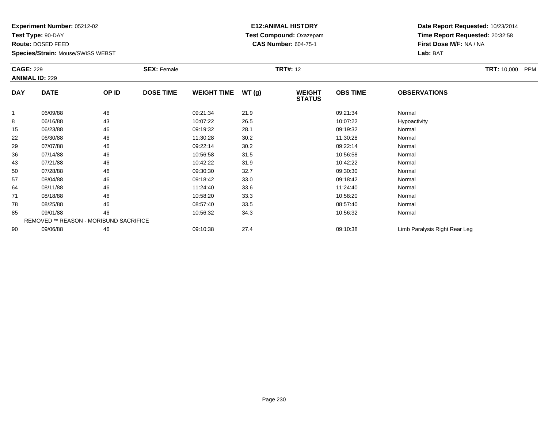**Test Type:** 90-DAY

**Route:** DOSED FEED

**Species/Strain:** Mouse/SWISS WEBST

### **E12:ANIMAL HISTORY Test Compound:** Oxazepam**CAS Number:** 604-75-1

|            | <b>CAGE: 229</b><br><b>ANIMAL ID: 229</b> |       | <b>SEX: Female</b> |                    |       | <b>TRT#: 12</b>                |                 | <b>TRT:</b> 10,000 PPM        |  |
|------------|-------------------------------------------|-------|--------------------|--------------------|-------|--------------------------------|-----------------|-------------------------------|--|
| <b>DAY</b> | <b>DATE</b>                               | OP ID | <b>DOSE TIME</b>   | <b>WEIGHT TIME</b> | WT(g) | <b>WEIGHT</b><br><b>STATUS</b> | <b>OBS TIME</b> | <b>OBSERVATIONS</b>           |  |
|            | 06/09/88                                  | 46    |                    | 09:21:34           | 21.9  |                                | 09:21:34        | Normal                        |  |
| 8          | 06/16/88                                  | 43    |                    | 10:07:22           | 26.5  |                                | 10:07:22        | Hypoactivity                  |  |
| 15         | 06/23/88                                  | 46    |                    | 09:19:32           | 28.1  |                                | 09:19:32        | Normal                        |  |
| 22         | 06/30/88                                  | 46    |                    | 11:30:28           | 30.2  |                                | 11:30:28        | Normal                        |  |
| 29         | 07/07/88                                  | 46    |                    | 09:22:14           | 30.2  |                                | 09:22:14        | Normal                        |  |
| 36         | 07/14/88                                  | 46    |                    | 10:56:58           | 31.5  |                                | 10:56:58        | Normal                        |  |
| 43         | 07/21/88                                  | 46    |                    | 10:42:22           | 31.9  |                                | 10:42:22        | Normal                        |  |
| 50         | 07/28/88                                  | 46    |                    | 09:30:30           | 32.7  |                                | 09:30:30        | Normal                        |  |
| 57         | 08/04/88                                  | 46    |                    | 09:18:42           | 33.0  |                                | 09:18:42        | Normal                        |  |
| 64         | 08/11/88                                  | 46    |                    | 11:24:40           | 33.6  |                                | 11:24:40        | Normal                        |  |
| 71         | 08/18/88                                  | 46    |                    | 10:58:20           | 33.3  |                                | 10:58:20        | Normal                        |  |
| 78         | 08/25/88                                  | 46    |                    | 08:57:40           | 33.5  |                                | 08:57:40        | Normal                        |  |
| 85         | 09/01/88                                  | 46    |                    | 10:56:32           | 34.3  |                                | 10:56:32        | Normal                        |  |
|            | REMOVED ** REASON - MORIBUND SACRIFICE    |       |                    |                    |       |                                |                 |                               |  |
| 90         | 09/06/88                                  | 46    |                    | 09:10:38           | 27.4  |                                | 09:10:38        | Limb Paralysis Right Rear Leg |  |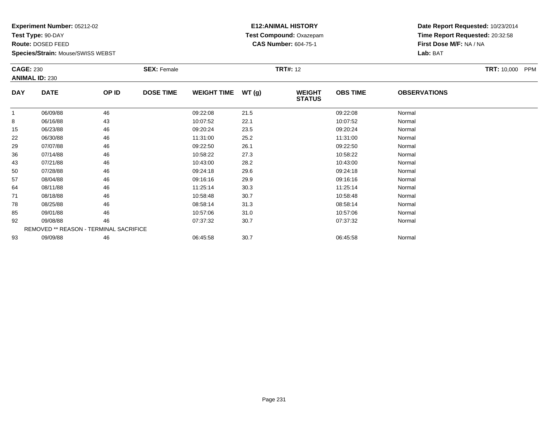**Test Type:** 90-DAY

**Route:** DOSED FEED

**Species/Strain:** Mouse/SWISS WEBST

### **E12:ANIMAL HISTORY Test Compound:** Oxazepam**CAS Number:** 604-75-1

| <b>CAGE: 230</b><br><b>ANIMAL ID: 230</b> |                                        |       | <b>SEX: Female</b> |                    | <b>TRT#: 12</b> |                                |                 |                     | <b>TRT:</b> 10,000 PPM |
|-------------------------------------------|----------------------------------------|-------|--------------------|--------------------|-----------------|--------------------------------|-----------------|---------------------|------------------------|
| <b>DAY</b>                                | <b>DATE</b>                            | OP ID | <b>DOSE TIME</b>   | <b>WEIGHT TIME</b> | WT(g)           | <b>WEIGHT</b><br><b>STATUS</b> | <b>OBS TIME</b> | <b>OBSERVATIONS</b> |                        |
| 1                                         | 06/09/88                               | 46    |                    | 09:22:08           | 21.5            |                                | 09:22:08        | Normal              |                        |
| 8                                         | 06/16/88                               | 43    |                    | 10:07:52           | 22.1            |                                | 10:07:52        | Normal              |                        |
| 15                                        | 06/23/88                               | 46    |                    | 09:20:24           | 23.5            |                                | 09:20:24        | Normal              |                        |
| 22                                        | 06/30/88                               | 46    |                    | 11:31:00           | 25.2            |                                | 11:31:00        | Normal              |                        |
| 29                                        | 07/07/88                               | 46    |                    | 09:22:50           | 26.1            |                                | 09:22:50        | Normal              |                        |
| 36                                        | 07/14/88                               | 46    |                    | 10:58:22           | 27.3            |                                | 10:58:22        | Normal              |                        |
| 43                                        | 07/21/88                               | 46    |                    | 10:43:00           | 28.2            |                                | 10:43:00        | Normal              |                        |
| 50                                        | 07/28/88                               | 46    |                    | 09:24:18           | 29.6            |                                | 09:24:18        | Normal              |                        |
| 57                                        | 08/04/88                               | 46    |                    | 09:16:16           | 29.9            |                                | 09:16:16        | Normal              |                        |
| 64                                        | 08/11/88                               | 46    |                    | 11:25:14           | 30.3            |                                | 11:25:14        | Normal              |                        |
| 71                                        | 08/18/88                               | 46    |                    | 10:58:48           | 30.7            |                                | 10:58:48        | Normal              |                        |
| 78                                        | 08/25/88                               | 46    |                    | 08:58:14           | 31.3            |                                | 08:58:14        | Normal              |                        |
| 85                                        | 09/01/88                               | 46    |                    | 10:57:06           | 31.0            |                                | 10:57:06        | Normal              |                        |
| 92                                        | 09/08/88                               | 46    |                    | 07:37:32           | 30.7            |                                | 07:37:32        | Normal              |                        |
|                                           | REMOVED ** REASON - TERMINAL SACRIFICE |       |                    |                    |                 |                                |                 |                     |                        |
| 93                                        | 09/09/88                               | 46    |                    | 06:45:58           | 30.7            |                                | 06:45:58        | Normal              |                        |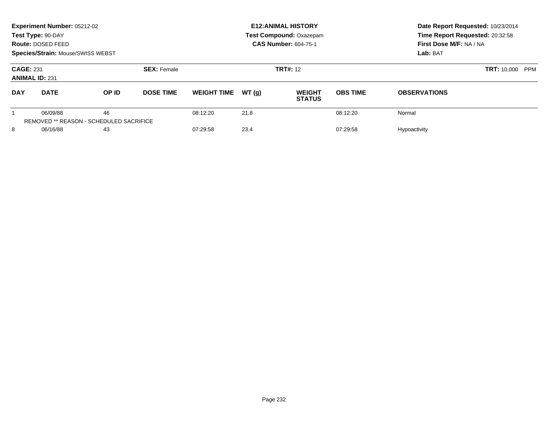|                                           | Experiment Number: 05212-02<br>Test Type: 90-DAY<br>Route: DOSED FEED<br><b>Species/Strain: Mouse/SWISS WEBST</b> |                                                      |                    |                              |       | <b>E12: ANIMAL HISTORY</b><br><b>Test Compound: Oxazepam</b><br><b>CAS Number: 604-75-1</b> | Date Report Requested: 10/23/2014<br>Time Report Requested: 20:32:58<br>First Dose M/F: NA / NA<br>Lab: BAT |                     |
|-------------------------------------------|-------------------------------------------------------------------------------------------------------------------|------------------------------------------------------|--------------------|------------------------------|-------|---------------------------------------------------------------------------------------------|-------------------------------------------------------------------------------------------------------------|---------------------|
| <b>CAGE: 231</b><br><b>ANIMAL ID: 231</b> |                                                                                                                   |                                                      | <b>SEX: Female</b> |                              |       | <b>TRT#: 12</b>                                                                             | <b>TRT: 10,000 PPM</b>                                                                                      |                     |
| <b>DAY</b>                                | <b>DATE</b>                                                                                                       | OP ID                                                | <b>DOSE TIME</b>   | <b>WEIGHT TIME</b>           | WT(q) | <b>WEIGHT</b><br><b>STATUS</b>                                                              | <b>OBS TIME</b>                                                                                             | <b>OBSERVATIONS</b> |
|                                           | 06/09/88                                                                                                          | 46<br><b>REMOVED ** REASON - SCHEDULED SACRIFICE</b> |                    | 08:12:20                     | 21.8  |                                                                                             | 08:12:20                                                                                                    | Normal              |
| 8                                         | 06/16/88<br>43                                                                                                    |                                                      |                    | 23.4<br>07:29:58<br>07:29:58 |       |                                                                                             | Hypoactivity                                                                                                |                     |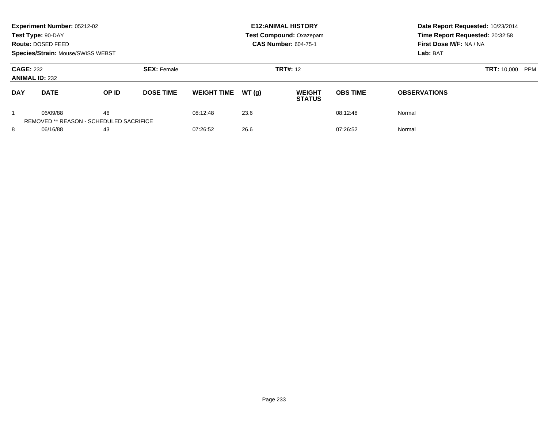|                                                                  | Experiment Number: 05212-02<br>Test Type: 90-DAY<br>Route: DOSED FEED<br><b>Species/Strain: Mouse/SWISS WEBST</b> |          |                    |                    |          | <b>E12: ANIMAL HISTORY</b><br><b>Test Compound: Oxazepam</b><br><b>CAS Number: 604-75-1</b> | Date Report Requested: 10/23/2014<br>Time Report Requested: 20:32:58<br>First Dose M/F: NA / NA<br>Lab: BAT |                     |
|------------------------------------------------------------------|-------------------------------------------------------------------------------------------------------------------|----------|--------------------|--------------------|----------|---------------------------------------------------------------------------------------------|-------------------------------------------------------------------------------------------------------------|---------------------|
| <b>CAGE: 232</b><br><b>ANIMAL ID: 232</b>                        |                                                                                                                   |          | <b>SEX: Female</b> |                    |          | <b>TRT#: 12</b>                                                                             | <b>TRT: 10,000 PPM</b>                                                                                      |                     |
| <b>DAY</b>                                                       | <b>DATE</b>                                                                                                       | OP ID    | <b>DOSE TIME</b>   | <b>WEIGHT TIME</b> | WT(q)    | <b>WEIGHT</b><br><b>STATUS</b>                                                              | <b>OBS TIME</b>                                                                                             | <b>OBSERVATIONS</b> |
| 46<br>06/09/88<br><b>REMOVED ** REASON - SCHEDULED SACRIFICE</b> |                                                                                                                   | 08:12:48 | 23.6               |                    | 08:12:48 | Normal                                                                                      |                                                                                                             |                     |
| 8                                                                | 06/16/88<br>43                                                                                                    |          |                    | 07:26:52           | 26.6     |                                                                                             | 07:26:52                                                                                                    | Normal              |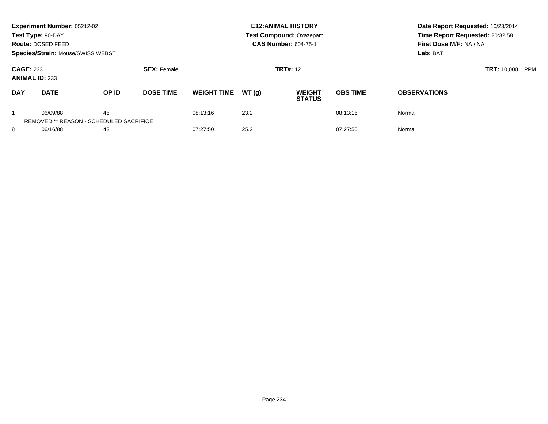|                                           | Experiment Number: 05212-02<br>Test Type: 90-DAY<br>Route: DOSED FEED<br><b>Species/Strain: Mouse/SWISS WEBST</b> |                                                      |                    |                    |       | <b>E12: ANIMAL HISTORY</b><br><b>Test Compound: Oxazepam</b><br><b>CAS Number: 604-75-1</b> | Date Report Requested: 10/23/2014<br>Time Report Requested: 20:32:58<br>First Dose M/F: NA / NA<br>Lab: BAT |                     |
|-------------------------------------------|-------------------------------------------------------------------------------------------------------------------|------------------------------------------------------|--------------------|--------------------|-------|---------------------------------------------------------------------------------------------|-------------------------------------------------------------------------------------------------------------|---------------------|
| <b>CAGE: 233</b><br><b>ANIMAL ID: 233</b> |                                                                                                                   |                                                      | <b>SEX: Female</b> |                    |       | <b>TRT#: 12</b>                                                                             | <b>TRT: 10,000 PPM</b>                                                                                      |                     |
| <b>DAY</b>                                | <b>DATE</b>                                                                                                       | OP ID                                                | <b>DOSE TIME</b>   | <b>WEIGHT TIME</b> | WT(q) | <b>WEIGHT</b><br><b>STATUS</b>                                                              | <b>OBS TIME</b>                                                                                             | <b>OBSERVATIONS</b> |
|                                           | 06/09/88                                                                                                          | 46<br><b>REMOVED ** REASON - SCHEDULED SACRIFICE</b> |                    | 08:13:16           | 23.2  |                                                                                             | 08:13:16                                                                                                    | Normal              |
| 8                                         | 06/16/88<br>43                                                                                                    |                                                      |                    | 07:27:50           | 25.2  |                                                                                             | 07:27:50                                                                                                    | Normal              |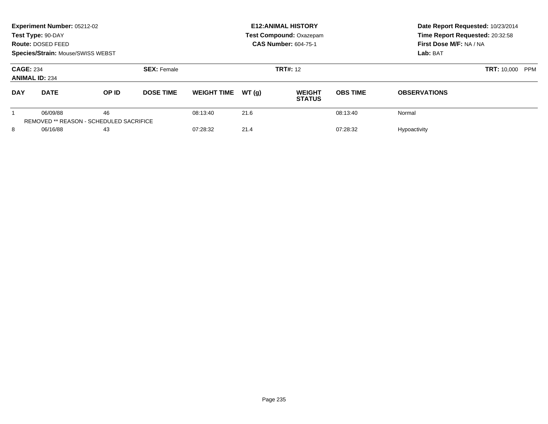|                                           | Experiment Number: 05212-02<br>Test Type: 90-DAY<br>Route: DOSED FEED<br>Species/Strain: Mouse/SWISS WEBST |                                                      |                    |                    |       | <b>E12: ANIMAL HISTORY</b><br>Test Compound: Oxazepam<br><b>CAS Number: 604-75-1</b> | Date Report Requested: 10/23/2014<br>Time Report Requested: 20:32:58<br>First Dose M/F: NA / NA<br>Lab: BAT |                     |
|-------------------------------------------|------------------------------------------------------------------------------------------------------------|------------------------------------------------------|--------------------|--------------------|-------|--------------------------------------------------------------------------------------|-------------------------------------------------------------------------------------------------------------|---------------------|
| <b>CAGE: 234</b><br><b>ANIMAL ID: 234</b> |                                                                                                            |                                                      | <b>SEX: Female</b> |                    |       | <b>TRT#: 12</b>                                                                      | <b>TRT: 10,000 PPM</b>                                                                                      |                     |
| <b>DAY</b>                                | <b>DATE</b>                                                                                                | OP ID                                                | <b>DOSE TIME</b>   | <b>WEIGHT TIME</b> | WT(q) | <b>WEIGHT</b><br><b>STATUS</b>                                                       | <b>OBS TIME</b>                                                                                             | <b>OBSERVATIONS</b> |
|                                           | 06/09/88                                                                                                   | 46<br><b>REMOVED ** REASON - SCHEDULED SACRIFICE</b> |                    | 08:13:40           | 21.6  |                                                                                      | 08:13:40                                                                                                    | Normal              |
| 8                                         | 06/16/88                                                                                                   |                                                      |                    | 07:28:32           | 21.4  |                                                                                      | 07:28:32                                                                                                    | Hypoactivity        |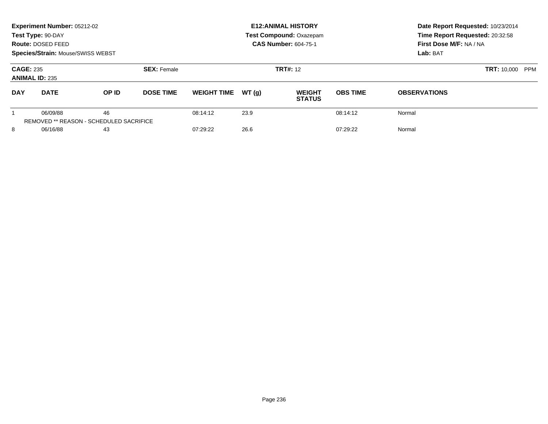|                                           | Experiment Number: 05212-02<br>Test Type: 90-DAY<br>Route: DOSED FEED<br><b>Species/Strain: Mouse/SWISS WEBST</b> |       |                    |                              |       | <b>E12: ANIMAL HISTORY</b><br><b>Test Compound: Oxazepam</b><br><b>CAS Number: 604-75-1</b> | Date Report Requested: 10/23/2014<br>Time Report Requested: 20:32:58<br>First Dose M/F: NA / NA<br>Lab: BAT |                     |  |
|-------------------------------------------|-------------------------------------------------------------------------------------------------------------------|-------|--------------------|------------------------------|-------|---------------------------------------------------------------------------------------------|-------------------------------------------------------------------------------------------------------------|---------------------|--|
| <b>CAGE: 235</b><br><b>ANIMAL ID: 235</b> |                                                                                                                   |       | <b>SEX: Female</b> |                              |       | <b>TRT#: 12</b>                                                                             | <b>TRT: 10,000</b>                                                                                          | PPM                 |  |
| <b>DAY</b>                                | <b>DATE</b>                                                                                                       | OP ID | <b>DOSE TIME</b>   | <b>WEIGHT TIME</b>           | WT(q) | <b>WEIGHT</b><br><b>STATUS</b>                                                              | <b>OBS TIME</b>                                                                                             | <b>OBSERVATIONS</b> |  |
|                                           | 06/09/88<br><b>REMOVED ** REASON - SCHEDULED SACRIFICE</b>                                                        | 46    |                    | 08:14:12                     | 23.9  |                                                                                             | 08:14:12                                                                                                    | Normal              |  |
| 8                                         | 06/16/88<br>43                                                                                                    |       |                    | 26.6<br>07:29:22<br>07:29:22 |       |                                                                                             | Normal                                                                                                      |                     |  |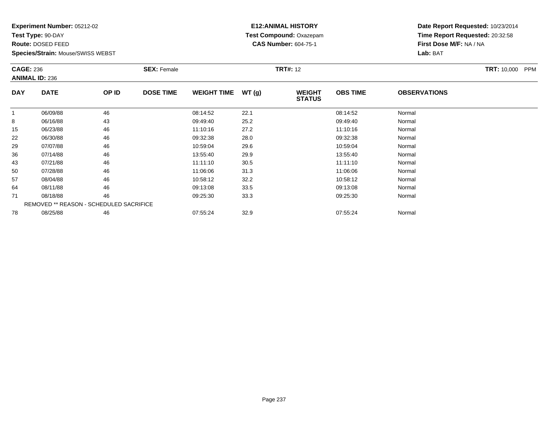**Test Type:** 90-DAY

**Route:** DOSED FEED

**Species/Strain:** Mouse/SWISS WEBST

### **E12:ANIMAL HISTORY Test Compound:** Oxazepam**CAS Number:** 604-75-1

|            | <b>CAGE: 236</b><br><b>ANIMAL ID: 236</b> |       | <b>SEX: Female</b> |                    |       | <b>TRT#: 12</b>                |                 | <b>TRT: 10,000</b><br><b>PPM</b> |  |
|------------|-------------------------------------------|-------|--------------------|--------------------|-------|--------------------------------|-----------------|----------------------------------|--|
| <b>DAY</b> | <b>DATE</b>                               | OP ID | <b>DOSE TIME</b>   | <b>WEIGHT TIME</b> | WT(g) | <b>WEIGHT</b><br><b>STATUS</b> | <b>OBS TIME</b> | <b>OBSERVATIONS</b>              |  |
| 1          | 06/09/88                                  | 46    |                    | 08:14:52           | 22.1  |                                | 08:14:52        | Normal                           |  |
| 8          | 06/16/88                                  | 43    |                    | 09:49:40           | 25.2  |                                | 09:49:40        | Normal                           |  |
| 15         | 06/23/88                                  | 46    |                    | 11:10:16           | 27.2  |                                | 11:10:16        | Normal                           |  |
| 22         | 06/30/88                                  | 46    |                    | 09:32:38           | 28.0  |                                | 09:32:38        | Normal                           |  |
| 29         | 07/07/88                                  | 46    |                    | 10:59:04           | 29.6  |                                | 10:59:04        | Normal                           |  |
| 36         | 07/14/88                                  | 46    |                    | 13:55:40           | 29.9  |                                | 13:55:40        | Normal                           |  |
| 43         | 07/21/88                                  | 46    |                    | 11:11:10           | 30.5  |                                | 11:11:10        | Normal                           |  |
| 50         | 07/28/88                                  | 46    |                    | 11:06:06           | 31.3  |                                | 11:06:06        | Normal                           |  |
| 57         | 08/04/88                                  | 46    |                    | 10:58:12           | 32.2  |                                | 10:58:12        | Normal                           |  |
| 64         | 08/11/88                                  | 46    |                    | 09:13:08           | 33.5  |                                | 09:13:08        | Normal                           |  |
| 71         | 08/18/88                                  | 46    |                    | 09:25:30           | 33.3  |                                | 09:25:30        | Normal                           |  |
|            | REMOVED ** REASON - SCHEDULED SACRIFICE   |       |                    |                    |       |                                |                 |                                  |  |
| 78         | 08/25/88                                  | 46    |                    | 07:55:24           | 32.9  |                                | 07:55:24        | Normal                           |  |
|            |                                           |       |                    |                    |       |                                |                 |                                  |  |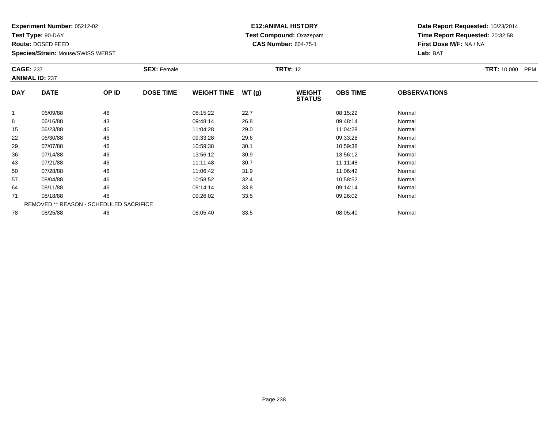**Test Type:** 90-DAY

**Route:** DOSED FEED

**Species/Strain:** Mouse/SWISS WEBST

### **E12:ANIMAL HISTORY Test Compound:** Oxazepam**CAS Number:** 604-75-1

|            | <b>CAGE: 237</b><br><b>ANIMAL ID: 237</b> |                                         | <b>SEX: Female</b> |                    |       | <b>TRT#: 12</b>                |                 | <b>TRT: 10,000</b><br><b>PPM</b> |  |
|------------|-------------------------------------------|-----------------------------------------|--------------------|--------------------|-------|--------------------------------|-----------------|----------------------------------|--|
| <b>DAY</b> | <b>DATE</b>                               | OP ID                                   | <b>DOSE TIME</b>   | <b>WEIGHT TIME</b> | WT(g) | <b>WEIGHT</b><br><b>STATUS</b> | <b>OBS TIME</b> | <b>OBSERVATIONS</b>              |  |
|            | 06/09/88                                  | 46                                      |                    | 08:15:22           | 22.7  |                                | 08:15:22        | Normal                           |  |
| 8          | 06/16/88                                  | 43                                      |                    | 09:48:14           | 26.8  |                                | 09:48:14        | Normal                           |  |
| 15         | 06/23/88                                  | 46                                      |                    | 11:04:28           | 29.0  |                                | 11:04:28        | Normal                           |  |
| 22         | 06/30/88                                  | 46                                      |                    | 09:33:28           | 29.6  |                                | 09:33:28        | Normal                           |  |
| 29         | 07/07/88                                  | 46                                      |                    | 10:59:38           | 30.1  |                                | 10:59:38        | Normal                           |  |
| 36         | 07/14/88                                  | 46                                      |                    | 13:56:12           | 30.9  |                                | 13:56:12        | Normal                           |  |
| 43         | 07/21/88                                  | 46                                      |                    | 11:11:48           | 30.7  |                                | 11:11:48        | Normal                           |  |
| 50         | 07/28/88                                  | 46                                      |                    | 11:06:42           | 31.9  |                                | 11:06:42        | Normal                           |  |
| 57         | 08/04/88                                  | 46                                      |                    | 10:58:52           | 32.4  |                                | 10:58:52        | Normal                           |  |
| 64         | 08/11/88                                  | 46                                      |                    | 09:14:14           | 33.8  |                                | 09:14:14        | Normal                           |  |
| 71         | 08/18/88                                  | 46                                      |                    | 09:26:02           | 33.5  |                                | 09:26:02        | Normal                           |  |
|            |                                           | REMOVED ** REASON - SCHEDULED SACRIFICE |                    |                    |       |                                |                 |                                  |  |
| 78         | 08/25/88                                  | 46                                      |                    | 08:05:40           | 33.5  |                                | 08:05:40        | Normal                           |  |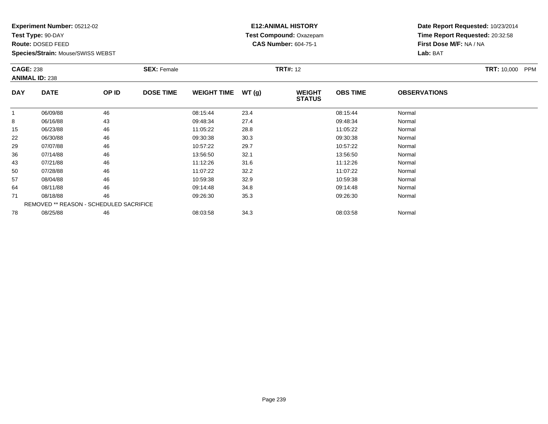**Test Type:** 90-DAY

**Route:** DOSED FEED

**Species/Strain:** Mouse/SWISS WEBST

### **E12:ANIMAL HISTORY Test Compound:** Oxazepam**CAS Number:** 604-75-1

|            | <b>CAGE: 238</b><br><b>ANIMAL ID: 238</b> |       | <b>SEX: Female</b> |                    |       | <b>TRT#:</b> 12                |                 | <b>TRT:</b> 10,000 PPM |  |
|------------|-------------------------------------------|-------|--------------------|--------------------|-------|--------------------------------|-----------------|------------------------|--|
| <b>DAY</b> | <b>DATE</b>                               | OP ID | <b>DOSE TIME</b>   | <b>WEIGHT TIME</b> | WT(g) | <b>WEIGHT</b><br><b>STATUS</b> | <b>OBS TIME</b> | <b>OBSERVATIONS</b>    |  |
| 1          | 06/09/88                                  | 46    |                    | 08:15:44           | 23.4  |                                | 08:15:44        | Normal                 |  |
| 8          | 06/16/88                                  | 43    |                    | 09:48:34           | 27.4  |                                | 09:48:34        | Normal                 |  |
| 15         | 06/23/88                                  | 46    |                    | 11:05:22           | 28.8  |                                | 11:05:22        | Normal                 |  |
| 22         | 06/30/88                                  | 46    |                    | 09:30:38           | 30.3  |                                | 09:30:38        | Normal                 |  |
| 29         | 07/07/88                                  | 46    |                    | 10:57:22           | 29.7  |                                | 10:57:22        | Normal                 |  |
| 36         | 07/14/88                                  | 46    |                    | 13:56:50           | 32.1  |                                | 13:56:50        | Normal                 |  |
| 43         | 07/21/88                                  | 46    |                    | 11:12:26           | 31.6  |                                | 11:12:26        | Normal                 |  |
| 50         | 07/28/88                                  | 46    |                    | 11:07:22           | 32.2  |                                | 11:07:22        | Normal                 |  |
| 57         | 08/04/88                                  | 46    |                    | 10:59:38           | 32.9  |                                | 10:59:38        | Normal                 |  |
| 64         | 08/11/88                                  | 46    |                    | 09:14:48           | 34.8  |                                | 09:14:48        | Normal                 |  |
| 71         | 08/18/88                                  | 46    |                    | 09:26:30           | 35.3  |                                | 09:26:30        | Normal                 |  |
|            | REMOVED ** REASON - SCHEDULED SACRIFICE   |       |                    |                    |       |                                |                 |                        |  |
| 78         | 08/25/88                                  | 46    |                    | 08:03:58           | 34.3  |                                | 08:03:58        | Normal                 |  |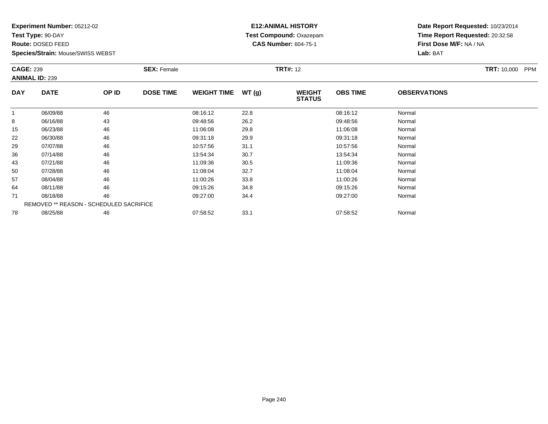**Test Type:** 90-DAY

**Route:** DOSED FEED

**Species/Strain:** Mouse/SWISS WEBST

### **E12:ANIMAL HISTORY Test Compound:** Oxazepam**CAS Number:** 604-75-1

|            | <b>CAGE: 239</b><br><b>ANIMAL ID: 239</b> |       | <b>SEX: Female</b> |                    |       | <b>TRT#: 12</b>                |                 | <b>TRT:</b> 10,000 PPM |  |
|------------|-------------------------------------------|-------|--------------------|--------------------|-------|--------------------------------|-----------------|------------------------|--|
| <b>DAY</b> | <b>DATE</b>                               | OP ID | <b>DOSE TIME</b>   | <b>WEIGHT TIME</b> | WT(g) | <b>WEIGHT</b><br><b>STATUS</b> | <b>OBS TIME</b> | <b>OBSERVATIONS</b>    |  |
| 1          | 06/09/88                                  | 46    |                    | 08:16:12           | 22.8  |                                | 08:16:12        | Normal                 |  |
| 8          | 06/16/88                                  | 43    |                    | 09:48:56           | 26.2  |                                | 09:48:56        | Normal                 |  |
| 15         | 06/23/88                                  | 46    |                    | 11:06:08           | 29.8  |                                | 11:06:08        | Normal                 |  |
| 22         | 06/30/88                                  | 46    |                    | 09:31:18           | 29.9  |                                | 09:31:18        | Normal                 |  |
| 29         | 07/07/88                                  | 46    |                    | 10:57:56           | 31.1  |                                | 10:57:56        | Normal                 |  |
| 36         | 07/14/88                                  | 46    |                    | 13:54:34           | 30.7  |                                | 13:54:34        | Normal                 |  |
| 43         | 07/21/88                                  | 46    |                    | 11:09:36           | 30.5  |                                | 11:09:36        | Normal                 |  |
| 50         | 07/28/88                                  | 46    |                    | 11:08:04           | 32.7  |                                | 11:08:04        | Normal                 |  |
| 57         | 08/04/88                                  | 46    |                    | 11:00:26           | 33.8  |                                | 11:00:26        | Normal                 |  |
| 64         | 08/11/88                                  | 46    |                    | 09:15:26           | 34.8  |                                | 09:15:26        | Normal                 |  |
| 71         | 08/18/88                                  | 46    |                    | 09:27:00           | 34.4  |                                | 09:27:00        | Normal                 |  |
|            | REMOVED ** REASON - SCHEDULED SACRIFICE   |       |                    |                    |       |                                |                 |                        |  |
| 78         | 08/25/88                                  | 46    |                    | 07:58:52           | 33.1  |                                | 07:58:52        | Normal                 |  |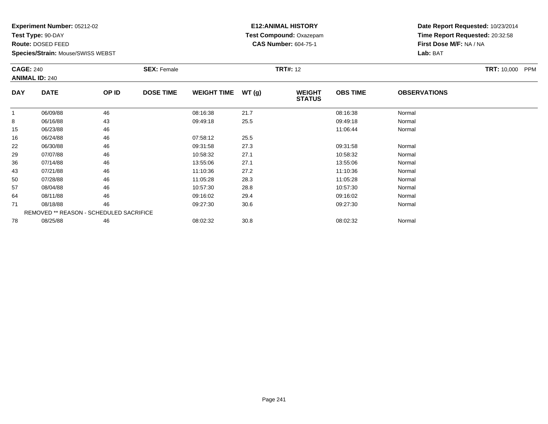**Test Type:** 90-DAY

**Route:** DOSED FEED

**Species/Strain:** Mouse/SWISS WEBST

#### **E12:ANIMAL HISTORY Test Compound:** Oxazepam**CAS Number:** 604-75-1

| <b>CAGE: 240</b><br><b>ANIMAL ID: 240</b> |                                         |       | <b>SEX: Female</b> | <b>TRT#: 12</b>    |       |                                |                 |                     | <b>TRT: 10,000</b><br>PPM |
|-------------------------------------------|-----------------------------------------|-------|--------------------|--------------------|-------|--------------------------------|-----------------|---------------------|---------------------------|
| <b>DAY</b>                                | <b>DATE</b>                             | OP ID | <b>DOSE TIME</b>   | <b>WEIGHT TIME</b> | WT(g) | <b>WEIGHT</b><br><b>STATUS</b> | <b>OBS TIME</b> | <b>OBSERVATIONS</b> |                           |
| 1                                         | 06/09/88                                | 46    |                    | 08:16:38           | 21.7  |                                | 08:16:38        | Normal              |                           |
| 8                                         | 06/16/88                                | 43    |                    | 09:49:18           | 25.5  |                                | 09:49:18        | Normal              |                           |
| 15                                        | 06/23/88                                | 46    |                    |                    |       |                                | 11:06:44        | Normal              |                           |
| 16                                        | 06/24/88                                | 46    |                    | 07:58:12           | 25.5  |                                |                 |                     |                           |
| 22                                        | 06/30/88                                | 46    |                    | 09:31:58           | 27.3  |                                | 09:31:58        | Normal              |                           |
| 29                                        | 07/07/88                                | 46    |                    | 10:58:32           | 27.1  |                                | 10:58:32        | Normal              |                           |
| 36                                        | 07/14/88                                | 46    |                    | 13:55:06           | 27.1  |                                | 13:55:06        | Normal              |                           |
| 43                                        | 07/21/88                                | 46    |                    | 11:10:36           | 27.2  |                                | 11:10:36        | Normal              |                           |
| 50                                        | 07/28/88                                | 46    |                    | 11:05:28           | 28.3  |                                | 11:05:28        | Normal              |                           |
| 57                                        | 08/04/88                                | 46    |                    | 10:57:30           | 28.8  |                                | 10:57:30        | Normal              |                           |
| 64                                        | 08/11/88                                | 46    |                    | 09:16:02           | 29.4  |                                | 09:16:02        | Normal              |                           |
| 71                                        | 08/18/88                                | 46    |                    | 09:27:30           | 30.6  |                                | 09:27:30        | Normal              |                           |
|                                           | REMOVED ** REASON - SCHEDULED SACRIFICE |       |                    |                    |       |                                |                 |                     |                           |
| 78                                        | 08/25/88                                | 46    |                    | 08:02:32           | 30.8  |                                | 08:02:32        | Normal              |                           |